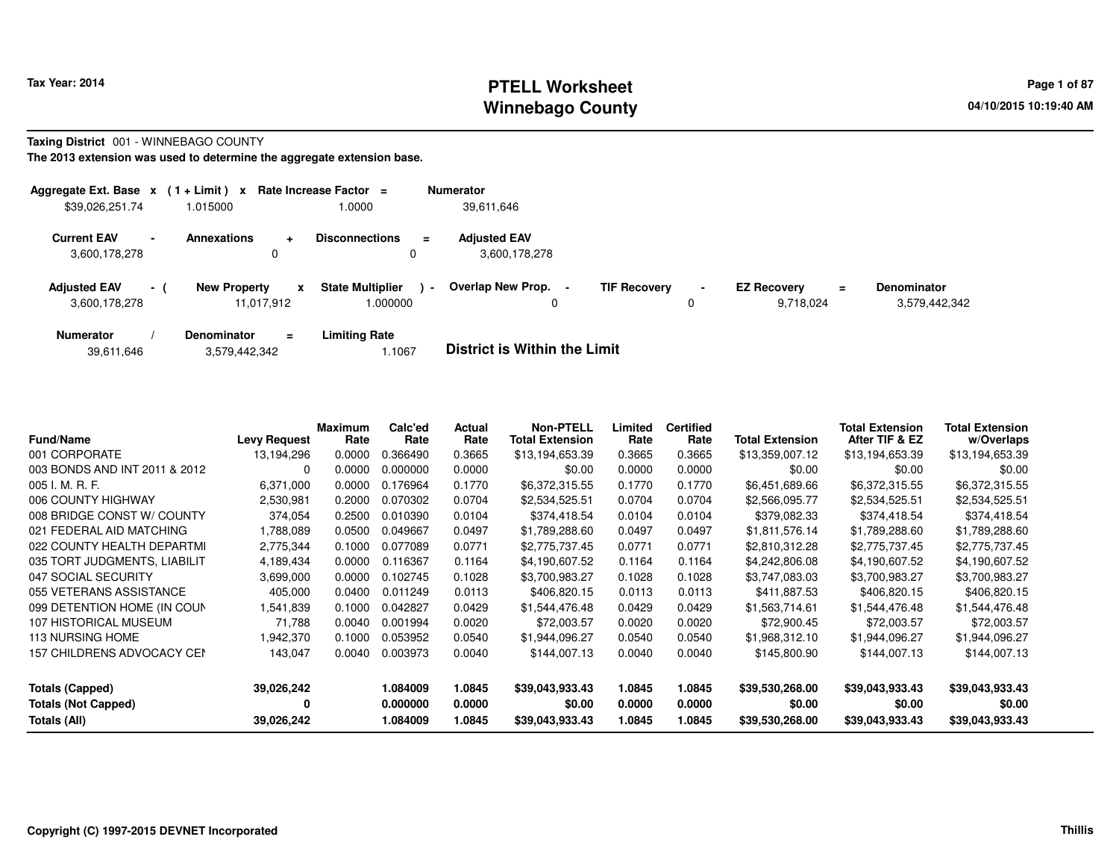#### **PTELL Worksheet Tax Year: 2014 Page 1 of 87 Page 1 of 87 Winnebago County**

#### **Taxing District** 001 - WINNEBAGO COUNTY

| Aggregate Ext. Base $x$ (1 + Limit) $x$ |      |                                   |          | Rate Increase Factor $=$                      |                | <b>Numerator</b>                     |                     |                     |                                 |    |                                     |
|-----------------------------------------|------|-----------------------------------|----------|-----------------------------------------------|----------------|--------------------------------------|---------------------|---------------------|---------------------------------|----|-------------------------------------|
| \$39,026,251.74                         |      | .015000                           |          | 1.0000                                        |                | 39,611,646                           |                     |                     |                                 |    |                                     |
| <b>Current EAV</b><br>3,600,178,278     |      | <b>Annexations</b>                | ÷        | <b>Disconnections</b><br>$\equiv$<br>$\Omega$ |                | <b>Adjusted EAV</b><br>3.600.178.278 |                     |                     |                                 |    |                                     |
| <b>Adjusted EAV</b><br>3,600,178,278    | $-1$ | <b>New Property</b><br>11,017,912 | x        | <b>State Multiplier</b><br>.000000            | $\blacksquare$ | Overlap New Prop. -<br>0             | <b>TIF Recovery</b> | $\blacksquare$<br>0 | <b>EZ Recovery</b><br>9,718,024 | Ξ. | <b>Denominator</b><br>3,579,442,342 |
| <b>Numerator</b>                        |      | <b>Denominator</b>                | $\equiv$ | <b>Limiting Rate</b>                          |                |                                      |                     |                     |                                 |    |                                     |

| <b>Fund/Name</b>                  | <b>Levy Request</b> | <b>Maximum</b><br>Rate | Calc'ed<br>Rate | <b>Actual</b><br>Rate | <b>Non-PTELL</b><br><b>Total Extension</b> | Limited<br>Rate | <b>Certified</b><br>Rate | Total Extension | <b>Total Extension</b><br>After TIF & EZ | <b>Total Extension</b><br>w/Overlaps |
|-----------------------------------|---------------------|------------------------|-----------------|-----------------------|--------------------------------------------|-----------------|--------------------------|-----------------|------------------------------------------|--------------------------------------|
| 001 CORPORATE                     | 13,194,296          | 0.0000                 | .366490         | 0.3665                | \$13,194,653.39                            | 0.3665          | 0.3665                   | \$13,359,007.12 | \$13,194,653.39                          | \$13,194,653.39                      |
| 003 BONDS AND INT 2011 & 2012     | 0                   | 0.0000                 | 0.000000        | 0.0000                | \$0.00                                     | 0.0000          | 0.0000                   | \$0.00          | \$0.00                                   | \$0.00                               |
| 005 I. M. R. F.                   | 6,371,000           | 0.0000                 | 0.176964        | 0.1770                | \$6,372,315.55                             | 0.1770          | 0.1770                   | \$6,451,689.66  | \$6,372,315.55                           | \$6,372,315.55                       |
| 006 COUNTY HIGHWAY                | 2,530,981           | 0.2000                 | 0.070302        | 0.0704                | \$2,534,525.51                             | 0.0704          | 0.0704                   | \$2,566,095.77  | \$2,534,525.51                           | \$2,534,525.51                       |
| 008 BRIDGE CONST W/ COUNTY        | 374,054             | 0.2500                 | 0.010390        | 0.0104                | \$374,418.54                               | 0.0104          | 0.0104                   | \$379,082.33    | \$374,418.54                             | \$374,418.54                         |
| 021 FEDERAL AID MATCHING          | 1,788,089           | 0.0500                 | 0.049667        | 0.0497                | \$1,789,288.60                             | 0.0497          | 0.0497                   | \$1,811,576.14  | \$1,789,288.60                           | \$1,789,288.60                       |
| 022 COUNTY HEALTH DEPARTMI        | 2,775,344           | 0.1000                 | 0.077089        | 0.0771                | \$2,775,737.45                             | 0.0771          | 0.0771                   | \$2,810,312.28  | \$2,775,737.45                           | \$2,775,737.45                       |
| 035 TORT JUDGMENTS, LIABILIT      | 4,189,434           | 0.0000                 | 0.116367        | 0.1164                | \$4,190,607.52                             | 0.1164          | 0.1164                   | \$4,242,806.08  | \$4,190,607.52                           | \$4,190,607.52                       |
| 047 SOCIAL SECURITY               | 3,699,000           | 0.0000                 | 0.102745        | 0.1028                | \$3,700,983.27                             | 0.1028          | 0.1028                   | \$3,747,083.03  | \$3,700,983.27                           | \$3,700,983.27                       |
| 055 VETERANS ASSISTANCE           | 405,000             | 0.0400                 | 0.011249        | 0.0113                | \$406,820.15                               | 0.0113          | 0.0113                   | \$411,887.53    | \$406,820.15                             | \$406,820.15                         |
| 099 DETENTION HOME (IN COUN       | 1,541,839           | 0.1000                 | 0.042827        | 0.0429                | \$1,544,476.48                             | 0.0429          | 0.0429                   | \$1.563.714.61  | \$1,544,476.48                           | \$1,544,476.48                       |
| 107 HISTORICAL MUSEUM             | 71,788              | 0.0040                 | 0.001994        | 0.0020                | \$72,003.57                                | 0.0020          | 0.0020                   | \$72,900.45     | \$72,003.57                              | \$72,003.57                          |
| 113 NURSING HOME                  | 1,942,370           | 0.1000                 | 0.053952        | 0.0540                | \$1,944,096.27                             | 0.0540          | 0.0540                   | \$1,968,312.10  | \$1,944,096.27                           | \$1,944,096.27                       |
| <b>157 CHILDRENS ADVOCACY CEN</b> | 143,047             | 0.0040                 | 0.003973        | 0.0040                | \$144,007.13                               | 0.0040          | 0.0040                   | \$145,800.90    | \$144,007.13                             | \$144,007.13                         |
| <b>Totals (Capped)</b>            | 39,026,242          |                        | 1.084009        | 1.0845                | \$39,043,933.43                            | 1.0845          | 1.0845                   | \$39,530,268.00 | \$39,043,933.43                          | \$39,043,933.43                      |
| <b>Totals (Not Capped)</b>        | 0                   |                        | 0.000000        | 0.0000                | \$0.00                                     | 0.0000          | 0.0000                   | \$0.00          | \$0.00                                   | \$0.00                               |
| Totals (All)                      | 39,026,242          |                        | 1.084009        | 1.0845                | \$39,043,933.43                            | 1.0845          | 1.0845                   | \$39,530,268.00 | \$39,043,933.43                          | \$39,043,933.43                      |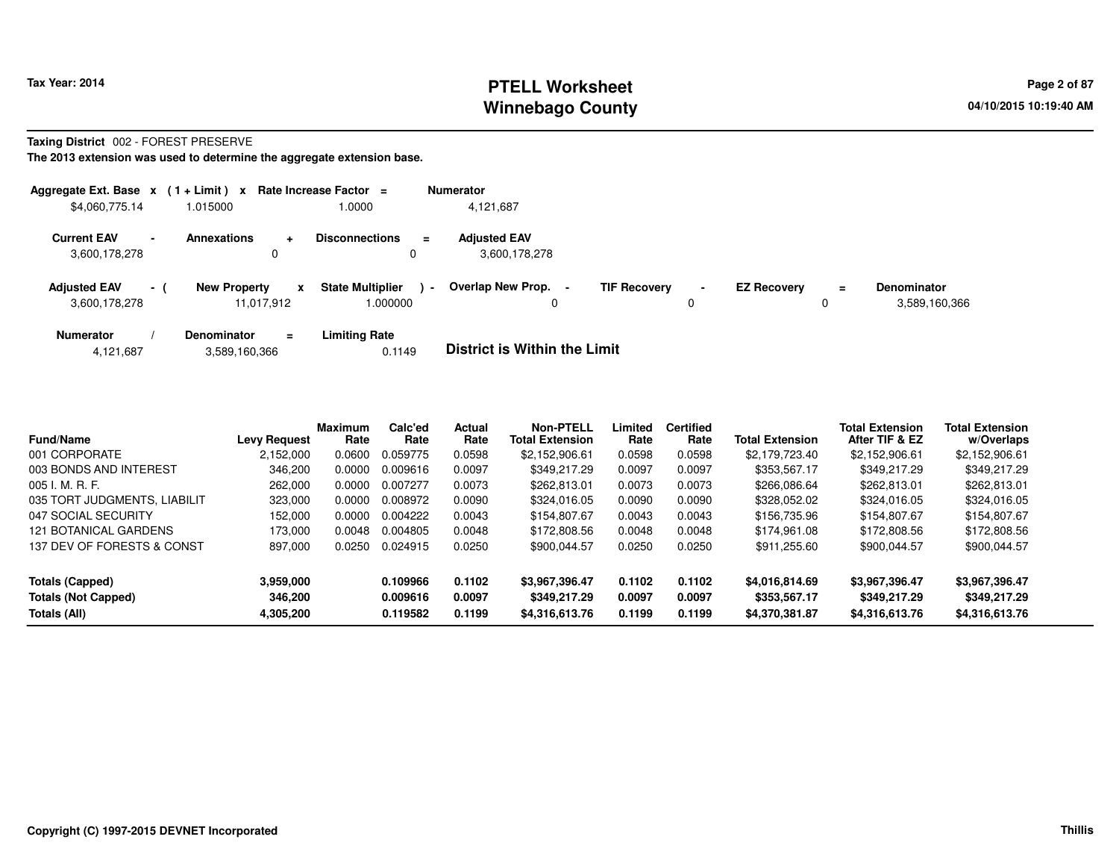### **PTELL Worksheet Tax Year: 2014 Page 2 of 87 Page 2 of 87 Winnebago County**

#### **Taxing District** 002 - FOREST PRESERVE

| Aggregate Ext. Base $x$ (1+Limit) $x$ |                |                                   |                | Rate Increase Factor =                 | <b>Numerator</b>                     |                     |                     |                    |               |                                     |
|---------------------------------------|----------------|-----------------------------------|----------------|----------------------------------------|--------------------------------------|---------------------|---------------------|--------------------|---------------|-------------------------------------|
| \$4,060,775.14                        |                | 1.015000                          |                | 1.0000                                 | 4,121,687                            |                     |                     |                    |               |                                     |
| <b>Current EAV</b><br>3,600,178,278   | $\blacksquare$ | <b>Annexations</b>                | $\ddot{}$<br>0 | <b>Disconnections</b><br>$\equiv$<br>0 | <b>Adjusted EAV</b><br>3,600,178,278 |                     |                     |                    |               |                                     |
| <b>Adiusted EAV</b><br>3,600,178,278  | $-1$           | <b>New Property</b><br>11.017.912 | x              | <b>State Multiplier</b><br>1.000000    | Overlap New Prop.<br>$\blacksquare$  | <b>TIF Recovery</b> | $\blacksquare$<br>0 | <b>EZ Recovery</b> | $\equiv$<br>0 | <b>Denominator</b><br>3,589,160,366 |
| <b>Numerator</b>                      |                | <b>Denominator</b>                | $=$            | <b>Limiting Rate</b>                   | _ _ _ _ _ _ _ _ _ _ _ _ _ _ _ _ _    |                     |                     |                    |               |                                     |

| 4,121,687 | 3,589,160,366 | 0.1149 | <b>District is Within the Limit</b> |
|-----------|---------------|--------|-------------------------------------|
|-----------|---------------|--------|-------------------------------------|

| Fund/Name                    | <b>Levy Request</b> | <b>Maximum</b><br>Rate | Calc'ed<br>Rate | <b>Actual</b><br>Rate | <b>Non-PTELL</b><br><b>Total Extension</b> | Limited<br>Rate | <b>Certified</b><br>Rate | <b>Total Extension</b> | <b>Total Extension</b><br>After TIF & EZ | <b>Total Extension</b><br>w/Overlaps |
|------------------------------|---------------------|------------------------|-----------------|-----------------------|--------------------------------------------|-----------------|--------------------------|------------------------|------------------------------------------|--------------------------------------|
| 001 CORPORATE                | 2,152,000           | 0.0600                 | 0.059775        | 0.0598                | \$2.152.906.61                             | 0.0598          | 0.0598                   | \$2,179,723.40         | \$2.152.906.61                           | \$2,152,906.61                       |
| 003 BONDS AND INTEREST       | 346,200             | 0.0000                 | 0.009616        | 0.0097                | \$349.217.29                               | 0.0097          | 0.0097                   | \$353,567.17           | \$349.217.29                             | \$349.217.29                         |
| $005$ J. M. R. F.            | 262,000             | 0.0000                 | 0.007277        | 0.0073                | \$262,813,01                               | 0.0073          | 0.0073                   | \$266,086,64           | \$262.813.01                             | \$262,813.01                         |
| 035 TORT JUDGMENTS, LIABILIT | 323,000             | 0.0000                 | 0.008972        | 0.0090                | \$324.016.05                               | 0.0090          | 0.0090                   | \$328.052.02           | \$324.016.05                             | \$324,016.05                         |
| 047 SOCIAL SECURITY          | 152,000             | 0.0000                 | 0.004222        | 0.0043                | \$154,807.67                               | 0.0043          | 0.0043                   | \$156,735.96           | \$154.807.67                             | \$154,807.67                         |
| 121 BOTANICAL GARDENS        | 173.000             | 0.0048                 | 0.004805        | 0.0048                | \$172,808.56                               | 0.0048          | 0.0048                   | \$174.961.08           | \$172,808.56                             | \$172,808.56                         |
| 137 DEV OF FORESTS & CONST   | 897,000             | 0.0250                 | 0.024915        | 0.0250                | \$900,044.57                               | 0.0250          | 0.0250                   | \$911.255.60           | \$900.044.57                             | \$900,044.57                         |
| <b>Totals (Capped)</b>       | 3,959,000           |                        | 0.109966        | 0.1102                | \$3,967,396.47                             | 0.1102          | 0.1102                   | \$4,016,814.69         | \$3,967,396.47                           | \$3,967,396.47                       |
| <b>Totals (Not Capped)</b>   | 346.200             |                        | 0.009616        | 0.0097                | \$349.217.29                               | 0.0097          | 0.0097                   | \$353,567.17           | \$349.217.29                             | \$349,217.29                         |
| Totals (All)                 | 4,305,200           |                        | 0.119582        | 0.1199                | \$4,316,613.76                             | 0.1199          | 0.1199                   | \$4,370,381.87         | \$4,316,613.76                           | \$4,316,613.76                       |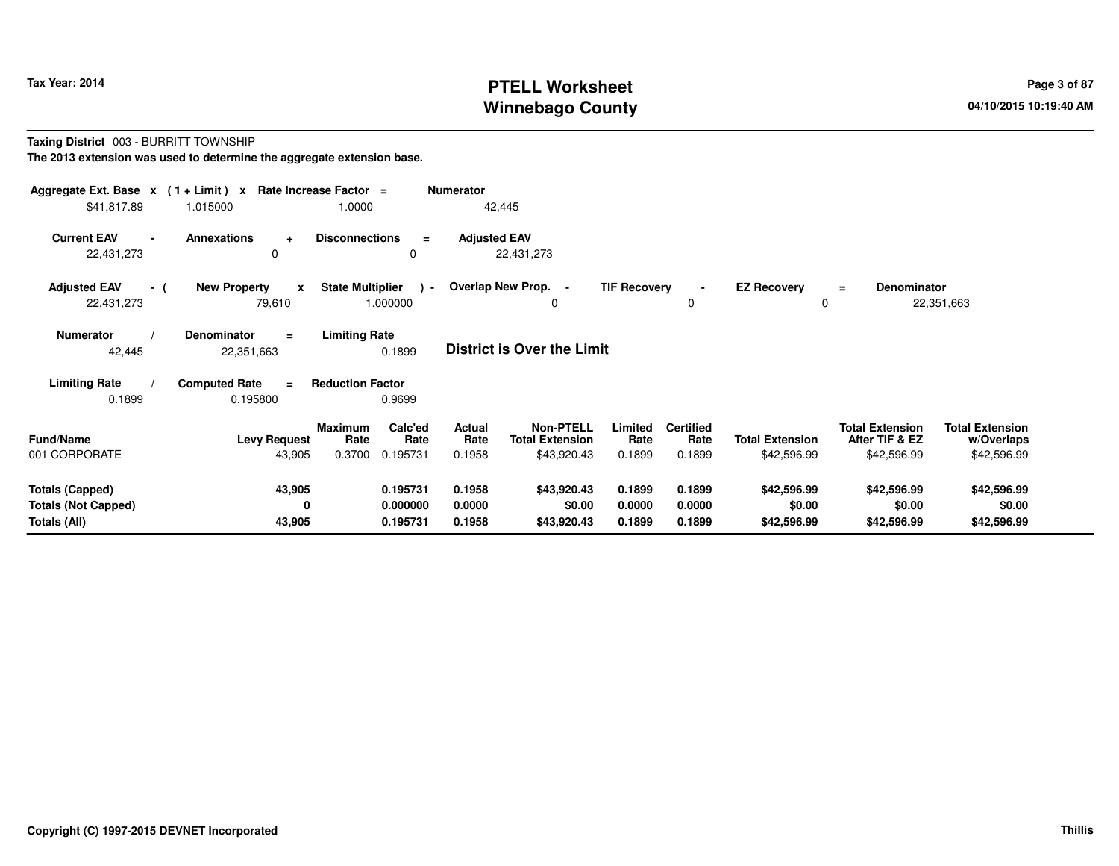# **PTELL Worksheet Tax Year: 2014 Page 3 of 87 Page 3 of 87 Winnebago County**

#### **Taxing District** 003 - BURRITT TOWNSHIP**The 2013 extension was used to determine the aggregate extension base.**

| Aggregate Ext. Base $x$ (1 + Limit) x Rate Increase Factor = |                                                 |                                                      | <b>Numerator</b>                  |                                            |                     |                          |                         |                                          |                                      |
|--------------------------------------------------------------|-------------------------------------------------|------------------------------------------------------|-----------------------------------|--------------------------------------------|---------------------|--------------------------|-------------------------|------------------------------------------|--------------------------------------|
| \$41,817.89                                                  | 1.015000                                        | 1.0000                                               | 42,445                            |                                            |                     |                          |                         |                                          |                                      |
| <b>Current EAV</b><br>$\blacksquare$<br>22,431,273           | <b>Annexations</b><br>$\ddot{\phantom{1}}$<br>0 | <b>Disconnections</b><br>$\equiv$<br>0               | <b>Adjusted EAV</b><br>22,431,273 |                                            |                     |                          |                         |                                          |                                      |
| <b>Adjusted EAV</b><br>- (<br>22,431,273                     | <b>New Property</b><br>$\mathbf{x}$<br>79,610   | <b>State Multiplier</b><br>$\rightarrow$<br>1.000000 | Overlap New Prop. -               | 0                                          | <b>TIF Recovery</b> | $\blacksquare$<br>0      | <b>EZ Recovery</b><br>0 | <b>Denominator</b><br>$=$                | 22,351,663                           |
| <b>Numerator</b><br>42,445                                   | <b>Denominator</b><br>$=$<br>22,351,663         | <b>Limiting Rate</b><br>0.1899                       | <b>District is Over the Limit</b> |                                            |                     |                          |                         |                                          |                                      |
| <b>Limiting Rate</b>                                         | <b>Computed Rate</b><br>$=$                     | <b>Reduction Factor</b>                              |                                   |                                            |                     |                          |                         |                                          |                                      |
| 0.1899                                                       | 0.195800                                        | 0.9699                                               |                                   |                                            |                     |                          |                         |                                          |                                      |
| <b>Fund/Name</b>                                             | <b>Levy Request</b>                             | Calc'ed<br><b>Maximum</b><br>Rate<br>Rate            | Actual<br>Rate                    | <b>Non-PTELL</b><br><b>Total Extension</b> | Limited<br>Rate     | <b>Certified</b><br>Rate | <b>Total Extension</b>  | <b>Total Extension</b><br>After TIF & EZ | <b>Total Extension</b><br>w/Overlaps |
| 001 CORPORATE                                                | 43,905                                          | 0.3700<br>0.195731                                   | 0.1958                            | \$43,920.43                                | 0.1899              | 0.1899                   | \$42,596.99             | \$42,596.99                              | \$42,596.99                          |
| <b>Totals (Capped)</b>                                       | 43,905                                          | 0.195731                                             | 0.1958                            | \$43,920.43                                | 0.1899              | 0.1899                   | \$42,596.99             | \$42,596.99                              | \$42,596.99                          |
| <b>Totals (Not Capped)</b><br>Totals (All)                   | 0<br>43,905                                     | 0.000000<br>0.195731                                 | 0.0000<br>0.1958                  | \$0.00<br>\$43,920.43                      | 0.0000<br>0.1899    | 0.0000<br>0.1899         | \$0.00<br>\$42,596.99   | \$0.00<br>\$42,596.99                    | \$0.00<br>\$42,596.99                |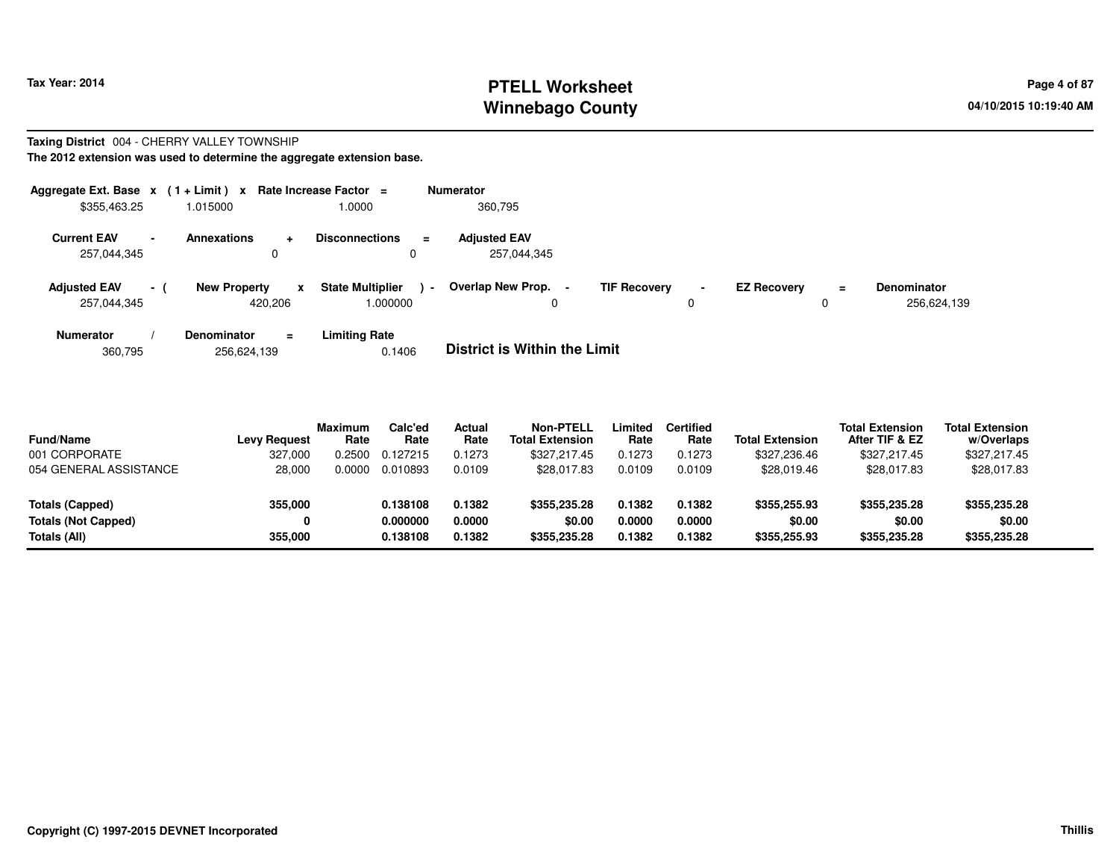# **PTELL Worksheet Tax Year: 2014 Page 4 of 87 Page 4 of 87 Winnebago County**

#### **Taxing District** 004 - CHERRY VALLEY TOWNSHIP**The 2012 extension was used to determine the aggregate extension base.**

| Aggregate Ext. Base $x$ (1+Limit) x<br>\$355,463.25 |                          | 1.015000                               | Rate Increase Factor $=$<br>1.0000            | <b>Numerator</b><br>360,795         |                     |                     |                    |               |                                   |
|-----------------------------------------------------|--------------------------|----------------------------------------|-----------------------------------------------|-------------------------------------|---------------------|---------------------|--------------------|---------------|-----------------------------------|
| <b>Current EAV</b><br>257,044,345                   | $\overline{\phantom{a}}$ | <b>Annexations</b><br>$\ddotmark$<br>0 | <b>Disconnections</b><br>$\equiv$<br>0        | <b>Adiusted EAV</b><br>257,044,345  |                     |                     |                    |               |                                   |
| <b>Adjusted EAV</b><br>257,044,345                  | - 1                      | <b>New Property</b><br>x<br>420.206    | <b>State Multiplier</b><br>$\sim$<br>000000.1 | Overlap New Prop. -<br>0            | <b>TIF Recovery</b> | $\blacksquare$<br>0 | <b>EZ Recovery</b> | $\equiv$<br>0 | <b>Denominator</b><br>256,624,139 |
| <b>Numerator</b>                                    |                          | Denominator<br>$\equiv$                | <b>Limiting Rate</b>                          | _ _ _ _ _ _ _ _ _ _ _ _ _ _ _ _ _ _ |                     |                     |                    |               |                                   |

360,795256,624,139 0.1406 **District is Within the Limit**

| <b>Fund/Name</b>           | <b>Levy Request</b> | <b>Maximum</b><br>Rate | Calc'ed<br>Rate | Actual<br>Rate | <b>Non-PTELL</b><br><b>Total Extension</b> | Limited<br>Rate | Certified<br>Rate | <b>Total Extension</b> | <b>Total Extension</b><br>After TIF & EZ | <b>Total Extension</b><br>w/Overlaps |  |
|----------------------------|---------------------|------------------------|-----------------|----------------|--------------------------------------------|-----------------|-------------------|------------------------|------------------------------------------|--------------------------------------|--|
| 001 CORPORATE              | 327.000             | 0.2500                 | 0.127215        | 0.1273         | \$327.217.45                               | 0.1273          | 0.1273            | \$327,236,46           | \$327,217.45                             | \$327,217.45                         |  |
| 054 GENERAL ASSISTANCE     | 28,000              | 0.0000                 | 0.010893        | 0.0109         | \$28,017.83                                | 0.0109          | 0.0109            | \$28,019.46            | \$28,017.83                              | \$28,017.83                          |  |
| Totals (Capped)            | 355,000             |                        | 0.138108        | 0.1382         | \$355.235.28                               | 0.1382          | 0.1382            | \$355,255.93           | \$355,235.28                             | \$355,235.28                         |  |
| <b>Totals (Not Capped)</b> |                     |                        | 0.000000        | 0.0000         | \$0.00                                     | 0.0000          | 0.0000            | \$0.00                 | \$0.00                                   | \$0.00                               |  |
|                            |                     |                        |                 |                |                                            |                 |                   |                        |                                          |                                      |  |
| Totals (All)               | 355,000             |                        | 0.138108        | 0.1382         | \$355,235.28                               | 0.1382          | 0.1382            | \$355,255.93           | \$355,235.28                             | \$355,235.28                         |  |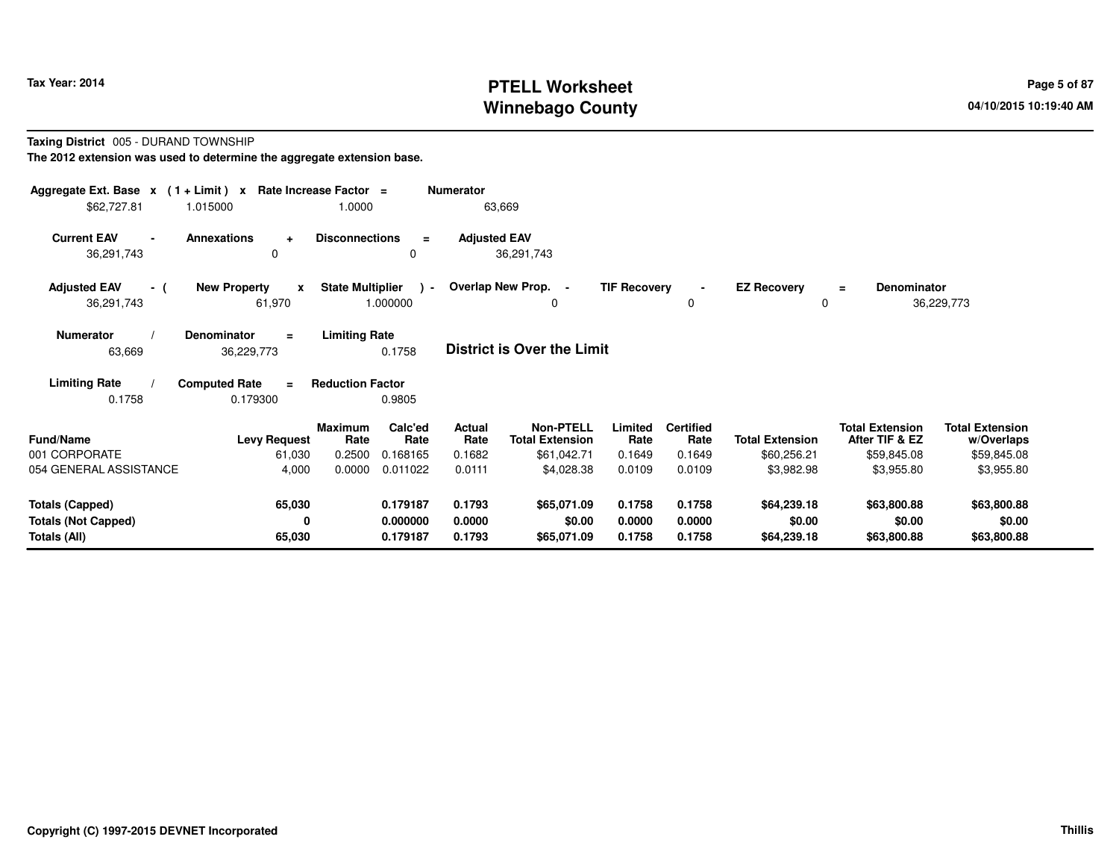# **PTELL Worksheet Tax Year: 2014 Page 5 of 87 Page 5 of 87 Winnebago County**

#### **Taxing District** 005 - DURAND TOWNSHIP**The 2012 extension was used to determine the aggregate extension base.**

| Aggregate Ext. Base $x$ (1 + Limit) $x$    |                                               | Rate Increase Factor =  |                           | <b>Numerator</b>    |                                            |                     |                          |                         |                                          |                                      |  |
|--------------------------------------------|-----------------------------------------------|-------------------------|---------------------------|---------------------|--------------------------------------------|---------------------|--------------------------|-------------------------|------------------------------------------|--------------------------------------|--|
| \$62,727.81                                | 1.015000                                      | 1.0000                  |                           |                     | 63,669                                     |                     |                          |                         |                                          |                                      |  |
| <b>Current EAV</b><br>$\sim$<br>36,291,743 | Annexations<br>÷<br>$\mathbf 0$               | <b>Disconnections</b>   | $\equiv$<br>0             | <b>Adjusted EAV</b> | 36,291,743                                 |                     |                          |                         |                                          |                                      |  |
| <b>Adjusted EAV</b><br>- (<br>36,291,743   | <b>New Property</b><br>$\mathbf{x}$<br>61,970 | <b>State Multiplier</b> | $\rightarrow$<br>1.000000 |                     | Overlap New Prop. -<br>0                   | <b>TIF Recovery</b> | $\blacksquare$<br>0      | <b>EZ Recovery</b><br>0 | <b>Denominator</b><br>$\equiv$           | 36,229,773                           |  |
| <b>Numerator</b><br>63,669                 | <b>Denominator</b><br>$=$<br>36,229,773       | <b>Limiting Rate</b>    | 0.1758                    |                     | <b>District is Over the Limit</b>          |                     |                          |                         |                                          |                                      |  |
| <b>Limiting Rate</b><br>0.1758             | <b>Computed Rate</b><br>$\equiv$<br>0.179300  | <b>Reduction Factor</b> | 0.9805                    |                     |                                            |                     |                          |                         |                                          |                                      |  |
| <b>Fund/Name</b>                           | <b>Levy Request</b>                           | <b>Maximum</b><br>Rate  | Calc'ed<br>Rate           | Actual<br>Rate      | <b>Non-PTELL</b><br><b>Total Extension</b> | Limited<br>Rate     | <b>Certified</b><br>Rate | <b>Total Extension</b>  | <b>Total Extension</b><br>After TIF & EZ | <b>Total Extension</b><br>w/Overlaps |  |
| 001 CORPORATE                              | 61,030                                        | 0.2500                  | 0.168165                  | 0.1682              | \$61,042.71                                | 0.1649              | 0.1649                   | \$60,256.21             | \$59,845.08                              | \$59,845.08                          |  |
| 054 GENERAL ASSISTANCE                     | 4,000                                         | 0.0000                  | 0.011022                  | 0.0111              | \$4,028.38                                 | 0.0109              | 0.0109                   | \$3,982.98              | \$3,955.80                               | \$3,955.80                           |  |
| <b>Totals (Capped)</b>                     | 65,030                                        |                         | 0.179187                  | 0.1793              | \$65,071.09                                | 0.1758              | 0.1758                   | \$64,239.18             | \$63,800.88                              | \$63,800.88                          |  |
| <b>Totals (Not Capped)</b>                 | 0                                             |                         | 0.000000                  | 0.0000              | \$0.00                                     | 0.0000              | 0.0000                   | \$0.00                  | \$0.00                                   | \$0.00                               |  |
| Totals (All)                               | 65,030                                        |                         | 0.179187                  | 0.1793              | \$65,071.09                                | 0.1758              | 0.1758                   | \$64,239.18             | \$63,800.88                              | \$63,800.88                          |  |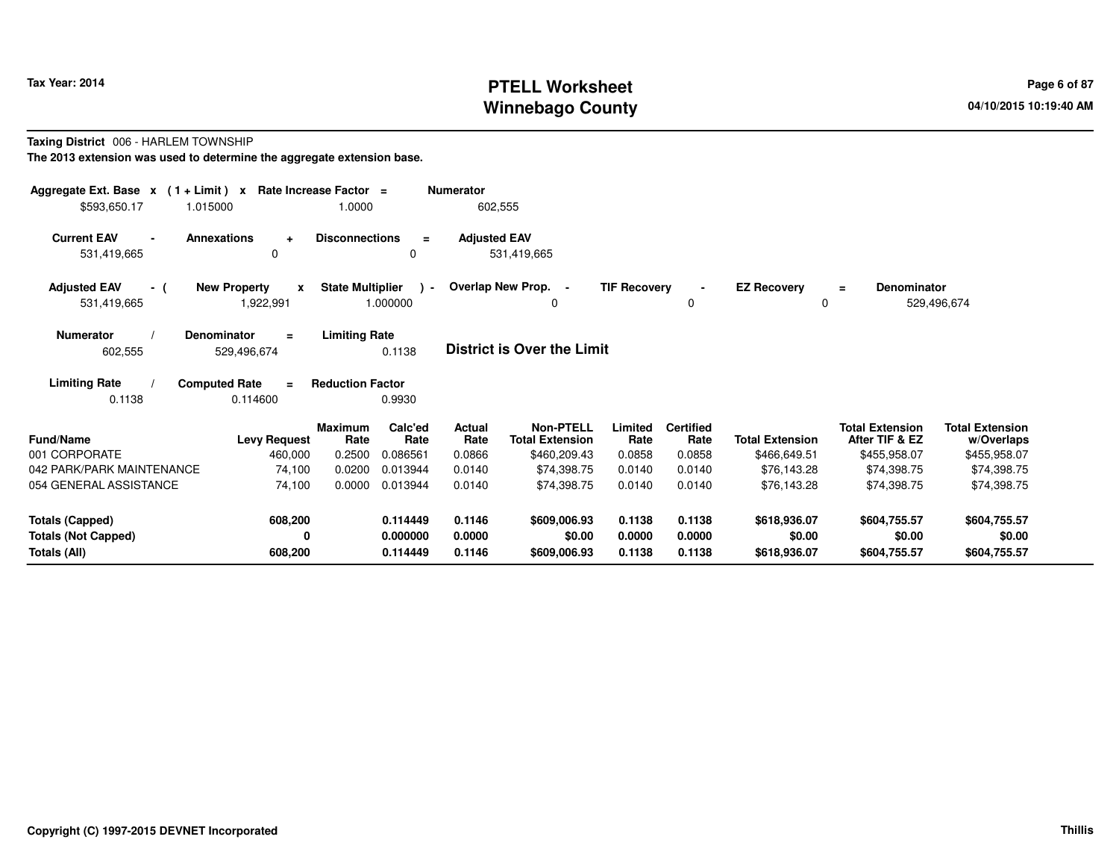# **PTELL Worksheet Tax Year: 2014 Page 6 of 87 Page 6 of 87 Winnebago County**

#### **Taxing District** 006 - HARLEM TOWNSHIP**The 2013 extension was used to determine the aggregate extension base.**

| Aggregate Ext. Base $x$ (1 + Limit) $x$ Rate Increase Factor =<br>\$593,650.17<br>1.015000 |                                              | 1.0000                                        | <b>Numerator</b><br>602,555 |                                            |                     |                          |                         |                                          |                                      |
|--------------------------------------------------------------------------------------------|----------------------------------------------|-----------------------------------------------|-----------------------------|--------------------------------------------|---------------------|--------------------------|-------------------------|------------------------------------------|--------------------------------------|
| <b>Current EAV</b><br><b>Annexations</b><br>531,419,665                                    | $\ddot{}$<br>0                               | <b>Disconnections</b><br>$\equiv$<br>0        | <b>Adjusted EAV</b>         | 531.419.665                                |                     |                          |                         |                                          |                                      |
| <b>Adjusted EAV</b><br>- (<br>531,419,665                                                  | <b>New Property</b><br>X<br>1,922,991        | <b>State Multiplier</b><br>$\sim$<br>1.000000 | Overlap New Prop. -         | 0                                          | <b>TIF Recovery</b> | $\blacksquare$<br>0      | <b>EZ Recovery</b><br>0 | Denominator<br>$=$<br>529,496,674        |                                      |
| <b>Numerator</b><br><b>Denominator</b><br>602,555                                          | $\equiv$<br>529,496,674                      | <b>Limiting Rate</b><br>0.1138                |                             | <b>District is Over the Limit</b>          |                     |                          |                         |                                          |                                      |
| <b>Limiting Rate</b><br>0.1138                                                             | <b>Computed Rate</b><br>$\equiv$<br>0.114600 | <b>Reduction Factor</b><br>0.9930             |                             |                                            |                     |                          |                         |                                          |                                      |
| Fund/Name                                                                                  | <b>Levy Request</b>                          | Calc'ed<br><b>Maximum</b><br>Rate<br>Rate     | <b>Actual</b><br>Rate       | <b>Non-PTELL</b><br><b>Total Extension</b> | Limited<br>Rate     | <b>Certified</b><br>Rate | <b>Total Extension</b>  | <b>Total Extension</b><br>After TIF & EZ | <b>Total Extension</b><br>w/Overlaps |
| 001 CORPORATE                                                                              | 460,000                                      | 0.2500<br>0.086561                            | 0.0866                      | \$460,209.43                               | 0.0858              | 0.0858                   | \$466,649.51            | \$455,958.07                             | \$455,958.07                         |
| 042 PARK/PARK MAINTENANCE                                                                  | 74,100                                       | 0.0200<br>0.013944                            | 0.0140                      | \$74.398.75                                | 0.0140              | 0.0140                   | \$76,143.28             | \$74,398.75                              | \$74,398.75                          |
| 054 GENERAL ASSISTANCE                                                                     | 74,100                                       | 0.0000<br>0.013944                            | 0.0140                      | \$74,398.75                                | 0.0140              | 0.0140                   | \$76,143.28             | \$74,398.75                              | \$74,398.75                          |
| <b>Totals (Capped)</b>                                                                     | 608,200                                      | 0.114449                                      | 0.1146                      | \$609,006.93                               | 0.1138              | 0.1138                   | \$618,936.07            | \$604,755.57                             | \$604,755.57                         |
| <b>Totals (Not Capped)</b>                                                                 | 0                                            | 0.000000                                      | 0.0000                      | \$0.00                                     | 0.0000              | 0.0000                   | \$0.00                  | \$0.00                                   | \$0.00                               |
| Totals (All)                                                                               | 608,200                                      | 0.114449                                      | 0.1146                      | \$609,006.93                               | 0.1138              | 0.1138                   | \$618,936.07            | \$604,755.57                             | \$604,755.57                         |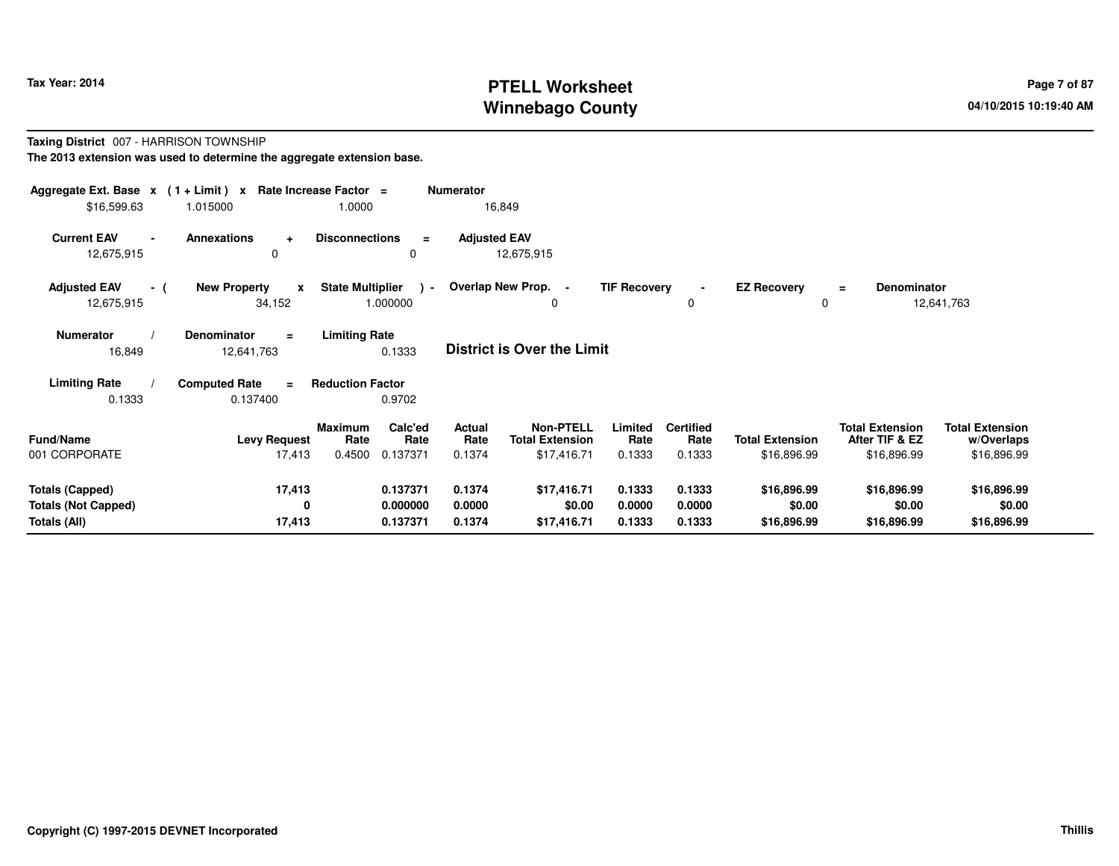# **PTELL Worksheet Tax Year: 2014 Page 7 of 87 Page 7 of 87 Winnebago County**

#### **Taxing District** 007 - HARRISON TOWNSHIP**The 2013 extension was used to determine the aggregate extension base.**

| Aggregate Ext. Base $x$ (1 + Limit) x Rate Increase Factor =<br>\$16,599.63 | 1.015000                                      | 1.0000                                                          | <b>Numerator</b><br>16,849        |                                                                                        |                                    |                                       |                                                         |                                                     |
|-----------------------------------------------------------------------------|-----------------------------------------------|-----------------------------------------------------------------|-----------------------------------|----------------------------------------------------------------------------------------|------------------------------------|---------------------------------------|---------------------------------------------------------|-----------------------------------------------------|
| <b>Current EAV</b><br>12,675,915                                            | <b>Annexations</b><br>$\ddot{}$<br>$\Omega$   | <b>Disconnections</b><br>$\equiv$<br>0                          | <b>Adjusted EAV</b><br>12,675,915 |                                                                                        |                                    |                                       |                                                         |                                                     |
| <b>Adjusted EAV</b><br>- (<br>12,675,915                                    | <b>New Property</b><br>$\mathbf{x}$<br>34,152 | <b>State Multiplier</b><br>$\sim$<br>1.000000                   | Overlap New Prop. -               | <b>TIF Recovery</b><br>0                                                               | $\blacksquare$<br>0                | <b>EZ Recovery</b>                    | Denominator<br>Ξ                                        | 12,641,763                                          |
| <b>Numerator</b><br>16,849                                                  | <b>Denominator</b><br>$=$<br>12,641,763       | <b>Limiting Rate</b><br>0.1333                                  | <b>District is Over the Limit</b> |                                                                                        |                                    |                                       |                                                         |                                                     |
| <b>Limiting Rate</b><br>0.1333                                              | <b>Computed Rate</b><br>$\equiv$<br>0.137400  | <b>Reduction Factor</b><br>0.9702                               |                                   |                                                                                        |                                    |                                       |                                                         |                                                     |
| <b>Fund/Name</b><br>001 CORPORATE                                           | <b>Levy Request</b><br>17,413                 | Calc'ed<br><b>Maximum</b><br>Rate<br>Rate<br>0.4500<br>0.137371 | Actual<br>Rate<br>0.1374          | <b>Non-PTELL</b><br>Limited<br><b>Total Extension</b><br>Rate<br>\$17,416.71<br>0.1333 | <b>Certified</b><br>Rate<br>0.1333 | <b>Total Extension</b><br>\$16,896.99 | <b>Total Extension</b><br>After TIF & EZ<br>\$16,896.99 | <b>Total Extension</b><br>w/Overlaps<br>\$16,896.99 |
| <b>Totals (Capped)</b><br><b>Totals (Not Capped)</b><br>Totals (All)        | 17,413<br>0<br>17,413                         | 0.137371<br>0.000000<br>0.137371                                | 0.1374<br>0.0000<br>0.1374        | \$17,416.71<br>0.1333<br>\$0.00<br>0.0000<br>\$17,416.71<br>0.1333                     | 0.1333<br>0.0000<br>0.1333         | \$16,896.99<br>\$0.00<br>\$16,896.99  | \$16,896.99<br>\$0.00<br>\$16,896.99                    | \$16,896.99<br>\$0.00<br>\$16,896.99                |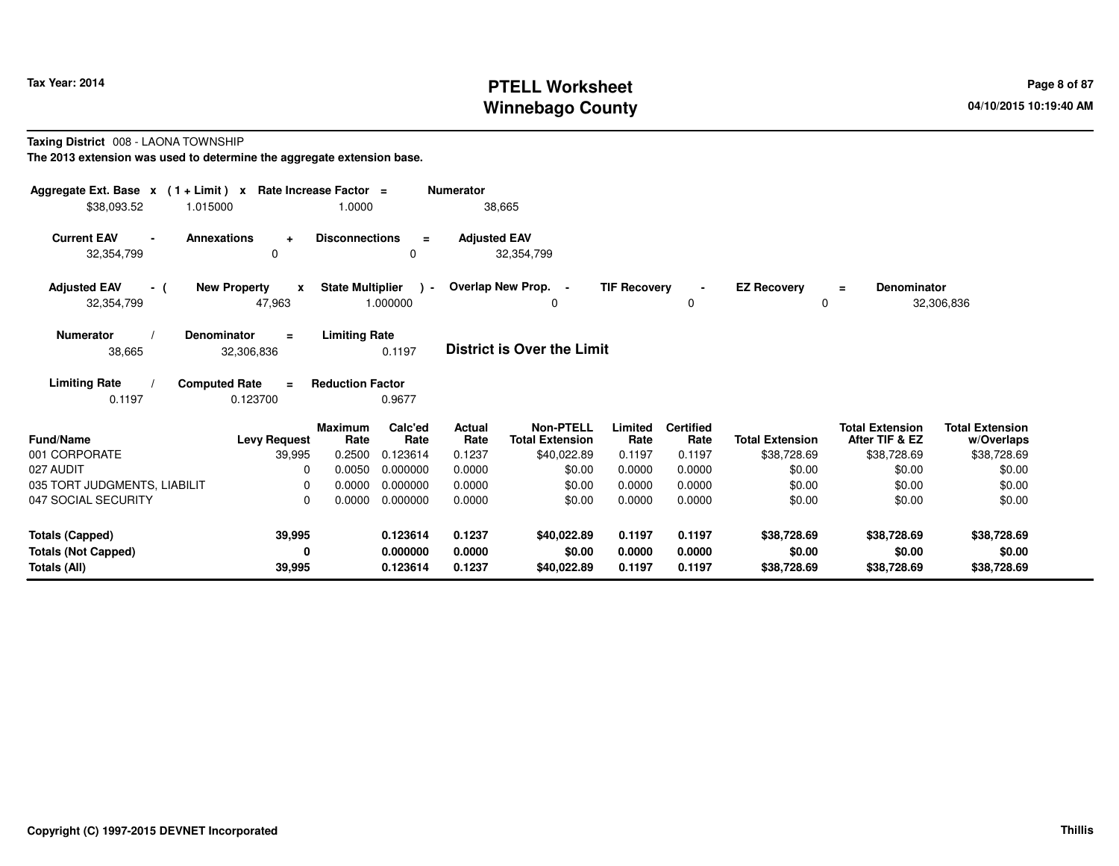# **PTELL Worksheet Tax Year: 2014 Page 8 of 87 Page 8 of 87 Winnebago County**

#### **Taxing District** 008 - LAONA TOWNSHIP

| Aggregate Ext. Base $x$ (1+Limit) $x$                | Rate Increase Factor =                                                  |                                                      | <b>Numerator</b>    |                                            |                     |                          |                         |                                          |                                      |
|------------------------------------------------------|-------------------------------------------------------------------------|------------------------------------------------------|---------------------|--------------------------------------------|---------------------|--------------------------|-------------------------|------------------------------------------|--------------------------------------|
| \$38,093.52<br>1.015000                              | 1.0000                                                                  |                                                      |                     | 38,665                                     |                     |                          |                         |                                          |                                      |
| <b>Current EAV</b><br>$\blacksquare$<br>32,354,799   | Annexations<br><b>Disconnections</b><br>÷<br>0                          | $\equiv$<br>0                                        | <b>Adjusted EAV</b> | 32,354,799                                 |                     |                          |                         |                                          |                                      |
| <b>Adjusted EAV</b><br>- (<br>32,354,799             | <b>New Property</b><br>$\mathbf{x}$<br>47,963                           | <b>State Multiplier</b><br>$\rightarrow$<br>1.000000 |                     | Overlap New Prop. -<br>0                   | <b>TIF Recovery</b> | $\sim$<br>0              | <b>EZ Recovery</b><br>0 | <b>Denominator</b><br>$\equiv$           | 32,306,836                           |
| <b>Numerator</b><br>38,665                           | <b>Limiting Rate</b><br><b>Denominator</b><br>$\equiv$<br>32,306,836    | 0.1197                                               |                     | <b>District is Over the Limit</b>          |                     |                          |                         |                                          |                                      |
| <b>Limiting Rate</b><br>0.1197                       | <b>Computed Rate</b><br><b>Reduction Factor</b><br>$\equiv$<br>0.123700 | 0.9677                                               |                     |                                            |                     |                          |                         |                                          |                                      |
| <b>Fund/Name</b>                                     | <b>Maximum</b><br>Rate<br><b>Levy Request</b>                           | Calc'ed<br>Rate                                      | Actual<br>Rate      | <b>Non-PTELL</b><br><b>Total Extension</b> | Limited<br>Rate     | <b>Certified</b><br>Rate | <b>Total Extension</b>  | <b>Total Extension</b><br>After TIF & EZ | <b>Total Extension</b><br>w/Overlaps |
| 001 CORPORATE                                        | 0.2500<br>39,995                                                        | 0.123614                                             | 0.1237              | \$40,022.89                                | 0.1197              | 0.1197                   | \$38,728.69             | \$38,728.69                              | \$38,728.69                          |
| 027 AUDIT                                            | 0.0050<br>0                                                             | 0.000000                                             | 0.0000              | \$0.00                                     | 0.0000              | 0.0000                   | \$0.00                  | \$0.00                                   | \$0.00                               |
| 035 TORT JUDGMENTS, LIABILIT                         | 0.0000<br>0                                                             | 0.000000                                             | 0.0000              | \$0.00                                     | 0.0000              | 0.0000                   | \$0.00                  | \$0.00                                   | \$0.00                               |
| 047 SOCIAL SECURITY                                  | 0.0000<br>0                                                             | 0.000000                                             | 0.0000              | \$0.00                                     | 0.0000              | 0.0000                   | \$0.00                  | \$0.00                                   | \$0.00                               |
| <b>Totals (Capped)</b><br><b>Totals (Not Capped)</b> | 39,995<br>0                                                             | 0.123614<br>0.000000                                 | 0.1237<br>0.0000    | \$40,022.89<br>\$0.00                      | 0.1197<br>0.0000    | 0.1197<br>0.0000         | \$38,728.69<br>\$0.00   | \$38,728.69<br>\$0.00                    | \$38,728.69<br>\$0.00                |
| <b>Totals (All)</b>                                  | 39,995                                                                  | 0.123614                                             | 0.1237              | \$40,022.89                                | 0.1197              | 0.1197                   | \$38,728.69             | \$38,728.69                              | \$38,728.69                          |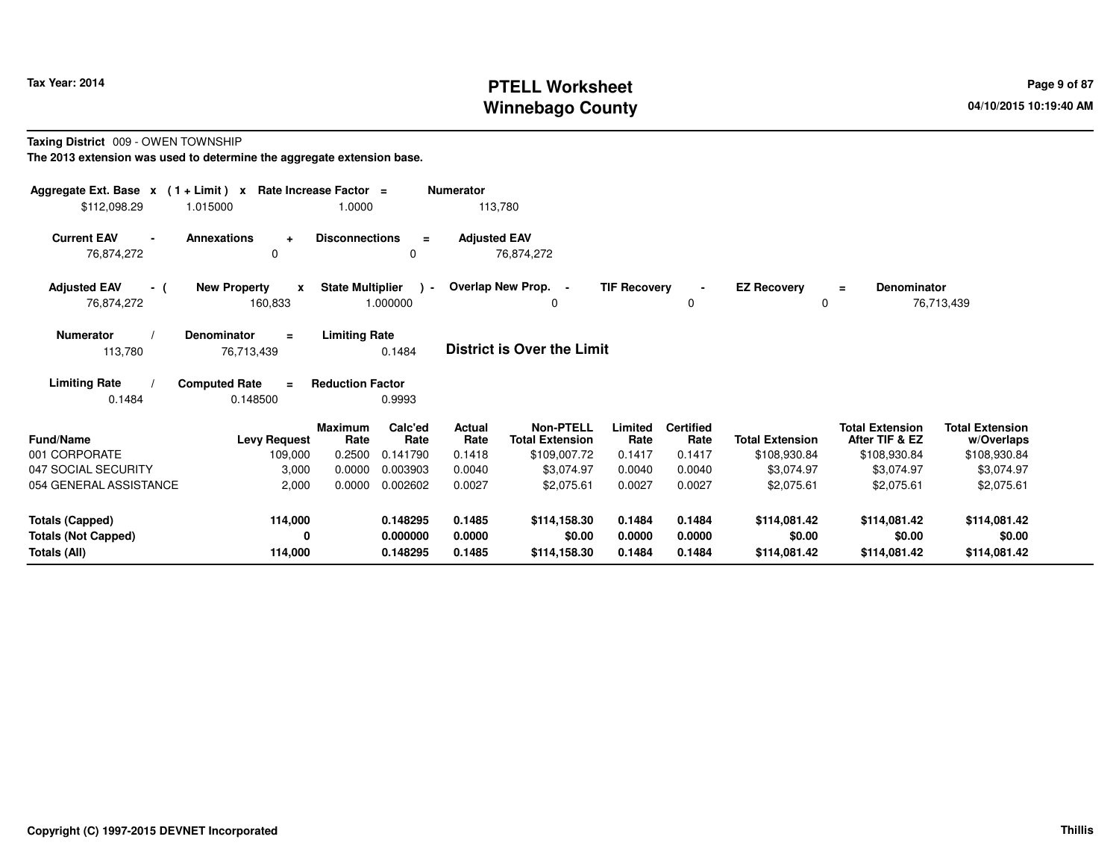# **PTELL Worksheet Tax Year: 2014 Page 9 of 87 Page 9 of 87 Winnebago County**

**Taxing District** 009 - OWEN TOWNSHIP

| Aggregate Ext. Base $x$ (1 + Limit) $x$<br>\$112,098.29 | 1.015000                                       | Rate Increase Factor =<br>1.0000 |                      | <b>Numerator</b><br>113,780 |                                            |                     |                          |                          |                                          |                                      |
|---------------------------------------------------------|------------------------------------------------|----------------------------------|----------------------|-----------------------------|--------------------------------------------|---------------------|--------------------------|--------------------------|------------------------------------------|--------------------------------------|
| <b>Current EAV</b><br>76,874,272                        | <b>Annexations</b><br>$\ddot{}$<br>0           | <b>Disconnections</b>            | $\equiv$<br>0        | <b>Adjusted EAV</b>         | 76,874,272                                 |                     |                          |                          |                                          |                                      |
| <b>Adjusted EAV</b><br>- (<br>76,874,272                | <b>New Property</b><br>$\mathbf{x}$<br>160,833 | <b>State Multiplier</b>          | $\sim$<br>1.000000   |                             | Overlap New Prop. -<br>0                   | <b>TIF Recovery</b> | $\blacksquare$<br>0      | <b>EZ Recovery</b><br>0  | <b>Denominator</b><br>$\equiv$           | 76,713,439                           |
| <b>Numerator</b><br>113,780                             | Denominator<br>$\equiv$<br>76,713,439          | <b>Limiting Rate</b>             | 0.1484               |                             | <b>District is Over the Limit</b>          |                     |                          |                          |                                          |                                      |
| <b>Limiting Rate</b><br>0.1484                          | <b>Computed Rate</b><br>$\equiv$<br>0.148500   | <b>Reduction Factor</b>          | 0.9993               |                             |                                            |                     |                          |                          |                                          |                                      |
| Fund/Name                                               | <b>Levy Request</b>                            | <b>Maximum</b><br>Rate           | Calc'ed<br>Rate      | Actual<br>Rate              | <b>Non-PTELL</b><br><b>Total Extension</b> | Limited<br>Rate     | <b>Certified</b><br>Rate | <b>Total Extension</b>   | <b>Total Extension</b><br>After TIF & EZ | <b>Total Extension</b><br>w/Overlaps |
| 001 CORPORATE                                           | 109,000                                        | 0.2500                           | 0.141790             | 0.1418                      | \$109,007.72                               | 0.1417              | 0.1417                   | \$108,930.84             | \$108,930.84                             | \$108,930.84                         |
| 047 SOCIAL SECURITY<br>054 GENERAL ASSISTANCE           | 3,000<br>2,000                                 | 0.0000<br>0.0000                 | 0.003903<br>0.002602 | 0.0040<br>0.0027            | \$3,074.97<br>\$2,075.61                   | 0.0040<br>0.0027    | 0.0040<br>0.0027         | \$3,074.97<br>\$2,075.61 | \$3,074.97<br>\$2,075.61                 | \$3,074.97<br>\$2,075.61             |
|                                                         |                                                |                                  |                      |                             |                                            |                     |                          |                          |                                          |                                      |
| <b>Totals (Capped)</b>                                  | 114,000                                        |                                  | 0.148295             | 0.1485                      | \$114,158.30                               | 0.1484              | 0.1484                   | \$114,081.42             | \$114,081.42                             | \$114,081.42                         |
| <b>Totals (Not Capped)</b>                              | 0                                              |                                  | 0.000000             | 0.0000                      | \$0.00                                     | 0.0000              | 0.0000                   | \$0.00                   | \$0.00                                   | \$0.00                               |
| Totals (All)                                            | 114,000                                        |                                  | 0.148295             | 0.1485                      | \$114,158.30                               | 0.1484              | 0.1484                   | \$114,081.42             | \$114,081.42                             | \$114,081.42                         |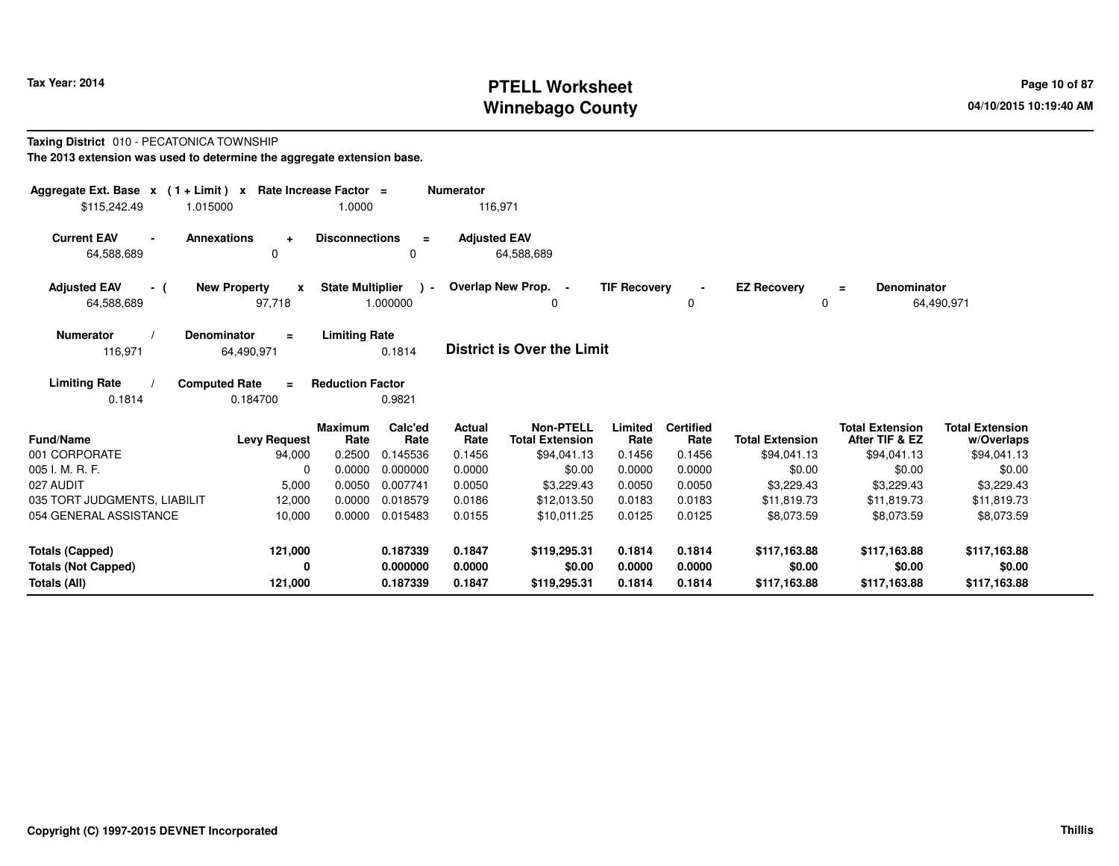# **PTELL Worksheet Tax Year: 2014 Page 10 of 87 PAGE 10 of 87 Page 10 of 87 Winnebago County**

#### **Taxing District** 010 - PECATONICA TOWNSHIP**The 2013 extension was used to determine the aggregate extension base.**

| Aggregate Ext. Base x (1 + Limit) x Rate Increase Factor =<br>\$115,242.49 | 1.015000                                      | 1.0000                              | <b>Numerator</b>                                        | 116,971                                                   |                           |                                    |                                       |                                                         |                                                     |
|----------------------------------------------------------------------------|-----------------------------------------------|-------------------------------------|---------------------------------------------------------|-----------------------------------------------------------|---------------------------|------------------------------------|---------------------------------------|---------------------------------------------------------|-----------------------------------------------------|
| <b>Current EAV</b><br>64,588,689                                           | <b>Annexations</b><br>$\ddot{}$<br>$\Omega$   | <b>Disconnections</b>               | $\equiv$<br>0                                           | <b>Adjusted EAV</b><br>64,588,689                         |                           |                                    |                                       |                                                         |                                                     |
| <b>Adjusted EAV</b><br>- (<br>64,588,689                                   | <b>New Property</b><br>$\mathbf{x}$<br>97,718 | <b>State Multiplier</b><br>1.000000 | $\lambda$ -                                             | Overlap New Prop. -<br>0                                  | <b>TIF Recovery</b>       | 0                                  | <b>EZ Recovery</b><br>0               | <b>Denominator</b><br>$=$                               | 64,490,971                                          |
| <b>Numerator</b><br>116,971                                                | <b>Denominator</b><br>$\equiv$<br>64,490,971  | <b>Limiting Rate</b><br>0.1814      |                                                         | <b>District is Over the Limit</b>                         |                           |                                    |                                       |                                                         |                                                     |
| <b>Limiting Rate</b><br>0.1814                                             | <b>Computed Rate</b><br>$=$<br>0.184700       | <b>Reduction Factor</b><br>0.9821   |                                                         |                                                           |                           |                                    |                                       |                                                         |                                                     |
| <b>Fund/Name</b><br>001 CORPORATE                                          | <b>Levy Request</b><br>94,000                 | <b>Maximum</b><br>Rate<br>0.2500    | Calc'ed<br>Actual<br>Rate<br>Rate<br>0.1456<br>0.145536 | <b>Non-PTELL</b><br><b>Total Extension</b><br>\$94,041.13 | Limited<br>Rate<br>0.1456 | <b>Certified</b><br>Rate<br>0.1456 | <b>Total Extension</b><br>\$94,041.13 | <b>Total Extension</b><br>After TIF & EZ<br>\$94,041.13 | <b>Total Extension</b><br>w/Overlaps<br>\$94,041.13 |
| 005 I. M. R. F.                                                            | $\Omega$                                      | 0.0000                              | 0.000000<br>0.0000                                      | \$0.00                                                    | 0.0000                    | 0.0000                             | \$0.00                                | \$0.00                                                  | \$0.00                                              |
| 027 AUDIT                                                                  | 5,000                                         | 0.0050                              | 0.007741<br>0.0050                                      | \$3,229.43                                                | 0.0050                    | 0.0050                             | \$3,229.43                            | \$3,229.43                                              | \$3,229.43                                          |
| 035 TORT JUDGMENTS, LIABILIT                                               | 12,000                                        | 0.0000                              | 0.018579<br>0.0186                                      | \$12,013.50                                               | 0.0183                    | 0.0183                             | \$11,819.73                           | \$11,819.73                                             | \$11,819.73                                         |
| 054 GENERAL ASSISTANCE                                                     | 10,000                                        | 0.0000                              | 0.015483<br>0.0155                                      | \$10.011.25                                               | 0.0125                    | 0.0125                             | \$8,073.59                            | \$8,073.59                                              | \$8,073.59                                          |
| <b>Totals (Capped)</b>                                                     | 121,000                                       |                                     | 0.187339<br>0.1847                                      | \$119,295.31                                              | 0.1814                    | 0.1814                             | \$117,163.88                          | \$117,163.88                                            | \$117,163.88                                        |
| <b>Totals (Not Capped)</b><br>Totals (All)                                 | 0<br>121,000                                  |                                     | 0.000000<br>0.0000<br>0.1847<br>0.187339                | \$0.00<br>\$119,295.31                                    | 0.0000<br>0.1814          | 0.0000<br>0.1814                   | \$0.00<br>\$117,163.88                | \$0.00<br>\$117,163.88                                  | \$0.00<br>\$117,163.88                              |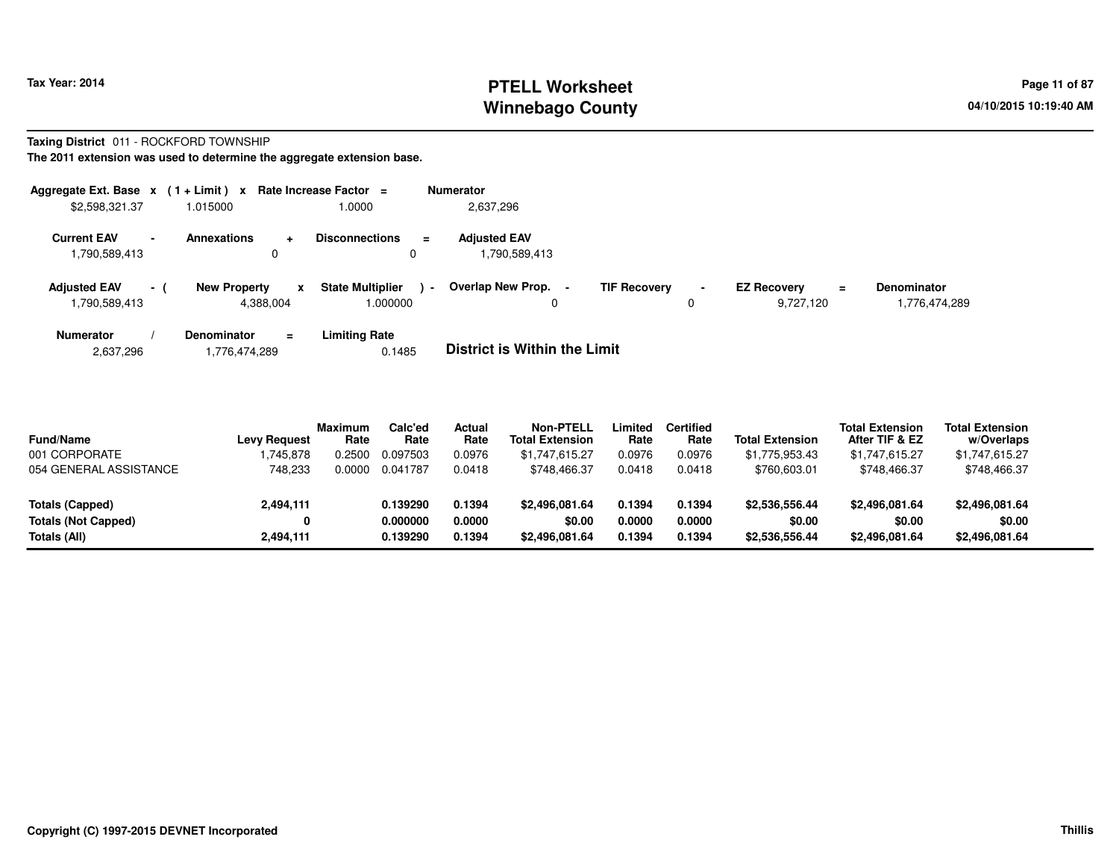# **PTELL Worksheet Tax Year: 2014 Page 11 of 87 Page 11 of 87 Winnebago County**

#### **Taxing District** 011 - ROCKFORD TOWNSHIP**The 2011 extension was used to determine the aggregate extension base.**

| Aggregate Ext. Base x<br>\$2,598,321.37               | $(1 + Limit) x$<br>1.015000                                   | Rate Increase Factor =<br>1.0000              | <b>Numerator</b><br>2,637,296         |                          |                                             |                                     |
|-------------------------------------------------------|---------------------------------------------------------------|-----------------------------------------------|---------------------------------------|--------------------------|---------------------------------------------|-------------------------------------|
| <b>Current EAV</b><br>$\blacksquare$<br>1,790,589,413 | <b>Annexations</b><br>0                                       | <b>Disconnections</b><br>$\equiv$<br>0        | <b>Adiusted EAV</b><br>790,589,413. ا |                          |                                             |                                     |
| <b>Adjusted EAV</b><br>$-1$<br>1,790,589,413          | <b>New Property</b><br>$\boldsymbol{\mathsf{x}}$<br>4,388,004 | <b>State Multiplier</b><br>$\sim$<br>1.000000 | Overlap New Prop. -<br>0              | <b>TIF Recovery</b><br>0 | <b>EZ Recovery</b><br>$\equiv$<br>9,727,120 | <b>Denominator</b><br>1,776,474,289 |
| <b>Numerator</b>                                      | <b>Denominator</b><br>$\equiv$                                | Limiting Rate                                 |                                       |                          |                                             |                                     |

| 2,637,296<br>1,776,474,289 | 0.1485 | <b>District is Within the Limit</b> |
|----------------------------|--------|-------------------------------------|
|----------------------------|--------|-------------------------------------|

| <b>Fund/Name</b>           | <b>Levy Request</b> | <b>Maximum</b><br>Rate | Calc'ed<br>Rate | Actual<br>Rate | <b>Non-PTELL</b><br><b>Total Extension</b> | Limited<br>Rate | <b>Certified</b><br>Rate | <b>Total Extension</b> | <b>Total Extension</b><br>After TIF & EZ | <b>Total Extension</b><br>w/Overlaps |  |
|----------------------------|---------------------|------------------------|-----------------|----------------|--------------------------------------------|-----------------|--------------------------|------------------------|------------------------------------------|--------------------------------------|--|
| 001 CORPORATE              | .745.878            | 0.2500                 | 0.097503        | 0.0976         | \$1,747,615.27                             | 0.0976          | 0.0976                   | \$1,775,953.43         | \$1,747,615.27                           | \$1,747,615.27                       |  |
| 054 GENERAL ASSISTANCE     | 748.233             | 0.0000                 | 0.041787        | 0.0418         | \$748.466.37                               | 0.0418          | 0.0418                   | \$760,603.01           | \$748.466.37                             | \$748,466.37                         |  |
| Totals (Capped)            | 2,494,111           |                        | 0.139290        | 0.1394         | \$2,496,081,64                             | 0.1394          | 0.1394                   | \$2,536,556.44         | \$2,496,081.64                           | \$2,496,081.64                       |  |
| <b>Totals (Not Capped)</b> | 0                   |                        | 0.000000        | 0.0000         | \$0.00                                     | 0.0000          | 0.0000                   | \$0.00                 | \$0.00                                   | \$0.00                               |  |
| Totals (All)               | 2,494,111           |                        | 0.139290        | 0.1394         | \$2,496,081.64                             | 0.1394          | 0.1394                   | \$2,536,556.44         | \$2,496,081.64                           | \$2,496,081.64                       |  |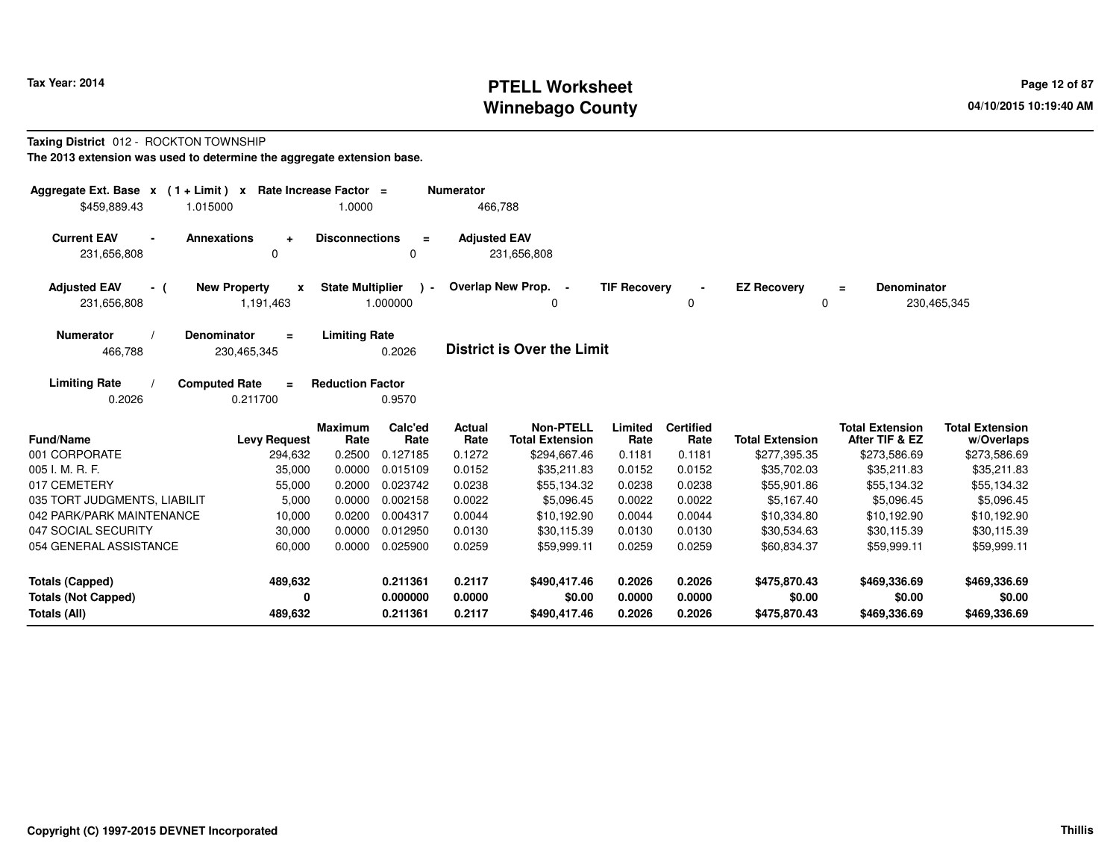# **PTELL Worksheet Tax Year: 2014 Page 12 of 87 Page 12 of 87 Winnebago County**

#### **Taxing District** 012 - ROCKTON TOWNSHIP**The 2013 extension was used to determine the aggregate extension base.**

| Aggregate Ext. Base $x$ (1 + Limit) $x$<br>\$459,889.43<br>1.015000       | Rate Increase Factor =                | 1.0000                  |                           | <b>Numerator</b><br>466,788 |                                            |                     |                          |                         |                                          |                                      |
|---------------------------------------------------------------------------|---------------------------------------|-------------------------|---------------------------|-----------------------------|--------------------------------------------|---------------------|--------------------------|-------------------------|------------------------------------------|--------------------------------------|
| <b>Current EAV</b><br><b>Annexations</b><br>$\blacksquare$<br>231,656,808 | $\ddot{\phantom{1}}$<br>0             | <b>Disconnections</b>   | $\equiv$<br>0             | <b>Adjusted EAV</b>         | 231,656,808                                |                     |                          |                         |                                          |                                      |
| <b>Adjusted EAV</b><br>- (<br>231,656,808                                 | <b>New Property</b><br>X<br>1,191,463 | <b>State Multiplier</b> | $\rightarrow$<br>1.000000 |                             | Overlap New Prop. -<br>0                   | <b>TIF Recovery</b> | $\blacksquare$<br>0      | <b>EZ Recovery</b><br>0 | Denominator<br>$\equiv$                  | 230,465,345                          |
| <b>Numerator</b><br><b>Denominator</b><br>466,788                         | $\equiv$<br>230,465,345               | <b>Limiting Rate</b>    | 0.2026                    |                             | <b>District is Over the Limit</b>          |                     |                          |                         |                                          |                                      |
| <b>Computed Rate</b><br><b>Limiting Rate</b><br>0.2026                    | $\equiv$<br>0.211700                  | <b>Reduction Factor</b> | 0.9570                    |                             |                                            |                     |                          |                         |                                          |                                      |
| <b>Fund/Name</b>                                                          | <b>Levy Request</b>                   | <b>Maximum</b><br>Rate  | Calc'ed<br>Rate           | <b>Actual</b><br>Rate       | <b>Non-PTELL</b><br><b>Total Extension</b> | Limited<br>Rate     | <b>Certified</b><br>Rate | <b>Total Extension</b>  | <b>Total Extension</b><br>After TIF & EZ | <b>Total Extension</b><br>w/Overlaps |
| 001 CORPORATE                                                             | 294,632                               | 0.2500                  | 0.127185                  | 0.1272                      | \$294,667.46                               | 0.1181              | 0.1181                   | \$277,395.35            | \$273,586.69                             | \$273,586.69                         |
| 005 I. M. R. F.                                                           | 35,000                                | 0.0000                  | 0.015109                  | 0.0152                      | \$35,211.83                                | 0.0152              | 0.0152                   | \$35,702.03             | \$35,211.83                              | \$35,211.83                          |
| 017 CEMETERY                                                              | 55,000                                | 0.2000                  | 0.023742                  | 0.0238                      | \$55,134.32                                | 0.0238              | 0.0238                   | \$55,901.86             | \$55,134.32                              | \$55,134.32                          |
| 035 TORT JUDGMENTS, LIABILIT                                              | 5,000                                 | 0.0000                  | 0.002158                  | 0.0022                      | \$5.096.45                                 | 0.0022              | 0.0022                   | \$5.167.40              | \$5.096.45                               | \$5,096.45                           |
| 042 PARK/PARK MAINTENANCE                                                 | 10,000                                | 0.0200                  | 0.004317                  | 0.0044                      | \$10,192.90                                | 0.0044              | 0.0044                   | \$10,334.80             | \$10,192.90                              | \$10,192.90                          |
| 047 SOCIAL SECURITY                                                       | 30,000                                | 0.0000                  | 0.012950                  | 0.0130                      | \$30,115.39                                | 0.0130              | 0.0130                   | \$30,534.63             | \$30,115.39                              | \$30,115.39                          |
| 054 GENERAL ASSISTANCE                                                    | 60,000                                | 0.0000                  | 0.025900                  | 0.0259                      | \$59,999.11                                | 0.0259              | 0.0259                   | \$60,834.37             | \$59,999.11                              | \$59,999.11                          |
| <b>Totals (Capped)</b>                                                    | 489,632                               |                         | 0.211361                  | 0.2117                      | \$490,417.46                               | 0.2026              | 0.2026                   | \$475,870.43            | \$469,336.69                             | \$469,336.69                         |
| <b>Totals (Not Capped)</b>                                                | 0                                     |                         | 0.000000                  | 0.0000                      | \$0.00                                     | 0.0000              | 0.0000                   | \$0.00                  | \$0.00                                   | \$0.00                               |
| Totals (All)                                                              | 489,632                               |                         | 0.211361                  | 0.2117                      | \$490,417.46                               | 0.2026              | 0.2026                   | \$475,870.43            | \$469,336.69                             | \$469,336.69                         |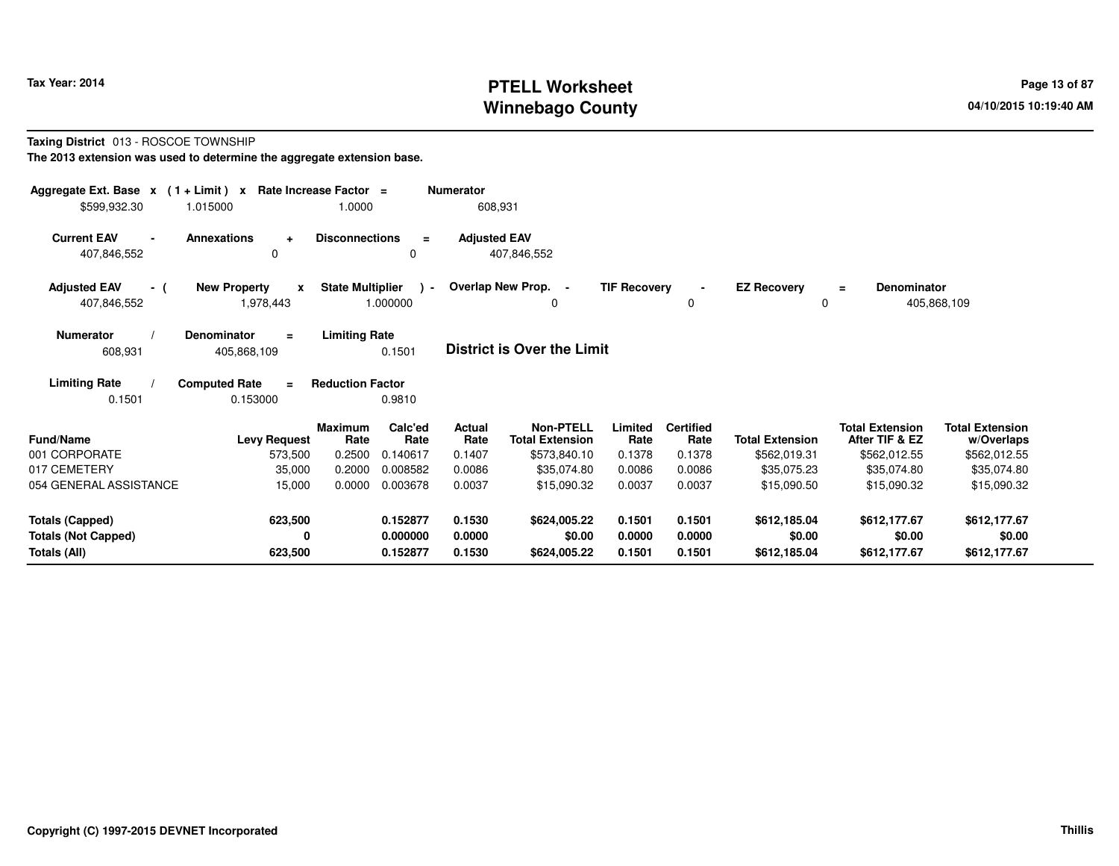# **PTELL Worksheet Tax Year: 2014 Page 13 of 87 Page 13 of 87 Winnebago County**

### **Taxing District** 013 - ROSCOE TOWNSHIP

| Aggregate Ext. Base $x$ (1 + Limit) $x$ Rate Increase Factor =<br>\$599,932.30 | 1.015000                                         | 1.0000                  |                           | <b>Numerator</b><br>608,931 |                                                           |                     |                          |                         |                                          |                                      |
|--------------------------------------------------------------------------------|--------------------------------------------------|-------------------------|---------------------------|-----------------------------|-----------------------------------------------------------|---------------------|--------------------------|-------------------------|------------------------------------------|--------------------------------------|
| <b>Current EAV</b><br>407,846,552                                              | <b>Annexations</b><br>$\ddot{}$<br>0             | <b>Disconnections</b>   | $\equiv$<br>$\Omega$      | <b>Adjusted EAV</b>         | 407,846,552                                               |                     |                          |                         |                                          |                                      |
| <b>Adjusted EAV</b><br>- (<br>407,846,552                                      | <b>New Property</b><br>$\mathbf{x}$<br>1,978,443 | <b>State Multiplier</b> | $\rightarrow$<br>1.000000 |                             | <b>Overlap New Prop.</b><br>$\overline{\phantom{a}}$<br>0 | <b>TIF Recovery</b> | $\blacksquare$<br>0      | <b>EZ Recovery</b><br>0 | <b>Denominator</b><br>$=$                | 405,868,109                          |
| <b>Numerator</b><br>608,931                                                    | <b>Denominator</b><br>$\equiv$<br>405,868,109    | <b>Limiting Rate</b>    | 0.1501                    |                             | District is Over the Limit                                |                     |                          |                         |                                          |                                      |
| <b>Limiting Rate</b><br>0.1501                                                 | <b>Computed Rate</b><br>$\equiv$<br>0.153000     | <b>Reduction Factor</b> | 0.9810                    |                             |                                                           |                     |                          |                         |                                          |                                      |
| <b>Fund/Name</b>                                                               | <b>Levy Request</b>                              | <b>Maximum</b><br>Rate  | Calc'ed<br>Rate           | <b>Actual</b><br>Rate       | <b>Non-PTELL</b><br><b>Total Extension</b>                | Limited<br>Rate     | <b>Certified</b><br>Rate | <b>Total Extension</b>  | <b>Total Extension</b><br>After TIF & EZ | <b>Total Extension</b><br>w/Overlaps |
| 001 CORPORATE                                                                  | 573,500                                          | 0.2500                  | 0.140617                  | 0.1407                      | \$573,840.10                                              | 0.1378              | 0.1378                   | \$562,019.31            | \$562,012.55                             | \$562,012.55                         |
| 017 CEMETERY                                                                   | 35,000                                           | 0.2000                  | 0.008582                  | 0.0086                      | \$35,074.80                                               | 0.0086              | 0.0086                   | \$35,075.23             | \$35,074.80                              | \$35,074.80                          |
| 054 GENERAL ASSISTANCE                                                         | 15,000                                           | 0.0000                  | 0.003678                  | 0.0037                      | \$15,090.32                                               | 0.0037              | 0.0037                   | \$15,090.50             | \$15,090.32                              | \$15,090.32                          |
| <b>Totals (Capped)</b>                                                         | 623,500                                          |                         | 0.152877                  | 0.1530                      | \$624,005.22                                              | 0.1501              | 0.1501                   | \$612,185.04            | \$612,177.67                             | \$612,177.67                         |
| <b>Totals (Not Capped)</b>                                                     | 0                                                |                         | 0.000000                  | 0.0000                      | \$0.00                                                    | 0.0000              | 0.0000                   | \$0.00                  | \$0.00                                   | \$0.00                               |
| Totals (All)                                                                   | 623,500                                          |                         | 0.152877                  | 0.1530                      | \$624,005.22                                              | 0.1501              | 0.1501                   | \$612,185.04            | \$612,177.67                             | \$612,177.67                         |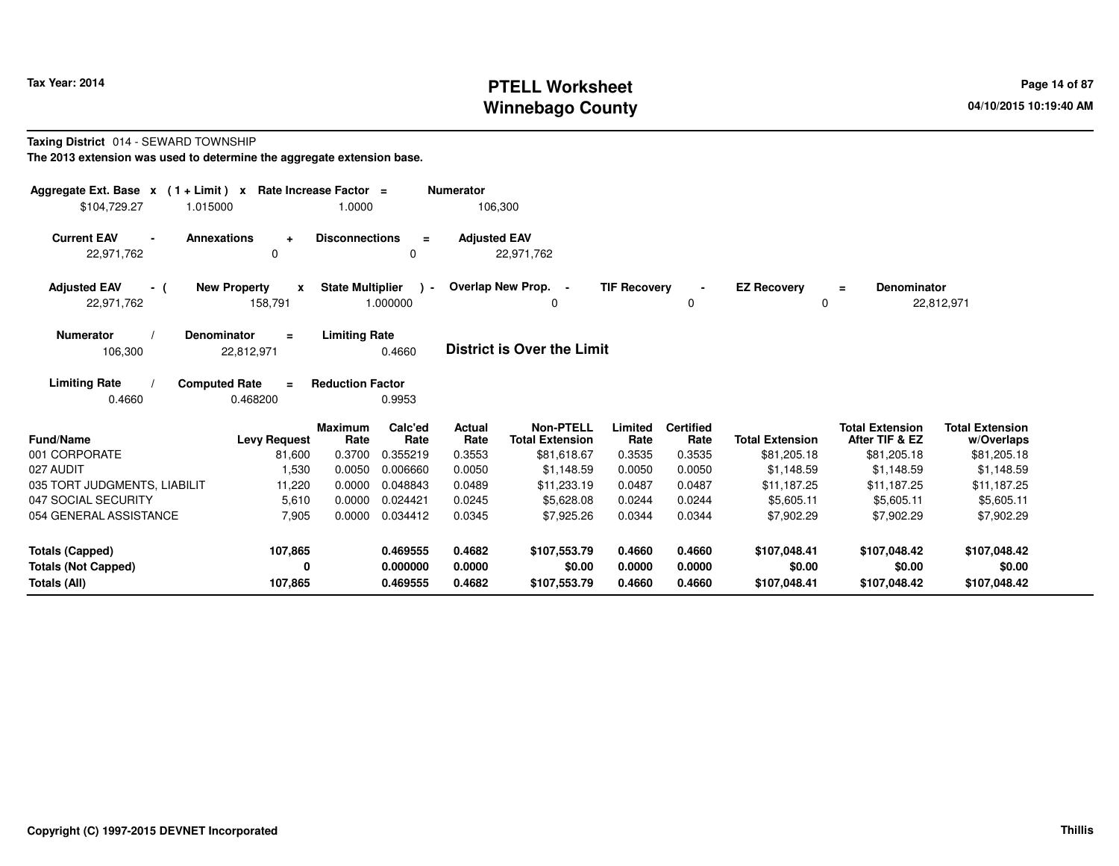# **PTELL Worksheet Tax Year: 2014 Page 14 of 87 Page 14 of 87 Winnebago County**

#### **Taxing District** 014 - SEWARD TOWNSHIP

| Aggregate Ext. Base $x$ (1+Limit) x Rate Increase Factor = |                                       |                                  |                             | <b>Numerator</b>         |                                                           |                           |                                    |                                       |                                                         |                                                     |
|------------------------------------------------------------|---------------------------------------|----------------------------------|-----------------------------|--------------------------|-----------------------------------------------------------|---------------------------|------------------------------------|---------------------------------------|---------------------------------------------------------|-----------------------------------------------------|
| \$104,729.27                                               | 1.015000                              | 1.0000                           |                             | 106,300                  |                                                           |                           |                                    |                                       |                                                         |                                                     |
| <b>Current EAV</b><br>$\blacksquare$<br>22,971,762         | <b>Annexations</b><br>$\ddot{}$<br>0  | <b>Disconnections</b>            | $\equiv$<br>$\Omega$        | <b>Adjusted EAV</b>      | 22,971,762                                                |                           |                                    |                                       |                                                         |                                                     |
| <b>Adjusted EAV</b><br>- (<br>22,971,762                   | <b>New Property</b><br>x<br>158,791   | <b>State Multiplier</b>          | $\cdot$<br>1.000000         |                          | Overlap New Prop. -<br>0                                  | <b>TIF Recovery</b>       | 0                                  | <b>EZ Recovery</b><br>$\Omega$        | <b>Denominator</b><br>$\equiv$                          | 22,812,971                                          |
| <b>Numerator</b><br>106,300                                | Denominator<br>$\equiv$<br>22,812,971 | <b>Limiting Rate</b>             | 0.4660                      |                          | <b>District is Over the Limit</b>                         |                           |                                    |                                       |                                                         |                                                     |
| <b>Limiting Rate</b>                                       | <b>Computed Rate</b><br>$\equiv$      | <b>Reduction Factor</b>          |                             |                          |                                                           |                           |                                    |                                       |                                                         |                                                     |
| 0.4660                                                     | 0.468200                              |                                  | 0.9953                      |                          |                                                           |                           |                                    |                                       |                                                         |                                                     |
| Fund/Name<br>001 CORPORATE                                 | <b>Levy Request</b><br>81,600         | <b>Maximum</b><br>Rate<br>0.3700 | Calc'ed<br>Rate<br>0.355219 | Actual<br>Rate<br>0.3553 | <b>Non-PTELL</b><br><b>Total Extension</b><br>\$81,618.67 | Limited<br>Rate<br>0.3535 | <b>Certified</b><br>Rate<br>0.3535 | <b>Total Extension</b><br>\$81,205.18 | <b>Total Extension</b><br>After TIF & EZ<br>\$81,205.18 | <b>Total Extension</b><br>w/Overlaps<br>\$81,205.18 |
| 027 AUDIT                                                  | 1,530                                 | 0.0050                           | 0.006660                    | 0.0050                   | \$1,148.59                                                | 0.0050                    | 0.0050                             | \$1.148.59                            | \$1,148.59                                              | \$1,148.59                                          |
| 035 TORT JUDGMENTS, LIABILIT                               | 11,220                                | 0.0000                           | 0.048843                    | 0.0489                   | \$11,233.19                                               | 0.0487                    | 0.0487                             | \$11,187.25                           | \$11.187.25                                             | \$11,187.25                                         |
| 047 SOCIAL SECURITY                                        | 5,610                                 | 0.0000                           | 0.024421                    | 0.0245                   | \$5.628.08                                                | 0.0244                    | 0.0244                             | \$5,605.11                            | \$5,605.11                                              | \$5,605.11                                          |
| 054 GENERAL ASSISTANCE                                     | 7,905                                 | 0.0000                           | 0.034412                    | 0.0345                   | \$7,925.26                                                | 0.0344                    | 0.0344                             | \$7,902.29                            | \$7,902.29                                              | \$7,902.29                                          |
| <b>Totals (Capped)</b>                                     | 107,865                               |                                  | 0.469555                    | 0.4682                   | \$107,553.79                                              | 0.4660                    | 0.4660                             | \$107,048.41                          | \$107,048.42                                            | \$107,048.42                                        |
| <b>Totals (Not Capped)</b><br>Totals (All)                 | 0<br>107,865                          |                                  | 0.000000<br>0.469555        | 0.0000<br>0.4682         | \$0.00<br>\$107,553.79                                    | 0.0000<br>0.4660          | 0.0000<br>0.4660                   | \$0.00<br>\$107,048.41                | \$0.00<br>\$107,048.42                                  | \$0.00<br>\$107,048.42                              |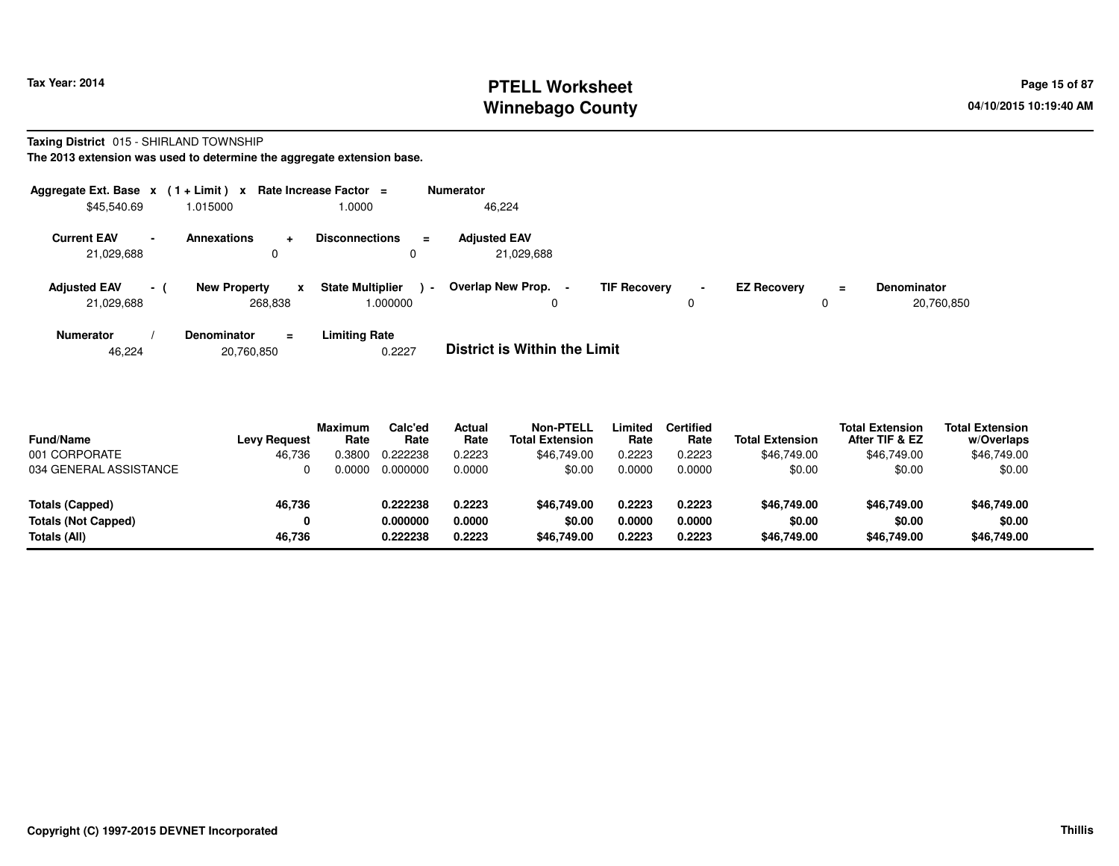# **PTELL Worksheet Tax Year: 2014 Page 15 of 87 PAGE 15 of 87 Page 15 of 87 Winnebago County**

#### **Taxing District** 015 - SHIRLAND TOWNSHIP

**The 2013 extension was used to determine the aggregate extension base.**

| Aggregate Ext. Base $x$ (1+Limit) $x$ |                          |                                |                      | Rate Increase Factor $=$            |                | <b>Numerator</b>                         |                     |                |                    |     |                                  |
|---------------------------------------|--------------------------|--------------------------------|----------------------|-------------------------------------|----------------|------------------------------------------|---------------------|----------------|--------------------|-----|----------------------------------|
| \$45,540.69                           |                          | 1.015000                       |                      | 1.0000                              |                | 46,224                                   |                     |                |                    |     |                                  |
| <b>Current EAV</b><br>21,029,688      | $\overline{\phantom{a}}$ | <b>Annexations</b><br>0        | $\ddot{\phantom{1}}$ | <b>Disconnections</b>               | $\equiv$       | <b>Adjusted EAV</b><br>21.029.688        |                     |                |                    |     |                                  |
| <b>Adjusted EAV</b><br>21,029,688     | $\sim$ 1                 | <b>New Property</b><br>268.838 | x                    | <b>State Multiplier</b><br>1.000000 | $\blacksquare$ | Overlap New Prop.<br>$\blacksquare$<br>0 | <b>TIF Recovery</b> | $\blacksquare$ | <b>EZ Recoverv</b> | $=$ | <b>Denominator</b><br>20,760,850 |
| <b>Numerator</b>                      |                          | <b>Denominator</b>             | $\equiv$             | <b>Limiting Rate</b>                |                | _ _ _ _ _ _ _ _ _ _ _ _ _ _ _ _ _        |                     |                |                    |     |                                  |

46,22420,760,850 0.2227 **District is Within the Limit**

| <b>Fund/Name</b><br>001 CORPORATE | <b>Levy Request</b><br>46.736 | <b>Maximum</b><br>Rate<br>0.3800 | Calc'ed<br>Rate<br>0.222238 | Actual<br>Rate<br>0.2223 | <b>Non-PTELL</b><br><b>Total Extension</b><br>\$46,749.00 | _imited<br>Rate<br>0.2223 | <b>Certified</b><br>Rate<br>0.2223 | <b>Total Extension</b><br>\$46,749.00 | <b>Total Extension</b><br>After TIF & EZ<br>\$46,749.00 | <b>Total Extension</b><br>w/Overlaps<br>\$46,749.00 |
|-----------------------------------|-------------------------------|----------------------------------|-----------------------------|--------------------------|-----------------------------------------------------------|---------------------------|------------------------------------|---------------------------------------|---------------------------------------------------------|-----------------------------------------------------|
| 034 GENERAL ASSISTANCE            |                               | <u>. 0000 </u>                   | 0.000000                    | 0.0000                   | \$0.00                                                    | 0.0000                    | 0.0000                             | \$0.00                                | \$0.00                                                  | \$0.00                                              |
| <b>Totals (Capped)</b>            | 46,736                        |                                  | 0.222238                    | 0.2223                   | \$46,749.00                                               | 0.2223                    | 0.2223                             | \$46,749,00                           | \$46,749.00                                             | \$46,749.00                                         |
| <b>Totals (Not Capped)</b>        | 0                             |                                  | 0.000000                    | 0.0000                   | \$0.00                                                    | 0.0000                    | 0.0000                             | \$0.00                                | \$0.00                                                  | \$0.00                                              |
| Totals (All)                      | 46.736                        |                                  | 0.222238                    | 0.2223                   | \$46,749.00                                               | 0.2223                    | 0.2223                             | \$46,749.00                           | \$46,749.00                                             | \$46,749.00                                         |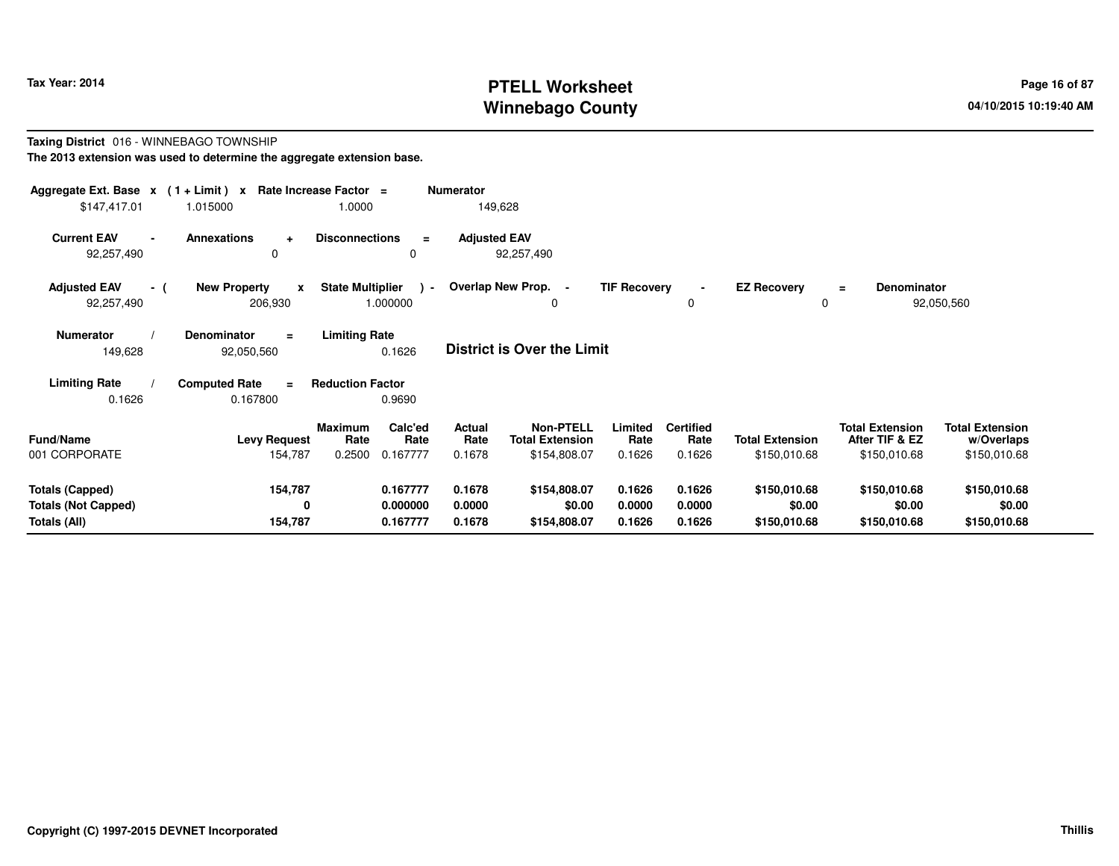# **PTELL Worksheet Tax Year: 2014 Page 16 of 87 Page 16 of 87 Winnebago County**

#### **Taxing District** 016 - WINNEBAGO TOWNSHIP**The 2013 extension was used to determine the aggregate extension base.**

| Aggregate Ext. Base $x$ (1+Limit) $x$<br>\$147,417.01 | 1.015000                                               | Rate Increase Factor =<br>1.0000                     | <b>Numerator</b><br>149,628 |                                            |                     |                          |                         |                                          |                                      |
|-------------------------------------------------------|--------------------------------------------------------|------------------------------------------------------|-----------------------------|--------------------------------------------|---------------------|--------------------------|-------------------------|------------------------------------------|--------------------------------------|
| <b>Current EAV</b><br>92,257,490                      | <b>Annexations</b><br>$\ddot{\phantom{1}}$<br>$\Omega$ | <b>Disconnections</b><br>$\equiv$<br>0               | <b>Adjusted EAV</b>         | 92,257,490                                 |                     |                          |                         |                                          |                                      |
| <b>Adjusted EAV</b><br>- (<br>92,257,490              | <b>New Property</b><br>$\mathbf{x}$<br>206,930         | <b>State Multiplier</b><br>$\rightarrow$<br>1.000000 | Overlap New Prop. -         | 0                                          | <b>TIF Recovery</b> | 0                        | <b>EZ Recovery</b><br>0 | <b>Denominator</b><br>$=$                | 92,050,560                           |
| <b>Numerator</b><br>149,628                           | <b>Denominator</b><br>$\equiv$<br>92,050,560           | <b>Limiting Rate</b><br>0.1626                       |                             | <b>District is Over the Limit</b>          |                     |                          |                         |                                          |                                      |
| <b>Limiting Rate</b>                                  | <b>Computed Rate</b><br>$\equiv$                       | <b>Reduction Factor</b>                              |                             |                                            |                     |                          |                         |                                          |                                      |
| 0.1626                                                | 0.167800                                               | 0.9690                                               |                             |                                            |                     |                          |                         |                                          |                                      |
| <b>Fund/Name</b>                                      | <b>Levy Request</b>                                    | Calc'ed<br><b>Maximum</b><br>Rate<br>Rate            | Actual<br>Rate              | <b>Non-PTELL</b><br><b>Total Extension</b> | Limited<br>Rate     | <b>Certified</b><br>Rate | <b>Total Extension</b>  | <b>Total Extension</b><br>After TIF & EZ | <b>Total Extension</b><br>w/Overlaps |
| 001 CORPORATE                                         | 154,787                                                | 0.2500<br>0.167777                                   | 0.1678                      | \$154,808.07                               | 0.1626              | 0.1626                   | \$150,010.68            | \$150,010.68                             | \$150,010.68                         |
| <b>Totals (Capped)</b>                                | 154,787                                                | 0.167777                                             | 0.1678                      | \$154,808.07                               | 0.1626              | 0.1626                   | \$150,010.68            | \$150,010.68                             | \$150,010.68                         |
| <b>Totals (Not Capped)</b><br>Totals (All)            | 0<br>154,787                                           | 0.000000<br>0.167777                                 | 0.0000<br>0.1678            | \$0.00<br>\$154,808.07                     | 0.0000<br>0.1626    | 0.0000<br>0.1626         | \$0.00<br>\$150,010.68  | \$0.00<br>\$150,010.68                   | \$0.00<br>\$150,010.68               |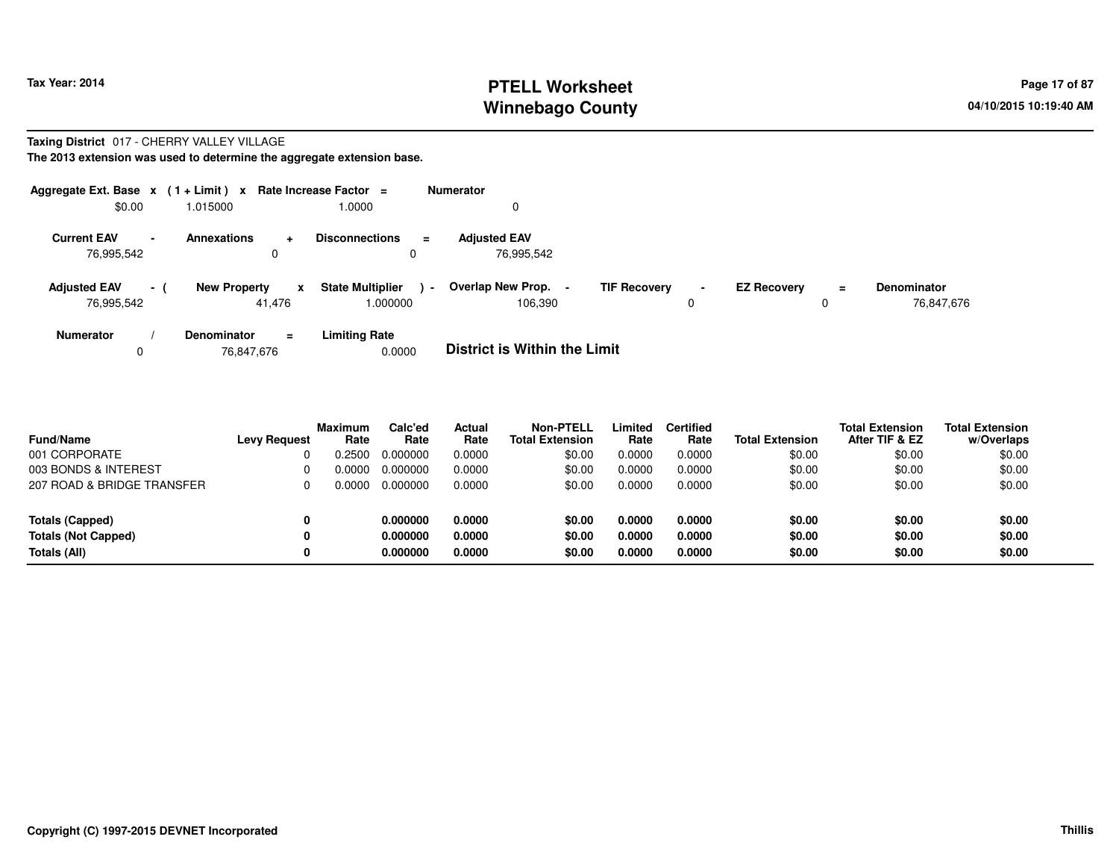## **PTELL Worksheet Tax Year: 2014 Page 17 of 87 Page 17 of 87 Winnebago County**

#### **Taxing District** 017 - CHERRY VALLEY VILLAGE

**The 2013 extension was used to determine the aggregate extension base.**

| Aggregate Ext. Base $x$ (1 + Limit) $x$ Rate Increase Factor = |                 |                     |                |                                     | <b>Numerator</b> |                                   |                     |                     |                    |          |                                  |
|----------------------------------------------------------------|-----------------|---------------------|----------------|-------------------------------------|------------------|-----------------------------------|---------------------|---------------------|--------------------|----------|----------------------------------|
| \$0.00                                                         |                 | 1.015000            |                | 0000.1                              |                  | 0                                 |                     |                     |                    |          |                                  |
| <b>Current EAV</b><br>76.995.542                               | $\sim$          | <b>Annexations</b>  | $\ddot{}$<br>0 | <b>Disconnections</b>               | $\equiv$         | <b>Adjusted EAV</b><br>76,995,542 |                     |                     |                    |          |                                  |
| <b>Adjusted EAV</b><br>76,995,542                              | $\sim$ 10 $\pm$ | <b>New Property</b> | x<br>41,476    | <b>State Multiplier</b><br>1.000000 | $\blacksquare$   | Overlap New Prop.<br>106.390      | <b>TIF Recovery</b> | $\blacksquare$<br>0 | <b>EZ Recovery</b> | $=$<br>0 | <b>Denominator</b><br>76,847,676 |
| <b>Numerator</b>                                               |                 | <b>Denominator</b>  | $\equiv$       | <b>Limiting Rate</b>                |                  | ________________________          | .                   |                     |                    |          |                                  |

076,847,676 0.0000 **District is Within the Limit**

| <b>Fund/Name</b>           | <b>Levy Request</b> | Maximum<br>Rate | Calc'ed<br>Rate | Actual<br>Rate | <b>Non-PTELL</b><br><b>Total Extension</b> | _imited<br>Rate | <b>Certified</b><br>Rate | <b>Total Extension</b> | <b>Total Extension</b><br>After TIF & EZ | <b>Total Extension</b><br>w/Overlaps |
|----------------------------|---------------------|-----------------|-----------------|----------------|--------------------------------------------|-----------------|--------------------------|------------------------|------------------------------------------|--------------------------------------|
| 001 CORPORATE              |                     | .2500           | 0.000000        | 0.0000         | \$0.00                                     | 0.0000          | 0.0000                   | \$0.00                 | \$0.00                                   | \$0.00                               |
| 003 BONDS & INTEREST       | 0                   | <u>. 0000 </u>  | 0.000000        | 0.0000         | \$0.00                                     | 0.0000          | 0.0000                   | \$0.00                 | \$0.00                                   | \$0.00                               |
| 207 ROAD & BRIDGE TRANSFER | 0                   | 0.0000          | 0.000000        | 0.0000         | \$0.00                                     | 0.0000          | 0.0000                   | \$0.00                 | \$0.00                                   | \$0.00                               |
| <b>Totals (Capped)</b>     | 0                   |                 | 0.000000        | 0.0000         | \$0.00                                     | 0.0000          | 0.0000                   | \$0.00                 | \$0.00                                   | \$0.00                               |
| <b>Totals (Not Capped)</b> | 0                   |                 | 0.000000        | 0.0000         | \$0.00                                     | 0.0000          | 0.0000                   | \$0.00                 | \$0.00                                   | \$0.00                               |
| Totals (All)               | 0                   |                 | 0.000000        | 0.0000         | \$0.00                                     | 0.0000          | 0.0000                   | \$0.00                 | \$0.00                                   | \$0.00                               |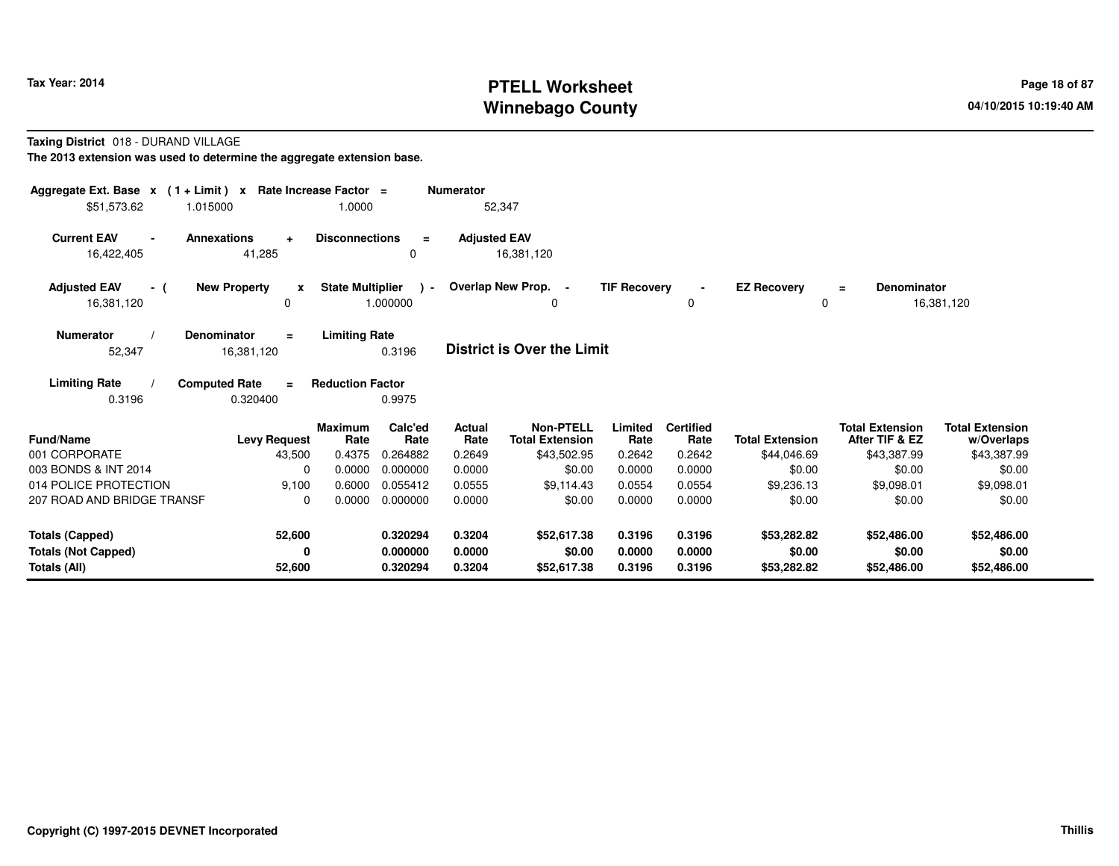# **PTELL Worksheet Tax Year: 2014 Page 18 of 87 PAGE 18 of 87 PAGE 18 of 87 Page 18 of 87 Winnebago County**

**Taxing District** 018 - DURAND VILLAGE

| Aggregate Ext. Base $x$ (1 + Limit) x Rate Increase Factor =<br>\$51,573.62 | 1.015000                                     | 1.0000                  |                                  | <b>Numerator</b><br>52,347 |                                      |                            |                            |                                      |                                          |                                      |
|-----------------------------------------------------------------------------|----------------------------------------------|-------------------------|----------------------------------|----------------------------|--------------------------------------|----------------------------|----------------------------|--------------------------------------|------------------------------------------|--------------------------------------|
| <b>Current EAV</b><br>$\blacksquare$<br>16,422,405                          | <b>Annexations</b><br>$\ddot{}$<br>41,285    | <b>Disconnections</b>   | $\equiv$<br>0                    | <b>Adjusted EAV</b>        | 16,381,120                           |                            |                            |                                      |                                          |                                      |
| <b>Adjusted EAV</b><br>- (<br>16,381,120                                    | <b>New Property</b><br>$\mathbf{x}$<br>0     | <b>State Multiplier</b> | $\rightarrow$<br>1.000000        |                            | Overlap New Prop. -<br>0             | <b>TIF Recovery</b>        | $\blacksquare$<br>0        | <b>EZ Recoverv</b><br>0              | Denominator<br>$\equiv$                  | 16,381,120                           |
| <b>Numerator</b><br>52,347                                                  | <b>Denominator</b><br>$=$<br>16,381,120      | <b>Limiting Rate</b>    | 0.3196                           |                            | <b>District is Over the Limit</b>    |                            |                            |                                      |                                          |                                      |
| <b>Limiting Rate</b><br>0.3196                                              | <b>Computed Rate</b><br>$\equiv$<br>0.320400 | <b>Reduction Factor</b> | 0.9975                           |                            |                                      |                            |                            |                                      |                                          |                                      |
| <b>Fund/Name</b>                                                            | <b>Levy Request</b>                          | <b>Maximum</b><br>Rate  | Calc'ed<br>Rate                  | Actual<br>Rate             | Non-PTELL<br><b>Total Extension</b>  | Limited<br>Rate            | <b>Certified</b><br>Rate   | <b>Total Extension</b>               | <b>Total Extension</b><br>After TIF & EZ | <b>Total Extension</b><br>w/Overlaps |
| 001 CORPORATE                                                               | 43,500                                       | 0.4375                  | 0.264882                         | 0.2649                     | \$43,502.95                          | 0.2642                     | 0.2642                     | \$44,046.69                          | \$43,387.99                              | \$43,387.99                          |
| 003 BONDS & INT 2014                                                        | $\Omega$                                     | 0.0000                  | 0.000000                         | 0.0000                     | \$0.00                               | 0.0000                     | 0.0000                     | \$0.00                               | \$0.00                                   | \$0.00                               |
| 014 POLICE PROTECTION                                                       | 9,100                                        | 0.6000                  | 0.055412                         | 0.0555                     | \$9,114.43                           | 0.0554                     | 0.0554                     | \$9,236.13                           | \$9,098.01                               | \$9,098.01                           |
| 207 ROAD AND BRIDGE TRANSF                                                  | $\Omega$                                     | 0.0000                  | 0.000000                         | 0.0000                     | \$0.00                               | 0.0000                     | 0.0000                     | \$0.00                               | \$0.00                                   | \$0.00                               |
| <b>Totals (Capped)</b><br><b>Totals (Not Capped)</b><br>Totals (All)        | 52,600<br>0<br>52,600                        |                         | 0.320294<br>0.000000<br>0.320294 | 0.3204<br>0.0000<br>0.3204 | \$52,617.38<br>\$0.00<br>\$52,617.38 | 0.3196<br>0.0000<br>0.3196 | 0.3196<br>0.0000<br>0.3196 | \$53,282.82<br>\$0.00<br>\$53,282.82 | \$52,486.00<br>\$0.00<br>\$52,486.00     | \$52,486.00<br>\$0.00<br>\$52,486.00 |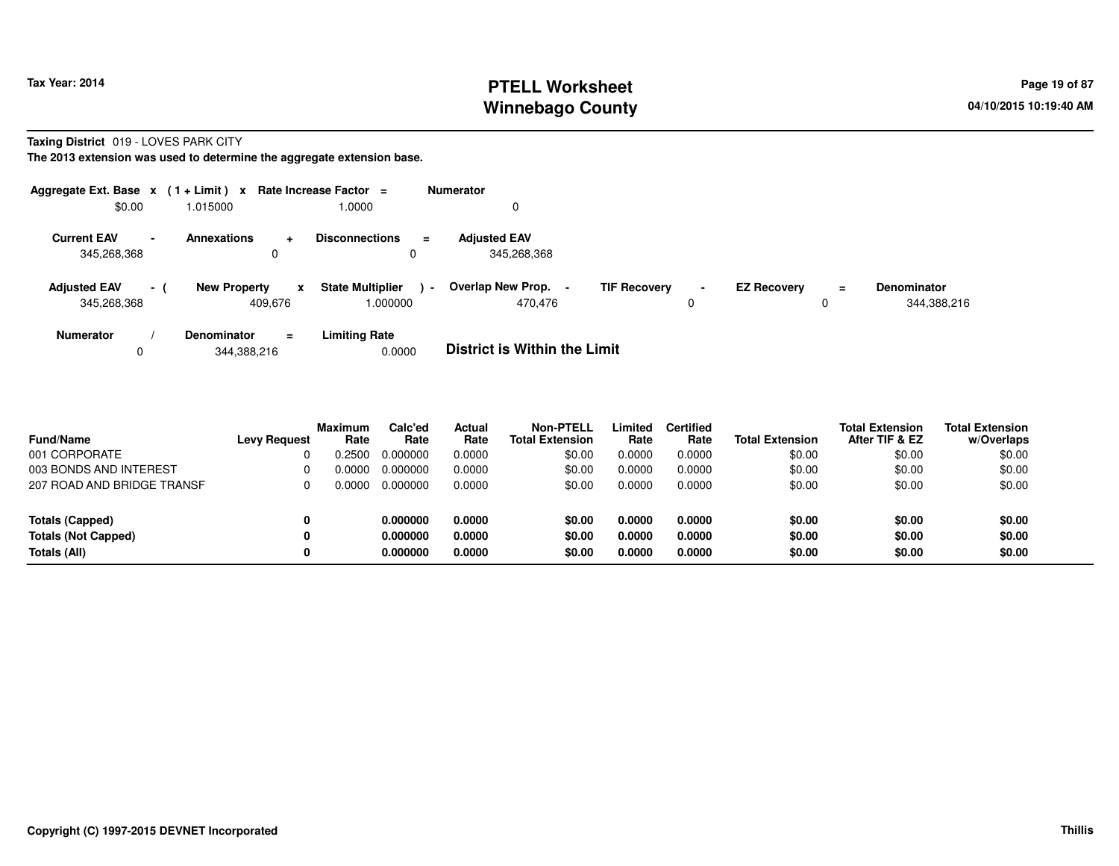## **PTELL Worksheet Tax Year: 2014 Page 19 of 87 PAGE 19 of 87 Page 19 of 87 Winnebago County**

**Taxing District** 019 - LOVES PARK CITY

**The 2013 extension was used to determine the aggregate extension base.**

|                                    |                 | Aggregate Ext. Base $x$ (1+Limit) x Rate Increase Factor = |                                          | <b>Numerator</b> |                                    |                     |                     |                    |          |                                   |
|------------------------------------|-----------------|------------------------------------------------------------|------------------------------------------|------------------|------------------------------------|---------------------|---------------------|--------------------|----------|-----------------------------------|
| \$0.00                             |                 | 1.015000                                                   | 1.0000                                   |                  | 0                                  |                     |                     |                    |          |                                   |
| <b>Current EAV</b><br>345,268,368  | $\blacksquare$  | Annexations<br>$\ddot{}$<br>0                              | <b>Disconnections</b>                    | $\equiv$         | <b>Adjusted EAV</b><br>345.268.368 |                     |                     |                    |          |                                   |
| <b>Adjusted EAV</b><br>345,268,368 | $\sim$ 10 $\pm$ | <b>New Property</b><br>409.676                             | <b>State Multiplier</b><br>x<br>000000.1 | $\blacksquare$   | Overlap New Prop. -<br>470.476     | <b>TIF Recovery</b> | $\blacksquare$<br>0 | <b>EZ Recovery</b> | $=$<br>0 | <b>Denominator</b><br>344,388,216 |
| <b>Numerator</b>                   |                 | Denominator<br>$\equiv$                                    | <b>Limiting Rate</b>                     |                  | _ _ _ _ _ _ _ _ _ _ _ _ _ _ _ _ _  |                     |                     |                    |          |                                   |

0344,388,216 0.0000 **District is Within the Limit**

| <b>Fund/Name</b>           | <b>Levy Request</b> | <b>Maximum</b><br>Rate | Calc'ed<br>Rate | Actual<br>Rate | <b>Non-PTELL</b><br><b>Total Extension</b> | Limited<br>Rate | <b>Certified</b><br>Rate | <b>Total Extension</b> | <b>Total Extension</b><br>After TIF & EZ | <b>Total Extension</b><br>w/Overlaps |
|----------------------------|---------------------|------------------------|-----------------|----------------|--------------------------------------------|-----------------|--------------------------|------------------------|------------------------------------------|--------------------------------------|
| 001 CORPORATE              |                     | .2500                  | 0.000000        | 0.0000         | \$0.00                                     | 0.0000          | 0.0000                   | \$0.00                 | \$0.00                                   | \$0.00                               |
| 003 BONDS AND INTEREST     |                     | .0000                  | 0.000000        | 0.0000         | \$0.00                                     | 0.0000          | 0.0000                   | \$0.00                 | \$0.00                                   | \$0.00                               |
| 207 ROAD AND BRIDGE TRANSF |                     | 0.0000.                | 0.000000        | 0.0000         | \$0.00                                     | 0.0000          | 0.0000                   | \$0.00                 | \$0.00                                   | \$0.00                               |
| <b>Totals (Capped)</b>     | 0                   |                        | 0.000000        | 0.0000         | \$0.00                                     | 0.0000          | 0.0000                   | \$0.00                 | \$0.00                                   | \$0.00                               |
| <b>Totals (Not Capped)</b> | 0                   |                        | 0.000000        | 0.0000         | \$0.00                                     | 0.0000          | 0.0000                   | \$0.00                 | \$0.00                                   | \$0.00                               |
| Totals (All)               | 0                   |                        | 0.000000        | 0.0000         | \$0.00                                     | 0.0000          | 0.0000                   | \$0.00                 | \$0.00                                   | \$0.00                               |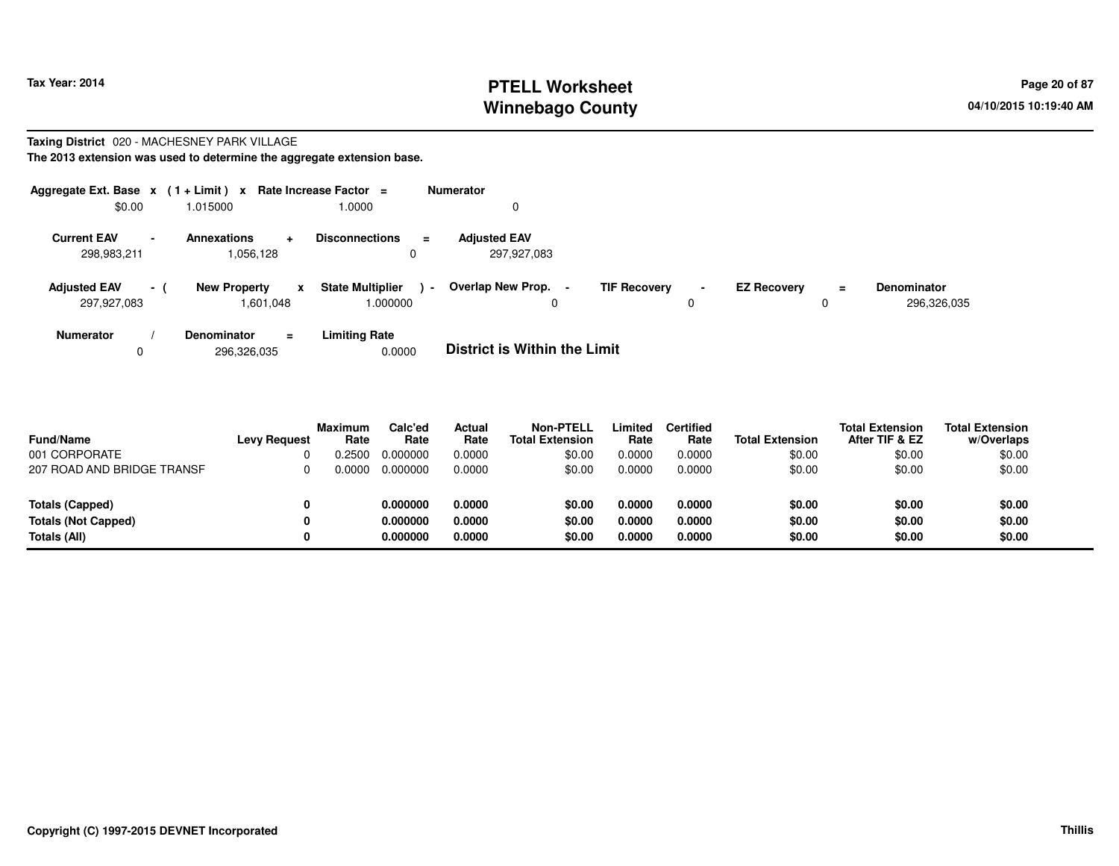# **PTELL Worksheet Tax Year: 2014 Page 20 of 87 Page 20 of 87 Winnebago County**

#### **Taxing District** 020 - MACHESNEY PARK VILLAGE**The 2013 extension was used to determine the aggregate extension base.**

| Aggregate Ext. Base $x$ (1+Limit) $x$<br>\$0.00 |      | 1.015000                                     | Rate Increase Factor =<br>1.0000              | <b>Numerator</b>                   |                     |                     |                    |         |                                   |
|-------------------------------------------------|------|----------------------------------------------|-----------------------------------------------|------------------------------------|---------------------|---------------------|--------------------|---------|-----------------------------------|
| <b>Current EAV</b><br>298,983,211               |      | <b>Annexations</b><br>$\ddot{}$<br>1,056,128 | <b>Disconnections</b><br>$=$                  | <b>Adjusted EAV</b><br>297,927,083 |                     |                     |                    |         |                                   |
| <b>Adjusted EAV</b><br>297,927,083              | $-1$ | <b>New Property</b><br>x<br>1,601,048        | <b>State Multiplier</b><br>$\sim$<br>000000.1 | Overlap New Prop. -<br>0           | <b>TIF Recovery</b> | $\blacksquare$<br>0 | <b>EZ Recovery</b> | Ξ.<br>0 | <b>Denominator</b><br>296,326,035 |
| <b>Numerator</b>                                |      | <b>Denominator</b><br>$=$                    | <b>Limiting Rate</b>                          | _ _ _ _ _ _ _ _ _ _ _ _ _ _ _ _ _  |                     |                     |                    |         |                                   |

0296,326,035 0.0000 **District is Within the Limit**

| <b>Fund/Name</b>           | <b>Levy Request</b> | <b>Maximum</b><br>Rate | Calc'ed<br>Rate | Actual<br>Rate | Non-PTELL<br><b>Total Extension</b> | Limited<br>Rate | <b>Certified</b><br>Rate | <b>Total Extension</b> | <b>Total Extension</b><br>After TIF & EZ | <b>Total Extension</b><br>w/Overlaps |
|----------------------------|---------------------|------------------------|-----------------|----------------|-------------------------------------|-----------------|--------------------------|------------------------|------------------------------------------|--------------------------------------|
| 001 CORPORATE              |                     | .2500                  | 0.000000        | 0.0000         | \$0.00                              | 0.0000          | 0.0000                   | \$0.00                 | \$0.00                                   | \$0.00                               |
| 207 ROAD AND BRIDGE TRANSF |                     | 0.0000                 | 0.000000        | 0.0000         | \$0.00                              | 0.0000          | 0.0000                   | \$0.00                 | \$0.00                                   | \$0.00                               |
| Totals (Capped)            | 0                   |                        | 0.000000        | 0.0000         | \$0.00                              | 0.0000          | 0.0000                   | \$0.00                 | \$0.00                                   | \$0.00                               |
| <b>Totals (Not Capped)</b> | 0                   |                        | 0.000000        | 0.0000         | \$0.00                              | 0.0000          | 0.0000                   | \$0.00                 | \$0.00                                   | \$0.00                               |
| Totals (All)               | 0                   |                        | 0.000000        | 0.0000         | \$0.00                              | 0.0000          | 0.0000                   | \$0.00                 | \$0.00                                   | \$0.00                               |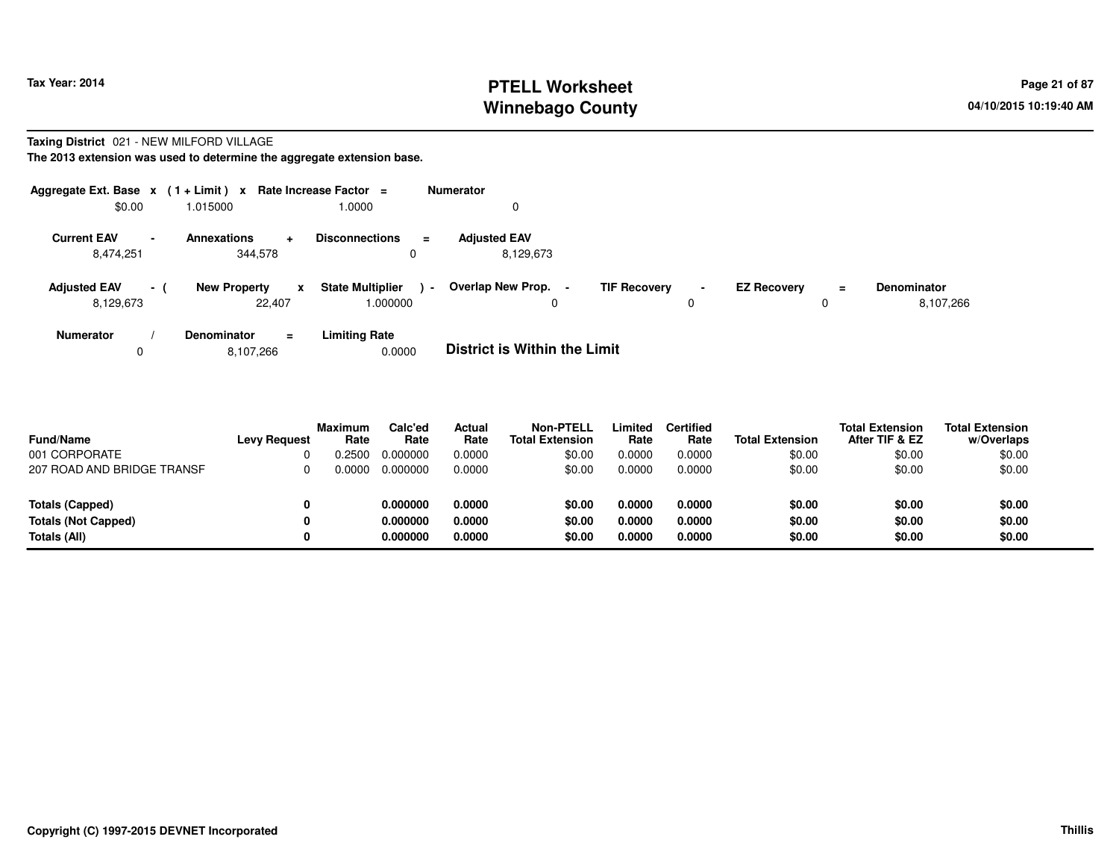## **PTELL Worksheet Tax Year: 2014 Page 21 of 87 Page 21 of 87 Winnebago County**

#### **Taxing District** 021 - NEW MILFORD VILLAGE**The 2013 extension was used to determine the aggregate extension base.**

| Aggregate Ext. Base $x$ (1 + Limit) $x$<br>\$0.00 |     | 1.015000                                          | <b>Rate Increase Factor</b><br>$\equiv$<br>1.0000 | <b>Numerator</b><br>U                                             |                     |                    |          |                                 |
|---------------------------------------------------|-----|---------------------------------------------------|---------------------------------------------------|-------------------------------------------------------------------|---------------------|--------------------|----------|---------------------------------|
| <b>Current EAV</b><br>8,474,251                   |     | <b>Annexations</b><br>$\ddot{}$<br>344,578        | <b>Disconnections</b><br>$\equiv$<br>0            | <b>Adjusted EAV</b><br>8,129,673                                  |                     |                    |          |                                 |
| <b>Adjusted EAV</b><br>8,129,673                  | - ( | <b>New Property</b><br>$\boldsymbol{x}$<br>22,407 | <b>State Multiplier</b><br>1.000000               | Overlap New Prop.<br><b>TIF Recovery</b><br>$\sim$<br>$\sim$<br>0 | $\blacksquare$<br>υ | <b>EZ Recovery</b> | $\equiv$ | <b>Denominator</b><br>8,107,266 |
| <b>Numerator</b>                                  |     | <b>Denominator</b><br>$=$                         | <b>Limiting Rate</b>                              | _ _ _ _ _ _ _ _ _ _ _ _ _ _ _ _ _ _                               |                     |                    |          |                                 |

08,107,266 0.0000 **District is Within the Limit**

| <b>Fund/Name</b>           | <b>Levy Request</b> | <b>Maximum</b><br>Rate | Calc'ed<br>Rate | <b>Actual</b><br>Rate | Non-PTELL<br><b>Total Extension</b> | Limited<br>Rate | <b>Certified</b><br>Rate | <b>Total Extension</b> | <b>Total Extension</b><br>After TIF & EZ | <b>Total Extension</b><br>w/Overlaps |
|----------------------------|---------------------|------------------------|-----------------|-----------------------|-------------------------------------|-----------------|--------------------------|------------------------|------------------------------------------|--------------------------------------|
| 001 CORPORATE              |                     | .2500                  | 0.000000        | 0.0000                | \$0.00                              | 0.0000          | 0.0000                   | \$0.00                 | \$0.00                                   | \$0.00                               |
| 207 ROAD AND BRIDGE TRANSF |                     | .0000                  | 0.000000        | 0.0000                | \$0.00                              | 0.0000          | 0.0000                   | \$0.00                 | \$0.00                                   | \$0.00                               |
| <b>Totals (Capped)</b>     |                     |                        | 0.000000        | 0.0000                | \$0.00                              | 0.0000          | 0.0000                   | \$0.00                 | \$0.00                                   | \$0.00                               |
| <b>Totals (Not Capped)</b> | 0                   |                        | 0.000000        | 0.0000                | \$0.00                              | 0.0000          | 0.0000                   | \$0.00                 | \$0.00                                   | \$0.00                               |
| Totals (All)               | 0                   |                        | 0.000000        | 0.0000                | \$0.00                              | 0.0000          | 0.0000                   | \$0.00                 | \$0.00                                   | \$0.00                               |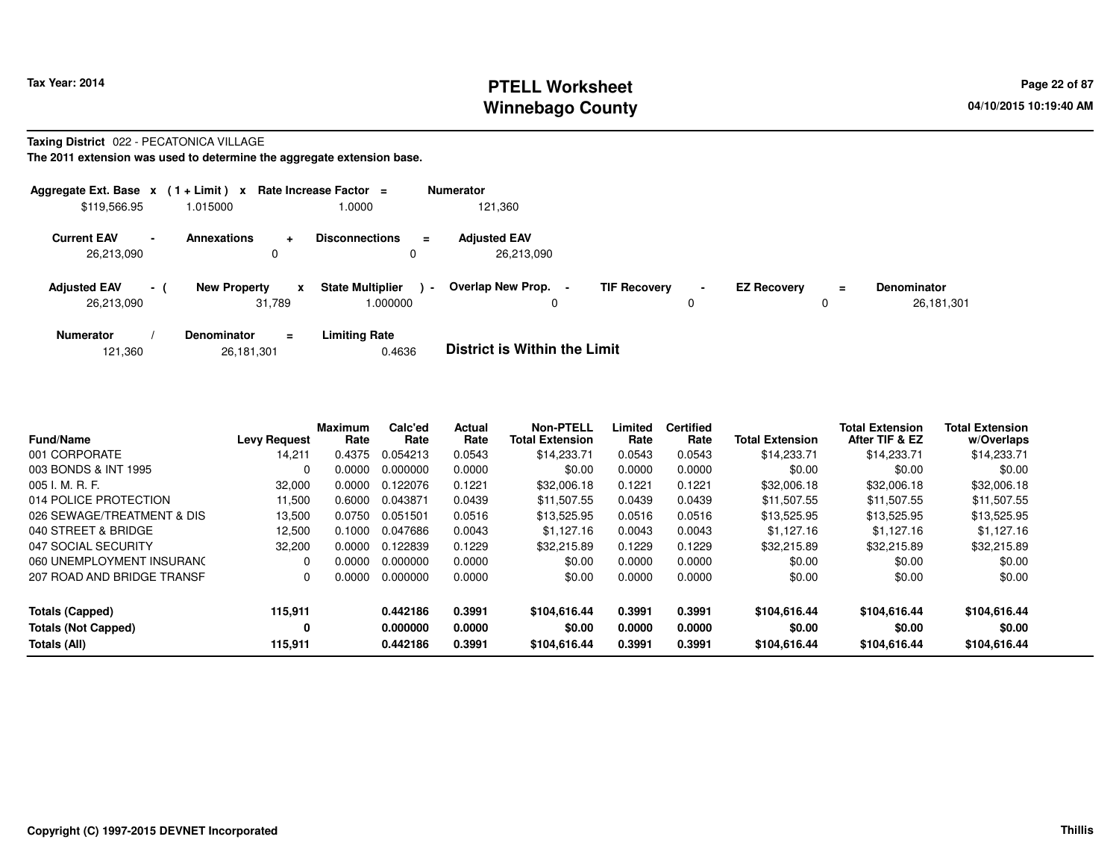## **PTELL Worksheet Tax Year: 2014 Page 22 of 87 Page 22 of 87 Winnebago County**

#### **Taxing District** 022 - PECATONICA VILLAGE

| Aggregate Ext. Base $x$ (1+Limit) x |                          |                     |                            | Rate Increase Factor $=$            |                          | <b>Numerator</b>                                |                     |                               |                    |               |                                  |
|-------------------------------------|--------------------------|---------------------|----------------------------|-------------------------------------|--------------------------|-------------------------------------------------|---------------------|-------------------------------|--------------------|---------------|----------------------------------|
| \$119,566.95                        |                          | 1.015000            |                            | 1.0000                              |                          | 121,360                                         |                     |                               |                    |               |                                  |
| <b>Current EAV</b><br>26,213,090    | $\overline{\phantom{a}}$ | <b>Annexations</b>  | ÷<br>0                     | <b>Disconnections</b>               | $=$                      | <b>Adjusted EAV</b><br>26,213,090               |                     |                               |                    |               |                                  |
| <b>Adjusted EAV</b><br>26,213,090   | - 1                      | <b>New Property</b> | $\boldsymbol{x}$<br>31.789 | <b>State Multiplier</b><br>1.000000 | $\overline{\phantom{a}}$ | Overlap New Prop.<br>$\blacksquare$<br>$\Omega$ | <b>TIF Recovery</b> | $\overline{\phantom{a}}$<br>0 | <b>EZ Recovery</b> | $\equiv$<br>0 | <b>Denominator</b><br>26,181,301 |
| <b>Numerator</b>                    |                          | Denominator         | $\equiv$                   | <b>Limiting Rate</b>                |                          | _ _ _ _ _ _ _ _ _ _ _ _ _ _ _ _ _               |                     |                               |                    |               |                                  |

| 121,360 | 26,181,301 | 0.4636 | <b>District is Within the Limit</b> |
|---------|------------|--------|-------------------------------------|
|---------|------------|--------|-------------------------------------|

| <b>Fund/Name</b>                                     | <b>Levy Request</b> | <b>Maximum</b><br>Rate | Calc'ed<br>Rate      | Actual<br>Rate   | <b>Non-PTELL</b><br><b>Total Extension</b> | Limited<br>Rate  | <b>Certified</b><br>Rate | <b>Total Extension</b> | <b>Total Extension</b><br>After TIF & EZ | <b>Total Extension</b><br>w/Overlaps |
|------------------------------------------------------|---------------------|------------------------|----------------------|------------------|--------------------------------------------|------------------|--------------------------|------------------------|------------------------------------------|--------------------------------------|
| 001 CORPORATE                                        | 14,211              | 0.4375                 | 0.054213             | 0.0543           | \$14,233.71                                | 0.0543           | 0.0543                   | \$14,233.71            | \$14,233.71                              | \$14,233.71                          |
| 003 BONDS & INT 1995                                 | 0                   | 0.0000                 | 0.000000             | 0.0000           | \$0.00                                     | 0.0000           | 0.0000                   | \$0.00                 | \$0.00                                   | \$0.00                               |
| 005 I. M. R. F.                                      | 32,000              | 0.0000                 | 0.122076             | 0.1221           | \$32,006.18                                | 0.1221           | 0.1221                   | \$32,006.18            | \$32,006.18                              | \$32,006.18                          |
| 014 POLICE PROTECTION                                | 11.500              | 0.6000                 | 0.043871             | 0.0439           | \$11.507.55                                | 0.0439           | 0.0439                   | \$11.507.55            | \$11.507.55                              | \$11,507.55                          |
| 026 SEWAGE/TREATMENT & DIS                           | 13,500              | 0.0750                 | 0.051501             | 0.0516           | \$13,525.95                                | 0.0516           | 0.0516                   | \$13,525.95            | \$13,525.95                              | \$13,525.95                          |
| 040 STREET & BRIDGE                                  | 12,500              | 0.1000                 | 0.047686             | 0.0043           | \$1,127.16                                 | 0.0043           | 0.0043                   | \$1,127.16             | \$1,127.16                               | \$1,127.16                           |
| 047 SOCIAL SECURITY                                  | 32,200              | 0.0000                 | 0.122839             | 0.1229           | \$32,215.89                                | 0.1229           | 0.1229                   | \$32,215.89            | \$32,215.89                              | \$32,215.89                          |
| 060 UNEMPLOYMENT INSURANC                            | 0                   | 0.0000                 | 0.000000             | 0.0000           | \$0.00                                     | 0.0000           | 0.0000                   | \$0.00                 | \$0.00                                   | \$0.00                               |
| 207 ROAD AND BRIDGE TRANSF                           | 0                   | 0.0000                 | 0.000000             | 0.0000           | \$0.00                                     | 0.0000           | 0.0000                   | \$0.00                 | \$0.00                                   | \$0.00                               |
| <b>Totals (Capped)</b><br><b>Totals (Not Capped)</b> | 115,911<br>0        |                        | 0.442186<br>0.000000 | 0.3991<br>0.0000 | \$104.616.44<br>\$0.00                     | 0.3991<br>0.0000 | 0.3991<br>0.0000         | \$104.616.44<br>\$0.00 | \$104,616.44<br>\$0.00                   | \$104,616.44<br>\$0.00               |
| Totals (All)                                         | 115,911             |                        | 0.442186             | 0.3991           | \$104.616.44                               | 0.3991           | 0.3991                   | \$104.616.44           | \$104,616.44                             | \$104,616.44                         |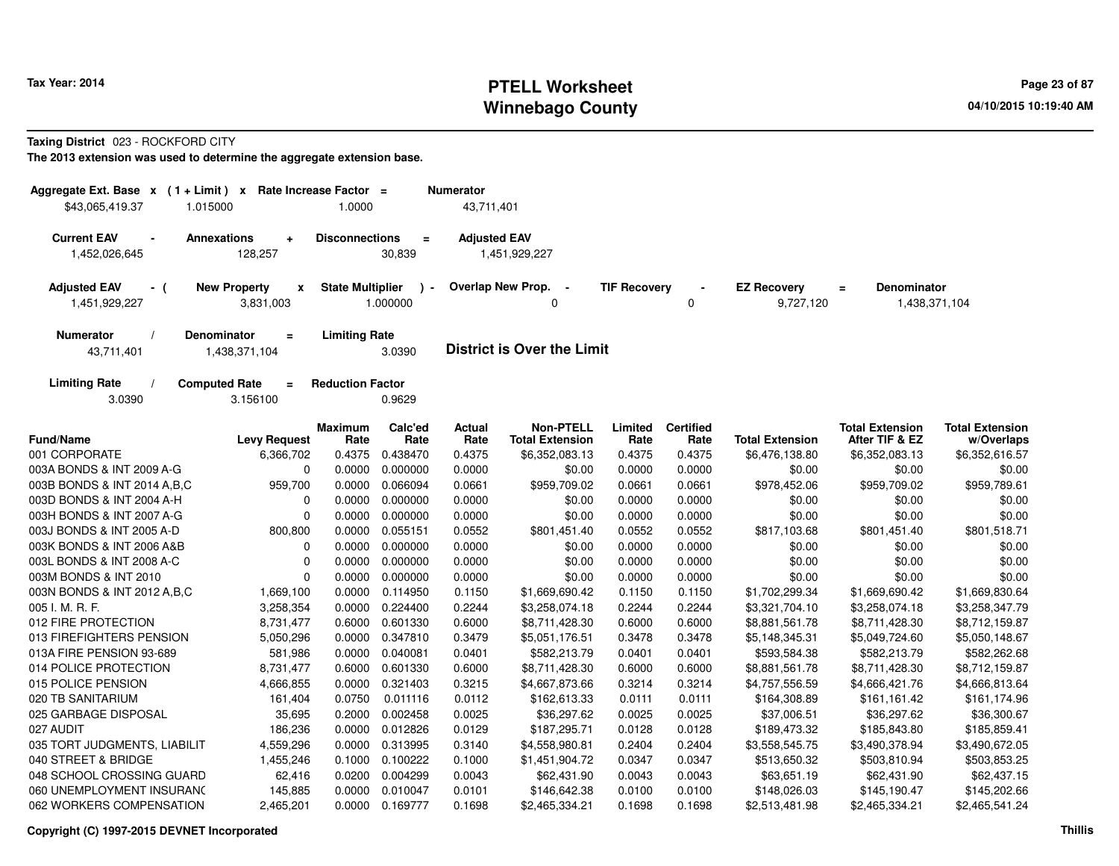# **PTELL Worksheet Tax Year: 2014 Page 23 of 87 Page 23 of 87 Winnebago County**

**Taxing District** 023 - ROCKFORD CITY

| Aggregate Ext. Base x (1+Limit) x           |                                              | Rate Increase Factor =  |                          | <b>Numerator</b>      |                                            |                     |                          |                                 |                                                 |                                      |
|---------------------------------------------|----------------------------------------------|-------------------------|--------------------------|-----------------------|--------------------------------------------|---------------------|--------------------------|---------------------------------|-------------------------------------------------|--------------------------------------|
| \$43.065.419.37                             | 1.015000                                     | 1.0000                  |                          | 43,711,401            |                                            |                     |                          |                                 |                                                 |                                      |
| <b>Current EAV</b><br>1,452,026,645         | <b>Annexations</b><br>÷<br>128,257           | <b>Disconnections</b>   | $\blacksquare$<br>30,839 | <b>Adjusted EAV</b>   | 1,451,929,227                              |                     |                          |                                 |                                                 |                                      |
| <b>Adjusted EAV</b><br>- (<br>1,451,929,227 | <b>New Property</b><br>X<br>3,831,003        | <b>State Multiplier</b> | 1.000000                 |                       | Overlap New Prop.<br>$\sim$<br>0           | <b>TIF Recovery</b> | 0                        | <b>EZ Recovery</b><br>9,727,120 | <b>Denominator</b><br>$\equiv$<br>1,438,371,104 |                                      |
| <b>Numerator</b><br>43,711,401              | Denominator<br>$\equiv$<br>1,438,371,104     | <b>Limiting Rate</b>    | 3.0390                   |                       | <b>District is Over the Limit</b>          |                     |                          |                                 |                                                 |                                      |
| <b>Limiting Rate</b><br>3.0390              | <b>Computed Rate</b><br>$\equiv$<br>3.156100 | <b>Reduction Factor</b> | 0.9629                   |                       |                                            |                     |                          |                                 |                                                 |                                      |
| <b>Fund/Name</b>                            | <b>Levy Request</b>                          | <b>Maximum</b><br>Rate  | Calc'ed<br>Rate          | <b>Actual</b><br>Rate | <b>Non-PTELL</b><br><b>Total Extension</b> | Limited<br>Rate     | <b>Certified</b><br>Rate | <b>Total Extension</b>          | <b>Total Extension</b><br>After TIF & EZ        | <b>Total Extension</b><br>w/Overlaps |
| 001 CORPORATE                               | 6,366,702                                    | 0.4375                  | 0.438470                 | 0.4375                | \$6,352,083.13                             | 0.4375              | 0.4375                   | \$6,476,138.80                  | \$6,352,083.13                                  | \$6,352,616.57                       |
| 003A BONDS & INT 2009 A-G                   | $\mathbf 0$                                  | 0.0000                  | 0.000000                 | 0.0000                | \$0.00                                     | 0.0000              | 0.0000                   | \$0.00                          | \$0.00                                          | \$0.00                               |
| 003B BONDS & INT 2014 A, B, C               | 959,700                                      | 0.0000                  | 0.066094                 | 0.0661                | \$959,709.02                               | 0.0661              | 0.0661                   | \$978,452.06                    | \$959,709.02                                    | \$959,789.61                         |
| 003D BONDS & INT 2004 A-H                   | 0                                            | 0.0000                  | 0.000000                 | 0.0000                | \$0.00                                     | 0.0000              | 0.0000                   | \$0.00                          | \$0.00                                          | \$0.00                               |
| 003H BONDS & INT 2007 A-G                   | $\mathbf 0$                                  | 0.0000                  | 0.000000                 | 0.0000                | \$0.00                                     | 0.0000              | 0.0000                   | \$0.00                          | \$0.00                                          | \$0.00                               |
| 003J BONDS & INT 2005 A-D                   | 800,800                                      | 0.0000                  | 0.055151                 | 0.0552                | \$801,451.40                               | 0.0552              | 0.0552                   | \$817,103.68                    | \$801,451.40                                    | \$801,518.71                         |
| 003K BONDS & INT 2006 A&B                   | 0                                            | 0.0000                  | 0.000000                 | 0.0000                | \$0.00                                     | 0.0000              | 0.0000                   | \$0.00                          | \$0.00                                          | \$0.00                               |
| 003L BONDS & INT 2008 A-C                   | $\mathbf 0$                                  | 0.0000                  | 0.000000                 | 0.0000                | \$0.00                                     | 0.0000              | 0.0000                   | \$0.00                          | \$0.00                                          | \$0.00                               |
| 003M BONDS & INT 2010                       | $\mathbf 0$                                  | 0.0000                  | 0.000000                 | 0.0000                | \$0.00                                     | 0.0000              | 0.0000                   | \$0.00                          | \$0.00                                          | \$0.00                               |
| 003N BONDS & INT 2012 A, B, C               | 1,669,100                                    | 0.0000                  | 0.114950                 | 0.1150                | \$1,669,690.42                             | 0.1150              | 0.1150                   | \$1,702,299.34                  | \$1,669,690.42                                  | \$1,669,830.64                       |
| 005 I. M. R. F.                             | 3,258,354                                    | 0.0000                  | 0.224400                 | 0.2244                | \$3,258,074.18                             | 0.2244              | 0.2244                   | \$3,321,704.10                  | \$3,258,074.18                                  | \$3,258,347.79                       |
| 012 FIRE PROTECTION                         | 8,731,477                                    | 0.6000                  | 0.601330                 | 0.6000                | \$8,711,428.30                             | 0.6000              | 0.6000                   | \$8,881,561.78                  | \$8,711,428.30                                  | \$8,712,159.87                       |
| 013 FIREFIGHTERS PENSION                    | 5,050,296                                    | 0.0000                  | 0.347810                 | 0.3479                | \$5,051,176.51                             | 0.3478              | 0.3478                   | \$5,148,345.31                  | \$5,049,724.60                                  | \$5,050,148.67                       |
| 013A FIRE PENSION 93-689                    | 581,986                                      | 0.0000                  | 0.040081                 | 0.0401                | \$582,213.79                               | 0.0401              | 0.0401                   | \$593,584.38                    | \$582,213.79                                    | \$582,262.68                         |
| 014 POLICE PROTECTION                       | 8,731,477                                    | 0.6000                  | 0.601330                 | 0.6000                | \$8,711,428.30                             | 0.6000              | 0.6000                   | \$8,881,561.78                  | \$8,711,428.30                                  | \$8,712,159.87                       |
| 015 POLICE PENSION                          | 4,666,855                                    | 0.0000                  | 0.321403                 | 0.3215                | \$4,667,873.66                             | 0.3214              | 0.3214                   | \$4,757,556.59                  | \$4,666,421.76                                  | \$4,666,813.64                       |
| 020 TB SANITARIUM                           | 161,404                                      | 0.0750                  | 0.011116                 | 0.0112                | \$162,613.33                               | 0.0111              | 0.0111                   | \$164,308.89                    | \$161,161.42                                    | \$161,174.96                         |
| 025 GARBAGE DISPOSAL                        | 35,695                                       | 0.2000                  | 0.002458                 | 0.0025                | \$36,297.62                                | 0.0025              | 0.0025                   | \$37,006.51                     | \$36,297.62                                     | \$36,300.67                          |
| 027 AUDIT                                   | 186,236                                      | 0.0000                  | 0.012826                 | 0.0129                | \$187,295.71                               | 0.0128              | 0.0128                   | \$189,473.32                    | \$185,843.80                                    | \$185,859.41                         |
| 035 TORT JUDGMENTS, LIABILIT                | 4,559,296                                    | 0.0000                  | 0.313995                 | 0.3140                | \$4,558,980.81                             | 0.2404              | 0.2404                   | \$3,558,545.75                  | \$3,490,378.94                                  | \$3,490,672.05                       |
| 040 STREET & BRIDGE                         | 1,455,246                                    | 0.1000                  | 0.100222                 | 0.1000                | \$1,451,904.72                             | 0.0347              | 0.0347                   | \$513,650.32                    | \$503,810.94                                    | \$503,853.25                         |
| 048 SCHOOL CROSSING GUARD                   | 62,416                                       | 0.0200                  | 0.004299                 | 0.0043                | \$62,431.90                                | 0.0043              | 0.0043                   | \$63,651.19                     | \$62,431.90                                     | \$62,437.15                          |
| 060 UNEMPLOYMENT INSURANC                   | 145,885                                      | 0.0000                  | 0.010047                 | 0.0101                | \$146,642.38                               | 0.0100              | 0.0100                   | \$148,026.03                    | \$145,190.47                                    | \$145,202.66                         |
| 062 WORKERS COMPENSATION                    | 2,465,201                                    | 0.0000                  | 0.169777                 | 0.1698                | \$2,465,334.21                             | 0.1698              | 0.1698                   | \$2,513,481.98                  | \$2,465,334.21                                  | \$2,465,541.24                       |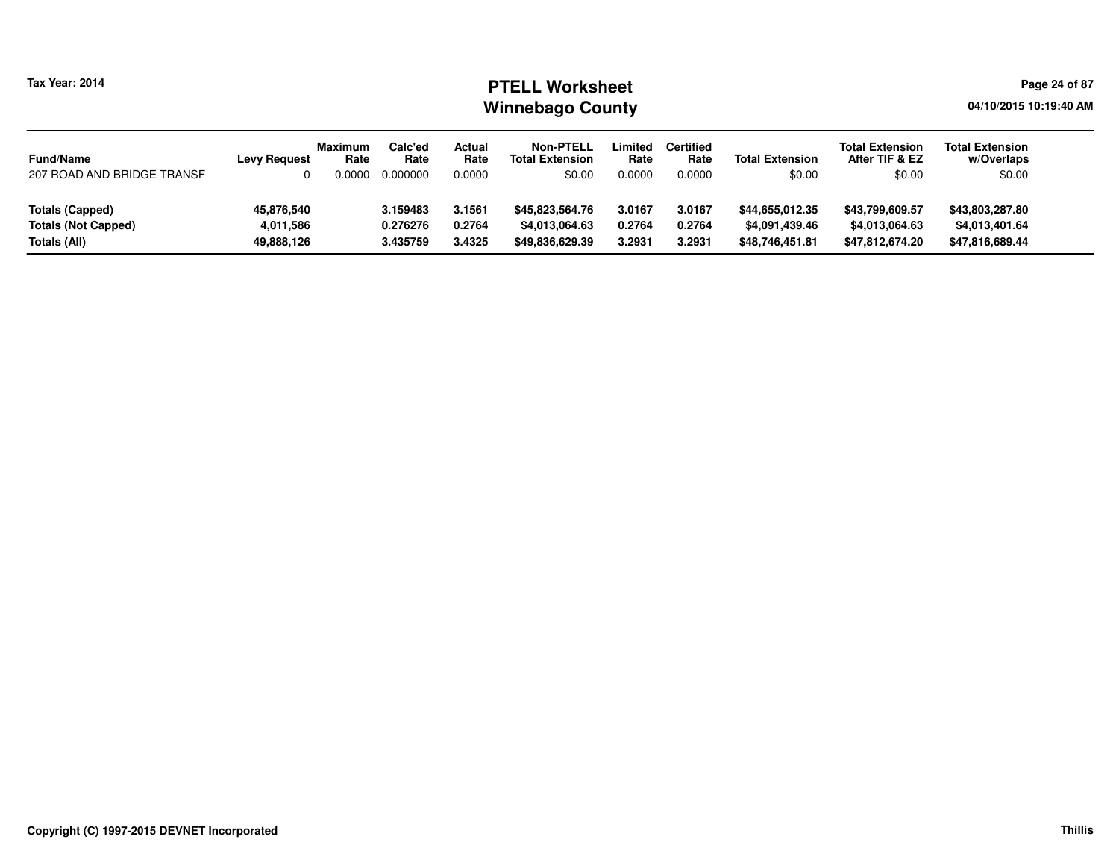#### **PTELL Worksheet Tax Year: 2014 Page 24 of 87 Page 24 of 87 Winnebago County**

**04/10/2015 10:19:40 AM**

| <b>Fund/Name</b>           | <b>Levy Request</b> | <b>Maximum</b><br>Rate | Calc'ed<br>Rate | Actual<br>Rate | <b>Non-PTELL</b><br><b>Total Extension</b> | Limited<br>Rate | <b>Certified</b><br>Rate | <b>Total Extension</b> | <b>Total Extension</b><br>After TIF & EZ | <b>Total Extension</b><br>w/Overlaps |
|----------------------------|---------------------|------------------------|-----------------|----------------|--------------------------------------------|-----------------|--------------------------|------------------------|------------------------------------------|--------------------------------------|
| 207 ROAD AND BRIDGE TRANSF |                     | 0.0000                 | 0.000000        | 0.0000         | \$0.00                                     | 0.0000          | 0.0000                   | \$0.00                 | \$0.00                                   | \$0.00                               |
|                            |                     |                        |                 |                |                                            |                 |                          |                        |                                          |                                      |
| <b>Totals (Capped)</b>     | 45,876,540          |                        | 3.159483        | 3.1561         | \$45,823,564.76                            | 3.0167          | 3.0167                   | \$44,655,012.35        | \$43,799,609.57                          | \$43,803,287.80                      |
| <b>Totals (Not Capped)</b> | 4,011,586           |                        | 0.276276        | 0.2764         | \$4,013,064.63                             | 0.2764          | 0.2764                   | \$4,091,439.46         | \$4,013,064.63                           | \$4,013,401.64                       |
| Totals (All)               | 49,888,126          |                        | 3.435759        | 3.4325         | \$49,836,629.39                            | 3.2931          | 3.2931                   | \$48,746,451.81        | \$47,812,674.20                          | \$47,816,689.44                      |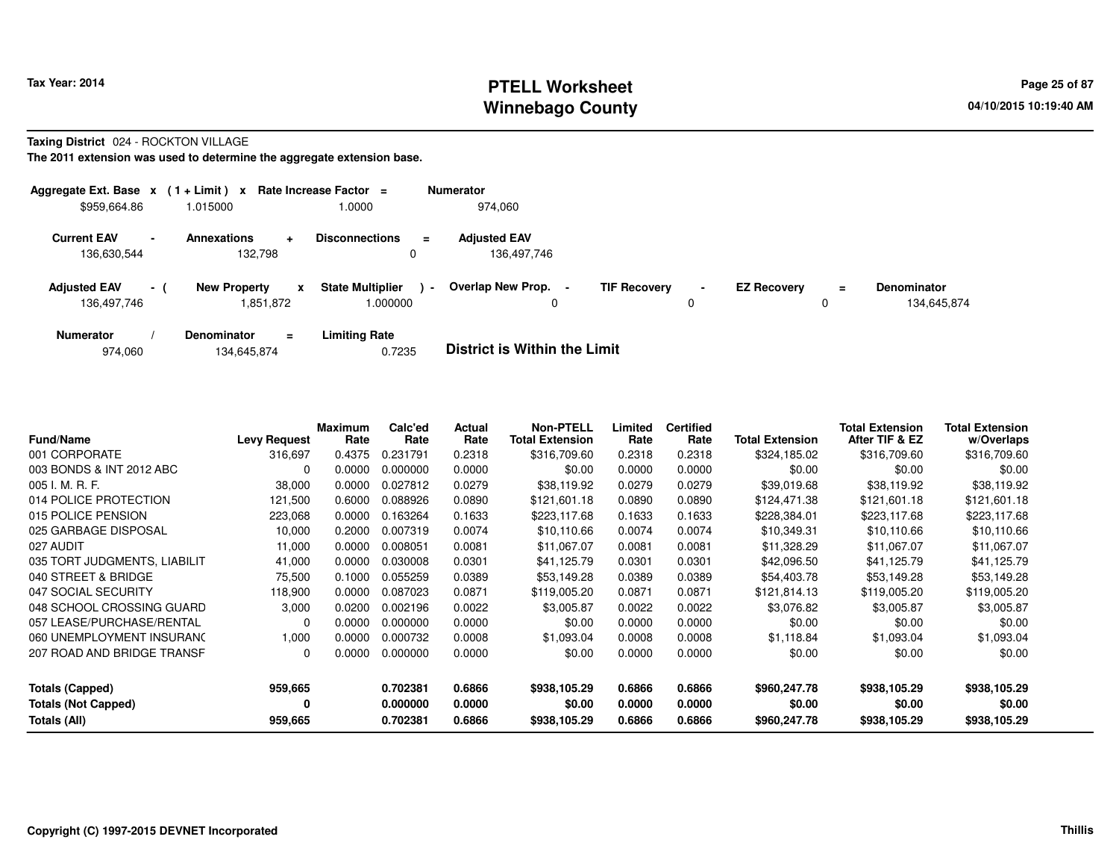## **PTELL Worksheet Tax Year: 2014 Page 25 of 87 Page 25 of 87 Winnebago County**

#### **Taxing District** 024 - ROCKTON VILLAGE

| Aggregate Ext. Base $x$ (1 + Limit) $x$ |                          |                                    | Rate Increase Factor =                   |                | <b>Numerator</b>                    |                     |                     |                    |          |                                   |
|-----------------------------------------|--------------------------|------------------------------------|------------------------------------------|----------------|-------------------------------------|---------------------|---------------------|--------------------|----------|-----------------------------------|
| \$959,664.86                            |                          | 1.015000                           | 1.0000                                   |                | 974.060                             |                     |                     |                    |          |                                   |
| <b>Current EAV</b><br>136,630,544       | $\overline{\phantom{a}}$ | <b>Annexations</b><br>÷<br>132,798 | <b>Disconnections</b><br>0               | $\equiv$       | <b>Adjusted EAV</b><br>136,497,746  |                     |                     |                    |          |                                   |
| <b>Adjusted EAV</b><br>136,497,746      | $\sim$                   | <b>New Property</b><br>1,851,872   | <b>State Multiplier</b><br>X<br>1.000000 | $\blacksquare$ | <b>Overlap New Prop.</b><br>0       | <b>TIF Recovery</b> | $\blacksquare$<br>0 | <b>EZ Recovery</b> | $\equiv$ | <b>Denominator</b><br>134.645.874 |
| <b>Numerator</b>                        |                          | <b>Denominator</b><br>$\equiv$     | <b>Limiting Rate</b>                     |                | _ _ _ _ _ _ _ _ _ _ _ _ _ _ _ _ _ _ |                     |                     |                    |          |                                   |

|  | 974,060 | 134,645,874 | 0.7235 | <b>District is Within the Limit</b> |
|--|---------|-------------|--------|-------------------------------------|
|--|---------|-------------|--------|-------------------------------------|

| <b>Fund/Name</b>             | <b>Levy Request</b> | <b>Maximum</b><br>Rate | Calc'ed<br>Rate | Actual<br>Rate | <b>Non-PTELL</b><br><b>Total Extension</b> | Limited<br>Rate | <b>Certified</b><br>Rate | <b>Total Extension</b> | <b>Total Extension</b><br>After TIF & EZ | <b>Total Extension</b><br>w/Overlaps |
|------------------------------|---------------------|------------------------|-----------------|----------------|--------------------------------------------|-----------------|--------------------------|------------------------|------------------------------------------|--------------------------------------|
| 001 CORPORATE                | 316,697             | 0.4375                 | 0.231791        | 0.2318         | \$316,709.60                               | 0.2318          | 0.2318                   | \$324,185.02           | \$316,709.60                             | \$316,709.60                         |
| 003 BONDS & INT 2012 ABC     | 0                   | 0.0000                 | 0.000000        | 0.0000         | \$0.00                                     | 0.0000          | 0.0000                   | \$0.00                 | \$0.00                                   | \$0.00                               |
| 005 I. M. R. F.              | 38,000              | 0.0000                 | 0.027812        | 0.0279         | \$38,119.92                                | 0.0279          | 0.0279                   | \$39,019.68            | \$38,119.92                              | \$38,119.92                          |
| 014 POLICE PROTECTION        | 121,500             | 0.6000                 | 0.088926        | 0.0890         | \$121,601.18                               | 0.0890          | 0.0890                   | \$124,471.38           | \$121,601.18                             | \$121,601.18                         |
| 015 POLICE PENSION           | 223,068             | 0.0000                 | 0.163264        | 0.1633         | \$223,117.68                               | 0.1633          | 0.1633                   | \$228,384.01           | \$223,117.68                             | \$223,117.68                         |
| 025 GARBAGE DISPOSAL         | 10,000              | 0.2000                 | 0.007319        | 0.0074         | \$10,110.66                                | 0.0074          | 0.0074                   | \$10,349.31            | \$10,110.66                              | \$10,110.66                          |
| 027 AUDIT                    | 11,000              | 0.0000                 | 0.008051        | 0.0081         | \$11,067.07                                | 0.0081          | 0.0081                   | \$11,328.29            | \$11,067.07                              | \$11,067.07                          |
| 035 TORT JUDGMENTS, LIABILIT | 41,000              | 0.0000                 | 0.030008        | 0.0301         | \$41,125.79                                | 0.0301          | 0.0301                   | \$42,096.50            | \$41,125.79                              | \$41,125.79                          |
| 040 STREET & BRIDGE          | 75,500              | 0.1000                 | 0.055259        | 0.0389         | \$53,149.28                                | 0.0389          | 0.0389                   | \$54,403.78            | \$53,149.28                              | \$53,149.28                          |
| 047 SOCIAL SECURITY          | 118,900             | 0.0000                 | 0.087023        | 0.0871         | \$119,005.20                               | 0.0871          | 0.0871                   | \$121,814.13           | \$119,005.20                             | \$119,005.20                         |
| 048 SCHOOL CROSSING GUARD    | 3.000               | 0.0200                 | 0.002196        | 0.0022         | \$3,005.87                                 | 0.0022          | 0.0022                   | \$3.076.82             | \$3,005.87                               | \$3,005.87                           |
| 057 LEASE/PURCHASE/RENTAL    | O                   | 0.0000                 | 0.000000        | 0.0000         | \$0.00                                     | 0.0000          | 0.0000                   | \$0.00                 | \$0.00                                   | \$0.00                               |
| 060 UNEMPLOYMENT INSURANC    | 1,000               | 0.0000                 | 0.000732        | 0.0008         | \$1,093.04                                 | 0.0008          | 0.0008                   | \$1,118.84             | \$1,093.04                               | \$1,093.04                           |
| 207 ROAD AND BRIDGE TRANSF   | 0                   | 0.0000                 | 0.000000        | 0.0000         | \$0.00                                     | 0.0000          | 0.0000                   | \$0.00                 | \$0.00                                   | \$0.00                               |
| <b>Totals (Capped)</b>       | 959,665             |                        | 0.702381        | 0.6866         | \$938,105.29                               | 0.6866          | 0.6866                   | \$960,247.78           | \$938,105.29                             | \$938,105.29                         |
| <b>Totals (Not Capped)</b>   | 0                   |                        | 0.000000        | 0.0000         | \$0.00                                     | 0.0000          | 0.0000                   | \$0.00                 | \$0.00                                   | \$0.00                               |
| Totals (All)                 | 959,665             |                        | 0.702381        | 0.6866         | \$938,105.29                               | 0.6866          | 0.6866                   | \$960,247.78           | \$938,105.29                             | \$938,105.29                         |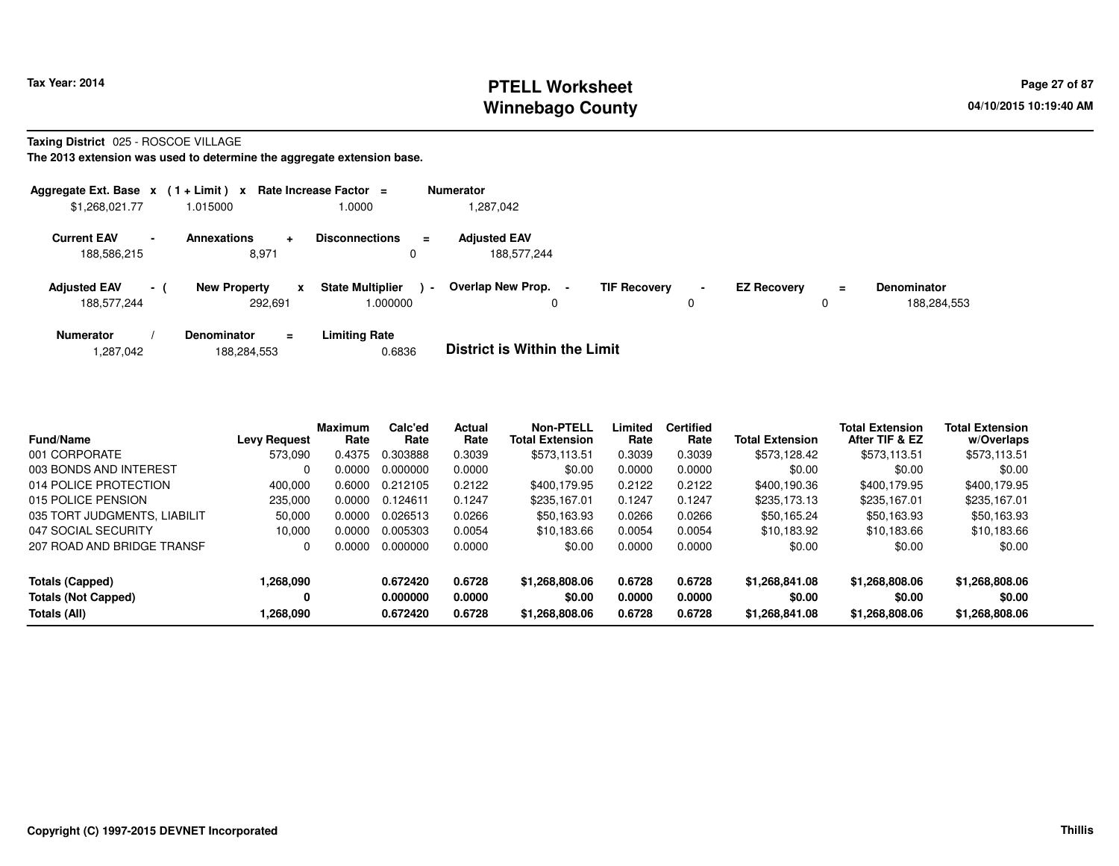# **PTELL Worksheet Tax Year: 2014 Page 27 of 87 Page 27 of 87 Winnebago County**

**Taxing District** 025 - ROSCOE VILLAGE

| Aggregate Ext. Base $x$ (1 + Limit) $x$ |                |                                     | Rate Increase Factor =                        | <b>Numerator</b>                                                                                                                                   |
|-----------------------------------------|----------------|-------------------------------------|-----------------------------------------------|----------------------------------------------------------------------------------------------------------------------------------------------------|
| \$1,268,021.77                          |                | 1.015000                            | 1.0000                                        | 1,287,042                                                                                                                                          |
| <b>Current EAV</b><br>188,586,215       | $\blacksquare$ | Annexations<br>÷<br>8,971           | <b>Disconnections</b><br>$\equiv$<br>0        | <b>Adjusted EAV</b><br>188.577.244                                                                                                                 |
| <b>Adjusted EAV</b><br>188,577,244      | - (            | <b>New Property</b><br>X<br>292.691 | <b>State Multiplier</b><br>$\sim$<br>1.000000 | Overlap New Prop.<br><b>TIF Recovery</b><br><b>EZ Recovery</b><br><b>Denominator</b><br>$\blacksquare$<br>$\equiv$<br>188,284,553<br>0<br>$\Omega$ |
| <b>Numerator</b><br>,287,042            |                | Denominator<br>$=$<br>188.284.553   | <b>Limiting Rate</b><br>0.6836                | <b>District is Within the Limit</b>                                                                                                                |

| <b>Fund/Name</b>             | <b>Levy Request</b> | <b>Maximum</b><br>Rate | Calc'ed<br>Rate | Actual<br>Rate | Non-PTELL<br><b>Total Extension</b> | Limited<br>Rate | <b>Certified</b><br>Rate | <b>Total Extension</b> | <b>Total Extension</b><br>After TIF & EZ | <b>Total Extension</b><br>w/Overlaps |
|------------------------------|---------------------|------------------------|-----------------|----------------|-------------------------------------|-----------------|--------------------------|------------------------|------------------------------------------|--------------------------------------|
| 001 CORPORATE                | 573.090             | 0.4375                 | 0.303888        | 0.3039         | \$573,113.51                        | 0.3039          | 0.3039                   | \$573.128.42           | \$573,113.51                             | \$573,113.51                         |
| 003 BONDS AND INTEREST       |                     | 0.0000                 | 0.000000        | 0.0000         | \$0.00                              | 0.0000          | 0.0000                   | \$0.00                 | \$0.00                                   | \$0.00                               |
| 014 POLICE PROTECTION        | 400.000             | 0.6000                 | 0.212105        | 0.2122         | \$400.179.95                        | 0.2122          | 0.2122                   | \$400.190.36           | \$400.179.95                             | \$400,179.95                         |
| 015 POLICE PENSION           | 235,000             | 0.0000                 | 0.124611        | 0.1247         | \$235.167.01                        | 0.1247          | 0.1247                   | \$235,173.13           | \$235,167.01                             | \$235.167.01                         |
| 035 TORT JUDGMENTS, LIABILIT | 50,000              | 0.0000                 | 0.026513        | 0.0266         | \$50,163.93                         | 0.0266          | 0.0266                   | \$50,165.24            | \$50,163.93                              | \$50,163.93                          |
| 047 SOCIAL SECURITY          | 10.000              | 0.0000                 | 0.005303        | 0.0054         | \$10.183.66                         | 0.0054          | 0.0054                   | \$10.183.92            | \$10.183.66                              | \$10,183.66                          |
| 207 ROAD AND BRIDGE TRANSF   | 0                   | 0.0000                 | 0.000000        | 0.0000         | \$0.00                              | 0.0000          | 0.0000                   | \$0.00                 | \$0.00                                   | \$0.00                               |
| Totals (Capped)              | 1,268,090           |                        | 0.672420        | 0.6728         | \$1,268,808.06                      | 0.6728          | 0.6728                   | \$1,268,841.08         | \$1,268,808.06                           | \$1,268,808.06                       |
| <b>Totals (Not Capped)</b>   | 0                   |                        | 0.000000        | 0.0000         | \$0.00                              | 0.0000          | 0.0000                   | \$0.00                 | \$0.00                                   | \$0.00                               |
| Totals (All)                 | 1,268,090           |                        | 0.672420        | 0.6728         | \$1,268,808.06                      | 0.6728          | 0.6728                   | \$1,268,841.08         | \$1,268,808.06                           | \$1,268,808.06                       |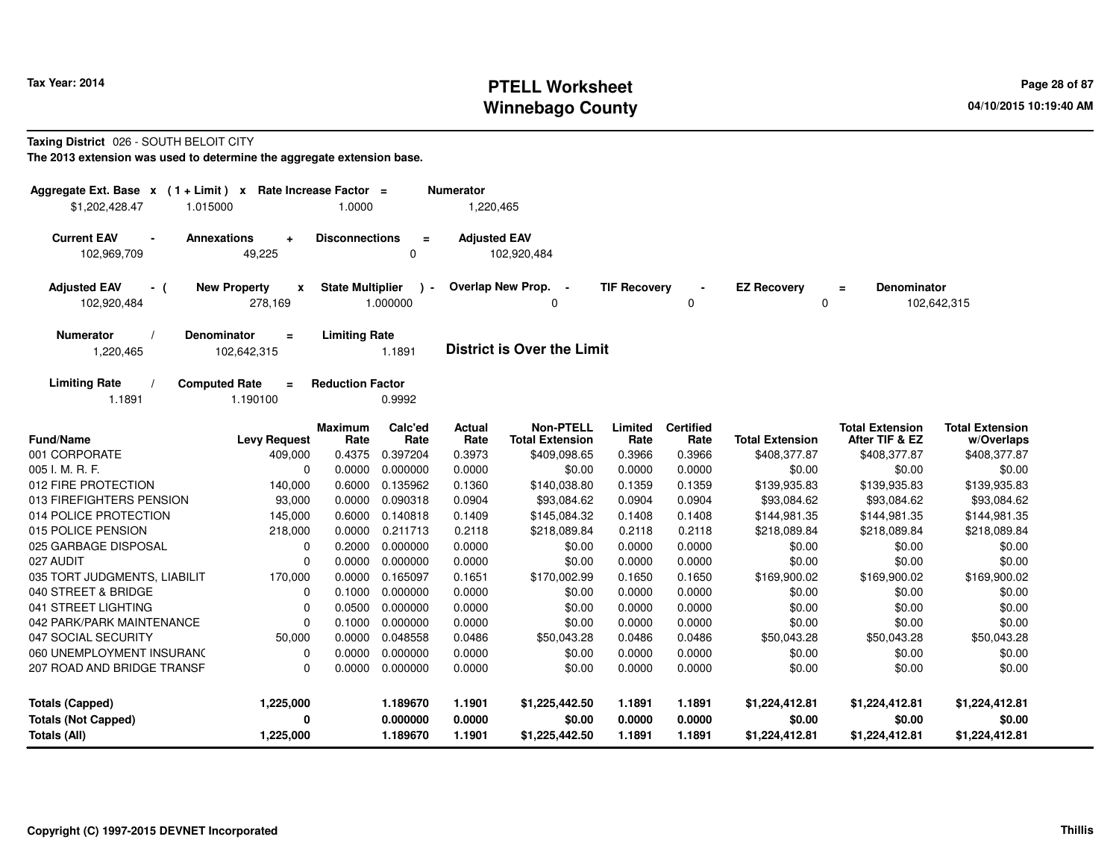## **PTELL Worksheet Tax Year: 2014 Page 28 of 87 Page 28 of 87 Winnebago County**

#### **Taxing District** 026 - SOUTH BELOIT CITY

| Aggregate Ext. Base $x$ (1 + Limit) x Rate Increase Factor =<br>\$1,202,428.47<br>1.015000 |                                                | 1.0000                  |                           | <b>Numerator</b><br>1,220,465 |                                            |                     |                          |                         |                                          |                                      |
|--------------------------------------------------------------------------------------------|------------------------------------------------|-------------------------|---------------------------|-------------------------------|--------------------------------------------|---------------------|--------------------------|-------------------------|------------------------------------------|--------------------------------------|
| <b>Current EAV</b><br>$\blacksquare$                                                       | <b>Annexations</b><br>$\ddot{}$                | <b>Disconnections</b>   | $\equiv$                  | <b>Adjusted EAV</b>           |                                            |                     |                          |                         |                                          |                                      |
| 102,969,709                                                                                | 49,225                                         |                         | $\Omega$                  |                               | 102,920,484                                |                     |                          |                         |                                          |                                      |
| <b>Adjusted EAV</b><br>- (<br>102,920,484                                                  | <b>New Property</b><br>$\mathbf{x}$<br>278,169 | <b>State Multiplier</b> | $\rightarrow$<br>1.000000 |                               | Overlap New Prop. -<br>0                   | <b>TIF Recovery</b> | 0                        | <b>EZ Recovery</b><br>0 | <b>Denominator</b><br>$\equiv$           | 102,642,315                          |
| <b>Numerator</b><br>1,220,465                                                              | <b>Denominator</b><br>$\equiv$<br>102,642,315  | <b>Limiting Rate</b>    | 1.1891                    |                               | <b>District is Over the Limit</b>          |                     |                          |                         |                                          |                                      |
| <b>Limiting Rate</b><br>1.1891                                                             | <b>Computed Rate</b><br>Ξ<br>1.190100          | <b>Reduction Factor</b> | 0.9992                    |                               |                                            |                     |                          |                         |                                          |                                      |
| <b>Fund/Name</b>                                                                           | <b>Levy Request</b>                            | <b>Maximum</b><br>Rate  | Calc'ed<br>Rate           | <b>Actual</b><br>Rate         | <b>Non-PTELL</b><br><b>Total Extension</b> | Limited<br>Rate     | <b>Certified</b><br>Rate | <b>Total Extension</b>  | <b>Total Extension</b><br>After TIF & EZ | <b>Total Extension</b><br>w/Overlaps |
| 001 CORPORATE                                                                              | 409,000                                        | 0.4375                  | 0.397204                  | 0.3973                        | \$409,098.65                               | 0.3966              | 0.3966                   | \$408,377.87            | \$408,377.87                             | \$408,377.87                         |
| 005 I. M. R. F.                                                                            | $\mathbf 0$                                    | 0.0000                  | 0.000000                  | 0.0000                        | \$0.00                                     | 0.0000              | 0.0000                   | \$0.00                  | \$0.00                                   | \$0.00                               |
| 012 FIRE PROTECTION                                                                        | 140,000                                        | 0.6000                  | 0.135962                  | 0.1360                        | \$140,038.80                               | 0.1359              | 0.1359                   | \$139,935.83            | \$139,935.83                             | \$139,935.83                         |
| 013 FIREFIGHTERS PENSION                                                                   | 93,000                                         | 0.0000                  | 0.090318                  | 0.0904                        | \$93,084.62                                | 0.0904              | 0.0904                   | \$93,084.62             | \$93,084.62                              | \$93,084.62                          |
| 014 POLICE PROTECTION                                                                      | 145,000                                        | 0.6000                  | 0.140818                  | 0.1409                        | \$145,084.32                               | 0.1408              | 0.1408                   | \$144,981.35            | \$144,981.35                             | \$144,981.35                         |
| 015 POLICE PENSION                                                                         | 218,000                                        | 0.0000                  | 0.211713                  | 0.2118                        | \$218,089.84                               | 0.2118              | 0.2118                   | \$218,089.84            | \$218,089.84                             | \$218,089.84                         |
| 025 GARBAGE DISPOSAL                                                                       | 0                                              | 0.2000                  | 0.000000                  | 0.0000                        | \$0.00                                     | 0.0000              | 0.0000                   | \$0.00                  | \$0.00                                   | \$0.00                               |
| 027 AUDIT                                                                                  | $\Omega$                                       | 0.0000                  | 0.000000                  | 0.0000                        | \$0.00                                     | 0.0000              | 0.0000                   | \$0.00                  | \$0.00                                   | \$0.00                               |
| 035 TORT JUDGMENTS, LIABILIT                                                               | 170,000                                        | 0.0000                  | 0.165097                  | 0.1651                        | \$170,002.99                               | 0.1650              | 0.1650                   | \$169,900.02            | \$169,900.02                             | \$169,900.02                         |
| 040 STREET & BRIDGE                                                                        | $\mathbf 0$                                    | 0.1000                  | 0.000000                  | 0.0000                        | \$0.00                                     | 0.0000              | 0.0000                   | \$0.00                  | \$0.00                                   | \$0.00                               |
| 041 STREET LIGHTING                                                                        | $\mathbf 0$                                    | 0.0500                  | 0.000000                  | 0.0000                        | \$0.00                                     | 0.0000              | 0.0000                   | \$0.00                  | \$0.00                                   | \$0.00                               |
| 042 PARK/PARK MAINTENANCE                                                                  | $\mathbf 0$                                    | 0.1000                  | 0.000000                  | 0.0000                        | \$0.00                                     | 0.0000              | 0.0000                   | \$0.00                  | \$0.00                                   | \$0.00                               |
| 047 SOCIAL SECURITY                                                                        | 50,000                                         | 0.0000                  | 0.048558                  | 0.0486                        | \$50,043.28                                | 0.0486              | 0.0486                   | \$50,043.28             | \$50,043.28                              | \$50,043.28                          |
| 060 UNEMPLOYMENT INSURANC                                                                  | $\mathbf 0$                                    | 0.0000                  | 0.000000                  | 0.0000                        | \$0.00                                     | 0.0000              | 0.0000                   | \$0.00                  | \$0.00                                   | \$0.00                               |
| 207 ROAD AND BRIDGE TRANSF                                                                 | $\mathbf 0$                                    | 0.0000                  | 0.000000                  | 0.0000                        | \$0.00                                     | 0.0000              | 0.0000                   | \$0.00                  | \$0.00                                   | \$0.00                               |
| <b>Totals (Capped)</b>                                                                     | 1,225,000                                      |                         | 1.189670                  | 1.1901                        | \$1,225,442.50                             | 1.1891              | 1.1891                   | \$1,224,412.81          | \$1,224,412.81                           | \$1,224,412.81                       |
| <b>Totals (Not Capped)</b>                                                                 | 0                                              |                         | 0.000000                  | 0.0000                        | \$0.00                                     | 0.0000              | 0.0000                   | \$0.00                  | \$0.00                                   | \$0.00                               |
| Totals (All)                                                                               | 1,225,000                                      |                         | 1.189670                  | 1.1901                        | \$1,225,442.50                             | 1.1891              | 1.1891                   | \$1,224,412.81          | \$1,224,412.81                           | \$1,224,412.81                       |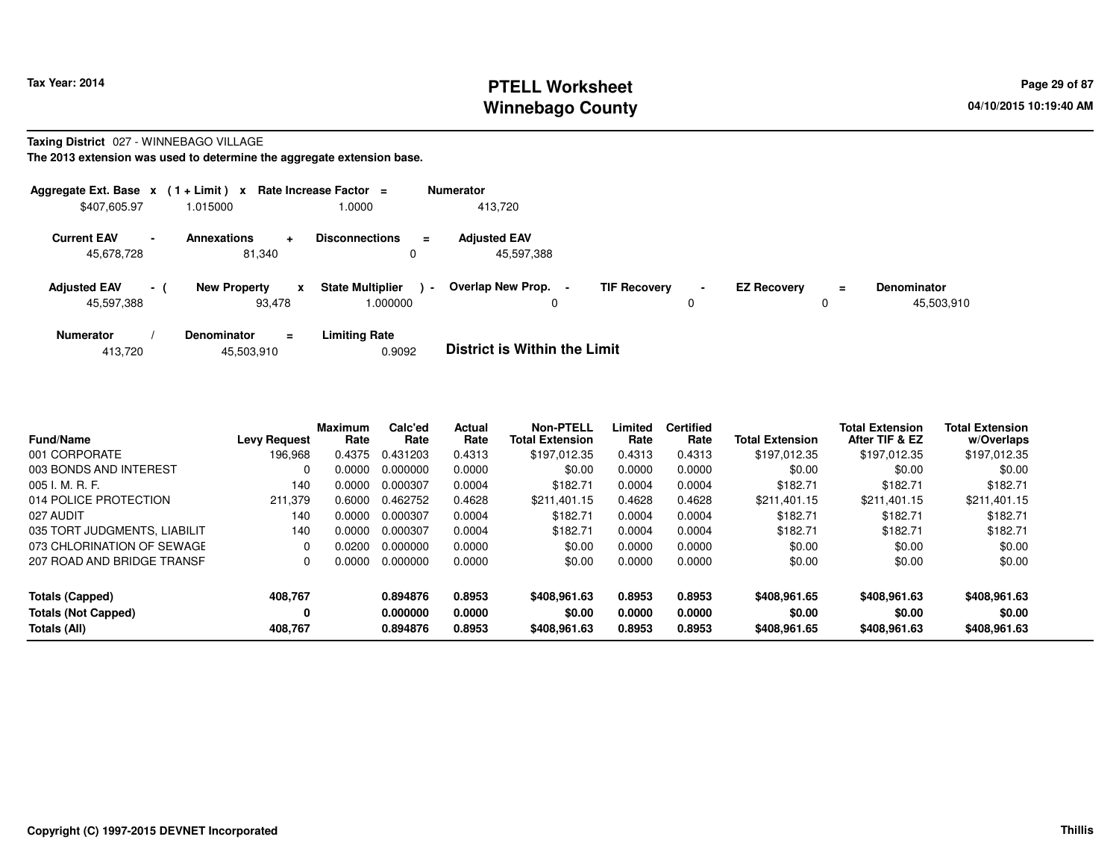### **PTELL Worksheet Tax Year: 2014 Page 29 of 87 Page 29 of 87 Winnebago County**

#### **Taxing District** 027 - WINNEBAGO VILLAGE

|                                   |      | Aggregate Ext. Base $x$ (1+Limit) x Rate Increase Factor = |                                               | <b>Numerator</b>                                                                                                                     |
|-----------------------------------|------|------------------------------------------------------------|-----------------------------------------------|--------------------------------------------------------------------------------------------------------------------------------------|
| \$407,605.97                      |      | 1.015000                                                   | 1.0000                                        | 413.720                                                                                                                              |
| <b>Current EAV</b><br>45,678,728  |      | Annexations<br>$\ddot{}$<br>81.340                         | <b>Disconnections</b><br>$\equiv$<br>0        | <b>Adjusted EAV</b><br>45,597,388                                                                                                    |
| <b>Adjusted EAV</b><br>45,597,388 | $-1$ | <b>New Property</b><br>X<br>93.478                         | <b>State Multiplier</b><br>$\sim$<br>000000.1 | Overlap New Prop.<br><b>TIF Recovery</b><br><b>EZ Recovery</b><br><b>Denominator</b><br>$\blacksquare$<br>Ξ.<br>45,503,910<br>0<br>0 |
| <b>Numerator</b><br>413,720       |      | Denominator<br>$\equiv$<br>45,503,910                      | <b>Limiting Rate</b><br>0.9092                | <b>District is Within the Limit</b>                                                                                                  |

| <b>Fund/Name</b>             | <b>Levy Request</b> | Maximum<br>Rate | Calc'ed<br>Rate | Actual<br>Rate | <b>Non-PTELL</b><br><b>Total Extension</b> | Limited<br>Rate | <b>Certified</b><br>Rate | <b>Total Extension</b> | <b>Total Extension</b><br>After TIF & EZ | <b>Total Extension</b><br>w/Overlaps |
|------------------------------|---------------------|-----------------|-----------------|----------------|--------------------------------------------|-----------------|--------------------------|------------------------|------------------------------------------|--------------------------------------|
| 001 CORPORATE                | 196.968             | 0.4375          | 0.431203        | 0.4313         | \$197.012.35                               | 0.4313          | 0.4313                   | \$197.012.35           | \$197.012.35                             | \$197,012.35                         |
| 003 BONDS AND INTEREST       | 0                   | 0.0000          | 0.000000        | 0.0000         | \$0.00                                     | 0.0000          | 0.0000                   | \$0.00                 | \$0.00                                   | \$0.00                               |
| 005 I. M. R. F.              | 140                 | 0.0000          | 0.000307        | 0.0004         | \$182.71                                   | 0.0004          | 0.0004                   | \$182.71               | \$182.71                                 | \$182.71                             |
| 014 POLICE PROTECTION        | 211.379             | 0.6000          | 0.462752        | 0.4628         | \$211.401.15                               | 0.4628          | 0.4628                   | \$211.401.15           | \$211.401.15                             | \$211.401.15                         |
| 027 AUDIT                    | 140                 | 0.0000          | 0.000307        | 0.0004         | \$182.71                                   | 0.0004          | 0.0004                   | \$182.71               | \$182.71                                 | \$182.71                             |
| 035 TORT JUDGMENTS, LIABILIT | 140                 | 0.0000          | 0.000307        | 0.0004         | \$182.71                                   | 0.0004          | 0.0004                   | \$182.71               | \$182.71                                 | \$182.71                             |
| 073 CHLORINATION OF SEWAGE   | 0                   | 0.0200          | 0.000000        | 0.0000         | \$0.00                                     | 0.0000          | 0.0000                   | \$0.00                 | \$0.00                                   | \$0.00                               |
| 207 ROAD AND BRIDGE TRANSF   | 0                   | 0.0000          | 0.000000        | 0.0000         | \$0.00                                     | 0.0000          | 0.0000                   | \$0.00                 | \$0.00                                   | \$0.00                               |
| Totals (Capped)              | 408.767             |                 | 0.894876        | 0.8953         | \$408.961.63                               | 0.8953          | 0.8953                   | \$408,961.65           | \$408,961,63                             | \$408,961.63                         |
| <b>Totals (Not Capped)</b>   | 0                   |                 | 0.000000        | 0.0000         | \$0.00                                     | 0.0000          | 0.0000                   | \$0.00                 | \$0.00                                   | \$0.00                               |
| Totals (All)                 | 408.767             |                 | 0.894876        | 0.8953         | \$408,961.63                               | 0.8953          | 0.8953                   | \$408,961.65           | \$408,961,63                             | \$408,961.63                         |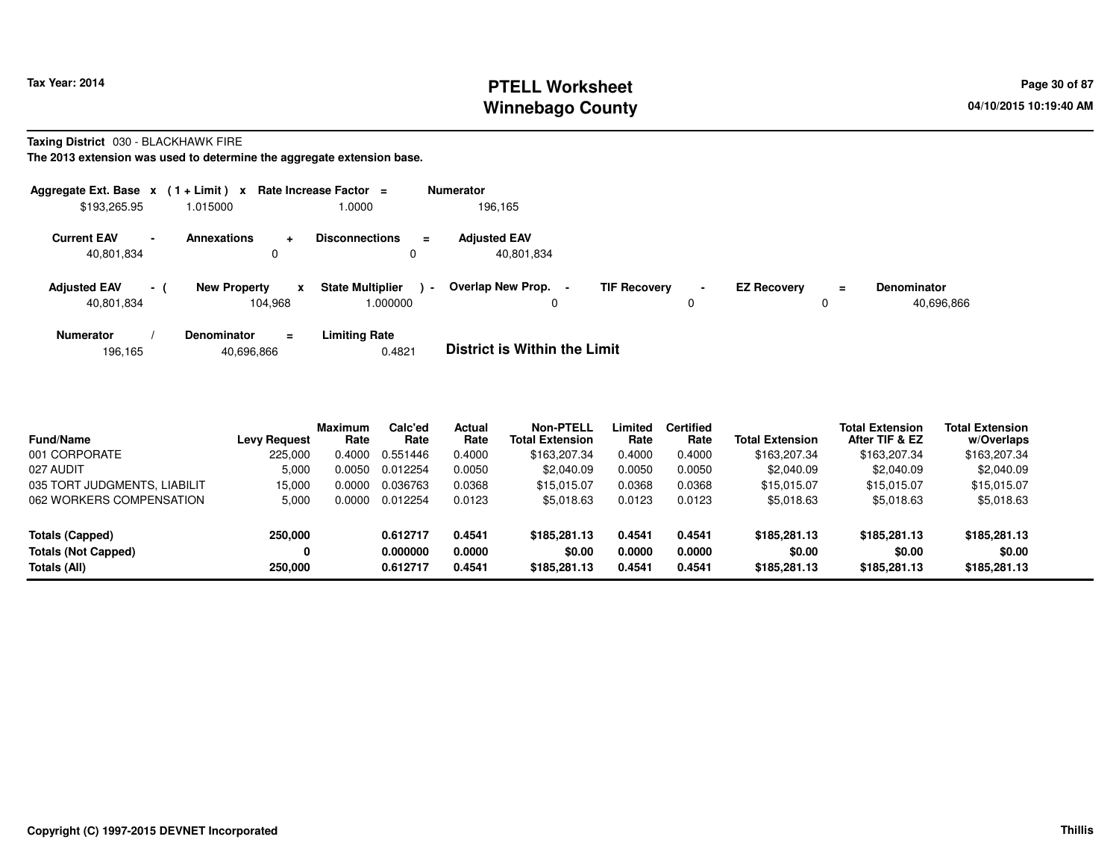# **PTELL Worksheet Tax Year: 2014 Page 30 of 87 Page 30 of 87 Winnebago County**

**Taxing District** 030 - BLACKHAWK FIRE

**The 2013 extension was used to determine the aggregate extension base.**

| Aggregate Ext. Base $x$ (1 + Limit) x Rate Increase Factor = |                |                                |                |                                    |                | <b>Numerator</b>                    |                     |                |                    |    |                                  |
|--------------------------------------------------------------|----------------|--------------------------------|----------------|------------------------------------|----------------|-------------------------------------|---------------------|----------------|--------------------|----|----------------------------------|
| \$193,265.95                                                 |                | 1.015000                       |                | 1.0000                             |                | 196.165                             |                     |                |                    |    |                                  |
| <b>Current EAV</b><br>40,801,834                             | $\blacksquare$ | <b>Annexations</b>             | $\ddot{}$<br>0 | <b>Disconnections</b>              | $\equiv$       | <b>Adjusted EAV</b><br>40,801,834   |                     |                |                    |    |                                  |
| <b>Adjusted EAV</b><br>40,801,834                            | $-1$           | <b>New Property</b><br>104.968 | x              | <b>State Multiplier</b><br>000000. | $\blacksquare$ | Overlap New Prop.                   | <b>TIF Recovery</b> | $\blacksquare$ | <b>EZ Recovery</b> | Ξ. | <b>Denominator</b><br>40,696,866 |
| <b>Numerator</b>                                             |                | <b>Denominator</b>             | $=$            | <b>Limiting Rate</b>               |                | _ _ _ _ _ _ _ _ _ _ _ _ _ _ _ _ _ _ |                     |                |                    |    |                                  |

196,16540,696,866 0.4821 **District is Within the Limit**

| <b>Fund/Name</b>             | <b>Levy Request</b> | <b>Maximum</b><br>Rate | Calc'ed<br>Rate | Actual<br>Rate | <b>Non-PTELL</b><br><b>Total Extension</b> | Limited<br>Rate | <b>Certified</b><br>Rate | <b>Total Extension</b> | <b>Total Extension</b><br>After TIF & EZ | <b>Total Extension</b><br>w/Overlaps |
|------------------------------|---------------------|------------------------|-----------------|----------------|--------------------------------------------|-----------------|--------------------------|------------------------|------------------------------------------|--------------------------------------|
| 001 CORPORATE                | 225.000             | 0.4000                 | 0.551446        | 0.4000         | \$163,207.34                               | 0.4000          | 0.4000                   | \$163,207.34           | \$163,207.34                             | \$163,207.34                         |
| 027 AUDIT                    | 5,000               | 0.0050                 | 0.012254        | 0.0050         | \$2,040.09                                 | 0.0050          | 0.0050                   | \$2,040.09             | \$2,040.09                               | \$2,040.09                           |
| 035 TORT JUDGMENTS, LIABILIT | 15.000              | 0.0000                 | 0.036763        | 0.0368         | \$15.015.07                                | 0.0368          | 0.0368                   | \$15,015,07            | \$15.015.07                              | \$15,015.07                          |
| 062 WORKERS COMPENSATION     | 5,000               | 0.0000                 | 0.012254        | 0.0123         | \$5,018.63                                 | 0.0123          | 0.0123                   | \$5,018.63             | \$5,018.63                               | \$5,018.63                           |
| Totals (Capped)              | 250,000             |                        | 0.612717        | 0.4541         | \$185,281.13                               | 0.4541          | 0.4541                   | \$185,281.13           | \$185,281.13                             | \$185,281.13                         |
| <b>Totals (Not Capped)</b>   | 0                   |                        | 0.000000        | 0.0000         | \$0.00                                     | 0.0000          | 0.0000                   | \$0.00                 | \$0.00                                   | \$0.00                               |
| Totals (All)                 | 250,000             |                        | 0.612717        | 0.4541         | \$185,281.13                               | 0.4541          | 0.4541                   | \$185,281.13           | \$185,281.13                             | \$185,281.13                         |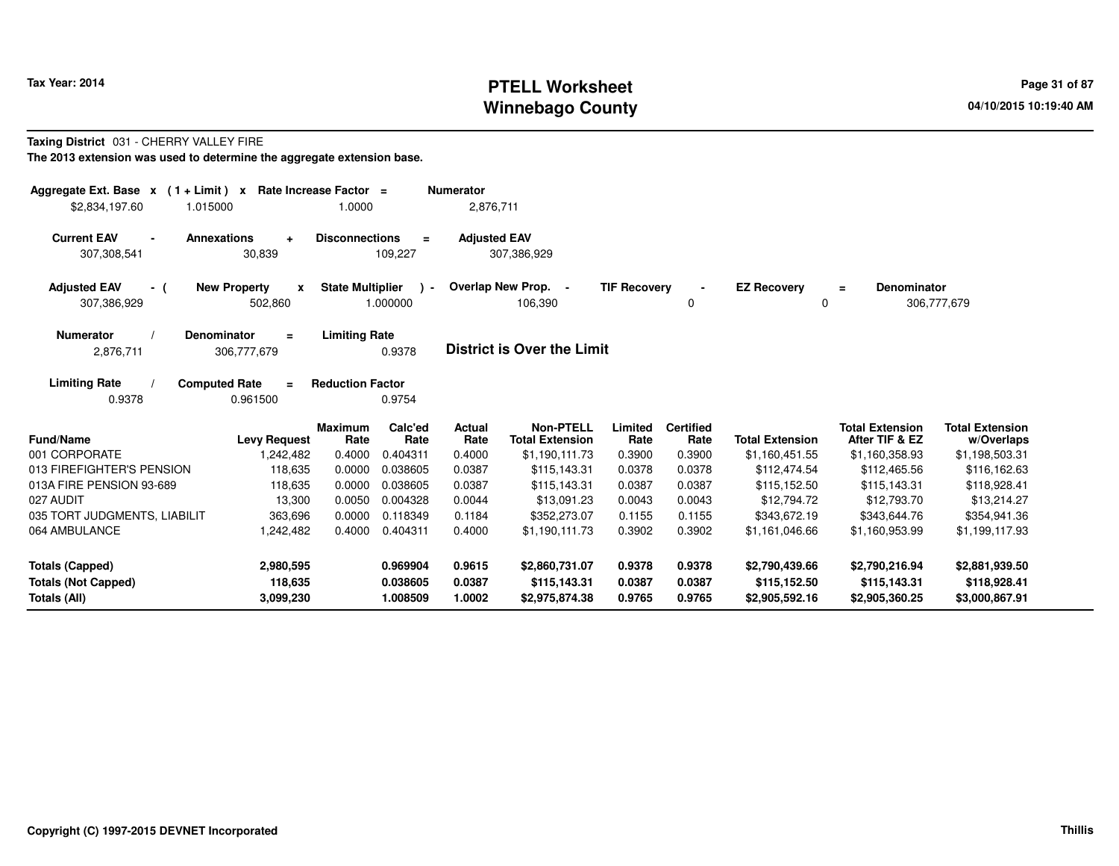# **PTELL Worksheet Tax Year: 2014 Page 31 of 87 Page 31 of 87 Page 31 of 87 Winnebago County**

#### **Taxing District** 031 - CHERRY VALLEY FIRE

| Aggregate Ext. Base $x$ (1 + Limit) $x$<br>\$2,834,197.60<br>1.015000       |                                                    | Rate Increase Factor =<br>1.0000 |                                  | <b>Numerator</b><br>2,876,711 |                                                              |                            |                                    |                                                  |                                                            |                                                        |
|-----------------------------------------------------------------------------|----------------------------------------------------|----------------------------------|----------------------------------|-------------------------------|--------------------------------------------------------------|----------------------------|------------------------------------|--------------------------------------------------|------------------------------------------------------------|--------------------------------------------------------|
| <b>Current EAV</b><br>$\sim$<br>307,308,541                                 | <b>Annexations</b><br>$\ddot{}$<br>30,839          | <b>Disconnections</b>            | $\equiv$<br>109,227              | <b>Adjusted EAV</b>           | 307,386,929                                                  |                            |                                    |                                                  |                                                            |                                                        |
| <b>Adjusted EAV</b><br>- (<br>307,386,929                                   | <b>New Property</b><br>$\boldsymbol{x}$<br>502,860 | <b>State Multiplier</b>          | $\rightarrow$<br>1.000000        |                               | Overlap New Prop. -<br>106,390                               | <b>TIF Recovery</b>        | 0                                  | <b>EZ Recovery</b><br>0                          | <b>Denominator</b><br>$\equiv$                             | 306,777,679                                            |
| <b>Numerator</b><br>2,876,711                                               | <b>Denominator</b><br>$\equiv$<br>306,777,679      | <b>Limiting Rate</b>             | 0.9378                           |                               | <b>District is Over the Limit</b>                            |                            |                                    |                                                  |                                                            |                                                        |
| <b>Limiting Rate</b><br>0.9378                                              | <b>Computed Rate</b><br>$\equiv$<br>0.961500       | <b>Reduction Factor</b>          | 0.9754                           |                               |                                                              |                            |                                    |                                                  |                                                            |                                                        |
| <b>Fund/Name</b><br>001 CORPORATE                                           | <b>Levy Request</b><br>1,242,482                   | <b>Maximum</b><br>Rate<br>0.4000 | Calc'ed<br>Rate<br>0.404311      | Actual<br>Rate<br>0.4000      | <b>Non-PTELL</b><br><b>Total Extension</b><br>\$1,190,111.73 | Limited<br>Rate<br>0.3900  | <b>Certified</b><br>Rate<br>0.3900 | <b>Total Extension</b><br>\$1,160,451.55         | <b>Total Extension</b><br>After TIF & EZ<br>\$1,160,358.93 | <b>Total Extension</b><br>w/Overlaps<br>\$1,198,503.31 |
| 013 FIREFIGHTER'S PENSION                                                   | 118,635                                            | 0.0000                           | 0.038605                         | 0.0387                        | \$115,143.31                                                 | 0.0378                     | 0.0378                             | \$112,474.54                                     | \$112,465.56                                               | \$116,162.63                                           |
| 013A FIRE PENSION 93-689<br>027 AUDIT<br>035 TORT JUDGMENTS, LIABILIT       | 118,635<br>13,300                                  | 0.0000<br>0.0050                 | 0.038605<br>0.004328             | 0.0387<br>0.0044              | \$115,143.31<br>\$13.091.23                                  | 0.0387<br>0.0043           | 0.0387<br>0.0043<br>0.1155         | \$115,152.50<br>\$12.794.72                      | \$115,143.31<br>\$12,793.70                                | \$118,928.41<br>\$13,214.27                            |
| 064 AMBULANCE                                                               | 363,696<br>1,242,482                               | 0.0000<br>0.4000                 | 0.118349<br>0.404311             | 0.1184<br>0.4000              | \$352,273.07<br>\$1,190,111.73                               | 0.1155<br>0.3902           | 0.3902                             | \$343,672.19<br>\$1,161,046.66                   | \$343,644.76<br>\$1,160,953.99                             | \$354,941.36<br>\$1,199,117.93                         |
| <b>Totals (Capped)</b><br><b>Totals (Not Capped)</b><br><b>Totals (All)</b> | 2,980,595<br>118,635<br>3,099,230                  |                                  | 0.969904<br>0.038605<br>1.008509 | 0.9615<br>0.0387<br>1.0002    | \$2,860,731.07<br>\$115,143.31<br>\$2,975,874.38             | 0.9378<br>0.0387<br>0.9765 | 0.9378<br>0.0387<br>0.9765         | \$2,790,439.66<br>\$115,152.50<br>\$2,905,592.16 | \$2,790,216.94<br>\$115,143.31<br>\$2,905,360.25           | \$2,881,939.50<br>\$118,928.41<br>\$3,000,867.91       |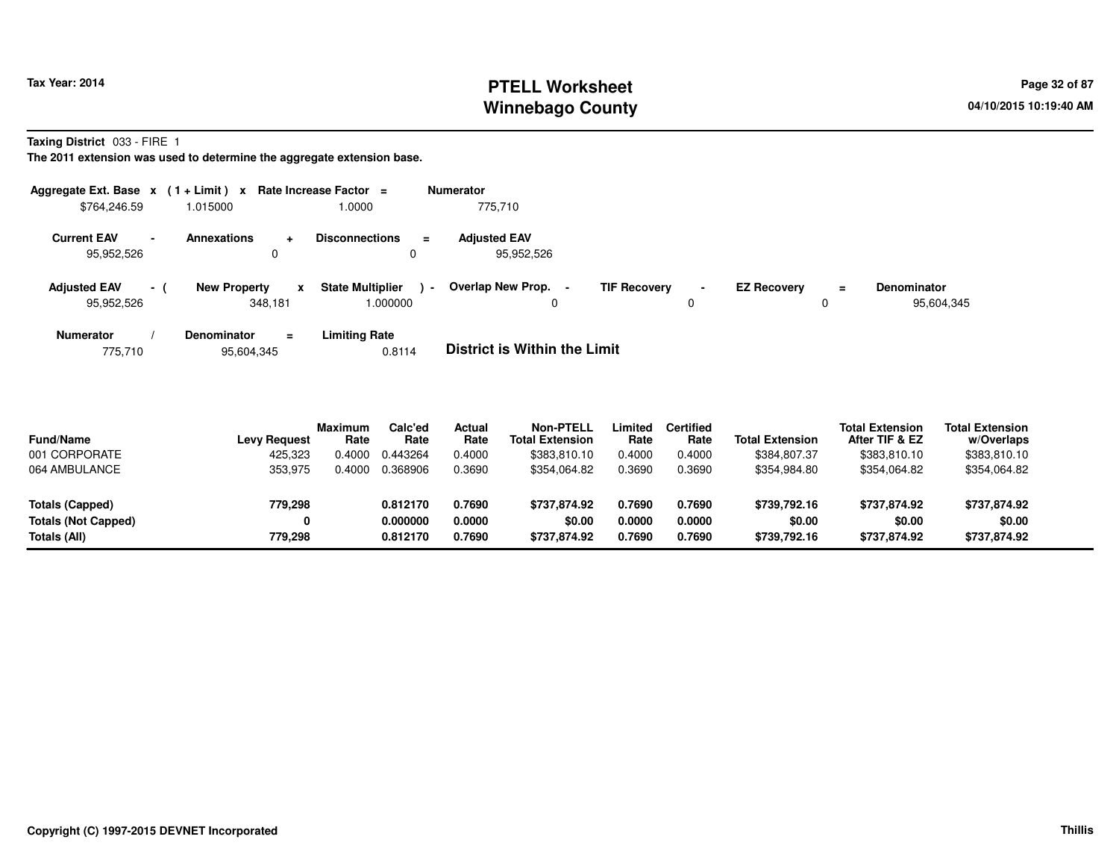# **PTELL Worksheet Tax Year: 2014 Page 32 of 87 Page 32 of 87 Winnebago County**

**Taxing District** 033 - FIRE 1

**The 2011 extension was used to determine the aggregate extension base.**

| Aggregate Ext. Base $x$ (1+Limit) $x$ |                          |                                        | Rate Increase Factor $=$                      | <b>Numerator</b>                  |                     |                               |                    |          |                                  |
|---------------------------------------|--------------------------|----------------------------------------|-----------------------------------------------|-----------------------------------|---------------------|-------------------------------|--------------------|----------|----------------------------------|
| \$764,246.59                          |                          | 1.015000                               | 1.0000                                        | 775.710                           |                     |                               |                    |          |                                  |
| <b>Current EAV</b><br>95,952,526      | $\overline{\phantom{a}}$ | <b>Annexations</b><br>$\ddotmark$<br>0 | <b>Disconnections</b><br>$\equiv$<br>0        | <b>Adiusted EAV</b><br>95,952,526 |                     |                               |                    |          |                                  |
| <b>Adjusted EAV</b><br>95,952,526     | $\sim$ 1                 | <b>New Property</b><br>x<br>348.181    | <b>State Multiplier</b><br>$\sim$<br>1.000000 | Overlap New Prop.<br>0            | <b>TIF Recovery</b> | $\overline{\phantom{0}}$<br>0 | <b>EZ Recovery</b> | $=$<br>0 | <b>Denominator</b><br>95,604,345 |
| <b>Numerator</b>                      |                          | <b>Denominator</b><br>$\equiv$         | <b>Limiting Rate</b>                          | _ _ _ _ _ _ _ _ _ _ _ _ _ _ _ _ _ |                     |                               |                    |          |                                  |

775,71095,604,345 0.8114 **District is Within the Limit**

| <b>Fund/Name</b><br>001 CORPORATE | <b>Levy Request</b><br>425,323 | <b>Maximum</b><br>Rate<br>0.4000 | Calc'ed<br>Rate<br>0.443264 | Actual<br>Rate<br>0.4000 | <b>Non-PTELL</b><br><b>Total Extension</b><br>\$383,810.10 | Limited<br>Rate<br>0.4000 | <b>Certified</b><br>Rate<br>0.4000 | <b>Total Extension</b><br>\$384,807.37 | <b>Total Extension</b><br>After TIF & EZ<br>\$383,810.10 | <b>Total Extension</b><br>w/Overlaps<br>\$383,810.10 |  |
|-----------------------------------|--------------------------------|----------------------------------|-----------------------------|--------------------------|------------------------------------------------------------|---------------------------|------------------------------------|----------------------------------------|----------------------------------------------------------|------------------------------------------------------|--|
| 064 AMBULANCE                     | 353,975                        | 0.4000                           | 0.368906                    | 0.3690                   | \$354,064.82                                               | 0.3690                    | 0.3690                             | \$354,984.80                           | \$354,064.82                                             | \$354,064.82                                         |  |
| Totals (Capped)                   | 779,298                        |                                  | 0.812170                    | 0.7690                   | \$737.874.92                                               | 0.7690                    | 0.7690                             | \$739,792.16                           | \$737,874.92                                             | \$737,874.92                                         |  |
| <b>Totals (Not Capped)</b>        | 0                              |                                  | 0.000000                    | 0.0000                   | \$0.00                                                     | 0.0000                    | 0.0000                             | \$0.00                                 | \$0.00                                                   | \$0.00                                               |  |
| Totals (All)                      | 779.298                        |                                  | 0.812170                    | 0.7690                   | \$737.874.92                                               | 0.7690                    | 0.7690                             | \$739,792.16                           | \$737,874.92                                             | \$737,874.92                                         |  |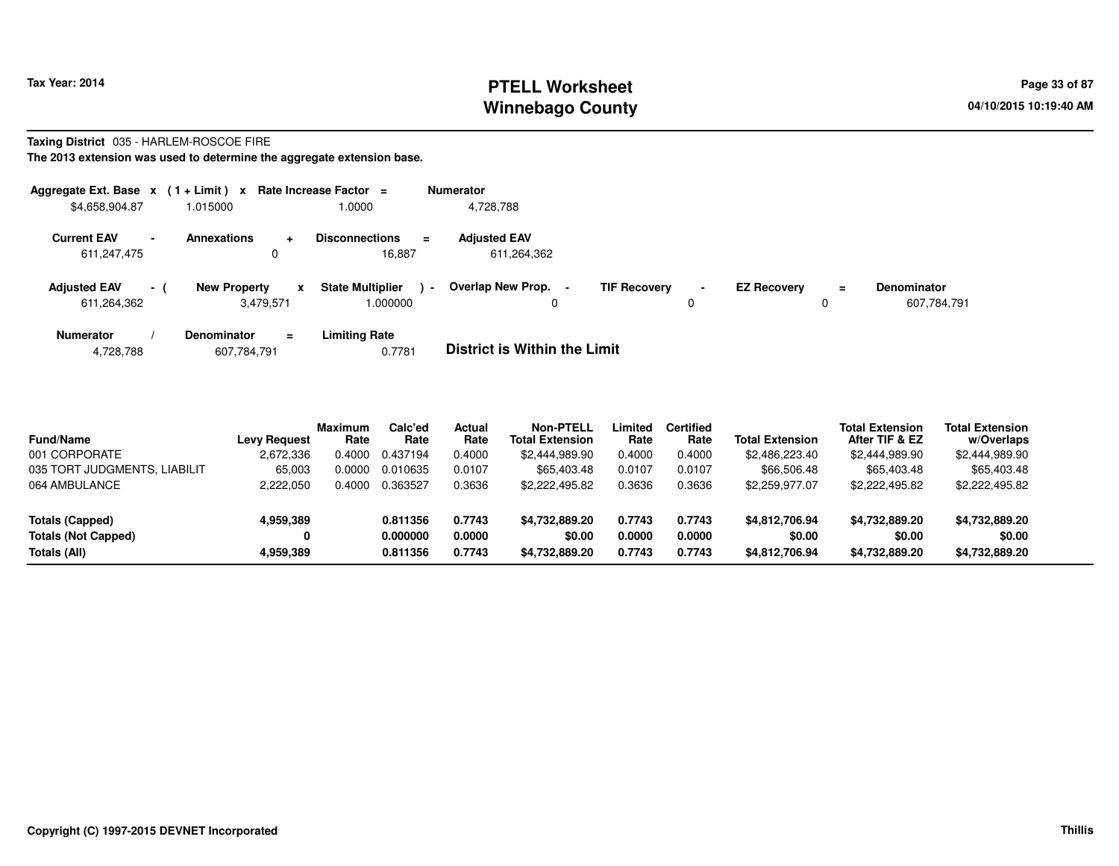# **PTELL Worksheet Tax Year: 2014 Page 33 of 87 PAGE 12 OF STELL PROPERTY Page 33 of 87 Winnebago County**

#### **Taxing District** 035 - HARLEM-ROSCOE FIRE

| Aggregate Ext. Base $x$ (1+Limit) x Rate Increase Factor = |        |                                  |                |                                             | <b>Numerator</b>                   |   |                     |                               |                    |          |                                   |
|------------------------------------------------------------|--------|----------------------------------|----------------|---------------------------------------------|------------------------------------|---|---------------------|-------------------------------|--------------------|----------|-----------------------------------|
| \$4,658,904.87                                             |        | 1.015000                         |                | 1.0000                                      | 4,728,788                          |   |                     |                               |                    |          |                                   |
| <b>Current EAV</b><br>611,247,475                          | $\sim$ | <b>Annexations</b>               | $\ddot{}$<br>0 | <b>Disconnections</b><br>$\equiv$<br>16,887 | <b>Adjusted EAV</b><br>611,264,362 |   |                     |                               |                    |          |                                   |
| <b>Adjusted EAV</b><br>611,264,362                         | $-1$   | <b>New Property</b><br>3,479,571 | x              | <b>State Multiplier</b><br>1.000000         | Overlap New Prop. -<br>$\sim$      | 0 | <b>TIF Recovery</b> | $\overline{\phantom{a}}$<br>0 | <b>EZ Recovery</b> | $\equiv$ | <b>Denominator</b><br>607,784,791 |
| <b>Numerator</b>                                           |        | <b>Denominator</b>               | $\equiv$       | <b>Limiting Rate</b>                        | _ _ _ _ _ _ _ _ _ _ _ _ _ _ _ _ _  |   |                     |                               |                    |          |                                   |

| 4,728,788 | 607,784,791 | 0.7781 | <b>District is Within the Limit</b> |
|-----------|-------------|--------|-------------------------------------|
|-----------|-------------|--------|-------------------------------------|

| <b>Fund/Name</b>             | <b>Levy Request</b> | <b>Maximum</b><br>Rate | Calc'ed<br>Rate | Actual<br>Rate | <b>Non-PTELL</b><br><b>Total Extension</b> | Limited<br>Rate | Certified<br>Rate | <b>Total Extension</b> | <b>Total Extension</b><br>After TIF & EZ | <b>Total Extension</b><br>w/Overlaps |
|------------------------------|---------------------|------------------------|-----------------|----------------|--------------------------------------------|-----------------|-------------------|------------------------|------------------------------------------|--------------------------------------|
| 001 CORPORATE                | 2,672,336           | 0.4000                 | 0.437194        | 0.4000         | \$2,444,989.90                             | 0.4000          | 0.4000            | \$2,486,223.40         | \$2,444,989.90                           | \$2,444,989.90                       |
| 035 TORT JUDGMENTS, LIABILIT | 65,003              | 0.0000                 | 0.010635        | 0.0107         | \$65,403.48                                | 0.0107          | 0.0107            | \$66,506.48            | \$65,403.48                              | \$65,403.48                          |
| 064 AMBULANCE                | 2,222,050           | 0.4000                 | 0.363527        | 0.3636         | \$2,222,495.82                             | 0.3636          | 0.3636            | \$2,259,977.07         | \$2,222,495.82                           | \$2,222,495.82                       |
| Totals (Capped)              | 4,959,389           |                        | 0.811356        | 0.7743         | \$4,732,889.20                             | 0.7743          | 0.7743            | \$4,812,706.94         | \$4,732,889.20                           | \$4,732,889.20                       |
| <b>Totals (Not Capped)</b>   | 0                   |                        | 0.000000        | 0.0000         | \$0.00                                     | 0.0000          | 0.0000            | \$0.00                 | \$0.00                                   | \$0.00                               |
| Totals (All)                 | 4,959,389           |                        | 0.811356        | 0.7743         | \$4,732,889.20                             | 0.7743          | 0.7743            | \$4,812,706.94         | \$4,732,889.20                           | \$4,732,889.20                       |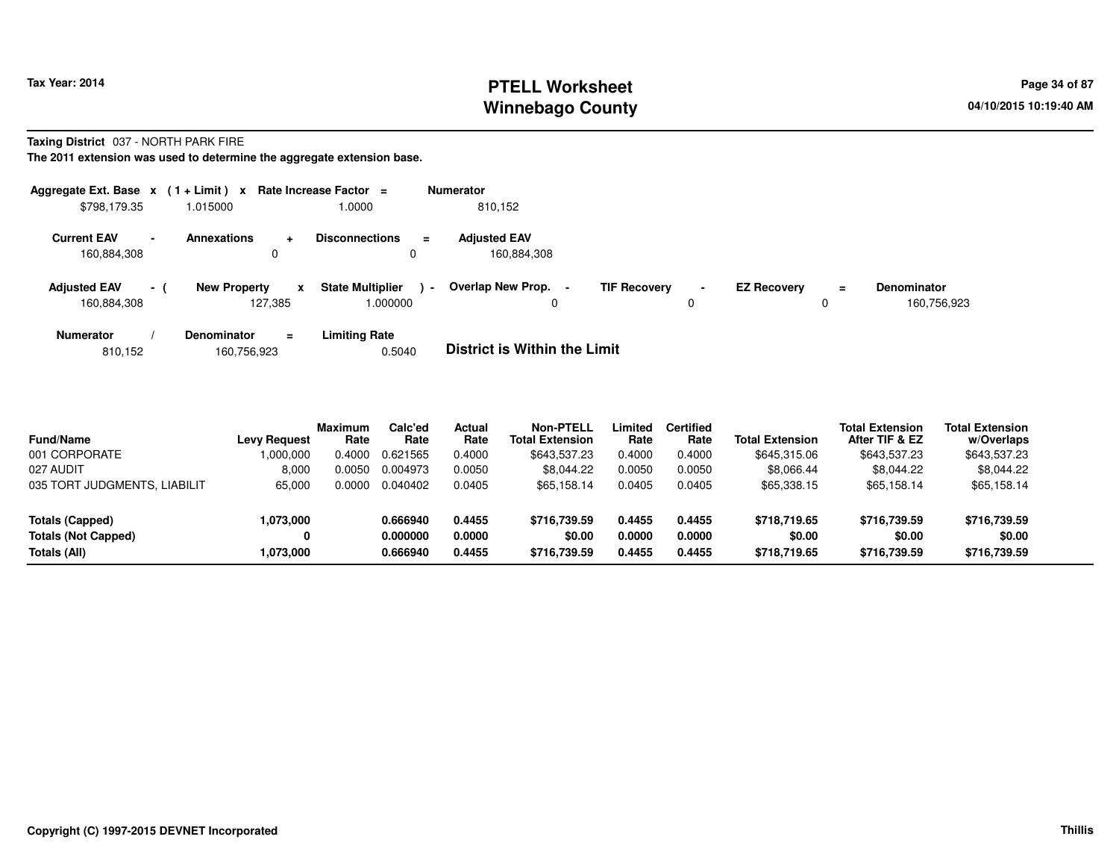# **PTELL Worksheet Tax Year: 2014 Page 34 of 87 Page 34 of 87 Page 34 of 87 Winnebago County**

#### **Taxing District** 037 - NORTH PARK FIRE

| Aggregate Ext. Base $x$ (1 + Limit) $x$ |          |                                |          | Rate Increase Factor =                 | <b>Numerator</b>                    |                                       |                    |          |                                   |
|-----------------------------------------|----------|--------------------------------|----------|----------------------------------------|-------------------------------------|---------------------------------------|--------------------|----------|-----------------------------------|
| \$798,179.35                            |          | 1.015000                       |          | 1.0000                                 | 810,152                             |                                       |                    |          |                                   |
| <b>Current EAV</b><br>160,884,308       |          | <b>Annexations</b><br>0        | $\pm$    | <b>Disconnections</b><br>$\equiv$<br>0 | <b>Adjusted EAV</b><br>160.884.308  |                                       |                    |          |                                   |
| <b>Adjusted EAV</b><br>160,884,308      | $\sim$ 1 | <b>New Property</b><br>127.385 | x        | <b>State Multiplier</b><br>000000.     | Overlap New Prop. -<br>$\sim$<br>0  | <b>TIF Recovery</b><br>$\blacksquare$ | <b>EZ Recovery</b> | $\equiv$ | <b>Denominator</b><br>160,756,923 |
| <b>Numerator</b>                        |          | <b>Denominator</b>             | $\equiv$ | <b>Limiting Rate</b>                   | _ _ _ _ _ _ _ _ _ _ _ _ _ _ _ _ _ _ |                                       |                    |          |                                   |

|  | 810,152 | 160,756,923 | 0.5040 | <b>District is Within the Limit</b> |
|--|---------|-------------|--------|-------------------------------------|
|--|---------|-------------|--------|-------------------------------------|

| <b>Fund/Name</b>             | <b>Levy Request</b> | <b>Maximum</b><br>Rate | Calc'ed<br>Rate | <b>Actual</b><br>Rate | Non-PTELL<br><b>Total Extension</b> | Limited<br>Rate | <b>Certified</b><br>Rate | <b>Total Extension</b> | <b>Total Extension</b><br>After TIF & EZ | <b>Total Extension</b><br>w/Overlaps |
|------------------------------|---------------------|------------------------|-----------------|-----------------------|-------------------------------------|-----------------|--------------------------|------------------------|------------------------------------------|--------------------------------------|
| 001 CORPORATE                | 1,000,000           | 0.4000                 | 0.621565        | 0.4000                | \$643,537.23                        | 0.4000          | 0.4000                   | \$645,315,06           | \$643,537.23                             | \$643,537.23                         |
| 027 AUDIT                    | 8.000               | 0.0050                 | 0.004973        | 0.0050                | \$8.044.22                          | 0.0050          | 0.0050                   | \$8,066.44             | \$8.044.22                               | \$8,044.22                           |
| 035 TORT JUDGMENTS, LIABILIT | 65,000              | 0.0000                 | 0.040402        | 0.0405                | \$65,158.14                         | 0.0405          | 0.0405                   | \$65,338.15            | \$65.158.14                              | \$65,158.14                          |
| Totals (Capped)              | 1,073,000           |                        | 0.666940        | 0.4455                | \$716.739.59                        | 0.4455          | 0.4455                   | \$718.719.65           | \$716,739.59                             | \$716,739.59                         |
| <b>Totals (Not Capped)</b>   |                     |                        | 0.000000        | 0.0000                | \$0.00                              | 0.0000          | 0.0000                   | \$0.00                 | \$0.00                                   | \$0.00                               |
| Totals (All)                 | 1,073,000           |                        | 0.666940        | 0.4455                | \$716,739.59                        | 0.4455          | 0.4455                   | \$718,719.65           | \$716,739.59                             | \$716,739.59                         |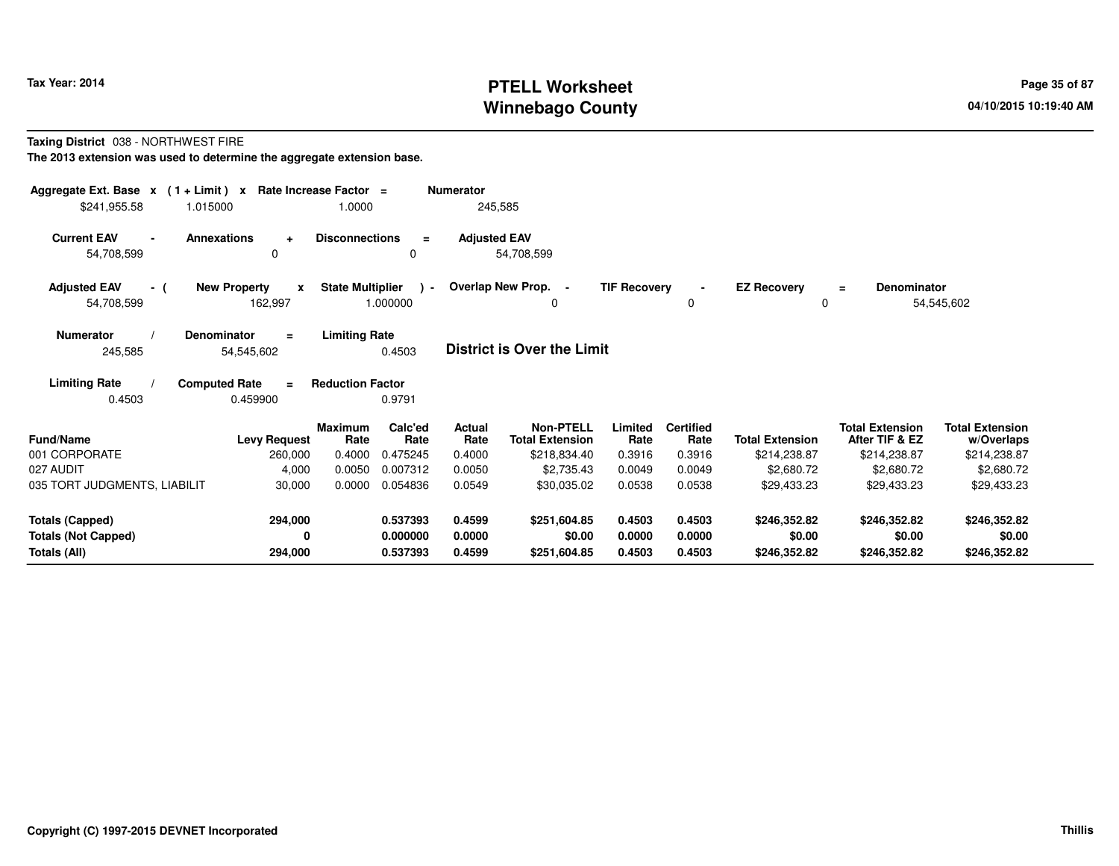# **PTELL Worksheet Tax Year: 2014 Page 35 of 87 Page 35 of 87 Winnebago County**

#### **Taxing District** 038 - NORTHWEST FIRE

| Aggregate Ext. Base $x$ (1 + Limit) $x$<br>\$241,955.58<br>1.015000 | Rate Increase Factor =                         | 1.0000                  |                           | <b>Numerator</b><br>245,585 |                                            |                     |                          |                        |                                          |                                      |
|---------------------------------------------------------------------|------------------------------------------------|-------------------------|---------------------------|-----------------------------|--------------------------------------------|---------------------|--------------------------|------------------------|------------------------------------------|--------------------------------------|
| <b>Current EAV</b><br>54,708,599                                    | <b>Annexations</b><br>$\ddot{}$<br>0           | <b>Disconnections</b>   | $\equiv$<br>$\Omega$      | <b>Adjusted EAV</b>         | 54,708,599                                 |                     |                          |                        |                                          |                                      |
| <b>Adjusted EAV</b><br>- (<br>54,708,599                            | <b>New Property</b><br>$\mathbf{x}$<br>162,997 | <b>State Multiplier</b> | $\rightarrow$<br>1.000000 |                             | Overlap New Prop. -<br>0                   | <b>TIF Recovery</b> | 0                        | <b>EZ Recovery</b>     | Denominator<br>$\equiv$<br>0             | 54,545,602                           |
| <b>Numerator</b><br>245,585                                         | <b>Denominator</b><br>$\equiv$<br>54,545,602   | <b>Limiting Rate</b>    | 0.4503                    |                             | <b>District is Over the Limit</b>          |                     |                          |                        |                                          |                                      |
| <b>Limiting Rate</b><br>0.4503                                      | <b>Computed Rate</b><br>$\equiv$<br>0.459900   | <b>Reduction Factor</b> | 0.9791                    |                             |                                            |                     |                          |                        |                                          |                                      |
| <b>Fund/Name</b>                                                    | <b>Levy Request</b>                            | <b>Maximum</b><br>Rate  | Calc'ed<br>Rate           | <b>Actual</b><br>Rate       | <b>Non-PTELL</b><br><b>Total Extension</b> | Limited<br>Rate     | <b>Certified</b><br>Rate | <b>Total Extension</b> | <b>Total Extension</b><br>After TIF & EZ | <b>Total Extension</b><br>w/Overlaps |
| 001 CORPORATE                                                       | 260,000                                        | 0.4000                  | 0.475245                  | 0.4000                      | \$218,834.40                               | 0.3916              | 0.3916                   | \$214,238.87           | \$214,238.87                             | \$214,238.87                         |
| 027 AUDIT                                                           | 4,000                                          | 0.0050                  | 0.007312                  | 0.0050                      | \$2,735.43                                 | 0.0049              | 0.0049                   | \$2,680.72             | \$2,680.72                               | \$2,680.72                           |
| 035 TORT JUDGMENTS, LIABILIT                                        | 30,000                                         | 0.0000                  | 0.054836                  | 0.0549                      | \$30,035.02                                | 0.0538              | 0.0538                   | \$29,433.23            | \$29,433.23                              | \$29,433.23                          |
| <b>Totals (Capped)</b>                                              | 294,000                                        |                         | 0.537393                  | 0.4599                      | \$251,604.85                               | 0.4503              | 0.4503                   | \$246,352.82           | \$246,352.82                             | \$246,352.82                         |
| <b>Totals (Not Capped)</b>                                          |                                                |                         | 0.000000                  | 0.0000                      | \$0.00                                     | 0.0000              | 0.0000                   | \$0.00                 | \$0.00                                   | \$0.00                               |
| Totals (All)                                                        | 294,000                                        |                         | 0.537393                  | 0.4599                      | \$251,604.85                               | 0.4503              | 0.4503                   | \$246,352.82           | \$246,352.82                             | \$246,352.82                         |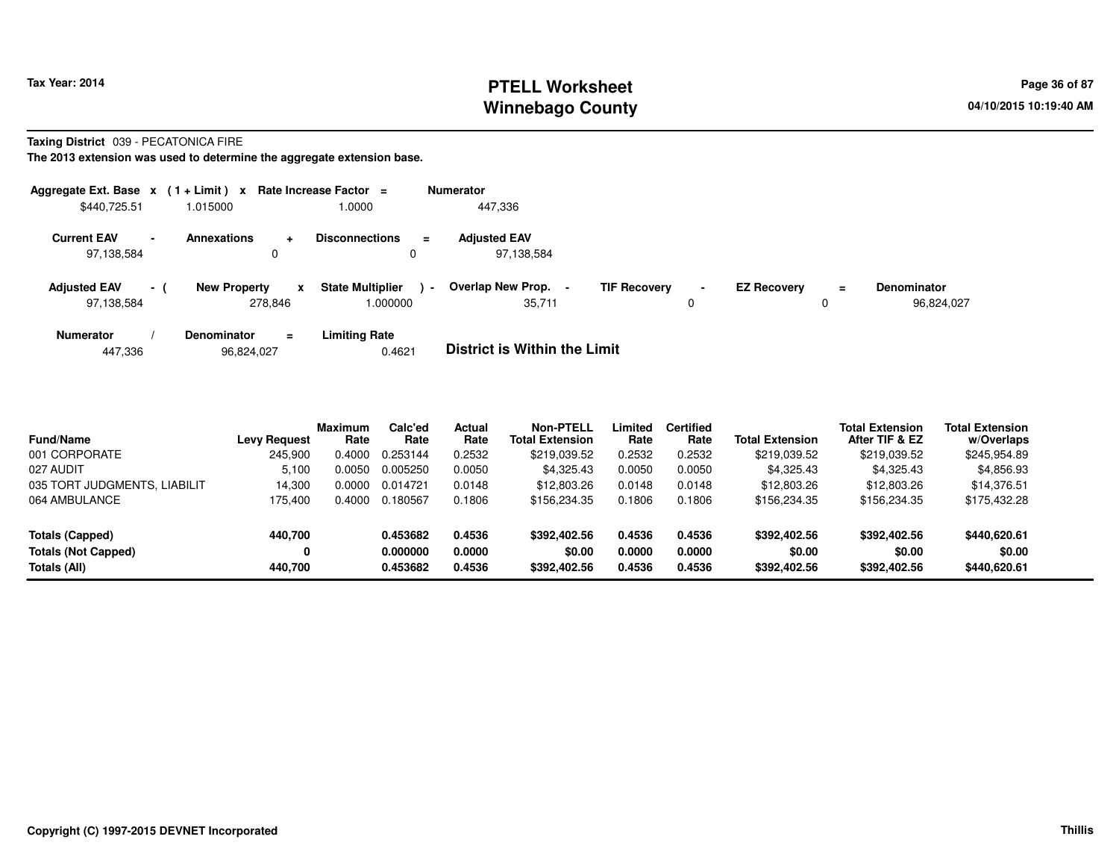# **PTELL Worksheet Tax Year: 2014 Page 36 of 87 Page 36 of 87 Winnebago County**

#### **Taxing District** 039 - PECATONICA FIRE

| Aggregate Ext. Base $x$ (1 + Limit) $x$ Rate Increase Factor = |        |                     |                |                                    |                | <b>Numerator</b>                    |                     |             |                    |          |                                  |
|----------------------------------------------------------------|--------|---------------------|----------------|------------------------------------|----------------|-------------------------------------|---------------------|-------------|--------------------|----------|----------------------------------|
| \$440,725.51                                                   |        | 1.015000            |                | 1.0000                             |                | 447,336                             |                     |             |                    |          |                                  |
| <b>Current EAV</b><br>97,138,584                               | $\sim$ | <b>Annexations</b>  | $\ddot{}$<br>0 | <b>Disconnections</b><br>0         | $\equiv$       | <b>Adjusted EAV</b><br>97.138.584   |                     |             |                    |          |                                  |
| <b>Adjusted EAV</b><br>97,138,584                              | $-1$   | <b>New Property</b> | x<br>278,846   | <b>State Multiplier</b><br>.000000 | $\blacksquare$ | Overlap New Prop.<br>35,711         | <b>TIF Recovery</b> | $\sim$<br>0 | <b>EZ Recovery</b> | $\equiv$ | <b>Denominator</b><br>96,824,027 |
| <b>Numerator</b>                                               |        | <b>Denominator</b>  | $\equiv$       | <b>Limiting Rate</b>               |                | _ _ _ _ _ _ _ _ _ _ _ _ _ _ _ _ _ _ |                     |             |                    |          |                                  |

|  | 447,336 | 96,824,027 | 0.4621 | <b>District is Within the Limit</b> |
|--|---------|------------|--------|-------------------------------------|
|--|---------|------------|--------|-------------------------------------|

| <b>Fund/Name</b>             | <b>Levy Request</b> | <b>Maximum</b><br>Rate | Calc'ed<br>Rate | Actual<br>Rate | <b>Non-PTELL</b><br><b>Total Extension</b> | ∟imited<br>Rate | <b>Certified</b><br>Rate | Total Extension | <b>Total Extension</b><br>After TIF & EZ | <b>Total Extension</b><br>w/Overlaps |
|------------------------------|---------------------|------------------------|-----------------|----------------|--------------------------------------------|-----------------|--------------------------|-----------------|------------------------------------------|--------------------------------------|
| 001 CORPORATE                | 245.900             | 0.4000                 | 0.253144        | 0.2532         | \$219,039.52                               | 0.2532          | 0.2532                   | \$219,039.52    | \$219,039.52                             | \$245,954.89                         |
| 027 AUDIT                    | 5,100               | 0.0050                 | 0.005250        | 0.0050         | \$4,325.43                                 | 0.0050          | 0.0050                   | \$4,325.43      | \$4,325.43                               | \$4,856.93                           |
| 035 TORT JUDGMENTS, LIABILIT | 14.300              | 0.0000                 | 0.014721        | 0.0148         | \$12,803.26                                | 0.0148          | 0.0148                   | \$12,803,26     | \$12,803.26                              | \$14,376.51                          |
| 064 AMBULANCE                | 175.400             | 0.4000                 | 0.180567        | 0.1806         | \$156,234.35                               | 0.1806          | 0.1806                   | \$156,234,35    | \$156,234.35                             | \$175,432.28                         |
| Totals (Capped)              | 440,700             |                        | 0.453682        | 0.4536         | \$392,402.56                               | 0.4536          | 0.4536                   | \$392,402.56    | \$392,402.56                             | \$440,620.61                         |
| <b>Totals (Not Capped)</b>   | 0                   |                        | 0.000000        | 0.0000         | \$0.00                                     | 0.0000          | 0.0000                   | \$0.00          | \$0.00                                   | \$0.00                               |
| Totals (All)                 | 440.700             |                        | 0.453682        | 0.4536         | \$392,402.56                               | 0.4536          | 0.4536                   | \$392,402.56    | \$392,402.56                             | \$440,620.61                         |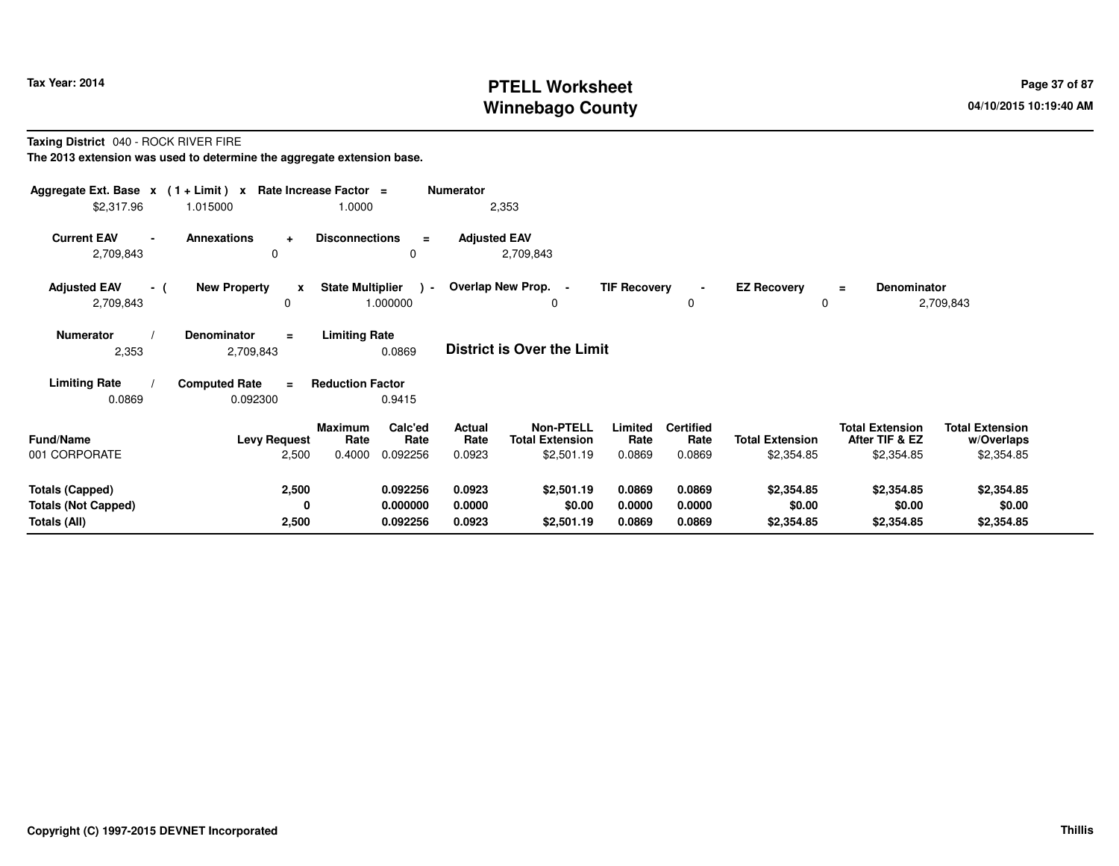# **PTELL Worksheet Tax Year: 2014 Page 37 of 87 Page 37 of 87 Winnebago County**

### **Taxing District** 040 - ROCK RIVER FIRE

**The 2013 extension was used to determine the aggregate extension base.**

| Aggregate Ext. Base $x$ (1 + Limit) x Rate Increase Factor =<br>\$2,317.96 | 1.015000                                     | 1.0000                                                   | <b>Numerator</b><br>2,353         |                                                                               |                                            |                                      |                                                        |                                                    |
|----------------------------------------------------------------------------|----------------------------------------------|----------------------------------------------------------|-----------------------------------|-------------------------------------------------------------------------------|--------------------------------------------|--------------------------------------|--------------------------------------------------------|----------------------------------------------------|
| <b>Current EAV</b><br>$\blacksquare$<br>2,709,843                          | <b>Annexations</b><br>$\ddot{}$<br>$\Omega$  | <b>Disconnections</b><br>$\equiv$<br>0                   | <b>Adjusted EAV</b><br>2,709,843  |                                                                               |                                            |                                      |                                                        |                                                    |
| <b>Adjusted EAV</b><br>- (<br>2,709,843                                    | <b>New Property</b><br>$\mathbf{x}$<br>0     | <b>State Multiplier</b><br>$\sim$<br>1.000000            | Overlap New Prop. -               | <b>TIF Recovery</b><br>0                                                      | 0                                          | <b>EZ Recovery</b><br>0              | <b>Denominator</b><br>$=$                              | 2,709,843                                          |
| <b>Numerator</b><br>2,353                                                  | <b>Denominator</b><br>$\equiv$<br>2,709,843  | <b>Limiting Rate</b><br>0.0869                           | <b>District is Over the Limit</b> |                                                                               |                                            |                                      |                                                        |                                                    |
| <b>Limiting Rate</b><br>0.0869                                             | <b>Computed Rate</b><br>$\equiv$<br>0.092300 | <b>Reduction Factor</b><br>0.9415                        |                                   |                                                                               |                                            |                                      |                                                        |                                                    |
| <b>Fund/Name</b><br>001 CORPORATE                                          | <b>Levy Request</b><br>2,500                 | Calc'ed<br>Maximum<br>Rate<br>Rate<br>0.4000<br>0.092256 | Actual<br>Rate<br>0.0923          | <b>Non-PTELL</b><br>Limited<br><b>Total Extension</b><br>\$2,501.19<br>0.0869 | <b>Certified</b><br>Rate<br>Rate<br>0.0869 | <b>Total Extension</b><br>\$2,354.85 | <b>Total Extension</b><br>After TIF & EZ<br>\$2,354.85 | <b>Total Extension</b><br>w/Overlaps<br>\$2,354.85 |
| <b>Totals (Capped)</b><br><b>Totals (Not Capped)</b><br>Totals (All)       | 2,500<br>0<br>2,500                          | 0.092256<br>0.000000<br>0.092256                         | 0.0923<br>0.0000<br>0.0923        | 0.0869<br>\$2,501.19<br>\$0.00<br>0.0000<br>\$2,501.19<br>0.0869              | 0.0869<br>0.0000<br>0.0869                 | \$2,354.85<br>\$0.00<br>\$2,354.85   | \$2,354.85<br>\$0.00<br>\$2,354.85                     | \$2,354.85<br>\$0.00<br>\$2,354.85                 |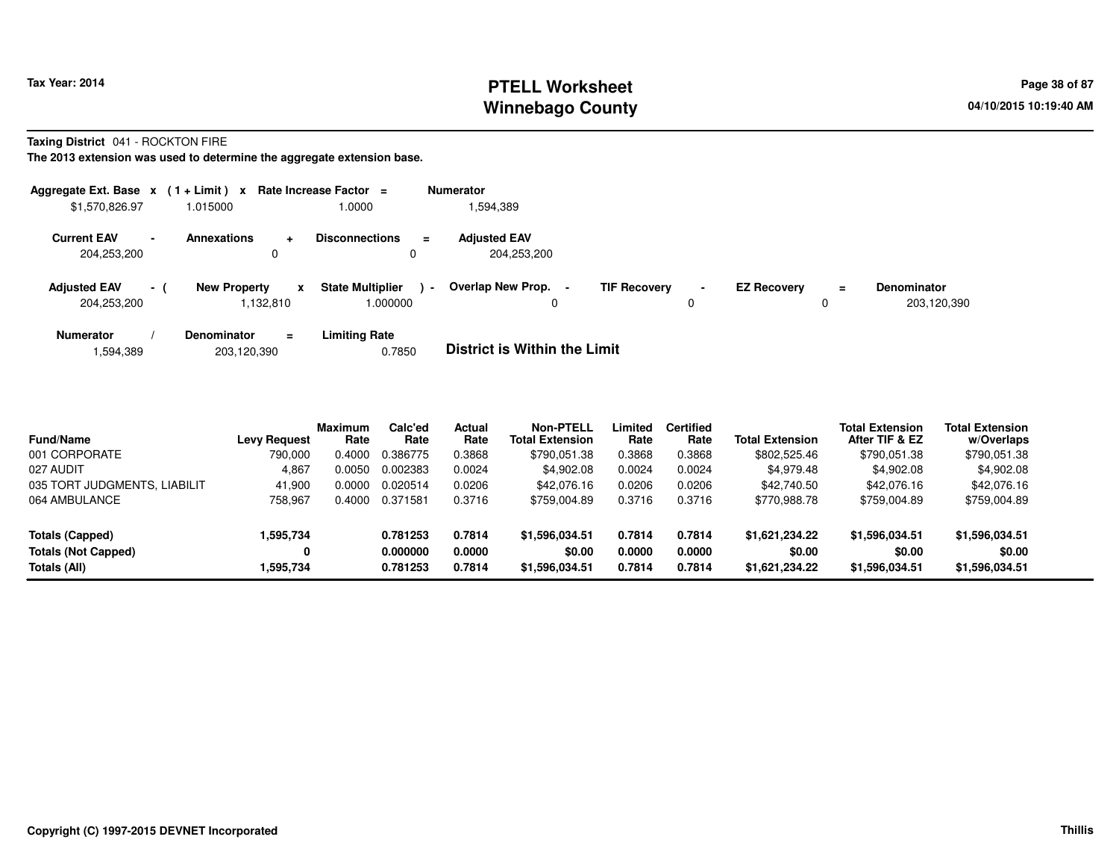# **PTELL Worksheet Tax Year: 2014 Page 38 of 87 Page 38 of 87 Winnebago County**

**Taxing District** 041 - ROCKTON FIRE

**The 2013 extension was used to determine the aggregate extension base.**

| Aggregate Ext. Base $x$ (1 + Limit) x Rate Increase Factor = |                 |                                  |           |                                     |                | <b>Numerator</b>                   |                     |                     |                    |          |                                   |
|--------------------------------------------------------------|-----------------|----------------------------------|-----------|-------------------------------------|----------------|------------------------------------|---------------------|---------------------|--------------------|----------|-----------------------------------|
| \$1,570,826.97                                               |                 | 1.015000                         |           | 1.0000                              |                | 1,594,389                          |                     |                     |                    |          |                                   |
| <b>Current EAV</b><br>204,253,200                            | $\blacksquare$  | <b>Annexations</b><br>0          | $\ddot{}$ | <b>Disconnections</b>               | $\equiv$       | <b>Adiusted EAV</b><br>204.253.200 |                     |                     |                    |          |                                   |
| <b>Adjusted EAV</b><br>204,253,200                           | $\sim$ 10 $\pm$ | <b>New Property</b><br>1.132.810 | x         | <b>State Multiplier</b><br>000000.1 | $\blacksquare$ | Overlap New Prop. -                | <b>TIF Recovery</b> | $\blacksquare$<br>0 | <b>EZ Recovery</b> | $=$<br>0 | <b>Denominator</b><br>203,120,390 |
| <b>Numerator</b>                                             |                 | Denominator                      | $\equiv$  | <b>Limiting Rate</b>                |                | _ _ _ _ _ _ _ _ _ _ _ _ _ _ _ _ _  |                     |                     |                    |          |                                   |

1,594,389203,120,390 0.7850 **District is Within the Limit**

| <b>Fund/Name</b>             | <b>Levy Request</b> | <b>Maximum</b><br>Rate | Calc'ed<br>Rate | Actual<br>Rate | <b>Non-PTELL</b><br><b>Total Extension</b> | Limited<br>Rate | <b>Certified</b><br>Rate | <b>Total Extension</b> | <b>Total Extension</b><br>After TIF & EZ | <b>Total Extension</b><br>w/Overlaps |
|------------------------------|---------------------|------------------------|-----------------|----------------|--------------------------------------------|-----------------|--------------------------|------------------------|------------------------------------------|--------------------------------------|
| 001 CORPORATE                | 790.000             | 0.4000                 | 0.386775        | 0.3868         | \$790,051.38                               | 0.3868          | 0.3868                   | \$802,525.46           | \$790,051.38                             | \$790,051.38                         |
| 027 AUDIT                    | 4,867               | 0.0050                 | 0.002383        | 0.0024         | \$4,902.08                                 | 0.0024          | 0.0024                   | \$4,979.48             | \$4,902.08                               | \$4,902.08                           |
| 035 TORT JUDGMENTS, LIABILIT | 41.900              | 0.0000                 | 0.020514        | 0.0206         | \$42,076.16                                | 0.0206          | 0.0206                   | \$42,740.50            | \$42,076.16                              | \$42,076.16                          |
| 064 AMBULANCE                | 758,967             | 0.4000                 | 0.371581        | 0.3716         | \$759.004.89                               | 0.3716          | 0.3716                   | \$770.988.78           | \$759,004.89                             | \$759,004.89                         |
| Totals (Capped)              | 1,595,734           |                        | 0.781253        | 0.7814         | \$1,596,034.51                             | 0.7814          | 0.7814                   | \$1.621.234.22         | \$1,596,034.51                           | \$1,596,034.51                       |
| <b>Totals (Not Capped)</b>   | 0                   |                        | 0.000000        | 0.0000         | \$0.00                                     | 0.0000          | 0.0000                   | \$0.00                 | \$0.00                                   | \$0.00                               |
| Totals (All)                 | 1,595,734           |                        | 0.781253        | 0.7814         | \$1,596,034.51                             | 0.7814          | 0.7814                   | \$1,621,234.22         | \$1,596,034.51                           | \$1,596,034.51                       |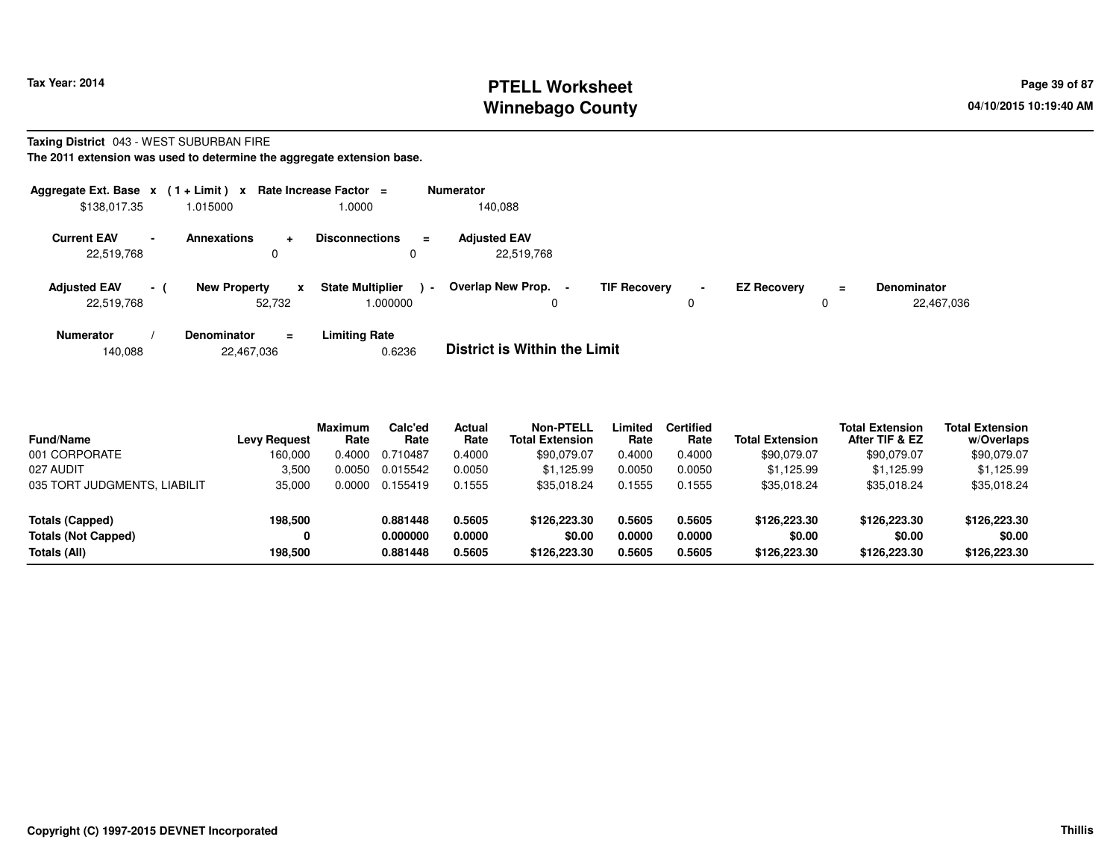# **PTELL Worksheet Tax Year: 2014 Page 39 of 87 Page 39 of 87 Winnebago County**

#### **Taxing District** 043 - WEST SUBURBAN FIRE**The 2011 extension was used to determine the aggregate extension base.**

| Aggregate Ext. Base $x$ (1 + Limit) $x$<br>\$138,017.35 |                          | 1.015000                                      | Rate Increase Factor $=$<br>0000.1                    | <b>Numerator</b><br>140.088         |                     |             |                    |          |                                  |
|---------------------------------------------------------|--------------------------|-----------------------------------------------|-------------------------------------------------------|-------------------------------------|---------------------|-------------|--------------------|----------|----------------------------------|
| <b>Current EAV</b><br>22,519,768                        | $\overline{\phantom{a}}$ | <b>Annexations</b><br>÷<br>0                  | <b>Disconnections</b><br>$\equiv$<br>0                | <b>Adiusted EAV</b><br>22,519,768   |                     |             |                    |          |                                  |
| <b>Adjusted EAV</b><br>22,519,768                       | $-1$                     | <b>New Property</b><br>$\mathbf{x}$<br>52.732 | <b>State Multiplier</b><br>$\blacksquare$<br>1.000000 | <b>Overlap New Prop.</b>            | <b>TIF Recovery</b> | $\sim$<br>0 | <b>EZ Recovery</b> | $\equiv$ | <b>Denominator</b><br>22,467,036 |
| <b>Numerator</b>                                        |                          | <b>Denominator</b><br>Ξ.                      | <b>Limiting Rate</b>                                  | _ _ _ _ _ _ _ _ _ _ _ _ _ _ _ _ _ _ |                     |             |                    |          |                                  |

|--|

| <b>Fund/Name</b>             | <b>Levy Request</b> | <b>Maximum</b><br>Rate | Calc'ed<br>Rate | Actual<br>Rate | <b>Non-PTELL</b><br><b>Total Extension</b> | Limited<br>Rate | <b>Certified</b><br>Rate | <b>Total Extension</b> | <b>Total Extension</b><br>After TIF & EZ | <b>Total Extension</b><br>w/Overlaps |
|------------------------------|---------------------|------------------------|-----------------|----------------|--------------------------------------------|-----------------|--------------------------|------------------------|------------------------------------------|--------------------------------------|
| 001 CORPORATE                | 160.000             | 0.4000                 | 0.710487        | 0.4000         | \$90,079.07                                | 0.4000          | 0.4000                   | \$90,079.07            | \$90,079.07                              | \$90,079.07                          |
| 027 AUDIT                    | 3,500               | 0.0050                 | 0.015542        | 0.0050         | \$1,125.99                                 | 0.0050          | 0.0050                   | \$1,125.99             | \$1.125.99                               | \$1,125.99                           |
| 035 TORT JUDGMENTS, LIABILIT | 35,000              | 0.0000                 | 0.155419        | 0.1555         | \$35.018.24                                | 0.1555          | 0.1555                   | \$35,018.24            | \$35,018.24                              | \$35,018.24                          |
| Totals (Capped)              | 198,500             |                        | 0.881448        | 0.5605         | \$126,223,30                               | 0.5605          | 0.5605                   | \$126,223.30           | \$126,223,30                             | \$126,223.30                         |
| <b>Totals (Not Capped)</b>   |                     |                        | 0.000000        | 0.0000         | \$0.00                                     | 0.0000          | 0.0000                   | \$0.00                 | \$0.00                                   | \$0.00                               |
| Totals (All)                 | 198.500             |                        | 0.881448        | 0.5605         | \$126,223,30                               | 0.5605          | 0.5605                   | \$126,223.30           | \$126,223,30                             | \$126,223.30                         |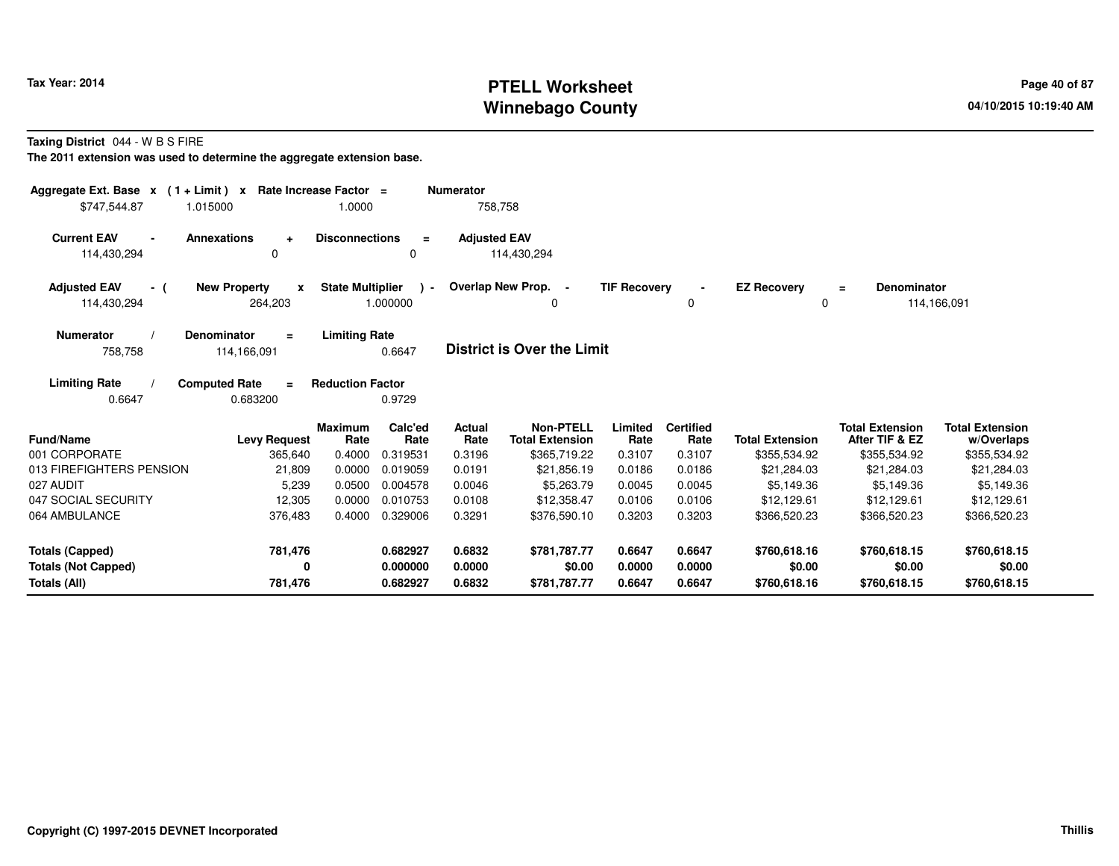# **PTELL Worksheet Tax Year: 2014 Page 40 of 87 PAGE 12 ASS ASSESSED ASSESSED ASSESSED ASSESSED ASSESSED ASSESSED AND RADIO PAGE 40 of 87 Winnebago County**

**Taxing District** 044 - W B S FIRE

**The 2011 extension was used to determine the aggregate extension base.**

| Aggregate Ext. Base $x$ (1 + Limit) $x$<br>\$747.544.87              | 1.015000                                       | Rate Increase Factor =<br>1.0000 |                                  | <b>Numerator</b>           | 758,758                                                    |                            |                                    |                                        |                                                          |                                                      |
|----------------------------------------------------------------------|------------------------------------------------|----------------------------------|----------------------------------|----------------------------|------------------------------------------------------------|----------------------------|------------------------------------|----------------------------------------|----------------------------------------------------------|------------------------------------------------------|
| <b>Current EAV</b><br>$\blacksquare$<br>114,430,294                  | <b>Annexations</b><br>÷<br>0                   | <b>Disconnections</b>            | $\equiv$<br>$\Omega$             | <b>Adjusted EAV</b>        | 114,430,294                                                |                            |                                    |                                        |                                                          |                                                      |
| <b>Adjusted EAV</b><br>- (<br>114,430,294                            | <b>New Property</b><br>$\mathbf{x}$<br>264,203 | <b>State Multiplier</b>          | $\lambda$ -<br>1.000000          |                            | Overlap New Prop.<br>$\blacksquare$<br>0                   | <b>TIF Recovery</b>        | 0                                  | <b>EZ Recovery</b><br>$\Omega$         | <b>Denominator</b><br>$\equiv$                           | 114,166,091                                          |
| <b>Numerator</b><br>758,758                                          | <b>Denominator</b><br>$=$<br>114,166,091       | <b>Limiting Rate</b>             | 0.6647                           |                            | <b>District is Over the Limit</b>                          |                            |                                    |                                        |                                                          |                                                      |
| <b>Limiting Rate</b><br>0.6647                                       | <b>Computed Rate</b><br>$\equiv$<br>0.683200   | <b>Reduction Factor</b>          | 0.9729                           |                            |                                                            |                            |                                    |                                        |                                                          |                                                      |
| <b>Fund/Name</b><br>001 CORPORATE                                    | <b>Levy Request</b><br>365,640                 | <b>Maximum</b><br>Rate<br>0.4000 | Calc'ed<br>Rate<br>0.319531      | Actual<br>Rate<br>0.3196   | <b>Non-PTELL</b><br><b>Total Extension</b><br>\$365,719.22 | Limited<br>Rate<br>0.3107  | <b>Certified</b><br>Rate<br>0.3107 | <b>Total Extension</b><br>\$355,534.92 | <b>Total Extension</b><br>After TIF & EZ<br>\$355,534.92 | <b>Total Extension</b><br>w/Overlaps<br>\$355,534.92 |
| 013 FIREFIGHTERS PENSION<br>027 AUDIT                                | 21,809<br>5,239                                | 0.0000<br>0.0500                 | 0.019059<br>0.004578             | 0.0191<br>0.0046           | \$21,856.19<br>\$5,263.79                                  | 0.0186<br>0.0045           | 0.0186<br>0.0045                   | \$21,284.03<br>\$5,149.36              | \$21,284.03<br>\$5,149.36                                | \$21,284.03<br>\$5,149.36                            |
| 047 SOCIAL SECURITY<br>064 AMBULANCE                                 | 12,305<br>376,483                              | 0.0000<br>0.4000                 | 0.010753<br>0.329006             | 0.0108<br>0.3291           | \$12,358.47<br>\$376,590.10                                | 0.0106<br>0.3203           | 0.0106<br>0.3203                   | \$12,129.61<br>\$366,520.23            | \$12,129.61<br>\$366,520.23                              | \$12,129.61<br>\$366,520.23                          |
| <b>Totals (Capped)</b><br><b>Totals (Not Capped)</b><br>Totals (All) | 781,476<br>0<br>781,476                        |                                  | 0.682927<br>0.000000<br>0.682927 | 0.6832<br>0.0000<br>0.6832 | \$781,787.77<br>\$0.00<br>\$781,787.77                     | 0.6647<br>0.0000<br>0.6647 | 0.6647<br>0.0000<br>0.6647         | \$760,618.16<br>\$0.00<br>\$760,618.16 | \$760,618.15<br>\$0.00<br>\$760,618.15                   | \$760,618.15<br>\$0.00<br>\$760,618.15               |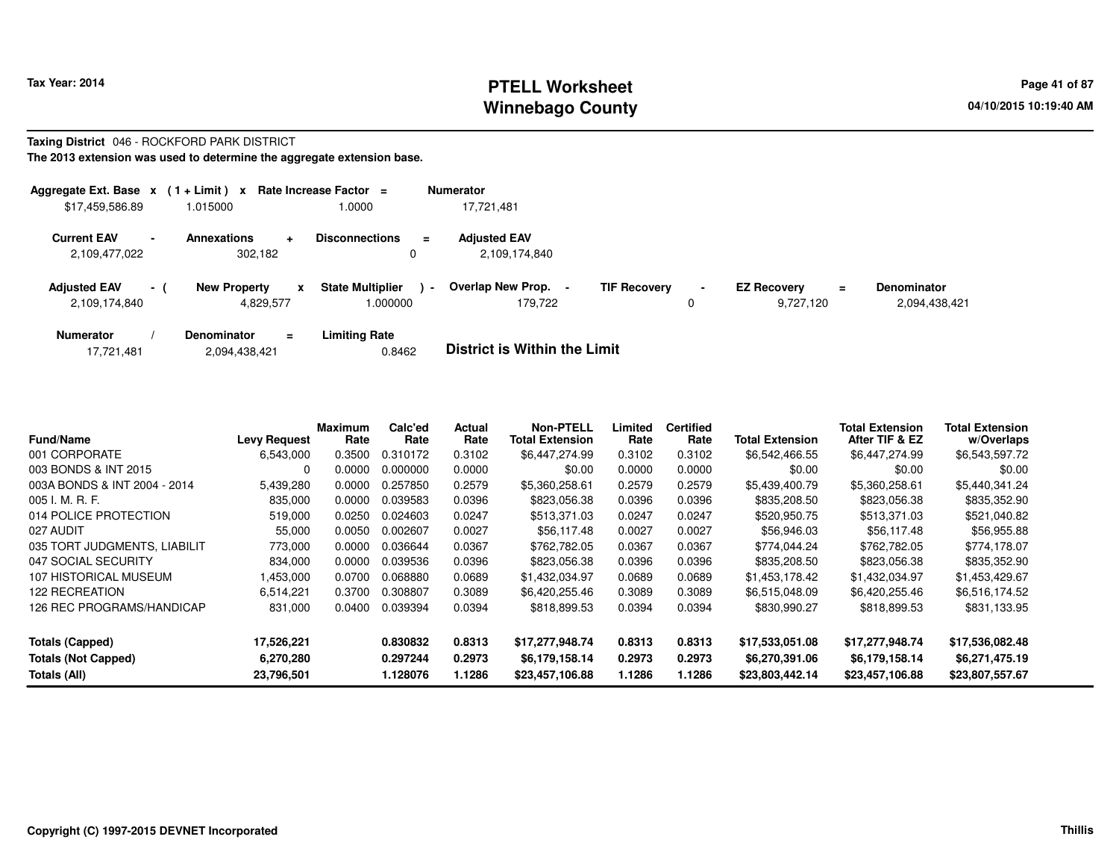### **PTELL Worksheet Tax Year: 2014 Page 41 of 87 PAGE 12 At 2014 Page 41 of 87 Winnebago County**

### **Taxing District** 046 - ROCKFORD PARK DISTRICT

**The 2013 extension was used to determine the aggregate extension base.**

| Aggregate Ext. Base $x$ (1 + Limit) $x$ |                |                                       | Rate Increase Factor =             | <b>Numerator</b>                               |                     |                     |                                             |                                     |
|-----------------------------------------|----------------|---------------------------------------|------------------------------------|------------------------------------------------|---------------------|---------------------|---------------------------------------------|-------------------------------------|
| \$17,459,586.89                         |                | 1.015000                              | .0000                              | 17.721.481                                     |                     |                     |                                             |                                     |
| <b>Current EAV</b><br>2,109,477,022     | $\blacksquare$ | Annexations<br>÷<br>302,182           | <b>Disconnections</b><br>$\equiv$  | <b>Adjusted EAV</b><br>2,109,174,840           |                     |                     |                                             |                                     |
| <b>Adjusted EAV</b><br>2,109,174,840    | $-1$           | <b>New Property</b><br>x<br>4,829,577 | <b>State Multiplier</b><br>.000000 | Overlap New Prop.<br>$\blacksquare$<br>179.722 | <b>TIF Recovery</b> | $\blacksquare$<br>0 | <b>EZ Recovery</b><br>$\equiv$<br>9.727.120 | <b>Denominator</b><br>2,094,438,421 |
| <b>Numerator</b>                        |                | <b>Denominator</b><br>$\equiv$        | <b>Limiting Rate</b>               | _ _ _ _ _ _ _ _ _ _ _ _ _ _ _ _ _ _            |                     |                     |                                             |                                     |

| <b>Fund/Name</b>             | Levy Request | Maximum<br>Rate | Calc'ed<br>Rate | <b>Actual</b><br>Rate | <b>Non-PTELL</b><br><b>Total Extension</b> | Limited<br>Rate | <b>Certified</b><br>Rate | <b>Total Extension</b> | <b>Total Extension</b><br>After TIF & EZ | <b>Total Extension</b><br>w/Overlaps |
|------------------------------|--------------|-----------------|-----------------|-----------------------|--------------------------------------------|-----------------|--------------------------|------------------------|------------------------------------------|--------------------------------------|
| 001 CORPORATE                | 6,543,000    | 0.3500          | 0.310172        | 0.3102                | \$6,447,274.99                             | 0.3102          | 0.3102                   | \$6,542,466.55         | \$6,447,274.99                           | \$6,543,597.72                       |
| 003 BONDS & INT 2015         | 0            | 0.0000          | 0.000000        | 0.0000                | \$0.00                                     | 0.0000          | 0.0000                   | \$0.00                 | \$0.00                                   | \$0.00                               |
| 003A BONDS & INT 2004 - 2014 | 5,439,280    | 0.0000          | 0.257850        | 0.2579                | \$5,360,258.61                             | 0.2579          | 0.2579                   | \$5,439,400.79         | \$5,360,258.61                           | \$5,440,341.24                       |
| 005 I. M. R. F.              | 835,000      | 0.0000          | 0.039583        | 0.0396                | \$823,056.38                               | 0.0396          | 0.0396                   | \$835,208.50           | \$823,056.38                             | \$835,352.90                         |
| 014 POLICE PROTECTION        | 519,000      | 0.0250          | 0.024603        | 0.0247                | \$513,371.03                               | 0.0247          | 0.0247                   | \$520,950.75           | \$513,371.03                             | \$521,040.82                         |
| 027 AUDIT                    | 55,000       | 0.0050          | 0.002607        | 0.0027                | \$56,117.48                                | 0.0027          | 0.0027                   | \$56,946.03            | \$56,117.48                              | \$56,955.88                          |
| 035 TORT JUDGMENTS, LIABILIT | 773,000      | 0.0000          | 0.036644        | 0.0367                | \$762,782.05                               | 0.0367          | 0.0367                   | \$774.044.24           | \$762,782.05                             | \$774,178.07                         |
| 047 SOCIAL SECURITY          | 834,000      | 0.0000          | 0.039536        | 0.0396                | \$823,056.38                               | 0.0396          | 0.0396                   | \$835,208.50           | \$823,056.38                             | \$835,352.90                         |
| 107 HISTORICAL MUSEUM        | .453,000     | 0.0700          | 0.068880        | 0.0689                | \$1.432.034.97                             | 0.0689          | 0.0689                   | \$1,453,178.42         | \$1,432,034.97                           | \$1,453,429.67                       |
| 122 RECREATION               | 6,514,221    | 0.3700          | 0.308807        | 0.3089                | \$6,420,255.46                             | 0.3089          | 0.3089                   | \$6,515,048.09         | \$6,420,255.46                           | \$6,516,174.52                       |
| 126 REC PROGRAMS/HANDICAP    | 831,000      | 0.0400          | 0.039394        | 0.0394                | \$818,899.53                               | 0.0394          | 0.0394                   | \$830,990.27           | \$818,899.53                             | \$831,133.95                         |
| <b>Totals (Capped)</b>       | 17,526,221   |                 | 0.830832        | 0.8313                | \$17,277,948.74                            | 0.8313          | 0.8313                   | \$17,533,051.08        | \$17,277,948.74                          | \$17,536,082.48                      |
| <b>Totals (Not Capped)</b>   | 6,270,280    |                 | 0.297244        | 0.2973                | \$6,179,158.14                             | 0.2973          | 0.2973                   | \$6,270,391.06         | \$6,179,158.14                           | \$6,271,475.19                       |
| Totals (All)                 | 23,796,501   |                 | 1.128076        | 1.1286                | \$23,457,106.88                            | 1.1286          | 1.1286                   | \$23,803,442.14        | \$23,457,106.88                          | \$23,807,557.67                      |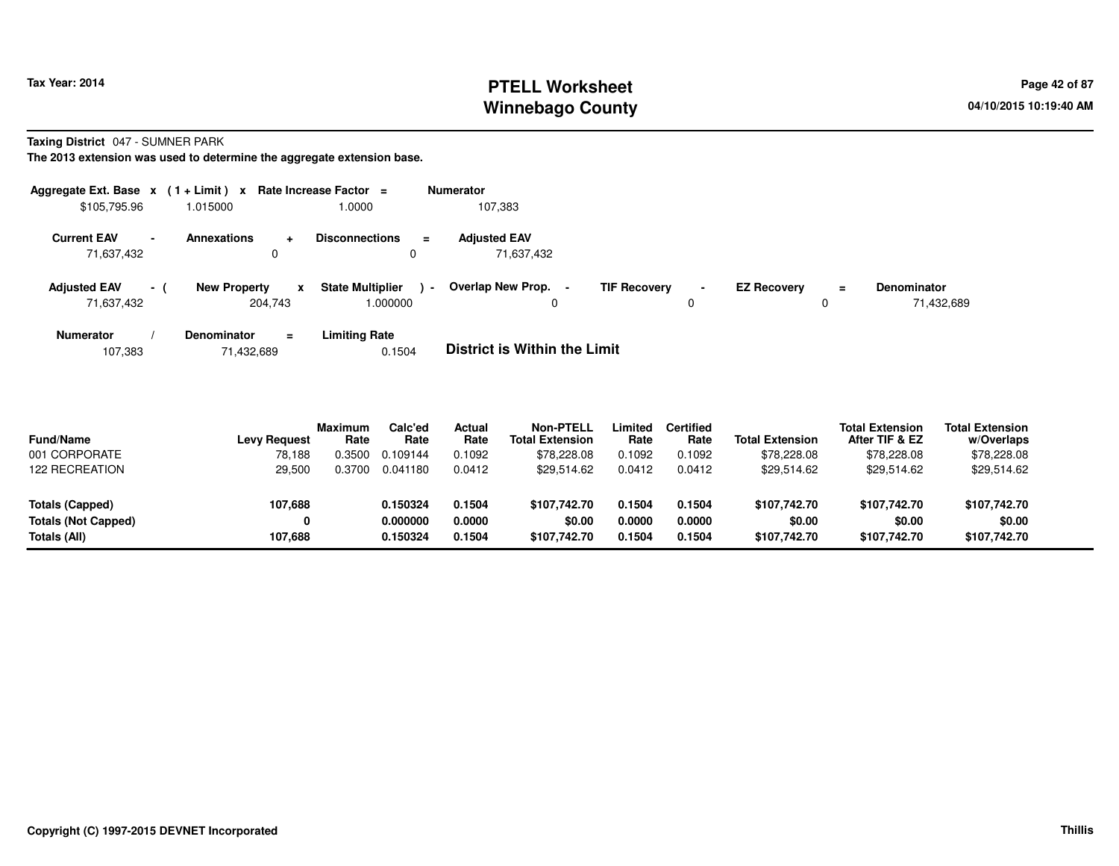# **PTELL Worksheet Tax Year: 2014 Page 42 of 87 Page 42 of 87 Winnebago County**

**Taxing District** 047 - SUMNER PARK

**The 2013 extension was used to determine the aggregate extension base.**

| Aggregate Ext. Base $x$ (1+Limit) $x$                        |     |                                     | Rate Increase Factor $=$               | <b>Numerator</b>                         |                     |                     |                    |               |                                  |
|--------------------------------------------------------------|-----|-------------------------------------|----------------------------------------|------------------------------------------|---------------------|---------------------|--------------------|---------------|----------------------------------|
| \$105,795.96                                                 |     | 1.015000                            | 0000.1                                 | 107,383                                  |                     |                     |                    |               |                                  |
| <b>Current EAV</b><br>$\overline{\phantom{0}}$<br>71,637,432 |     | <b>Annexations</b><br>$\pm$<br>0    | <b>Disconnections</b><br>$\equiv$<br>0 | <b>Adjusted EAV</b><br>71.637.432        |                     |                     |                    |               |                                  |
| <b>Adjusted EAV</b><br>71,637,432                            | - 1 | <b>New Property</b><br>x<br>204,743 | <b>State Multiplier</b><br>1.000000    | Overlap New Prop.<br>$\blacksquare$<br>0 | <b>TIF Recovery</b> | $\blacksquare$<br>0 | <b>EZ Recovery</b> | $\equiv$<br>0 | <b>Denominator</b><br>71,432,689 |
| Numerator                                                    |     | <b>Denominator</b><br>$\equiv$      | <b>Limiting Rate</b>                   | _ _ _ _ _ _ _ _ _ _ _ _ _ _ _ _ _        |                     |                     |                    |               |                                  |

107,38371,432,689 0.1504 **District is Within the Limit**

| <b>Fund/Name</b><br>001 CORPORATE<br><b>122 RECREATION</b>    | <b>Levy Request</b><br>78.188<br>29,500 | <b>Maximum</b><br>Rate<br>.3500<br>0.3700 | Calc'ed<br>Rate<br>0.109144<br>0.041180 | <b>Actual</b><br>Rate<br>0.1092<br>0.0412 | Non-PTELL<br><b>Total Extension</b><br>\$78,228.08<br>\$29,514.62 | Limited<br>Rate<br>0.1092<br>0.0412 | Certified<br>Rate<br>0.1092<br>0.0412 | <b>Total Extension</b><br>\$78,228.08<br>\$29,514.62 | <b>Total Extension</b><br>After TIF & EZ<br>\$78,228.08<br>\$29,514.62 | <b>Total Extension</b><br>w/Overlaps<br>\$78,228.08<br>\$29,514.62 |  |
|---------------------------------------------------------------|-----------------------------------------|-------------------------------------------|-----------------------------------------|-------------------------------------------|-------------------------------------------------------------------|-------------------------------------|---------------------------------------|------------------------------------------------------|------------------------------------------------------------------------|--------------------------------------------------------------------|--|
| Totals (Capped)<br><b>Totals (Not Capped)</b><br>Totals (All) | 107,688<br>0<br>107.688                 |                                           | 0.150324<br>0.000000<br>0.150324        | 0.1504<br>0.0000<br>0.1504                | \$107,742.70<br>\$0.00<br>\$107,742.70                            | 0.1504<br>0.0000<br>0.1504          | 0.1504<br>0.0000<br>0.1504            | \$107.742.70<br>\$0.00<br>\$107,742.70               | \$107.742.70<br>\$0.00<br>\$107.742.70                                 | \$107,742.70<br>\$0.00<br>\$107,742.70                             |  |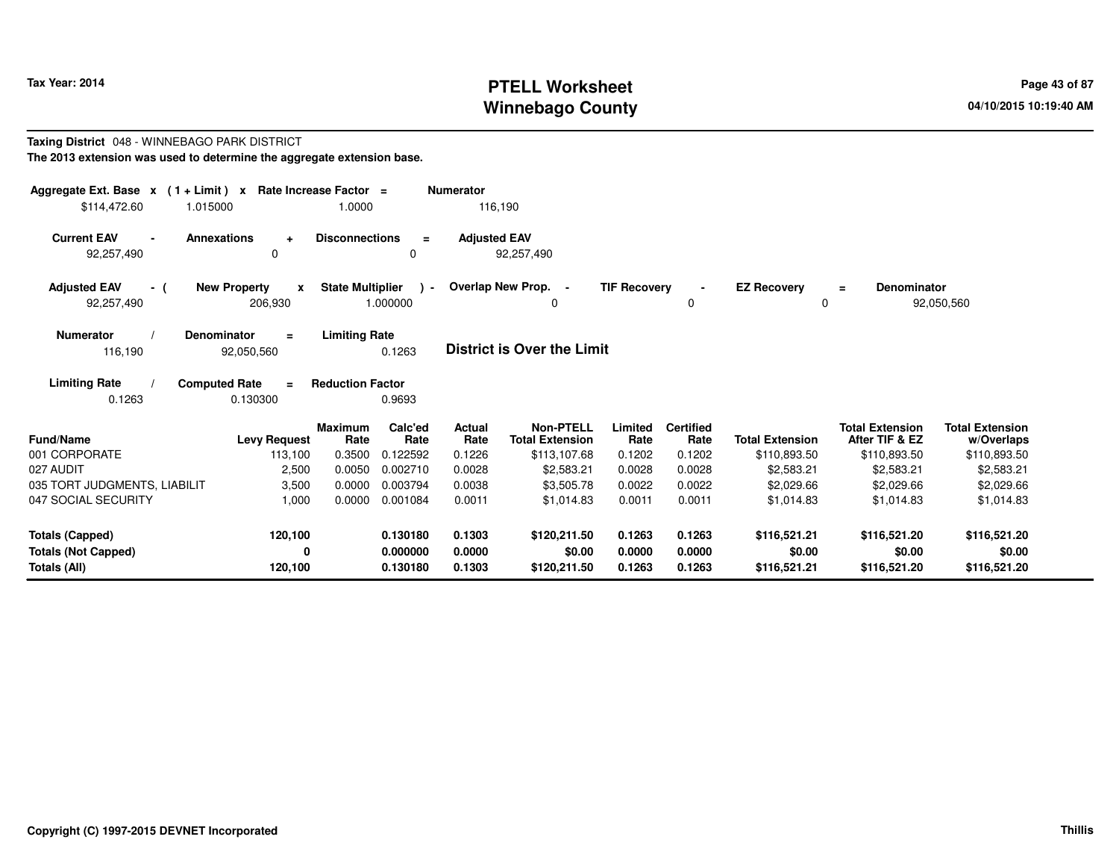# **PTELL Worksheet Tax Year: 2014 Page 43 of 87 Page 43 of 87 Winnebago County**

#### **Taxing District** 048 - WINNEBAGO PARK DISTRICT**The 2013 extension was used to determine the aggregate extension base.**

| Aggregate Ext. Base $x$ (1 + Limit) $x$<br>\$114,472.60                     | 1.015000                                           | Rate Increase Factor =<br>1.0000 |                                  | <b>Numerator</b><br>116,190 |                                            |                            |                            |                                        |                                          |                                        |
|-----------------------------------------------------------------------------|----------------------------------------------------|----------------------------------|----------------------------------|-----------------------------|--------------------------------------------|----------------------------|----------------------------|----------------------------------------|------------------------------------------|----------------------------------------|
| <b>Current EAV</b><br>92,257,490                                            | <b>Annexations</b><br>$\ddot{}$<br>0               | <b>Disconnections</b>            | $\equiv$<br>0                    | <b>Adjusted EAV</b>         | 92,257,490                                 |                            |                            |                                        |                                          |                                        |
| <b>Adjusted EAV</b><br>- (<br>92,257,490                                    | <b>New Property</b><br>$\boldsymbol{x}$<br>206,930 | <b>State Multiplier</b>          | $\sim$<br>1.000000               |                             | Overlap New Prop.<br>0                     | <b>TIF Recovery</b>        | $\blacksquare$<br>0        | <b>EZ Recovery</b><br>0                | <b>Denominator</b><br>$\equiv$           | 92,050,560                             |
| <b>Numerator</b><br>116,190                                                 | Denominator<br>$\equiv$<br>92,050,560              | <b>Limiting Rate</b>             | 0.1263                           |                             | <b>District is Over the Limit</b>          |                            |                            |                                        |                                          |                                        |
| <b>Limiting Rate</b><br>0.1263                                              | <b>Computed Rate</b><br>$\equiv$<br>0.130300       | <b>Reduction Factor</b>          | 0.9693                           |                             |                                            |                            |                            |                                        |                                          |                                        |
| Fund/Name                                                                   | <b>Levy Request</b>                                | <b>Maximum</b><br>Rate           | Calc'ed<br>Rate                  | <b>Actual</b><br>Rate       | <b>Non-PTELL</b><br><b>Total Extension</b> | Limited<br>Rate            | <b>Certified</b><br>Rate   | <b>Total Extension</b>                 | <b>Total Extension</b><br>After TIF & EZ | <b>Total Extension</b><br>w/Overlaps   |
| 001 CORPORATE                                                               | 113,100                                            | 0.3500                           | 0.122592                         | 0.1226                      | \$113,107.68                               | 0.1202                     | 0.1202                     | \$110,893.50                           | \$110,893.50                             | \$110,893.50                           |
| 027 AUDIT                                                                   | 2,500                                              | 0.0050                           | 0.002710                         | 0.0028                      | \$2,583.21                                 | 0.0028                     | 0.0028                     | \$2,583.21                             | \$2,583.21                               | \$2,583.21                             |
| 035 TORT JUDGMENTS, LIABILIT                                                | 3,500                                              | 0.0000                           | 0.003794                         | 0.0038                      | \$3,505.78                                 | 0.0022                     | 0.0022                     | \$2,029.66                             | \$2,029.66                               | \$2,029.66                             |
| 047 SOCIAL SECURITY                                                         | 1,000                                              | 0.0000                           | 0.001084                         | 0.0011                      | \$1.014.83                                 | 0.0011                     | 0.0011                     | \$1,014.83                             | \$1.014.83                               | \$1.014.83                             |
| <b>Totals (Capped)</b><br><b>Totals (Not Capped)</b><br><b>Totals (All)</b> | 120,100<br>0<br>120,100                            |                                  | 0.130180<br>0.000000<br>0.130180 | 0.1303<br>0.0000<br>0.1303  | \$120,211.50<br>\$0.00<br>\$120,211.50     | 0.1263<br>0.0000<br>0.1263 | 0.1263<br>0.0000<br>0.1263 | \$116,521.21<br>\$0.00<br>\$116,521.21 | \$116,521.20<br>\$0.00<br>\$116,521.20   | \$116,521.20<br>\$0.00<br>\$116,521.20 |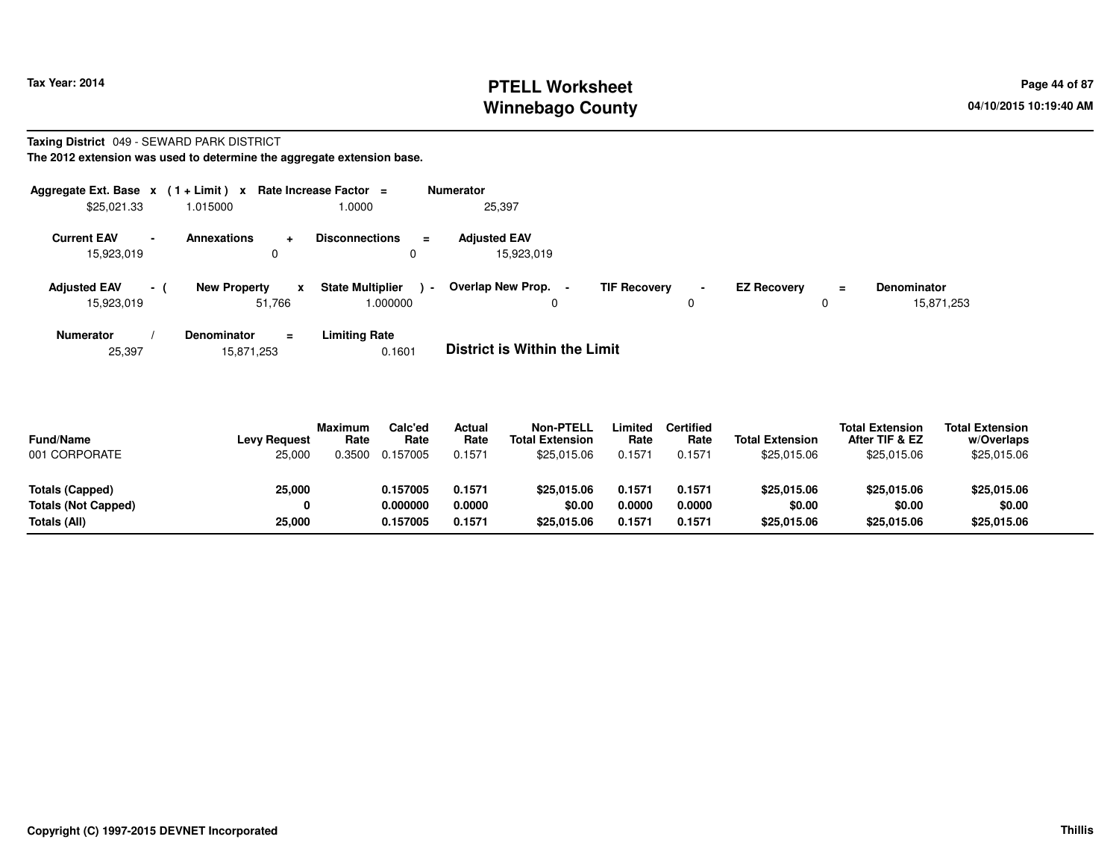# **PTELL Worksheet Tax Year: 2014 Page 44 of 87 Page 44 of 87 Winnebago County**

#### **Taxing District** 049 - SEWARD PARK DISTRICT**The 2012 extension was used to determine the aggregate extension base.**

| Aggregate Ext. Base $x$ (1+Limit) x |                          |                               |                           | Rate Increase Factor $=$             |          | <b>Numerator</b>                  |                     |   |                    |               |                                  |
|-------------------------------------|--------------------------|-------------------------------|---------------------------|--------------------------------------|----------|-----------------------------------|---------------------|---|--------------------|---------------|----------------------------------|
| \$25,021.33                         |                          | 1.015000                      |                           | 1.0000                               |          | 25,397                            |                     |   |                    |               |                                  |
| <b>Current EAV</b><br>15,923,019    | $\overline{\phantom{a}}$ | <b>Annexations</b>            | $\ddot{\phantom{1}}$<br>0 | <b>Disconnections</b><br>$\mathbf 0$ | $\equiv$ | <b>Adjusted EAV</b><br>15,923,019 |                     |   |                    |               |                                  |
| <b>Adjusted EAV</b><br>15,923,019   | $\sim$ 1                 | <b>New Property</b><br>51.766 | x                         | <b>State Multiplier</b><br>000000.1  | $\sim$   | Overlap New Prop.<br>υ            | <b>TIF Recovery</b> | 0 | <b>EZ Recoverv</b> | $\equiv$<br>0 | <b>Denominator</b><br>15,871,253 |
| <b>Numerator</b>                    |                          | <b>Denominator</b>            | $\equiv$                  | <b>Limiting Rate</b>                 |          | _ _ _ _ _ _ _ _ _ _ _ _ _ _ _ _ _ |                     |   |                    |               |                                  |

25,39715,871,253 0.1601 **District is Within the Limit**

| <b>Fund/Name</b><br>001 CORPORATE | <b>Levy Request</b><br>25,000 | <b>Maximum</b><br>Rate<br>0.3500 | Calc'ed<br>Rate<br>0.157005 | Actual<br>Rate<br>0.1571 | <b>Non-PTELL</b><br><b>Total Extension</b><br>\$25,015.06 | Limited<br>Rate<br>0.1571 | <b>Certified</b><br>Rate<br>0.1571 | <b>Total Extension</b><br>\$25,015,06 | <b>Total Extension</b><br>After TIF & EZ<br>\$25,015.06 | <b>Total Extension</b><br>w/Overlaps<br>\$25,015.06 |  |
|-----------------------------------|-------------------------------|----------------------------------|-----------------------------|--------------------------|-----------------------------------------------------------|---------------------------|------------------------------------|---------------------------------------|---------------------------------------------------------|-----------------------------------------------------|--|
| Totals (Capped)                   | 25,000                        |                                  | 0.157005                    | 0.1571                   | \$25,015.06                                               | 0.1571                    | 0.1571                             | \$25,015,06                           | \$25,015.06                                             | \$25,015.06                                         |  |
| Totals (Not Capped)               |                               |                                  | 0.000000                    | 0.0000                   | \$0.00                                                    | 0.0000                    | 0.0000                             | \$0.00                                | \$0.00                                                  | \$0.00                                              |  |
| Totals (All)                      | 25,000                        |                                  | 0.157005                    | 0.1571                   | \$25,015.06                                               | 0.1571                    | 0.1571                             | \$25,015.06                           | \$25,015.06                                             | \$25,015.06                                         |  |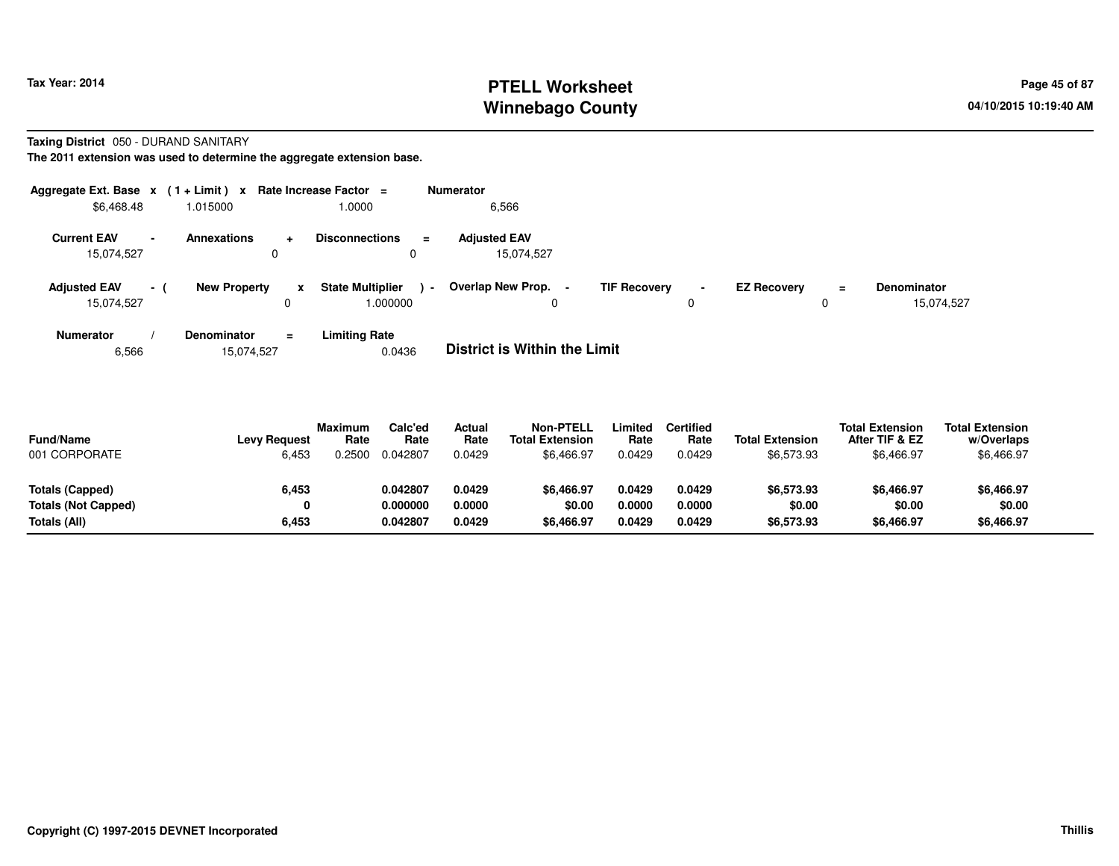# **PTELL Worksheet Tax Year: 2014 Page 45 of 87 Page 45 of 87 Winnebago County**

### **Taxing District** 050 - DURAND SANITARY

**The 2011 extension was used to determine the aggregate extension base.**

| Aggregate Ext. Base $x$ (1 + Limit) $x$ |                          |                     |          | Rate Increase Factor $=$            | <b>Numerator</b>                  |                     |                     |                    |          |                                  |
|-----------------------------------------|--------------------------|---------------------|----------|-------------------------------------|-----------------------------------|---------------------|---------------------|--------------------|----------|----------------------------------|
| \$6,468.48                              |                          | 1.015000            |          | 1.0000                              | 6,566                             |                     |                     |                    |          |                                  |
| <b>Current EAV</b><br>15,074,527        | $\overline{\phantom{a}}$ | <b>Annexations</b>  | ۰        | <b>Disconnections</b><br>$\equiv$   | <b>Adiusted EAV</b><br>15,074,527 |                     |                     |                    |          |                                  |
| <b>Adjusted EAV</b><br>15,074,527       | $\sim$ 10 $\pm$          | <b>New Property</b> | x        | <b>State Multiplier</b><br>1.000000 | Overlap New Prop.<br>$\sim$       | <b>TIF Recovery</b> | $\blacksquare$<br>0 | <b>EZ Recovery</b> | $\equiv$ | <b>Denominator</b><br>15,074,527 |
| <b>Numerator</b>                        |                          | Denominator         | $\equiv$ | <b>Limiting Rate</b>                | _                                 |                     |                     |                    |          |                                  |

6,56615,074,527 0.0436 **District is Within the Limit**

| <b>Fund/Name</b><br>001 CORPORATE | <b>Levy Request</b><br>6,453 | <b>Maximum</b><br>Rate<br>.2500 | Calc'ed<br>Rate<br>0.042807 | <b>Actual</b><br>Rate<br>0.0429 | <b>Non-PTELL</b><br><b>Total Extension</b><br>\$6,466.97 | .imited<br>Rate<br>0.0429 | Certified<br>Rate<br>0.0429 | <b>Total Extension</b><br>\$6,573.93 | <b>Total Extension</b><br>After TIF & EZ<br>\$6,466.97 | <b>Total Extension</b><br>w/Overlaps<br>\$6,466.97 |  |
|-----------------------------------|------------------------------|---------------------------------|-----------------------------|---------------------------------|----------------------------------------------------------|---------------------------|-----------------------------|--------------------------------------|--------------------------------------------------------|----------------------------------------------------|--|
| Totals (Capped)                   | 6,453                        |                                 | 0.042807                    | 0.0429                          | \$6,466.97                                               | 0.0429                    | 0.0429                      | \$6,573.93                           | \$6.466.97                                             | \$6,466.97                                         |  |
| Totals (Not Capped)               | 0                            |                                 | 0.000000                    | 0.0000                          | \$0.00                                                   | 0.0000                    | 0.0000                      | \$0.00                               | \$0.00                                                 | \$0.00                                             |  |
| Totals (All)                      | 6,453                        |                                 | 0.042807                    | 0.0429                          | \$6,466.97                                               | 0.0429                    | 0.0429                      | \$6,573.93                           | \$6,466.97                                             | \$6,466.97                                         |  |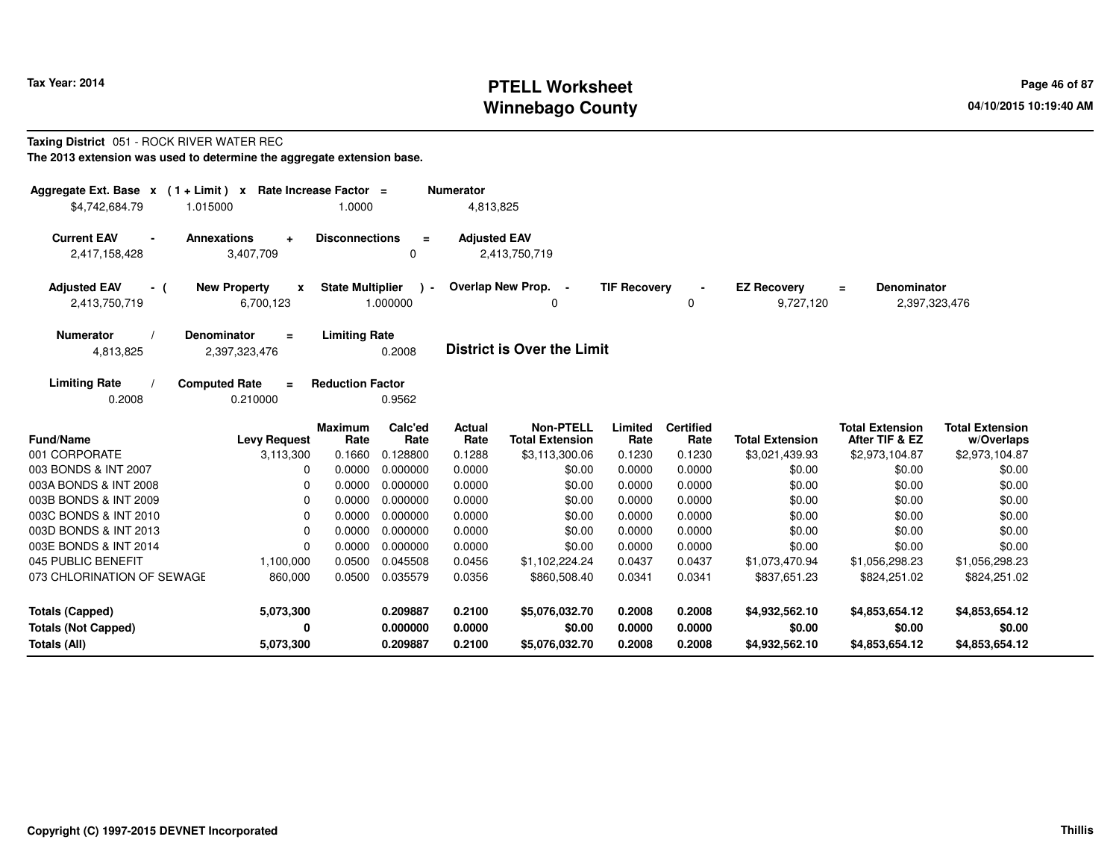# **PTELL Worksheet Tax Year: 2014 Page 46 of 87 Page 46 of 87 Winnebago County**

#### **Taxing District** 051 - ROCK RIVER WATER REC**The 2013 extension was used to determine the aggregate extension base.**

| Aggregate Ext. Base $x$ (1 + Limit) x Rate Increase Factor =<br>\$4.742.684.79 | 1.015000                                         | 1.0000                  |                          | <b>Numerator</b><br>4,813,825 |                                            |                     |                          |                                 |                                                 |                                      |
|--------------------------------------------------------------------------------|--------------------------------------------------|-------------------------|--------------------------|-------------------------------|--------------------------------------------|---------------------|--------------------------|---------------------------------|-------------------------------------------------|--------------------------------------|
| <b>Current EAV</b><br>2,417,158,428                                            | <b>Annexations</b><br>$\ddot{}$<br>3,407,709     | <b>Disconnections</b>   | $\equiv$<br>0            | <b>Adjusted EAV</b>           | 2,413,750,719                              |                     |                          |                                 |                                                 |                                      |
| <b>Adjusted EAV</b><br>- (<br>2,413,750,719                                    | <b>New Property</b><br>$\pmb{\chi}$<br>6,700,123 | <b>State Multiplier</b> | $\mathbf{r}$<br>1.000000 |                               | Overlap New Prop. -<br>ŋ                   | <b>TIF Recovery</b> | 0                        | <b>EZ Recovery</b><br>9,727,120 | <b>Denominator</b><br>$\equiv$<br>2,397,323,476 |                                      |
| <b>Numerator</b><br>4,813,825                                                  | <b>Denominator</b><br>$=$<br>2,397,323,476       | <b>Limiting Rate</b>    | 0.2008                   |                               | <b>District is Over the Limit</b>          |                     |                          |                                 |                                                 |                                      |
| <b>Limiting Rate</b><br>0.2008                                                 | <b>Computed Rate</b><br>$\equiv$<br>0.210000     | <b>Reduction Factor</b> | 0.9562                   |                               |                                            |                     |                          |                                 |                                                 |                                      |
| <b>Fund/Name</b>                                                               | <b>Levy Request</b>                              | <b>Maximum</b><br>Rate  | Calc'ed<br>Rate          | Actual<br>Rate                | <b>Non-PTELL</b><br><b>Total Extension</b> | Limited<br>Rate     | <b>Certified</b><br>Rate | <b>Total Extension</b>          | <b>Total Extension</b><br>After TIF & EZ        | <b>Total Extension</b><br>w/Overlaps |
| 001 CORPORATE                                                                  | 3,113,300                                        | 0.1660                  | 0.128800                 | 0.1288                        | \$3,113,300.06                             | 0.1230              | 0.1230                   | \$3,021,439.93                  | \$2,973,104.87                                  | \$2,973,104.87                       |
| 003 BONDS & INT 2007                                                           | $\Omega$                                         | 0.0000                  | 0.000000                 | 0.0000                        | \$0.00                                     | 0.0000              | 0.0000                   | \$0.00                          | \$0.00                                          | \$0.00                               |
| 003A BONDS & INT 2008                                                          | $\Omega$                                         | 0.0000                  | 0.000000                 | 0.0000                        | \$0.00                                     | 0.0000              | 0.0000                   | \$0.00                          | \$0.00                                          | \$0.00                               |
| 003B BONDS & INT 2009                                                          | 0                                                | 0.0000                  | 0.000000                 | 0.0000                        | \$0.00                                     | 0.0000              | 0.0000                   | \$0.00                          | \$0.00                                          | \$0.00                               |
| 003C BONDS & INT 2010                                                          | 0                                                | 0.0000                  | 0.000000                 | 0.0000                        | \$0.00                                     | 0.0000              | 0.0000                   | \$0.00                          | \$0.00                                          | \$0.00                               |
| 003D BONDS & INT 2013                                                          | $\Omega$                                         | 0.0000                  | 0.000000                 | 0.0000                        | \$0.00                                     | 0.0000              | 0.0000                   | \$0.00                          | \$0.00                                          | \$0.00                               |
| 003E BONDS & INT 2014                                                          | $\Omega$                                         | 0.0000                  | 0.000000                 | 0.0000                        | \$0.00                                     | 0.0000              | 0.0000                   | \$0.00                          | \$0.00                                          | \$0.00                               |
| 045 PUBLIC BENEFIT                                                             | 1,100,000                                        | 0.0500                  | 0.045508                 | 0.0456                        | \$1,102,224.24                             | 0.0437              | 0.0437                   | \$1,073,470.94                  | \$1,056,298.23                                  | \$1,056,298.23                       |
| 073 CHLORINATION OF SEWAGE                                                     | 860,000                                          | 0.0500                  | 0.035579                 | 0.0356                        | \$860,508.40                               | 0.0341              | 0.0341                   | \$837,651.23                    | \$824,251.02                                    | \$824,251.02                         |
| <b>Totals (Capped)</b>                                                         | 5,073,300                                        |                         | 0.209887                 | 0.2100                        | \$5,076,032.70                             | 0.2008              | 0.2008                   | \$4,932,562.10                  | \$4,853,654.12                                  | \$4,853,654.12                       |
| <b>Totals (Not Capped)</b>                                                     | 0                                                |                         | 0.000000                 | 0.0000                        | \$0.00                                     | 0.0000              | 0.0000                   | \$0.00                          | \$0.00                                          | \$0.00                               |
| Totals (All)                                                                   | 5,073,300                                        |                         | 0.209887                 | 0.2100                        | \$5,076,032.70                             | 0.2008              | 0.2008                   | \$4,932,562.10                  | \$4,853,654.12                                  | \$4,853,654.12                       |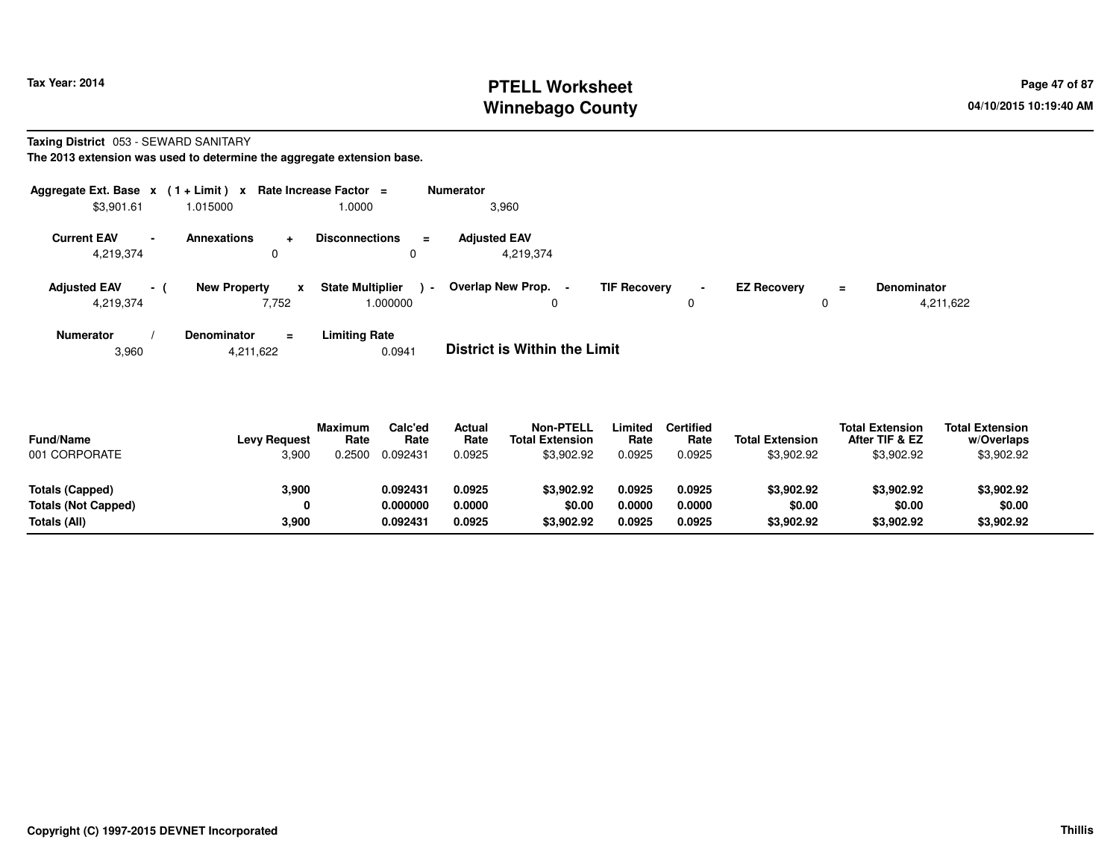# **PTELL Worksheet Tax Year: 2014 Page 47 of 87 Page 47 of 87 Winnebago County**

**Taxing District** 053 - SEWARD SANITARY

**The 2013 extension was used to determine the aggregate extension base.**

| Aggregate Ext. Base $x$ (1 + Limit) $x$ |                          |                     |                       | Rate Increase Factor $=$            |                          | Numerator                         |                     |                     |                    |          |                                 |
|-----------------------------------------|--------------------------|---------------------|-----------------------|-------------------------------------|--------------------------|-----------------------------------|---------------------|---------------------|--------------------|----------|---------------------------------|
| \$3,901.61                              |                          | 1.015000            |                       | 1.0000                              |                          | 3,960                             |                     |                     |                    |          |                                 |
| <b>Current EAV</b><br>4,219,374         | $\overline{\phantom{a}}$ | <b>Annexations</b>  | $\pm$<br>0            | <b>Disconnections</b><br>0          | $\equiv$                 | <b>Adiusted EAV</b><br>4,219,374  |                     |                     |                    |          |                                 |
| <b>Adjusted EAV</b><br>4,219,374        | $\sim$ 1                 | <b>New Property</b> | $\mathbf{x}$<br>7,752 | <b>State Multiplier</b><br>1.000000 | $\overline{\phantom{a}}$ | Overlap New Prop.<br>0            | <b>TIF Recovery</b> | $\blacksquare$<br>0 | <b>EZ Recovery</b> | $=$<br>0 | <b>Denominator</b><br>4,211,622 |
| <b>Numerator</b>                        |                          | <b>Denominator</b>  | $\equiv$              | <b>Limiting Rate</b>                |                          | _ _ _ _ _ _ _ _ _ _ _ _ _ _ _ _ _ |                     |                     |                    |          |                                 |

3,9604,211,622 0.0941 **District is Within the Limit**

| <b>Fund/Name</b><br>001 CORPORATE | <b>Levy Request</b><br>3,900 | <b>Maximum</b><br>Rate<br>.2500 | Calc'ed<br>Rate<br>0.092431 | Actual<br>Rate<br>0.0925 | <b>Non-PTELL</b><br><b>Total Extension</b><br>\$3,902.92 | .imited<br>Rate<br>0.0925 | <b>Certified</b><br>Rate<br>0.0925 | <b>Total Extension</b><br>\$3,902.92 | <b>Total Extension</b><br>After TIF & EZ<br>\$3,902.92 | <b>Total Extension</b><br>w/Overlaps<br>\$3,902.92 |  |
|-----------------------------------|------------------------------|---------------------------------|-----------------------------|--------------------------|----------------------------------------------------------|---------------------------|------------------------------------|--------------------------------------|--------------------------------------------------------|----------------------------------------------------|--|
| Totals (Capped)                   | 3,900                        |                                 | 0.092431                    | 0.0925                   | \$3.902.92                                               | 0.0925                    | 0.0925                             | \$3,902.92                           | \$3,902.92                                             | \$3,902.92                                         |  |
| <b>Totals (Not Capped)</b>        |                              |                                 | 0.000000                    | 0.0000                   | \$0.00                                                   | 0.0000                    | 0.0000                             | \$0.00                               | \$0.00                                                 | \$0.00                                             |  |
| Totals (All)                      | 3.900                        |                                 | 0.092431                    | 0.0925                   | \$3,902.92                                               | 0.0925                    | 0.0925                             | \$3,902.92                           | \$3,902.92                                             | \$3,902.92                                         |  |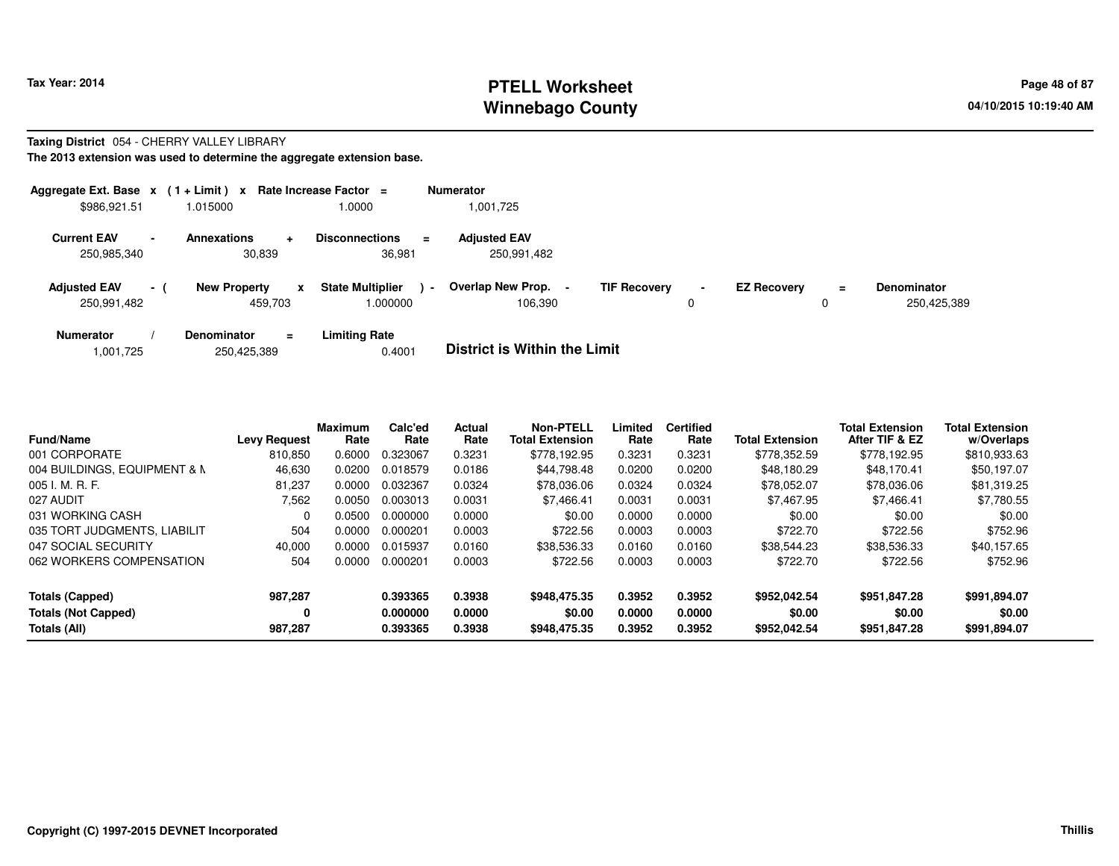# **PTELL Worksheet Tax Year: 2014 Page 48 of 87 Page 48 of 87 Winnebago County**

### **Taxing District** 054 - CHERRY VALLEY LIBRARY

**The 2013 extension was used to determine the aggregate extension base.**

| Aggregate Ext. Base $x$ (1 + Limit) $x$ |                |                                   | Rate Increase Factor =                   |                | <b>Numerator</b>                    |                     |             |                    |          |                                   |
|-----------------------------------------|----------------|-----------------------------------|------------------------------------------|----------------|-------------------------------------|---------------------|-------------|--------------------|----------|-----------------------------------|
| \$986,921.51                            |                | 1.015000                          | 1.0000                                   |                | 1,001,725                           |                     |             |                    |          |                                   |
| <b>Current EAV</b><br>250,985,340       | $\blacksquare$ | <b>Annexations</b><br>÷<br>30,839 | <b>Disconnections</b><br>36,981          | Ξ.             | <b>Adjusted EAV</b><br>250,991,482  |                     |             |                    |          |                                   |
| <b>Adjusted EAV</b><br>250,991,482      | $-1$           | <b>New Property</b><br>459,703    | <b>State Multiplier</b><br>X<br>1.000000 | $\blacksquare$ | <b>Overlap New Prop.</b><br>106,390 | <b>TIF Recovery</b> | $\sim$<br>0 | <b>EZ Recovery</b> | $\equiv$ | <b>Denominator</b><br>250,425,389 |
| <b>Numerator</b>                        |                | <b>Denominator</b><br>$\equiv$    | <b>Limiting Rate</b>                     |                | _ _ _ _ _ _ _ _ _ _ _ _ _ _ _ _ _   |                     |             |                    |          |                                   |

|  | .001,725. | 250,425,389 | 0.4001 | <b>District is Within the Limit</b> |
|--|-----------|-------------|--------|-------------------------------------|
|--|-----------|-------------|--------|-------------------------------------|

| <b>Fund/Name</b>             | <b>Levy Request</b> | <b>Maximum</b><br>Rate | Calc'ed<br>Rate | <b>Actual</b><br>Rate | <b>Non-PTELL</b><br><b>Total Extension</b> | Limited<br>Rate | <b>Certified</b><br>Rate | <b>Total Extension</b> | <b>Total Extension</b><br>After TIF & EZ | <b>Total Extension</b><br>w/Overlaps |
|------------------------------|---------------------|------------------------|-----------------|-----------------------|--------------------------------------------|-----------------|--------------------------|------------------------|------------------------------------------|--------------------------------------|
| 001 CORPORATE                | 810,850             | 0.6000                 | 0.323067        | 0.3231                | \$778.192.95                               | 0.3231          | 0.3231                   | \$778.352.59           | \$778.192.95                             | \$810,933.63                         |
| 004 BUILDINGS, EQUIPMENT & M | 46,630              | 0.0200                 | 0.018579        | 0.0186                | \$44,798.48                                | 0.0200          | 0.0200                   | \$48,180.29            | \$48,170.41                              | \$50,197.07                          |
| 005 I. M. R. F.              | 81,237              | 0.0000                 | 0.032367        | 0.0324                | \$78,036,06                                | 0.0324          | 0.0324                   | \$78.052.07            | \$78,036,06                              | \$81,319.25                          |
| 027 AUDIT                    | 7.562               | 0.0050                 | 0.003013        | 0.0031                | \$7.466.41                                 | 0.0031          | 0.0031                   | \$7.467.95             | \$7.466.41                               | \$7.780.55                           |
| 031 WORKING CASH             | $\Omega$            | 0.0500                 | 0.000000        | 0.0000                | \$0.00                                     | 0.0000          | 0.0000                   | \$0.00                 | \$0.00                                   | \$0.00                               |
| 035 TORT JUDGMENTS, LIABILIT | 504                 | 0.0000                 | 0.000201        | 0.0003                | \$722.56                                   | 0.0003          | 0.0003                   | \$722.70               | \$722.56                                 | \$752.96                             |
| 047 SOCIAL SECURITY          | 40,000              | 0.0000                 | 0.015937        | 0.0160                | \$38.536.33                                | 0.0160          | 0.0160                   | \$38.544.23            | \$38,536.33                              | \$40,157.65                          |
| 062 WORKERS COMPENSATION     | 504                 | 0.0000                 | 0.000201        | 0.0003                | \$722.56                                   | 0.0003          | 0.0003                   | \$722.70               | \$722.56                                 | \$752.96                             |
| <b>Totals (Capped)</b>       | 987.287             |                        | 0.393365        | 0.3938                | \$948,475.35                               | 0.3952          | 0.3952                   | \$952.042.54           | \$951.847.28                             | \$991,894.07                         |
| <b>Totals (Not Capped)</b>   | 0                   |                        | 0.000000        | 0.0000                | \$0.00                                     | 0.0000          | 0.0000                   | \$0.00                 | \$0.00                                   | \$0.00                               |
| Totals (All)                 | 987,287             |                        | 0.393365        | 0.3938                | \$948,475.35                               | 0.3952          | 0.3952                   | \$952,042.54           | \$951,847.28                             | \$991,894.07                         |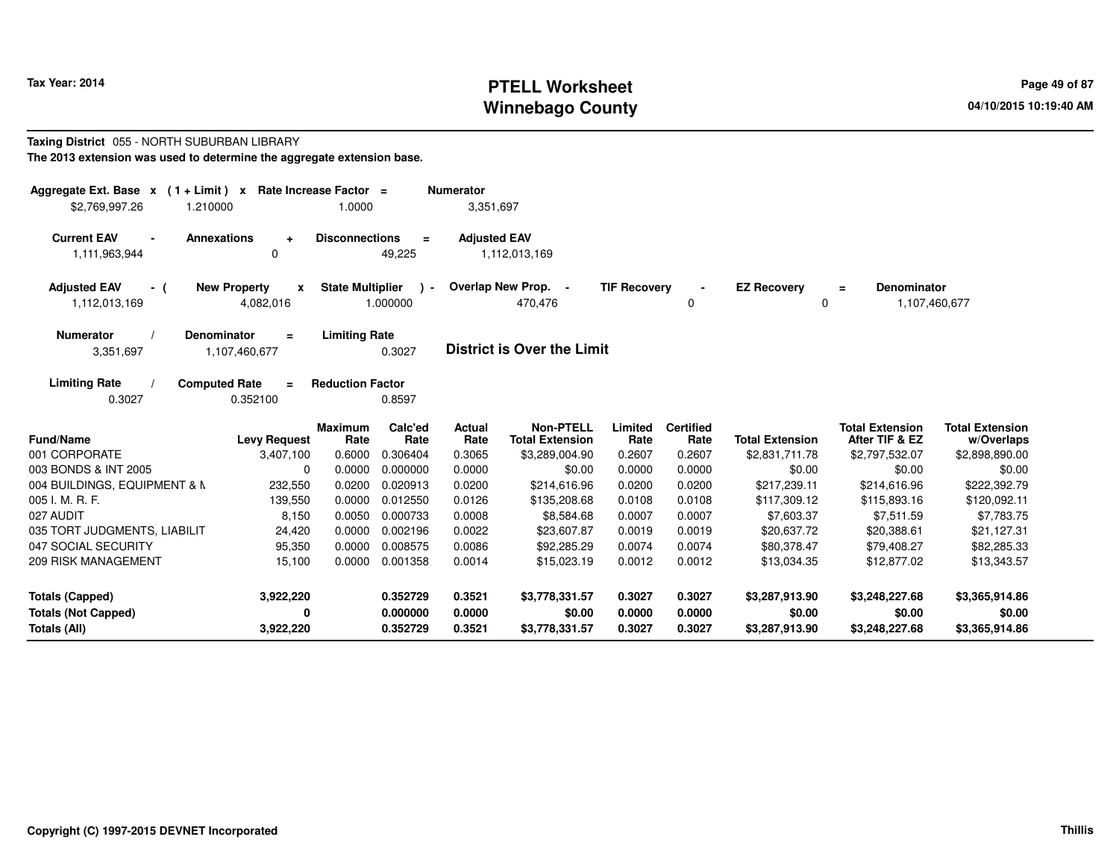# **PTELL Worksheet Tax Year: 2014 Page 49 of 87 Page 49 of 87 Winnebago County**

#### **Taxing District** 055 - NORTH SUBURBAN LIBRARY**The 2013 extension was used to determine the aggregate extension base.**

| Aggregate Ext. Base $x$ (1 + Limit) $x$<br>\$2,769,997.26<br>1.210000 | Rate Increase Factor =                           | 1.0000                  |                           | <b>Numerator</b><br>3,351,697 |                                            |                     |                          |                         |                                          |                                      |
|-----------------------------------------------------------------------|--------------------------------------------------|-------------------------|---------------------------|-------------------------------|--------------------------------------------|---------------------|--------------------------|-------------------------|------------------------------------------|--------------------------------------|
| <b>Current EAV</b><br>1,111,963,944                                   | <b>Annexations</b><br>$\ddot{}$<br>0             | <b>Disconnections</b>   | $=$<br>49,225             | <b>Adjusted EAV</b>           | 1,112,013,169                              |                     |                          |                         |                                          |                                      |
| <b>Adjusted EAV</b><br>- (<br>1,112,013,169                           | <b>New Property</b><br>$\mathbf{x}$<br>4,082,016 | <b>State Multiplier</b> | $\rightarrow$<br>1.000000 |                               | Overlap New Prop. -<br>470,476             | <b>TIF Recovery</b> | 0                        | <b>EZ Recovery</b><br>0 | Denominator<br>$\equiv$<br>1,107,460,677 |                                      |
| <b>Numerator</b><br>3,351,697                                         | <b>Denominator</b><br>$\equiv$<br>1,107,460,677  | <b>Limiting Rate</b>    | 0.3027                    |                               | <b>District is Over the Limit</b>          |                     |                          |                         |                                          |                                      |
| <b>Limiting Rate</b><br>0.3027                                        | <b>Computed Rate</b><br>$=$<br>0.352100          | <b>Reduction Factor</b> | 0.8597                    |                               |                                            |                     |                          |                         |                                          |                                      |
| Fund/Name                                                             | <b>Levy Request</b>                              | <b>Maximum</b><br>Rate  | Calc'ed<br>Rate           | Actual<br>Rate                | <b>Non-PTELL</b><br><b>Total Extension</b> | Limited<br>Rate     | <b>Certified</b><br>Rate | <b>Total Extension</b>  | <b>Total Extension</b><br>After TIF & EZ | <b>Total Extension</b><br>w/Overlaps |
| 001 CORPORATE                                                         | 3,407,100                                        | 0.6000                  | 0.306404                  | 0.3065                        | \$3,289,004.90                             | 0.2607              | 0.2607                   | \$2,831,711.78          | \$2,797,532.07                           | \$2,898,890.00                       |
| 003 BONDS & INT 2005                                                  | $\mathbf 0$                                      | 0.0000                  | 0.000000                  | 0.0000                        | \$0.00                                     | 0.0000              | 0.0000                   | \$0.00                  | \$0.00                                   | \$0.00                               |
| 004 BUILDINGS, EQUIPMENT & M                                          | 232,550                                          | 0.0200                  | 0.020913                  | 0.0200                        | \$214,616.96                               | 0.0200              | 0.0200                   | \$217,239.11            | \$214,616.96                             | \$222,392.79                         |
| 005 I. M. R. F.                                                       | 139,550                                          | 0.0000                  | 0.012550                  | 0.0126                        | \$135,208.68                               | 0.0108              | 0.0108                   | \$117,309.12            | \$115,893.16                             | \$120,092.11                         |
| 027 AUDIT                                                             | 8,150                                            | 0.0050                  | 0.000733                  | 0.0008                        | \$8,584.68                                 | 0.0007              | 0.0007                   | \$7,603.37              | \$7,511.59                               | \$7,783.75                           |
| 035 TORT JUDGMENTS, LIABILIT                                          | 24,420                                           | 0.0000                  | 0.002196                  | 0.0022                        | \$23,607.87                                | 0.0019              | 0.0019                   | \$20,637.72             | \$20,388.61                              | \$21,127.31                          |
| 047 SOCIAL SECURITY                                                   | 95,350                                           | 0.0000                  | 0.008575                  | 0.0086                        | \$92,285.29                                | 0.0074              | 0.0074                   | \$80,378.47             | \$79,408.27                              | \$82,285.33                          |
| 209 RISK MANAGEMENT                                                   | 15,100                                           | 0.0000                  | 0.001358                  | 0.0014                        | \$15,023.19                                | 0.0012              | 0.0012                   | \$13,034.35             | \$12,877.02                              | \$13,343.57                          |
| <b>Totals (Capped)</b>                                                | 3,922,220                                        |                         | 0.352729                  | 0.3521                        | \$3,778,331.57                             | 0.3027              | 0.3027                   | \$3,287,913.90          | \$3,248,227.68                           | \$3,365,914.86                       |
| <b>Totals (Not Capped)</b>                                            | 0                                                |                         | 0.000000                  | 0.0000                        | \$0.00                                     | 0.0000              | 0.0000                   | \$0.00                  | \$0.00                                   | \$0.00                               |
| Totals (All)                                                          | 3,922,220                                        |                         | 0.352729                  | 0.3521                        | \$3,778,331.57                             | 0.3027              | 0.3027                   | \$3,287,913.90          | \$3,248,227.68                           | \$3,365,914.86                       |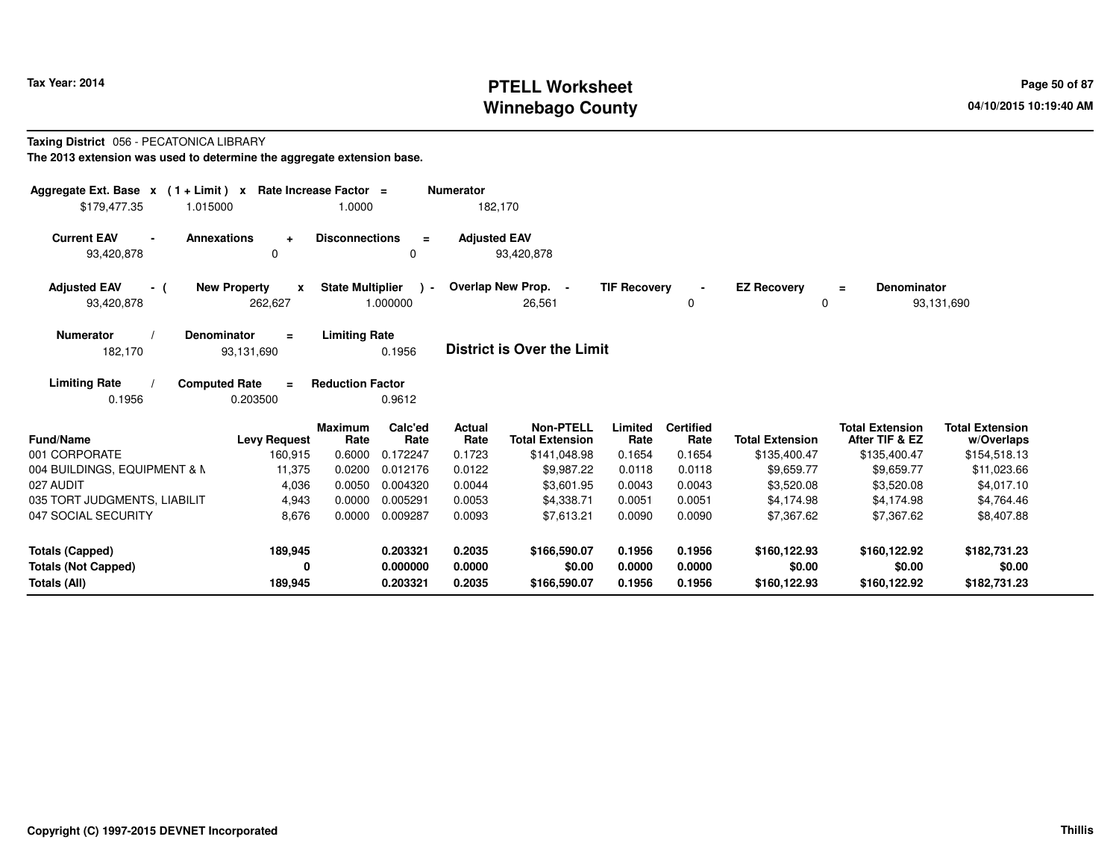# **PTELL Worksheet Tax Year: 2014 Page 50 of 87 PAGE 12 At 2014 Page 50 of 87 Winnebago County**

#### **Taxing District** 056 - PECATONICA LIBRARY**The 2013 extension was used to determine the aggregate extension base.**

| Aggregate Ext. Base $x$ (1 + Limit) $x$<br>1.015000<br>\$179,477.35 | Rate Increase Factor =<br>1.0000                                   |                                                      | <b>Numerator</b><br>182,170 |                                                            |                           |                                    |                                        |                                                          |                                                      |  |
|---------------------------------------------------------------------|--------------------------------------------------------------------|------------------------------------------------------|-----------------------------|------------------------------------------------------------|---------------------------|------------------------------------|----------------------------------------|----------------------------------------------------------|------------------------------------------------------|--|
| <b>Current EAV</b><br><b>Annexations</b><br>93,420,878              | <b>Disconnections</b><br>$\ddot{}$<br>0                            | $\equiv$<br>0                                        | <b>Adjusted EAV</b>         | 93,420,878                                                 |                           |                                    |                                        |                                                          |                                                      |  |
| <b>Adjusted EAV</b><br>- (<br>93,420,878                            | <b>New Property</b><br>$\mathbf{x}$<br>262,627                     | <b>State Multiplier</b><br>$\rightarrow$<br>1.000000 |                             | Overlap New Prop. -<br>26.561                              | <b>TIF Recovery</b>       | 0                                  | <b>EZ Recovery</b><br>O                | <b>Denominator</b><br>$=$                                | 93,131,690                                           |  |
| <b>Numerator</b><br><b>Denominator</b><br>182,170                   | <b>Limiting Rate</b><br>$\equiv$<br>93,131,690                     | 0.1956                                               |                             | <b>District is Over the Limit</b>                          |                           |                                    |                                        |                                                          |                                                      |  |
| <b>Computed Rate</b><br><b>Limiting Rate</b><br>0.1956              | <b>Reduction Factor</b><br>$=$<br>0.203500                         | 0.9612                                               |                             |                                                            |                           |                                    |                                        |                                                          |                                                      |  |
| <b>Fund/Name</b><br>001 CORPORATE                                   | <b>Maximum</b><br>Rate<br><b>Levy Request</b><br>160,915<br>0.6000 | Calc'ed<br>Rate<br>0.172247                          | Actual<br>Rate<br>0.1723    | <b>Non-PTELL</b><br><b>Total Extension</b><br>\$141,048.98 | Limited<br>Rate<br>0.1654 | <b>Certified</b><br>Rate<br>0.1654 | <b>Total Extension</b><br>\$135,400.47 | <b>Total Extension</b><br>After TIF & EZ<br>\$135,400.47 | <b>Total Extension</b><br>w/Overlaps<br>\$154,518.13 |  |
| 004 BUILDINGS, EQUIPMENT & M                                        | 11,375<br>0.0200                                                   | 0.012176                                             | 0.0122                      | \$9,987.22                                                 | 0.0118                    | 0.0118                             | \$9,659.77                             | \$9,659.77                                               | \$11,023.66                                          |  |
| 027 AUDIT                                                           | 4,036<br>0.0050                                                    | 0.004320                                             | 0.0044                      | \$3,601.95                                                 | 0.0043                    | 0.0043                             | \$3,520.08                             | \$3,520.08                                               | \$4,017.10                                           |  |
| 035 TORT JUDGMENTS. LIABILIT                                        | 4,943<br>0.0000                                                    | 0.005291                                             | 0.0053                      | \$4,338,71                                                 | 0.0051                    | 0.0051                             | \$4.174.98                             | \$4.174.98                                               | \$4,764.46                                           |  |
| 047 SOCIAL SECURITY                                                 | 8,676<br>0.0000                                                    | 0.009287                                             | 0.0093                      | \$7,613.21                                                 | 0.0090                    | 0.0090                             | \$7,367.62                             | \$7,367.62                                               | \$8,407.88                                           |  |
| <b>Totals (Capped)</b>                                              | 189,945                                                            | 0.203321                                             | 0.2035                      | \$166,590.07                                               | 0.1956                    | 0.1956                             | \$160,122.93                           | \$160,122.92                                             | \$182,731.23                                         |  |
| <b>Totals (Not Capped)</b><br>Totals (All)                          | 0<br>189,945                                                       | 0.000000<br>0.203321                                 | 0.0000<br>0.2035            | \$0.00<br>\$166,590.07                                     | 0.0000<br>0.1956          | 0.0000<br>0.1956                   | \$0.00<br>\$160,122.93                 | \$0.00<br>\$160,122.92                                   | \$0.00<br>\$182,731.23                               |  |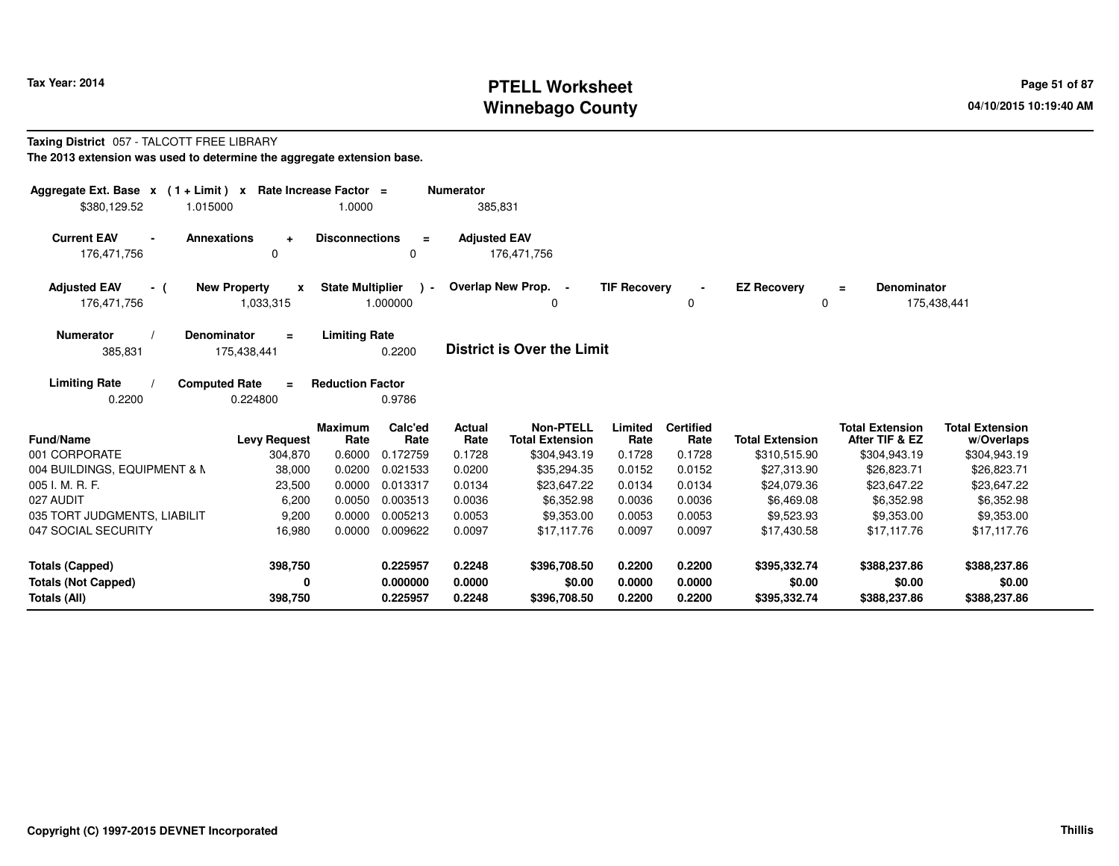# **PTELL Worksheet Tax Year: 2014 Page 51 of 87 PAGE 12 At 2016 Page 51 of 87 Winnebago County**

#### **Taxing District** 057 - TALCOTT FREE LIBRARY**The 2013 extension was used to determine the aggregate extension base.**

| Aggregate Ext. Base $x$ (1+Limit) $x$<br>\$380.129.52 | 1.015000                                         | Rate Increase Factor =<br>1.0000 |                           | <b>Numerator</b><br>385,831 |                                            |                     |                          |                         |                                          |                                      |
|-------------------------------------------------------|--------------------------------------------------|----------------------------------|---------------------------|-----------------------------|--------------------------------------------|---------------------|--------------------------|-------------------------|------------------------------------------|--------------------------------------|
| <b>Current EAV</b><br>176,471,756                     | <b>Annexations</b><br>$\ddot{}$<br>$\Omega$      | <b>Disconnections</b>            | $\equiv$<br>0             | <b>Adjusted EAV</b>         | 176,471,756                                |                     |                          |                         |                                          |                                      |
| <b>Adjusted EAV</b><br>- (<br>176,471,756             | <b>New Property</b><br>$\mathbf{x}$<br>1,033,315 | <b>State Multiplier</b>          | $\rightarrow$<br>1.000000 |                             | Overlap New Prop. -<br>0                   | <b>TIF Recovery</b> | 0                        | <b>EZ Recovery</b><br>0 | <b>Denominator</b><br>Ξ                  | 175,438,441                          |
| <b>Numerator</b><br>385,831                           | <b>Denominator</b><br>$\equiv$<br>175,438,441    | <b>Limiting Rate</b>             | 0.2200                    |                             | <b>District is Over the Limit</b>          |                     |                          |                         |                                          |                                      |
| <b>Limiting Rate</b><br>0.2200                        | <b>Computed Rate</b><br>$=$<br>0.224800          | <b>Reduction Factor</b>          | 0.9786                    |                             |                                            |                     |                          |                         |                                          |                                      |
| Fund/Name                                             | <b>Levy Request</b>                              | <b>Maximum</b><br>Rate           | Calc'ed<br>Rate           | Actual<br>Rate              | <b>Non-PTELL</b><br><b>Total Extension</b> | Limited<br>Rate     | <b>Certified</b><br>Rate | <b>Total Extension</b>  | <b>Total Extension</b><br>After TIF & EZ | <b>Total Extension</b><br>w/Overlaps |
| 001 CORPORATE                                         | 304,870                                          | 0.6000                           | 0.172759                  | 0.1728                      | \$304,943.19                               | 0.1728              | 0.1728                   | \$310,515.90            | \$304,943.19                             | \$304,943.19                         |
| 004 BUILDINGS, EQUIPMENT & M                          | 38,000                                           | 0.0200                           | 0.021533                  | 0.0200                      | \$35,294.35                                | 0.0152              | 0.0152                   | \$27,313.90             | \$26,823.71                              | \$26,823.71                          |
| 005 I. M. R. F.                                       | 23,500                                           | 0.0000                           | 0.013317                  | 0.0134                      | \$23,647.22                                | 0.0134              | 0.0134                   | \$24,079.36             | \$23,647.22                              | \$23,647.22                          |
| 027 AUDIT                                             | 6,200                                            | 0.0050                           | 0.003513                  | 0.0036                      | \$6,352.98                                 | 0.0036              | 0.0036                   | \$6,469.08              | \$6,352.98                               | \$6,352.98                           |
| 035 TORT JUDGMENTS, LIABILIT                          | 9,200                                            | 0.0000                           | 0.005213                  | 0.0053                      | \$9,353.00                                 | 0.0053              | 0.0053                   | \$9,523.93              | \$9,353.00                               | \$9,353.00                           |
| 047 SOCIAL SECURITY                                   | 16,980                                           | 0.0000                           | 0.009622                  | 0.0097                      | \$17,117.76                                | 0.0097              | 0.0097                   | \$17,430.58             | \$17,117.76                              | \$17,117.76                          |
| <b>Totals (Capped)</b>                                | 398,750                                          |                                  | 0.225957                  | 0.2248                      | \$396,708.50                               | 0.2200              | 0.2200                   | \$395,332.74            | \$388,237.86                             | \$388,237.86                         |
| <b>Totals (Not Capped)</b>                            | 0                                                |                                  | 0.000000                  | 0.0000                      | \$0.00                                     | 0.0000              | 0.0000                   | \$0.00                  | \$0.00                                   | \$0.00                               |
| Totals (All)                                          | 398,750                                          |                                  | 0.225957                  | 0.2248                      | \$396,708.50                               | 0.2200              | 0.2200                   | \$395,332.74            | \$388,237.86                             | \$388,237.86                         |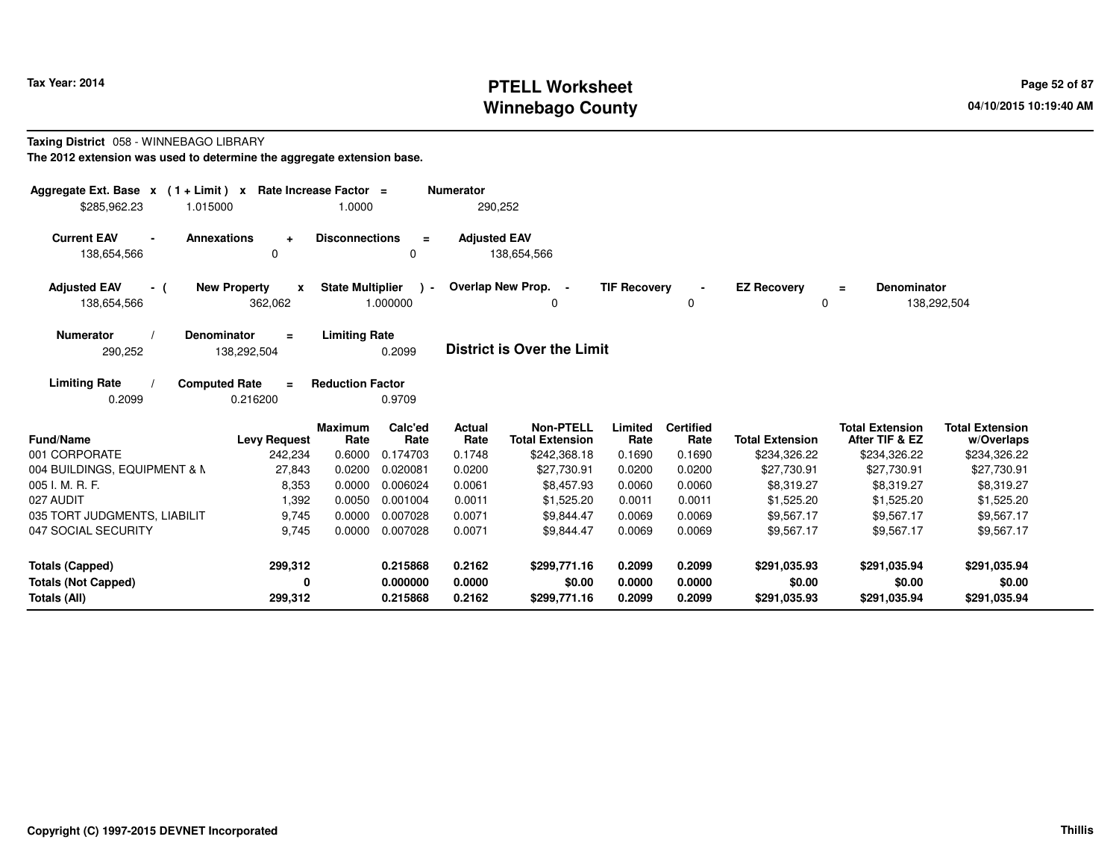# **PTELL Worksheet Tax Year: 2014 Page 52 of 87 Page 52 of 87 Winnebago County**

#### **Taxing District** 058 - WINNEBAGO LIBRARY**The 2012 extension was used to determine the aggregate extension base.**

| Aggregate Ext. Base $x$ (1 + Limit) x Rate Increase Factor =<br>\$285.962.23 | 1.015000                                       | 1.0000                  |                           | <b>Numerator</b><br>290,252 |                                            |                     |                          |                          |                                          |                                      |
|------------------------------------------------------------------------------|------------------------------------------------|-------------------------|---------------------------|-----------------------------|--------------------------------------------|---------------------|--------------------------|--------------------------|------------------------------------------|--------------------------------------|
| <b>Current EAV</b><br>$\blacksquare$<br>138,654,566                          | <b>Annexations</b><br>$\ddot{}$<br>$\Omega$    | <b>Disconnections</b>   | $\equiv$<br>0             | <b>Adjusted EAV</b>         | 138,654,566                                |                     |                          |                          |                                          |                                      |
| <b>Adjusted EAV</b><br>- (<br>138,654,566                                    | <b>New Property</b><br>$\mathbf{x}$<br>362,062 | <b>State Multiplier</b> | $\rightarrow$<br>1.000000 |                             | Overlap New Prop. -<br>0                   | <b>TIF Recovery</b> | 0                        | <b>EZ Recovery</b><br>0  | <b>Denominator</b><br>$\equiv$           | 138,292,504                          |
| <b>Numerator</b><br>290,252                                                  | Denominator<br>$\equiv$<br>138,292,504         | <b>Limiting Rate</b>    | 0.2099                    |                             | District is Over the Limit                 |                     |                          |                          |                                          |                                      |
| <b>Limiting Rate</b><br>0.2099                                               | <b>Computed Rate</b><br>$\equiv$<br>0.216200   | <b>Reduction Factor</b> | 0.9709                    |                             |                                            |                     |                          |                          |                                          |                                      |
| Fund/Name                                                                    | <b>Levy Request</b>                            | <b>Maximum</b><br>Rate  | Calc'ed<br>Rate           | Actual<br>Rate              | <b>Non-PTELL</b><br><b>Total Extension</b> | Limited<br>Rate     | <b>Certified</b><br>Rate | <b>Total Extension</b>   | <b>Total Extension</b><br>After TIF & EZ | <b>Total Extension</b><br>w/Overlaps |
| 001 CORPORATE                                                                | 242,234                                        | 0.6000                  | 0.174703                  | 0.1748                      | \$242,368.18                               | 0.1690              | 0.1690                   | \$234,326.22             | \$234,326.22                             | \$234,326.22                         |
| 004 BUILDINGS, EQUIPMENT & N                                                 | 27,843                                         | 0.0200                  | 0.020081                  | 0.0200                      | \$27,730.91                                | 0.0200              | 0.0200                   | \$27,730.91              | \$27,730.91                              | \$27,730.91                          |
| 005 I. M. R. F.                                                              | 8,353                                          | 0.0000                  | 0.006024                  | 0.0061                      | \$8,457.93                                 | 0.0060              | 0.0060                   | \$8,319.27               | \$8,319.27                               | \$8,319.27                           |
| 027 AUDIT<br>035 TORT JUDGMENTS, LIABILIT                                    | 1,392<br>9,745                                 | 0.0050<br>0.0000        | 0.001004<br>0.007028      | 0.0011<br>0.0071            | \$1,525.20<br>\$9,844.47                   | 0.0011<br>0.0069    | 0.0011<br>0.0069         | \$1,525.20<br>\$9,567.17 | \$1,525.20<br>\$9,567.17                 | \$1,525.20<br>\$9,567.17             |
| 047 SOCIAL SECURITY                                                          | 9,745                                          | 0.0000                  | 0.007028                  | 0.0071                      | \$9,844.47                                 | 0.0069              | 0.0069                   | \$9,567.17               | \$9,567.17                               | \$9,567.17                           |
| Totals (Capped)                                                              | 299,312                                        |                         | 0.215868                  | 0.2162                      | \$299,771.16                               | 0.2099              | 0.2099                   | \$291,035.93             | \$291,035.94                             | \$291,035.94                         |
| <b>Totals (Not Capped)</b><br>Totals (All)                                   | 0<br>299,312                                   |                         | 0.000000<br>0.215868      | 0.0000<br>0.2162            | \$0.00<br>\$299,771.16                     | 0.0000<br>0.2099    | 0.0000<br>0.2099         | \$0.00<br>\$291,035.93   | \$0.00<br>\$291,035.94                   | \$0.00<br>\$291,035.94               |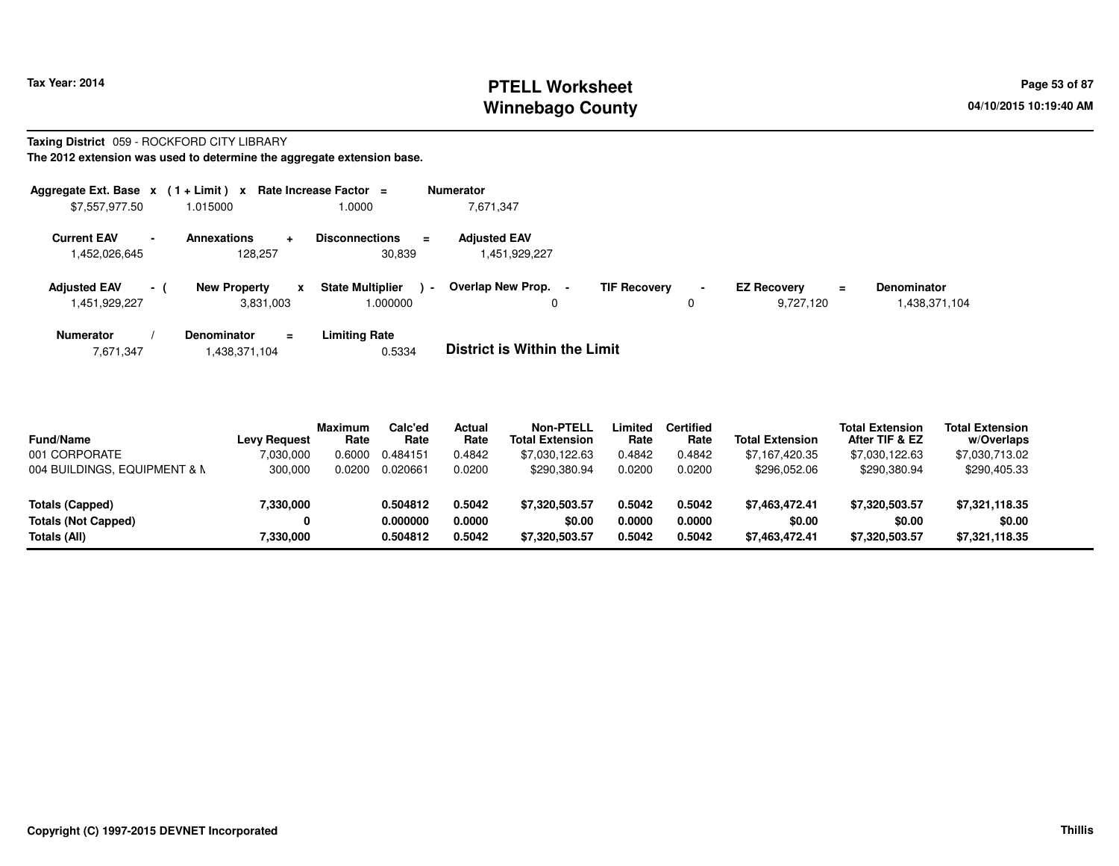# **PTELL Worksheet Tax Year: 2014 Page 53 of 87 Page 53 of 87 Winnebago County**

**Taxing District** 059 - ROCKFORD CITY LIBRARY

| Aggregate Ext. Base $x$ (1+Limit) $x$                           |                                                  | Rate Increase Factor =                        | <b>Numerator</b>                              |             |                                             |                                     |
|-----------------------------------------------------------------|--------------------------------------------------|-----------------------------------------------|-----------------------------------------------|-------------|---------------------------------------------|-------------------------------------|
| \$7,557,977.50                                                  | 1.015000                                         | 1.0000                                        | 7,671,347                                     |             |                                             |                                     |
| <b>Current EAV</b><br>$\overline{\phantom{a}}$<br>1,452,026,645 | <b>Annexations</b><br>÷<br>128,257               | <b>Disconnections</b><br>$\equiv$<br>30,839   | <b>Adjusted EAV</b><br>1,451,929,227          |             |                                             |                                     |
| <b>Adjusted EAV</b><br>$-1$<br>1,451,929,227                    | <b>New Property</b><br>$\mathbf{x}$<br>3,831,003 | <b>State Multiplier</b><br>$\sim$<br>1.000000 | Overlap New Prop.<br><b>TIF Recovery</b><br>0 | $\sim$<br>0 | <b>EZ Recovery</b><br>$\equiv$<br>9.727.120 | <b>Denominator</b><br>1,438,371,104 |
| <b>Numerator</b><br>7,671,347                                   | <b>Denominator</b><br>$\equiv$<br>1,438,371,104  | <b>Limiting Rate</b><br>0.5334                | <b>District is Within the Limit</b>           |             |                                             |                                     |

| <b>Fund/Name</b><br>001 CORPORATE<br>004 BUILDINGS, EQUIPMENT & N | <b>Levy Request</b><br>7,030,000<br>300,000 | <b>Maximum</b><br>Rate<br>0.6000<br>0.0200 | Calc'ed<br>Rate<br>0.484151<br>0.020661 | Actual<br>Rate<br>0.4842<br>0.0200 | <b>Non-PTELL</b><br><b>Total Extension</b><br>\$7,030,122.63<br>\$290,380.94 | Limited<br>Rate<br>0.4842<br>0.0200 | <b>Certified</b><br>Rate<br>0.4842<br>0.0200 | <b>Total Extension</b><br>\$7,167,420.35<br>\$296.052.06 | <b>Total Extension</b><br>After TIF & EZ<br>\$7,030,122.63<br>\$290,380.94 | <b>Total Extension</b><br>w/Overlaps<br>\$7,030,713.02<br>\$290,405.33 |  |
|-------------------------------------------------------------------|---------------------------------------------|--------------------------------------------|-----------------------------------------|------------------------------------|------------------------------------------------------------------------------|-------------------------------------|----------------------------------------------|----------------------------------------------------------|----------------------------------------------------------------------------|------------------------------------------------------------------------|--|
| Totals (Capped)<br><b>Totals (Not Capped)</b><br>Totals (All)     | 7,330,000<br>7,330,000                      |                                            | 0.504812<br>0.000000<br>0.504812        | 0.5042<br>0.0000<br>0.5042         | \$7.320,503.57<br>\$0.00<br>\$7,320,503.57                                   | 0.5042<br>0.0000<br>0.5042          | 0.5042<br>0.0000<br>0.5042                   | \$7.463.472.41<br>\$0.00<br>\$7,463,472.41               | \$7,320,503.57<br>\$0.00<br>\$7,320,503.57                                 | \$7,321,118.35<br>\$0.00<br>\$7,321,118.35                             |  |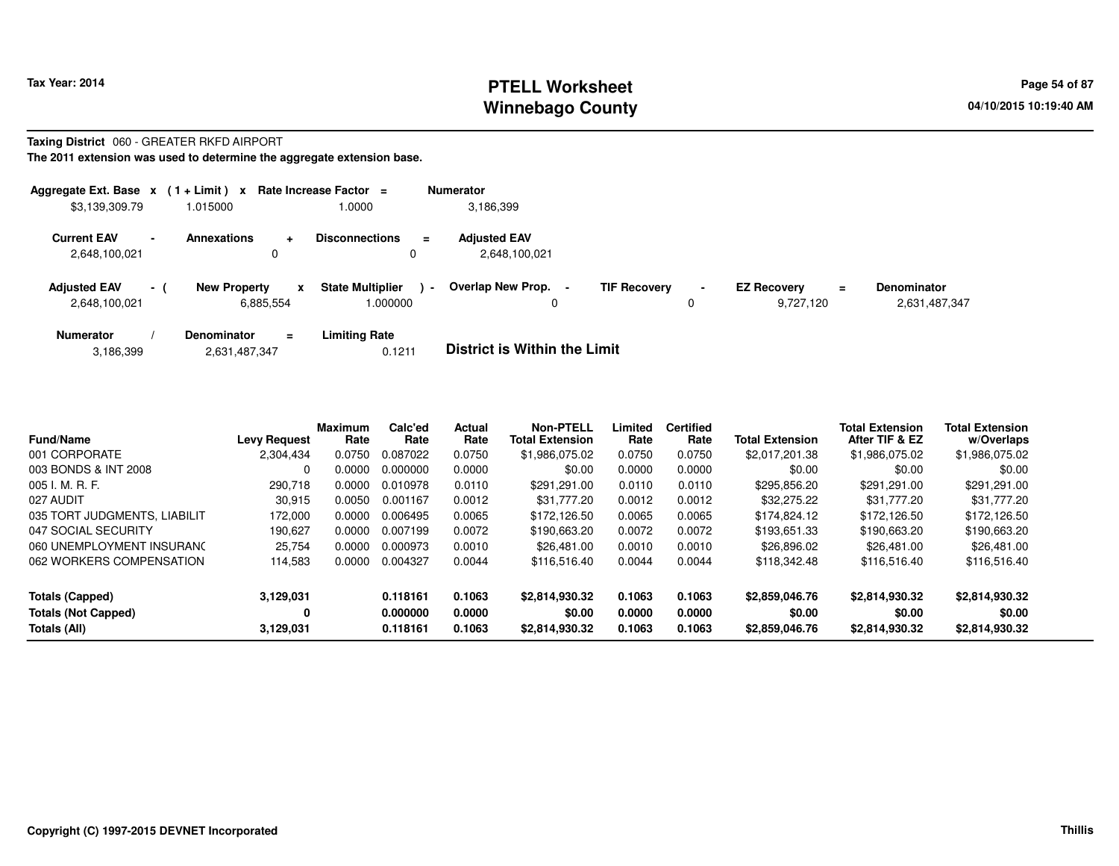## **PTELL Worksheet Tax Year: 2014 Page 54 of 87 Page 54 of 87 Page 54 of 87 Winnebago County**

#### **Taxing District** 060 - GREATER RKFD AIRPORT**The 2011 extension was used to determine the aggregate extension base.**

| Aggregate Ext. Base $x$ (1 + Limit) $x$ |                          |                                       | Rate Increase Factor $=$                             | <b>Numerator</b>                     |                     |                     |                                      |                                     |
|-----------------------------------------|--------------------------|---------------------------------------|------------------------------------------------------|--------------------------------------|---------------------|---------------------|--------------------------------------|-------------------------------------|
| \$3,139,309.79                          |                          | 1.015000                              | 1.0000                                               | 3,186,399                            |                     |                     |                                      |                                     |
| <b>Current EAV</b><br>2,648,100,021     | $\overline{\phantom{a}}$ | <b>Annexations</b><br>$\pm$<br>0      | <b>Disconnections</b><br>$\equiv$<br>$\mathbf{0}$    | <b>Adjusted EAV</b><br>2.648.100.021 |                     |                     |                                      |                                     |
| <b>Adjusted EAV</b><br>2,648,100,021    | $\sim$ 10 $\pm$          | <b>New Property</b><br>x<br>6,885,554 | <b>State Multiplier</b><br>$\blacksquare$<br>.000000 | Overlap New Prop. -<br>0             | <b>TIF Recovery</b> | $\blacksquare$<br>0 | <b>EZ Recovery</b><br>=<br>9,727,120 | <b>Denominator</b><br>2,631,487,347 |
| <b>Numerator</b>                        |                          | <b>Denominator</b><br>$\equiv$        | Limiting Rate                                        |                                      |                     |                     |                                      |                                     |

| 3,186,399 | 2,631,487,347 | <b>District is Within the Limit</b> |
|-----------|---------------|-------------------------------------|
|           |               |                                     |

| <b>Fund/Name</b>             | <b>Levy Request</b> | Maximum<br>Rate | Calc'ed<br>Rate | Actual<br>Rate | <b>Non-PTELL</b><br><b>Total Extension</b> | Limited<br>Rate | <b>Certified</b><br>Rate | <b>Total Extension</b> | <b>Total Extension</b><br>After TIF & EZ | <b>Total Extension</b><br>w/Overlaps |  |
|------------------------------|---------------------|-----------------|-----------------|----------------|--------------------------------------------|-----------------|--------------------------|------------------------|------------------------------------------|--------------------------------------|--|
| 001 CORPORATE                | 2,304,434           | 0.0750          | 0.087022        | 0.0750         | \$1.986.075.02                             | 0.0750          | 0.0750                   | \$2.017.201.38         | \$1,986,075.02                           | \$1,986,075.02                       |  |
| 003 BONDS & INT 2008         |                     | 0.0000          | 0.000000        | 0.0000         | \$0.00                                     | 0.0000          | 0.0000                   | \$0.00                 | \$0.00                                   | \$0.00                               |  |
| 005 I. M. R. F.              | 290,718             | 0.0000          | 0.010978        | 0.0110         | \$291.291.00                               | 0.0110          | 0.0110                   | \$295,856.20           | \$291.291.00                             | \$291.291.00                         |  |
| 027 AUDIT                    | 30,915              | 0.0050          | 0.001167        | 0.0012         | \$31,777.20                                | 0.0012          | 0.0012                   | \$32,275.22            | \$31.777.20                              | \$31,777.20                          |  |
| 035 TORT JUDGMENTS, LIABILIT | 172.000             | 0.0000          | 0.006495        | 0.0065         | \$172.126.50                               | 0.0065          | 0.0065                   | \$174,824.12           | \$172.126.50                             | \$172.126.50                         |  |
| 047 SOCIAL SECURITY          | 190.627             | 0.0000          | 0.007199        | 0.0072         | \$190,663.20                               | 0.0072          | 0.0072                   | \$193.651.33           | \$190.663.20                             | \$190,663.20                         |  |
| 060 UNEMPLOYMENT INSURANC    | 25,754              | 0.0000          | 0.000973        | 0.0010         | \$26,481.00                                | 0.0010          | 0.0010                   | \$26,896.02            | \$26,481.00                              | \$26,481.00                          |  |
| 062 WORKERS COMPENSATION     | 114,583             | 0.0000          | 0.004327        | 0.0044         | \$116,516.40                               | 0.0044          | 0.0044                   | \$118,342,48           | \$116,516.40                             | \$116,516.40                         |  |
| Totals (Capped)              | 3,129,031           |                 | 0.118161        | 0.1063         | \$2,814,930.32                             | 0.1063          | 0.1063                   | \$2,859,046.76         | \$2.814.930.32                           | \$2,814,930.32                       |  |
| <b>Totals (Not Capped)</b>   | 0                   |                 | 0.000000        | 0.0000         | \$0.00                                     | 0.0000          | 0.0000                   | \$0.00                 | \$0.00                                   | \$0.00                               |  |
| Totals (All)                 | 3,129,031           |                 | 0.118161        | 0.1063         | \$2,814,930.32                             | 0.1063          | 0.1063                   | \$2,859,046.76         | \$2.814.930.32                           | \$2,814,930.32                       |  |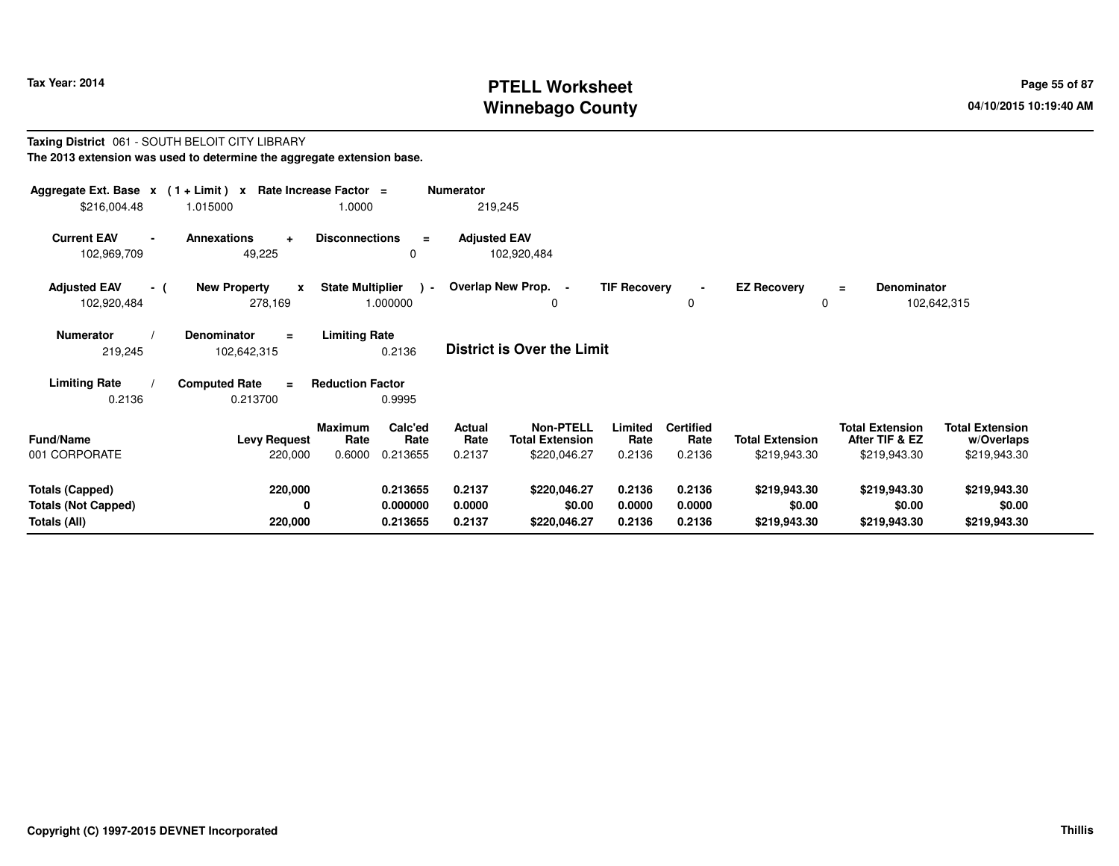# **PTELL Worksheet Tax Year: 2014 Page 55 of 87 Page 55 of 87 Winnebago County**

#### **Taxing District** 061 - SOUTH BELOIT CITY LIBRARY**The 2013 extension was used to determine the aggregate extension base.**

| \$216,004.48                                                                                                                                        | Aggregate Ext. Base $x$ (1 + Limit) $x$ Rate Increase Factor =<br><b>Numerator</b><br>1.0000<br>219,245<br>1.015000 |                                                                 |                                 |                                                     |                            |                                    |                                        |                                                          |                                                      |  |
|-----------------------------------------------------------------------------------------------------------------------------------------------------|---------------------------------------------------------------------------------------------------------------------|-----------------------------------------------------------------|---------------------------------|-----------------------------------------------------|----------------------------|------------------------------------|----------------------------------------|----------------------------------------------------------|------------------------------------------------------|--|
| <b>Current EAV</b><br>102,969,709                                                                                                                   | Annexations<br>$\ddot{}$<br>49,225                                                                                  | <b>Disconnections</b><br>0                                      | <b>Adjusted EAV</b><br>$\equiv$ | 102,920,484                                         |                            |                                    |                                        |                                                          |                                                      |  |
| <b>Adjusted EAV</b><br>- (<br>102,920,484                                                                                                           | <b>New Property</b><br>$\mathbf{x}$<br>278,169                                                                      | <b>State Multiplier</b><br>1.000000                             | $\rightarrow$                   | Overlap New Prop. -<br>0                            | <b>TIF Recovery</b>        | $\blacksquare$<br>0                | <b>EZ Recovery</b><br>0                | Denominator<br>$\equiv$                                  | 102,642,315                                          |  |
| <b>Limiting Rate</b><br><b>Numerator</b><br><b>Denominator</b><br>$\equiv$<br><b>District is Over the Limit</b><br>0.2136<br>219,245<br>102,642,315 |                                                                                                                     |                                                                 |                                 |                                                     |                            |                                    |                                        |                                                          |                                                      |  |
| <b>Limiting Rate</b><br>0.2136                                                                                                                      | <b>Computed Rate</b><br>$=$<br>0.213700                                                                             | <b>Reduction Factor</b><br>0.9995                               |                                 |                                                     |                            |                                    |                                        |                                                          |                                                      |  |
| <b>Fund/Name</b><br>001 CORPORATE                                                                                                                   | <b>Levy Request</b><br>220,000                                                                                      | <b>Maximum</b><br>Calc'ed<br>Rate<br>Rate<br>0.6000<br>0.213655 | <b>Actual</b><br>Rate<br>0.2137 | Non-PTELL<br><b>Total Extension</b><br>\$220,046.27 | Limited<br>Rate<br>0.2136  | <b>Certified</b><br>Rate<br>0.2136 | <b>Total Extension</b><br>\$219,943.30 | <b>Total Extension</b><br>After TIF & EZ<br>\$219,943.30 | <b>Total Extension</b><br>w/Overlaps<br>\$219,943.30 |  |
| <b>Totals (Capped)</b><br><b>Totals (Not Capped)</b><br>Totals (All)                                                                                | 220,000<br>0<br>220,000                                                                                             | 0.213655<br>0.000000<br>0.213655                                | 0.2137<br>0.0000<br>0.2137      | \$220,046.27<br>\$0.00<br>\$220,046.27              | 0.2136<br>0.0000<br>0.2136 | 0.2136<br>0.0000<br>0.2136         | \$219,943.30<br>\$0.00<br>\$219,943.30 | \$219,943.30<br>\$0.00<br>\$219,943.30                   | \$219,943.30<br>\$0.00<br>\$219,943.30               |  |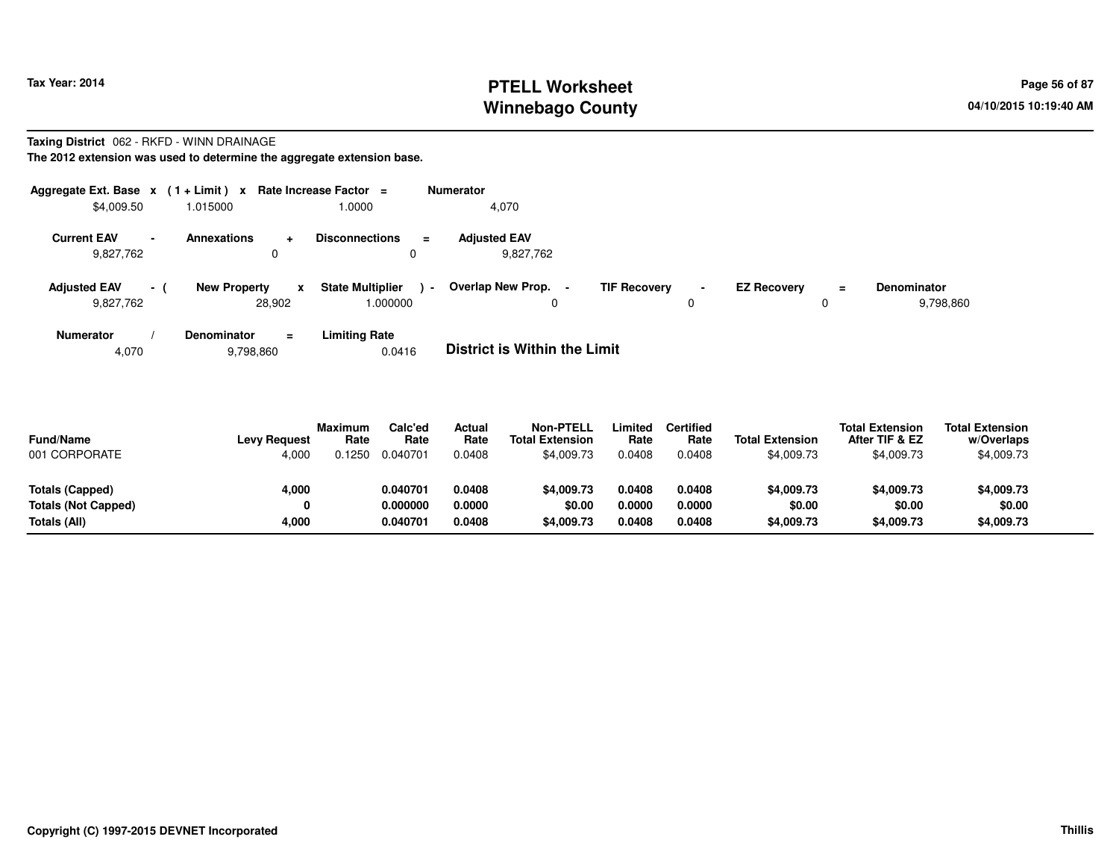# **PTELL Worksheet Tax Year: 2014 Page 56 of 87 Page 56 of 87 Winnebago County**

#### **Taxing District** 062 - RKFD - WINN DRAINAGE**The 2012 extension was used to determine the aggregate extension base.**

| \$4,009.50                       |                | Aggregate Ext. Base $x$ (1+Limit) x Rate Increase Factor =<br>1.015000 | 0000.                                        | <b>Numerator</b><br>4,070         |                     |                |                    |         |                                 |
|----------------------------------|----------------|------------------------------------------------------------------------|----------------------------------------------|-----------------------------------|---------------------|----------------|--------------------|---------|---------------------------------|
| <b>Current EAV</b><br>9,827,762  | $\blacksquare$ | <b>Annexations</b><br>$\ddot{}$<br>0                                   | <b>Disconnections</b><br>$\equiv$            | <b>Adjusted EAV</b><br>9,827,762  |                     |                |                    |         |                                 |
| <b>Adjusted EAV</b><br>9,827,762 | $-1$           | <b>New Property</b><br>$\mathbf{x}$<br>28.902                          | <b>State Multiplier</b><br>$\sim$<br>000000. | Overlap New Prop.<br>0            | <b>TIF Recovery</b> | $\blacksquare$ | <b>EZ Recovery</b> | Ξ.<br>0 | <b>Denominator</b><br>9,798,860 |
| <b>Numerator</b>                 |                | <b>Denominator</b><br>$=$                                              | <b>Limiting Rate</b>                         | _ _ _ _ _ _ _ _ _ _ _ _ _ _ _ _ _ |                     |                |                    |         |                                 |

4,0709,798,860 0.0416 **District is Within the Limit**

| <b>Fund/Name</b><br>001 CORPORATE | <b>Levy Request</b><br>4,000 | <b>Maximum</b><br>Rate<br>).1250 | Calc'ed<br>Rate<br>0.040701 | Actual<br>Rate<br>0.0408 | <b>Non-PTELL</b><br><b>Total Extension</b><br>\$4,009.73 | .imited<br>Rate<br>0.0408 | Certified<br>Rate<br>0.0408 | <b>Total Extension</b><br>\$4,009.73 | <b>Total Extension</b><br>After TIF & EZ<br>\$4,009.73 | <b>Total Extension</b><br>w/Overlaps<br>\$4,009.73 |  |
|-----------------------------------|------------------------------|----------------------------------|-----------------------------|--------------------------|----------------------------------------------------------|---------------------------|-----------------------------|--------------------------------------|--------------------------------------------------------|----------------------------------------------------|--|
| Totals (Capped)                   | 4,000                        |                                  | 0.040701                    | 0.0408                   | \$4,009.73                                               | 0.0408                    | 0.0408                      | \$4,009.73                           | \$4,009.73                                             | \$4,009.73                                         |  |
| <b>Totals (Not Capped)</b>        | 0                            |                                  | 0.000000                    | 0.0000                   | \$0.00                                                   | 0.0000                    | 0.0000                      | \$0.00                               | \$0.00                                                 | \$0.00                                             |  |
| Totals (All)                      | 4,000                        |                                  | 0.040701                    | 0.0408                   | \$4,009.73                                               | 0.0408                    | 0.0408                      | \$4,009.73                           | \$4,009.73                                             | \$4,009.73                                         |  |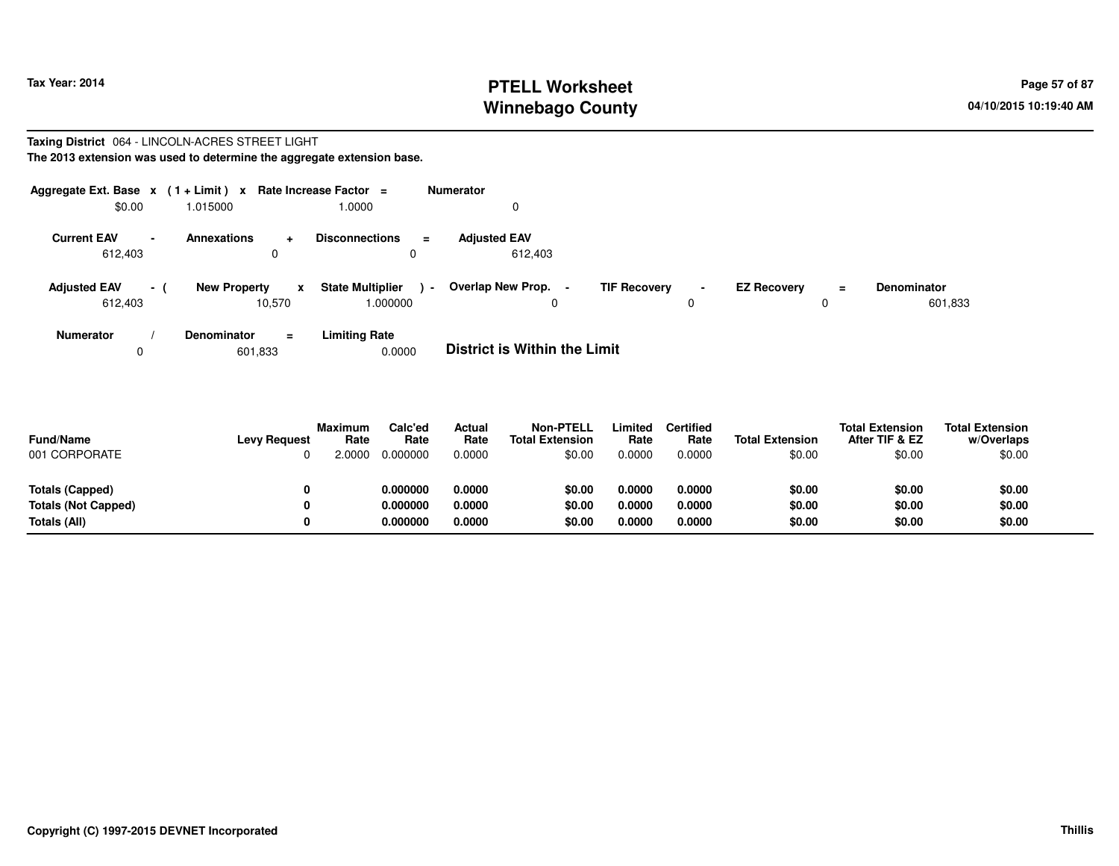# **PTELL Worksheet Tax Year: 2014 Page 57 of 87 Page 57 of 87 Winnebago County**

#### **Taxing District** 064 - LINCOLN-ACRES STREET LIGHT**The 2013 extension was used to determine the aggregate extension base.**

| Aggregate Ext. Base $x$ (1 + Limit) $x$<br>\$0.00 | 1.015000                                      | Rate Increase Factor =<br>1.0000              | <b>Numerator</b>                                   |                                            |                                     |                               |
|---------------------------------------------------|-----------------------------------------------|-----------------------------------------------|----------------------------------------------------|--------------------------------------------|-------------------------------------|-------------------------------|
| <b>Current EAV</b>                                | <b>Annexations</b><br>$\pm$                   | <b>Disconnections</b><br>$\equiv$             | <b>Adjusted EAV</b>                                |                                            |                                     |                               |
| 612,403                                           | 0                                             | 0                                             | 612.403                                            |                                            |                                     |                               |
| <b>Adjusted EAV</b><br>$-1$<br>612,403            | <b>New Property</b><br>$\mathbf{x}$<br>10,570 | <b>State Multiplier</b><br>$\sim$<br>1.000000 | Overlap New Prop.<br>$\overline{\phantom{0}}$<br>0 | <b>TIF Recovery</b><br>$\blacksquare$<br>0 | <b>EZ Recovery</b><br>$\equiv$<br>0 | <b>Denominator</b><br>601,833 |
| <b>Numerator</b>                                  | <b>Denominator</b><br>$\equiv$                | <b>Limiting Rate</b>                          | _ _ _ _ _ _ _ _ _ _ _ _ _ _ _ _ _ _                |                                            |                                     |                               |

0601,833 0.0000 **District is Within the Limit**

| <b>Fund/Name</b><br>001 CORPORATE          | <b>Levy Request</b> | Maximum<br>Rate<br>.0000 | Calc'ed<br>Rate<br>0.000000 | <b>Actual</b><br>Rate<br>0.0000 | <b>Non-PTELL</b><br><b>Total Extension</b><br>\$0.00 | Limited<br>Rate<br>0.0000 | <b>Certified</b><br>Rate<br>0.0000 | <b>Total Extension</b><br>\$0.00 | <b>Total Extension</b><br>After TIF & EZ<br>\$0.00 | <b>Total Extension</b><br>w/Overlaps<br>\$0.00 |
|--------------------------------------------|---------------------|--------------------------|-----------------------------|---------------------------------|------------------------------------------------------|---------------------------|------------------------------------|----------------------------------|----------------------------------------------------|------------------------------------------------|
| Totals (Capped)                            | 0                   |                          | 0.000000<br>0.000000        | 0.0000<br>0.0000                | \$0.00                                               | 0.0000                    | 0.0000<br>0.0000                   | \$0.00                           | \$0.00                                             | \$0.00                                         |
| <b>Totals (Not Capped)</b><br>Totals (All) | 0<br>0              |                          | 0.000000                    | 0.0000                          | \$0.00<br>\$0.00                                     | 0.0000<br>0.0000          | 0.0000                             | \$0.00<br>\$0.00                 | \$0.00<br>\$0.00                                   | \$0.00<br>\$0.00                               |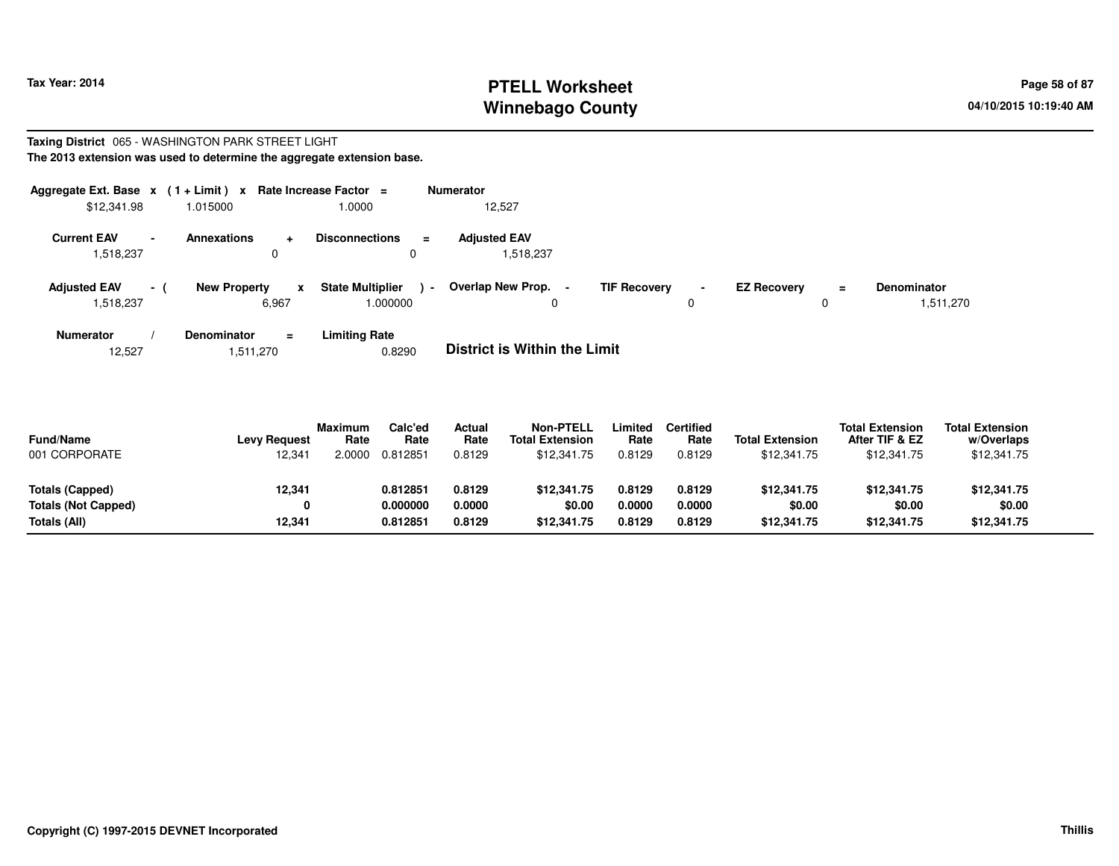# **PTELL Worksheet Tax Year: 2014 Page 58 of 87 Page 58 of 87 Winnebago County**

#### **Taxing District** 065 - WASHINGTON PARK STREET LIGHT**The 2013 extension was used to determine the aggregate extension base.**

| Aggregate Ext. Base $x$ (1 + Limit) $x$<br>\$12,341.98      | 1.015000                         | Rate Increase Factor =<br>1.0000              | <b>Numerator</b><br>12,527       |                                            |                                |                                 |
|-------------------------------------------------------------|----------------------------------|-----------------------------------------------|----------------------------------|--------------------------------------------|--------------------------------|---------------------------------|
| <b>Current EAV</b><br>$\overline{\phantom{0}}$<br>1,518,237 | <b>Annexations</b><br>$\pm$<br>0 | <b>Disconnections</b><br>$\equiv$<br>0        | <b>Adjusted EAV</b><br>1,518,237 |                                            |                                |                                 |
| <b>Adjusted EAV</b><br>$\sim$<br>1,518,237                  | <b>New Property</b><br>6,967     | <b>State Multiplier</b><br>$\sim$<br>000000.1 | <b>Overlap New Prop.</b><br>0    | <b>TIF Recovery</b><br>$\blacksquare$<br>0 | <b>EZ Recovery</b><br>$=$<br>0 | <b>Denominator</b><br>1,511,270 |
| <b>Numerator</b>                                            | <b>Denominator</b><br>Ξ.         | <b>Limiting Rate</b>                          |                                  |                                            |                                |                                 |

**Limiting Rate**<br>0.8290 12,5271,511,270 0.8290 **District is Within the Limit**

| <b>Fund/Name</b><br>001 CORPORATE | <b>Levy Request</b><br>12,341 | <b>Maximum</b><br>Rate<br>2.0000 | Calc'ed<br>Rate<br>0.812851 | Actual<br>Rate<br>0.8129 | <b>Non-PTELL</b><br><b>Total Extension</b><br>\$12,341.75 | .imited<br>Rate<br>0.8129 | <b>Certified</b><br>Rate<br>0.8129 | <b>Total Extension</b><br>\$12,341.75 | <b>Total Extension</b><br>After TIF & EZ<br>\$12,341.75 | <b>Total Extension</b><br>w/Overlaps<br>\$12,341.75 |  |
|-----------------------------------|-------------------------------|----------------------------------|-----------------------------|--------------------------|-----------------------------------------------------------|---------------------------|------------------------------------|---------------------------------------|---------------------------------------------------------|-----------------------------------------------------|--|
| Totals (Capped)                   | 12,341                        |                                  | 0.81285                     | 0.8129                   | \$12,341.75                                               | 0.8129                    | 0.8129                             | \$12,341.75                           | \$12,341.75                                             | \$12,341.75                                         |  |
| <b>Totals (Not Capped)</b>        | 0                             |                                  | 0.000000                    | 0.0000                   | \$0.00                                                    | 0.0000                    | 0.0000                             | \$0.00                                | \$0.00                                                  | \$0.00                                              |  |
| Totals (All)                      | 12,341                        |                                  | 0.812851                    | 0.8129                   | \$12,341.75                                               | 0.8129                    | 0.8129                             | \$12,341.75                           | \$12,341.75                                             | \$12,341.75                                         |  |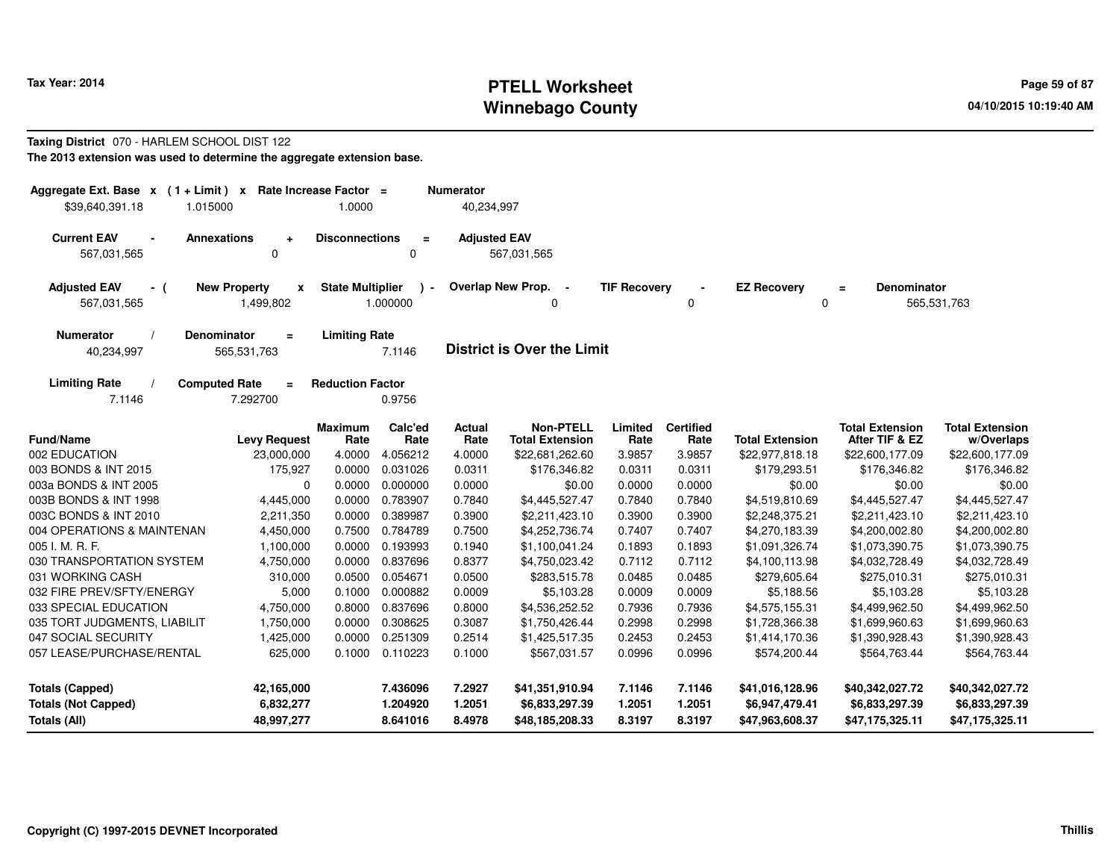# **PTELL Worksheet Tax Year: 2014 Page 59 of 87 Page 59 of 87 Winnebago County**

#### **Taxing District** 070 - HARLEM SCHOOL DIST 122**The 2013 extension was used to determine the aggregate extension base.**

| Aggregate Ext. Base $x$ (1 + Limit) $x$<br>\$39,640,391.18<br>1.015000 |                                                           | Rate Increase Factor =<br>1.0000 |                      | <b>Numerator</b><br>40,234,997 |                                            |                     |                          |                                   |                                          |                                      |
|------------------------------------------------------------------------|-----------------------------------------------------------|----------------------------------|----------------------|--------------------------------|--------------------------------------------|---------------------|--------------------------|-----------------------------------|------------------------------------------|--------------------------------------|
| <b>Current EAV</b><br>$\blacksquare$<br>567,031,565                    | <b>Annexations</b><br>$\ddot{\phantom{1}}$<br>$\mathbf 0$ | <b>Disconnections</b>            | $=$<br>0             | <b>Adjusted EAV</b>            | 567,031,565                                |                     |                          |                                   |                                          |                                      |
| <b>Adjusted EAV</b><br>- (<br>567,031,565                              | <b>New Property</b><br>$\mathbf{x}$<br>1,499,802          | <b>State Multiplier</b>          | $\sim$<br>1.000000   |                                | Overlap New Prop. -<br><sup>0</sup>        | <b>TIF Recovery</b> | 0                        | <b>EZ Recovery</b><br>0           | <b>Denominator</b><br>$\equiv$           | 565,531,763                          |
| <b>Numerator</b><br>40,234,997                                         | Denominator<br>$\equiv$<br>565,531,763                    | <b>Limiting Rate</b>             | 7.1146               |                                | <b>District is Over the Limit</b>          |                     |                          |                                   |                                          |                                      |
| <b>Limiting Rate</b><br>7.1146                                         | <b>Computed Rate</b><br>$\equiv$<br>7.292700              | <b>Reduction Factor</b>          | 0.9756               |                                |                                            |                     |                          |                                   |                                          |                                      |
| <b>Fund/Name</b>                                                       | <b>Levy Request</b>                                       | Maximum<br>Rate                  | Calc'ed<br>Rate      | <b>Actual</b><br>Rate          | <b>Non-PTELL</b><br><b>Total Extension</b> | Limited<br>Rate     | <b>Certified</b><br>Rate | <b>Total Extension</b>            | <b>Total Extension</b><br>After TIF & EZ | <b>Total Extension</b><br>w/Overlaps |
| 002 EDUCATION                                                          | 23,000,000                                                | 4.0000                           | 4.056212             | 4.0000                         | \$22,681,262.60                            | 3.9857              | 3.9857                   | \$22,977,818.18                   | \$22,600,177.09                          | \$22,600,177.09                      |
| 003 BONDS & INT 2015                                                   | 175,927                                                   | 0.0000                           | 0.031026             | 0.0311                         | \$176,346.82                               | 0.0311              | 0.0311                   | \$179,293.51                      | \$176,346.82                             | \$176,346.82                         |
| 003a BONDS & INT 2005                                                  | 0                                                         | 0.0000                           | 0.000000             | 0.0000                         | \$0.00                                     | 0.0000              | 0.0000                   | \$0.00                            | \$0.00                                   | \$0.00                               |
| 003B BONDS & INT 1998                                                  | 4,445,000                                                 | 0.0000                           | 0.783907             | 0.7840                         | \$4,445,527.47                             | 0.7840              | 0.7840                   | \$4,519,810.69                    | \$4,445,527.47                           | \$4,445,527.47                       |
| 003C BONDS & INT 2010                                                  | 2,211,350                                                 | 0.0000                           | 0.389987             | 0.3900                         | \$2,211,423.10                             | 0.3900              | 0.3900                   | \$2,248,375.21                    | \$2,211,423.10                           | \$2,211,423.10                       |
| 004 OPERATIONS & MAINTENAN                                             | 4,450,000                                                 | 0.7500                           | 0.784789             | 0.7500                         | \$4,252,736.74                             | 0.7407              | 0.7407                   | \$4,270,183.39                    | \$4,200,002.80                           | \$4,200,002.80                       |
| 005 I. M. R. F.                                                        | 1,100,000                                                 | 0.0000                           | 0.193993             | 0.1940                         | \$1,100,041.24                             | 0.1893              | 0.1893                   | \$1,091,326.74                    | \$1,073,390.75                           | \$1,073,390.75                       |
| 030 TRANSPORTATION SYSTEM                                              | 4,750,000                                                 | 0.0000                           | 0.837696             | 0.8377                         | \$4,750,023.42                             | 0.7112              | 0.7112                   | \$4,100,113.98                    | \$4,032,728.49                           | \$4,032,728.49                       |
| 031 WORKING CASH                                                       | 310,000                                                   | 0.0500                           | 0.054671             | 0.0500                         | \$283,515.78                               | 0.0485              | 0.0485                   | \$279,605.64                      | \$275,010.31                             | \$275,010.31                         |
| 032 FIRE PREV/SFTY/ENERGY                                              | 5,000                                                     | 0.1000                           | 0.000882             | 0.0009                         | \$5,103.28                                 | 0.0009              | 0.0009                   | \$5,188.56                        | \$5,103.28                               | \$5,103.28                           |
| 033 SPECIAL EDUCATION                                                  | 4,750,000                                                 | 0.8000                           | 0.837696             | 0.8000                         | \$4,536,252.52                             | 0.7936              | 0.7936                   | \$4,575,155.31                    | \$4,499,962.50                           | \$4,499,962.50                       |
| 035 TORT JUDGMENTS, LIABILIT                                           | 1,750,000                                                 | 0.0000                           | 0.308625             | 0.3087                         | \$1,750,426.44                             | 0.2998              | 0.2998                   | \$1,728,366.38                    | \$1,699,960.63                           | \$1,699,960.63                       |
| 047 SOCIAL SECURITY                                                    | 1,425,000                                                 | 0.0000                           | 0.251309             | 0.2514                         | \$1,425,517.35                             | 0.2453              | 0.2453                   | \$1,414,170.36                    | \$1,390,928.43                           | \$1,390,928.43                       |
| 057 LEASE/PURCHASE/RENTAL                                              | 625,000                                                   | 0.1000                           | 0.110223             | 0.1000                         | \$567,031.57                               | 0.0996              | 0.0996                   | \$574,200.44                      | \$564,763.44                             | \$564,763.44                         |
| <b>Totals (Capped)</b>                                                 | 42,165,000                                                |                                  | 7.436096             | 7.2927                         | \$41,351,910.94                            | 7.1146              | 7.1146                   | \$41,016,128.96                   | \$40,342,027.72                          | \$40,342,027.72                      |
| <b>Totals (Not Capped)</b><br>Totals (All)                             | 6,832,277<br>48,997,277                                   |                                  | 1.204920<br>8.641016 | 1.2051<br>8.4978               | \$6,833,297.39<br>\$48,185,208.33          | 1.2051<br>8.3197    | 1.2051<br>8.3197         | \$6,947,479.41<br>\$47,963,608.37 | \$6,833,297.39<br>\$47,175,325.11        | \$6,833,297.39<br>\$47,175,325.11    |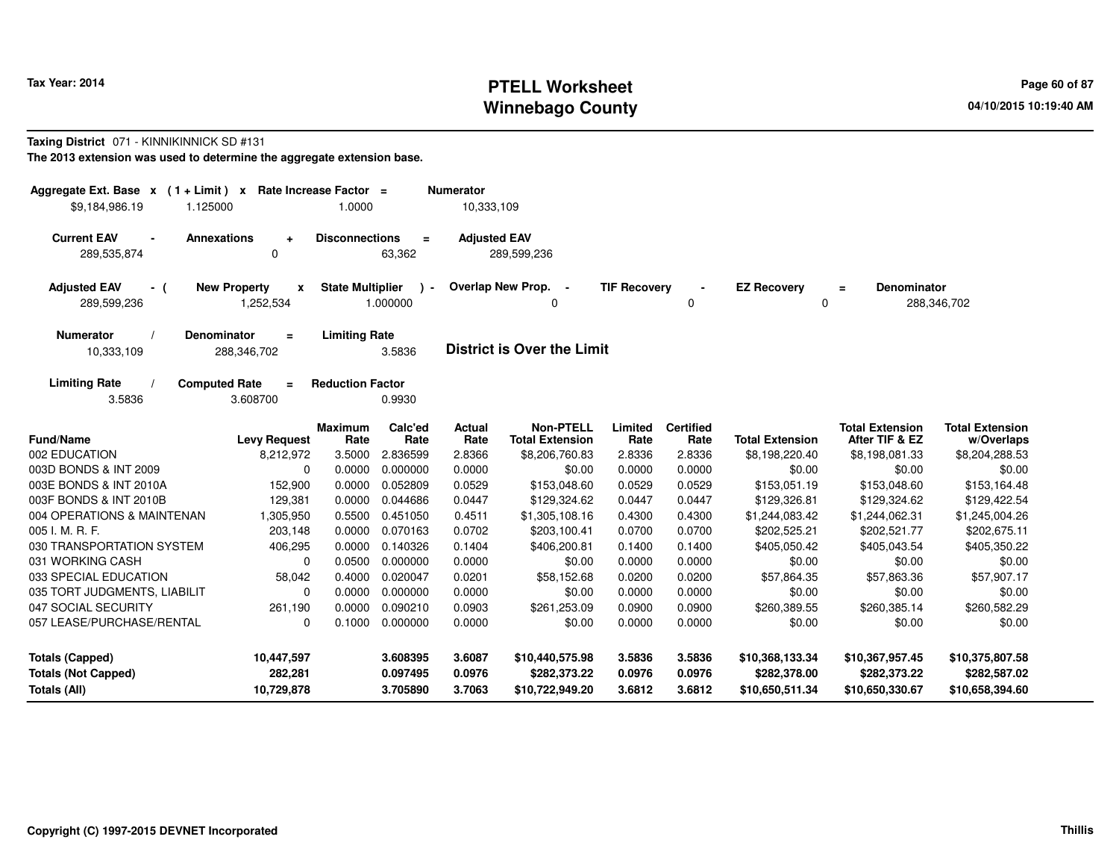# **PTELL Worksheet Tax Year: 2014 Page 60 of 87 Page 60 of 87 Winnebago County**

#### **Taxing District** 071 - KINNIKINNICK SD #131

**The 2013 extension was used to determine the aggregate extension base.**

| Aggregate Ext. Base $x$ (1+Limit) $x$<br>\$9,184,986.19<br>1.125000 | Rate Increase Factor =                           | 1.0000                  |                          | <b>Numerator</b><br>10,333,109 |                                            |                     |                          |                        |                                          |                                      |
|---------------------------------------------------------------------|--------------------------------------------------|-------------------------|--------------------------|--------------------------------|--------------------------------------------|---------------------|--------------------------|------------------------|------------------------------------------|--------------------------------------|
| <b>Current EAV</b><br>289,535,874                                   | <b>Annexations</b><br>$\Delta$<br>0              | <b>Disconnections</b>   | Ξ<br>63,362              | <b>Adjusted EAV</b>            | 289,599,236                                |                     |                          |                        |                                          |                                      |
| <b>Adjusted EAV</b><br>- (<br>289,599,236                           | <b>New Property</b><br>$\mathbf{x}$<br>1,252,534 | <b>State Multiplier</b> | $\mathbf{r}$<br>1.000000 |                                | Overlap New Prop.<br>$\sim$                | <b>TIF Recovery</b> | 0                        | <b>EZ Recovery</b>     | Denominator<br>$\equiv$<br>0             | 288,346,702                          |
| <b>Numerator</b><br>10,333,109                                      | <b>Denominator</b><br>$\equiv$<br>288,346,702    | <b>Limiting Rate</b>    | 3.5836                   |                                | <b>District is Over the Limit</b>          |                     |                          |                        |                                          |                                      |
| <b>Limiting Rate</b><br>3.5836                                      | <b>Computed Rate</b><br>$=$<br>3.608700          | <b>Reduction Factor</b> | 0.9930                   |                                |                                            |                     |                          |                        |                                          |                                      |
| <b>Fund/Name</b>                                                    | <b>Levy Request</b>                              | <b>Maximum</b><br>Rate  | Calc'ed<br>Rate          | Actual<br>Rate                 | <b>Non-PTELL</b><br><b>Total Extension</b> | Limited<br>Rate     | <b>Certified</b><br>Rate | <b>Total Extension</b> | <b>Total Extension</b><br>After TIF & EZ | <b>Total Extension</b><br>w/Overlaps |
| 002 EDUCATION                                                       | 8,212,972                                        | 3.5000                  | 2.836599                 | 2.8366                         | \$8,206,760.83                             | 2.8336              | 2.8336                   | \$8,198,220.40         | \$8,198,081.33                           | \$8,204,288.53                       |
| 003D BONDS & INT 2009                                               | $\Omega$                                         | 0.0000                  | 0.000000                 | 0.0000                         | \$0.00                                     | 0.0000              | 0.0000                   | \$0.00                 | \$0.00                                   | \$0.00                               |
| 003E BONDS & INT 2010A                                              | 152,900                                          | 0.0000                  | 0.052809                 | 0.0529                         | \$153,048.60                               | 0.0529              | 0.0529                   | \$153,051.19           | \$153,048.60                             | \$153,164.48                         |
| 003F BONDS & INT 2010B                                              | 129,381                                          | 0.0000                  | 0.044686                 | 0.0447                         | \$129,324.62                               | 0.0447              | 0.0447                   | \$129,326.81           | \$129,324.62                             | \$129,422.54                         |
| 004 OPERATIONS & MAINTENAN                                          | 1,305,950                                        | 0.5500                  | 0.451050                 | 0.4511                         | \$1,305,108.16                             | 0.4300              | 0.4300                   | \$1,244,083.42         | \$1,244,062.31                           | \$1,245,004.26                       |
| 005 I. M. R. F.                                                     | 203,148                                          | 0.0000                  | 0.070163                 | 0.0702                         | \$203,100.41                               | 0.0700              | 0.0700                   | \$202,525.21           | \$202,521.77                             | \$202,675.11                         |
| 030 TRANSPORTATION SYSTEM                                           | 406,295                                          | 0.0000                  | 0.140326                 | 0.1404                         | \$406,200.81                               | 0.1400              | 0.1400                   | \$405,050.42           | \$405,043.54                             | \$405,350.22                         |
| 031 WORKING CASH                                                    | $\Omega$                                         | 0.0500                  | 0.000000                 | 0.0000                         | \$0.00                                     | 0.0000              | 0.0000                   | \$0.00                 | \$0.00                                   | \$0.00                               |
| 033 SPECIAL EDUCATION                                               | 58,042                                           | 0.4000                  | 0.020047                 | 0.0201                         | \$58,152.68                                | 0.0200              | 0.0200                   | \$57,864.35            | \$57,863.36                              | \$57,907.17                          |
| 035 TORT JUDGMENTS, LIABILIT                                        | $\Omega$                                         | 0.0000                  | 0.000000                 | 0.0000                         | \$0.00                                     | 0.0000              | 0.0000                   | \$0.00                 | \$0.00                                   | \$0.00                               |
| 047 SOCIAL SECURITY                                                 | 261,190                                          | 0.0000                  | 0.090210                 | 0.0903                         | \$261,253.09                               | 0.0900              | 0.0900                   | \$260,389.55           | \$260,385.14                             | \$260,582.29                         |
| 057 LEASE/PURCHASE/RENTAL                                           | 0                                                | 0.1000                  | 0.000000                 | 0.0000                         | \$0.00                                     | 0.0000              | 0.0000                   | \$0.00                 | \$0.00                                   | \$0.00                               |
| <b>Totals (Capped)</b>                                              | 10,447,597                                       |                         | 3.608395                 | 3.6087                         | \$10,440,575.98                            | 3.5836              | 3.5836                   | \$10,368,133.34        | \$10,367,957.45                          | \$10,375,807.58                      |
| <b>Totals (Not Capped)</b>                                          | 282,281                                          |                         | 0.097495                 | 0.0976                         | \$282,373.22                               | 0.0976              | 0.0976                   | \$282,378.00           | \$282,373.22                             | \$282,587.02                         |
| Totals (All)                                                        | 10,729,878                                       |                         | 3.705890                 | 3.7063                         | \$10,722,949.20                            | 3.6812              | 3.6812                   | \$10,650,511.34        | \$10,650,330.67                          | \$10,658,394.60                      |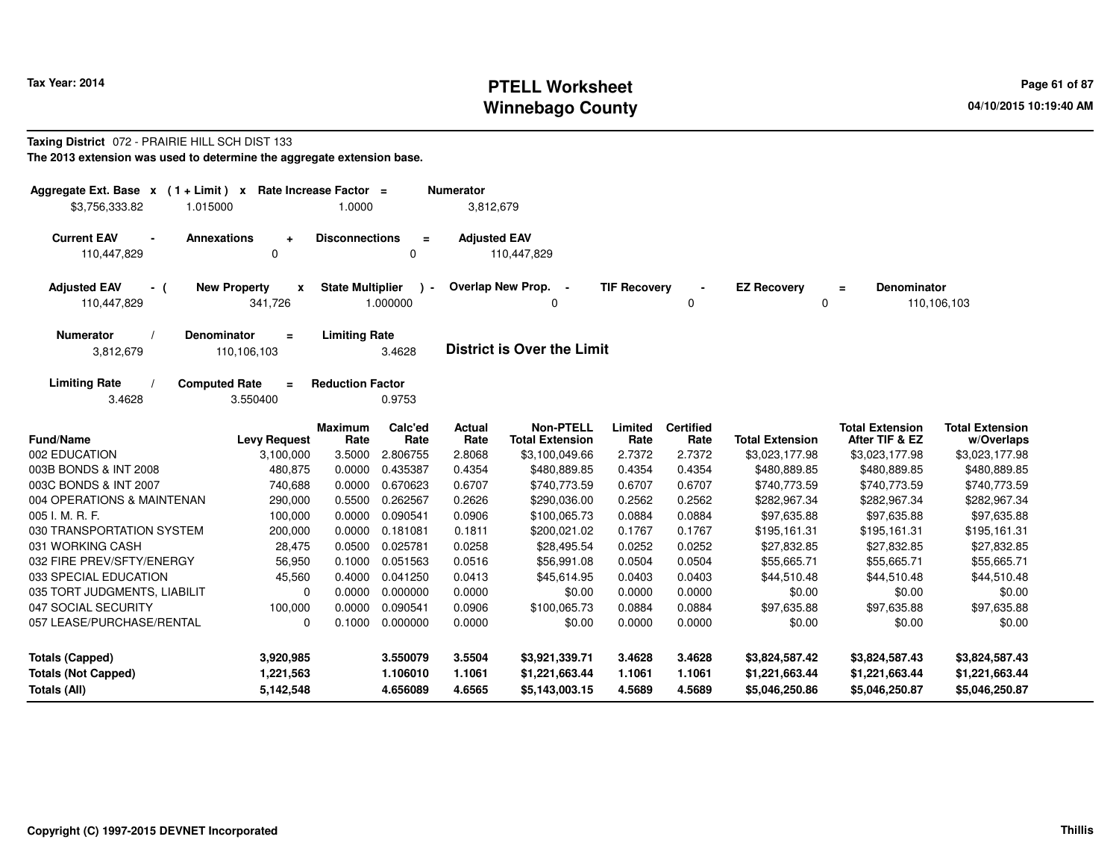## **PTELL Worksheet Tax Year: 2014 Page 61 of 87 Page 61 of 87 Page 61 of 87 Winnebago County**

#### **Taxing District** 072 - PRAIRIE HILL SCH DIST 133**The 2013 extension was used to determine the aggregate extension base.**

| Aggregate Ext. Base $x$ (1 + Limit) x Rate Increase Factor =<br>1.015000<br>\$3,756,333.82 |                                                | 1.0000                  |                         | <b>Numerator</b><br>3,812,679 |                                            |                     |                          |                         |                                          |                                      |
|--------------------------------------------------------------------------------------------|------------------------------------------------|-------------------------|-------------------------|-------------------------------|--------------------------------------------|---------------------|--------------------------|-------------------------|------------------------------------------|--------------------------------------|
| <b>Current EAV</b><br><b>Annexations</b><br>110,447,829                                    | $\ddot{}$<br>$\mathbf 0$                       | <b>Disconnections</b>   | $\equiv$<br>0           | <b>Adjusted EAV</b>           | 110,447,829                                |                     |                          |                         |                                          |                                      |
| <b>Adjusted EAV</b><br>- (<br>110,447,829                                                  | <b>New Property</b><br>$\mathbf{x}$<br>341,726 | <b>State Multiplier</b> | $\lambda$ -<br>1.000000 |                               | Overlap New Prop.<br>$\sim$<br>0           | <b>TIF Recovery</b> | 0                        | <b>EZ Recovery</b><br>0 | <b>Denominator</b><br>$\equiv$           | 110,106,103                          |
| <b>Numerator</b><br><b>Denominator</b><br>3,812,679                                        | $=$<br>110,106,103                             | <b>Limiting Rate</b>    | 3.4628                  |                               | <b>District is Over the Limit</b>          |                     |                          |                         |                                          |                                      |
| <b>Limiting Rate</b><br><b>Computed Rate</b><br>3.4628                                     | $=$<br>3.550400                                | <b>Reduction Factor</b> | 0.9753                  |                               |                                            |                     |                          |                         |                                          |                                      |
| <b>Fund/Name</b>                                                                           | <b>Levy Request</b>                            | <b>Maximum</b><br>Rate  | Calc'ed<br>Rate         | Actual<br>Rate                | <b>Non-PTELL</b><br><b>Total Extension</b> | Limited<br>Rate     | <b>Certified</b><br>Rate | <b>Total Extension</b>  | <b>Total Extension</b><br>After TIF & EZ | <b>Total Extension</b><br>w/Overlaps |
| 002 EDUCATION                                                                              | 3,100,000                                      | 3.5000                  | 2.806755                | 2.8068                        | \$3,100,049.66                             | 2.7372              | 2.7372                   | \$3,023,177.98          | \$3,023,177.98                           | \$3,023,177.98                       |
| 003B BONDS & INT 2008                                                                      | 480,875                                        | 0.0000                  | 0.435387                | 0.4354                        | \$480,889.85                               | 0.4354              | 0.4354                   | \$480,889.85            | \$480,889.85                             | \$480,889.85                         |
| 003C BONDS & INT 2007                                                                      | 740,688                                        | 0.0000                  | 0.670623                | 0.6707                        | \$740,773.59                               | 0.6707              | 0.6707                   | \$740,773.59            | \$740,773.59                             | \$740,773.59                         |
| 004 OPERATIONS & MAINTENAN                                                                 | 290,000                                        | 0.5500                  | 0.262567                | 0.2626                        | \$290,036.00                               | 0.2562              | 0.2562                   | \$282,967.34            | \$282,967.34                             | \$282,967.34                         |
| 005 I. M. R. F.                                                                            | 100,000                                        | 0.0000                  | 0.090541                | 0.0906                        | \$100,065.73                               | 0.0884              | 0.0884                   | \$97,635.88             | \$97,635.88                              | \$97,635.88                          |
| 030 TRANSPORTATION SYSTEM                                                                  | 200,000                                        | 0.0000                  | 0.181081                | 0.1811                        | \$200,021.02                               | 0.1767              | 0.1767                   | \$195,161.31            | \$195,161.31                             | \$195,161.31                         |
| 031 WORKING CASH                                                                           | 28,475                                         | 0.0500                  | 0.025781                | 0.0258                        | \$28,495.54                                | 0.0252              | 0.0252                   | \$27,832.85             | \$27,832.85                              | \$27,832.85                          |
| 032 FIRE PREV/SFTY/ENERGY                                                                  | 56,950                                         | 0.1000                  | 0.051563                | 0.0516                        | \$56,991.08                                | 0.0504              | 0.0504                   | \$55,665.71             | \$55,665.71                              | \$55,665.71                          |
| 033 SPECIAL EDUCATION                                                                      | 45,560                                         | 0.4000                  | 0.041250                | 0.0413                        | \$45,614.95                                | 0.0403              | 0.0403                   | \$44,510.48             | \$44,510.48                              | \$44,510.48                          |
| 035 TORT JUDGMENTS, LIABILIT                                                               | $\Omega$                                       | 0.0000                  | 0.000000                | 0.0000                        | \$0.00                                     | 0.0000              | 0.0000                   | \$0.00                  | \$0.00                                   | \$0.00                               |
| 047 SOCIAL SECURITY                                                                        | 100,000                                        | 0.0000                  | 0.090541                | 0.0906                        | \$100,065.73                               | 0.0884              | 0.0884                   | \$97,635.88             | \$97,635.88                              | \$97,635.88                          |
| 057 LEASE/PURCHASE/RENTAL                                                                  | 0                                              | 0.1000                  | 0.000000                | 0.0000                        | \$0.00                                     | 0.0000              | 0.0000                   | \$0.00                  | \$0.00                                   | \$0.00                               |
| <b>Totals (Capped)</b>                                                                     | 3,920,985                                      |                         | 3.550079                | 3.5504                        | \$3,921,339.71                             | 3.4628              | 3.4628                   | \$3,824,587.42          | \$3,824,587.43                           | \$3,824,587.43                       |
| <b>Totals (Not Capped)</b>                                                                 | 1,221,563                                      |                         | 1.106010                | 1.1061                        | \$1,221,663.44                             | 1.1061              | 1.1061                   | \$1,221,663.44          | \$1,221,663.44                           | \$1,221,663.44                       |
| Totals (All)                                                                               | 5,142,548                                      |                         | 4.656089                | 4.6565                        | \$5,143,003.15                             | 4.5689              | 4.5689                   | \$5,046,250.86          | \$5,046,250.87                           | \$5,046,250.87                       |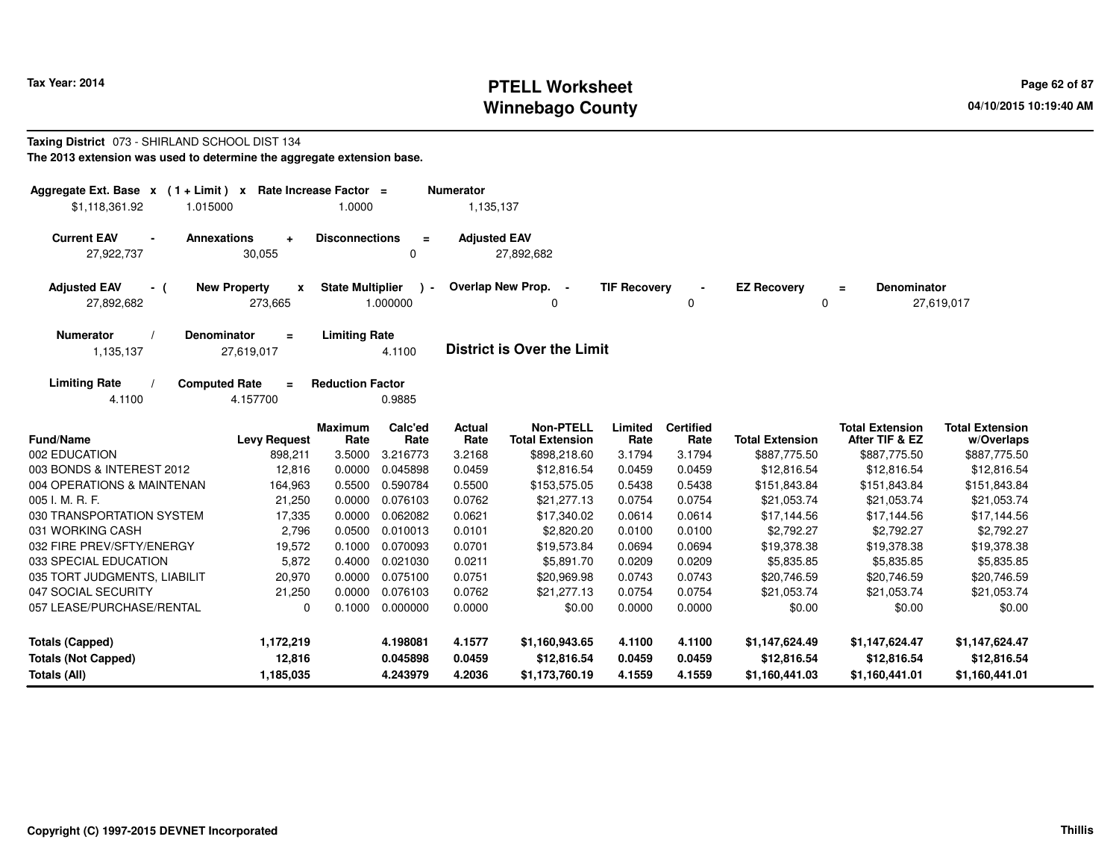## **PTELL Worksheet Tax Year: 2014 Page 62 of 87 Page 62 of 87 Winnebago County**

#### **Taxing District** 073 - SHIRLAND SCHOOL DIST 134**The 2013 extension was used to determine the aggregate extension base.**

| Aggregate Ext. Base x (1+Limit) x                                        |                                     | Rate Increase Factor =  |                                      | <b>Numerator</b>      |                                            |                     |                          |                        |                                          |                                      |
|--------------------------------------------------------------------------|-------------------------------------|-------------------------|--------------------------------------|-----------------------|--------------------------------------------|---------------------|--------------------------|------------------------|------------------------------------------|--------------------------------------|
| \$1,118,361.92<br>1.015000                                               |                                     | 1.0000                  |                                      | 1,135,137             |                                            |                     |                          |                        |                                          |                                      |
| <b>Current EAV</b><br><b>Annexations</b><br>$\blacksquare$<br>27,922,737 | $\ddot{\phantom{1}}$<br>30,055      | <b>Disconnections</b>   | $\equiv$<br>$\Omega$                 | <b>Adjusted EAV</b>   | 27,892,682                                 |                     |                          |                        |                                          |                                      |
| <b>Adjusted EAV</b><br>- (<br>27,892,682                                 | <b>New Property</b><br>x<br>273,665 | <b>State Multiplier</b> | $\overline{\phantom{a}}$<br>1.000000 |                       | Overlap New Prop.<br>0                     | <b>TIF Recovery</b> | 0                        | <b>EZ Recovery</b>     | <b>Denominator</b><br>$\equiv$<br>0      | 27,619,017                           |
| Denominator<br><b>Numerator</b><br>1,135,137                             | $\equiv$<br>27,619,017              | <b>Limiting Rate</b>    | 4.1100                               |                       | <b>District is Over the Limit</b>          |                     |                          |                        |                                          |                                      |
| <b>Limiting Rate</b><br><b>Computed Rate</b><br>4.1100                   | $\equiv$<br>4.157700                | <b>Reduction Factor</b> | 0.9885                               |                       |                                            |                     |                          |                        |                                          |                                      |
| <b>Fund/Name</b>                                                         | <b>Levy Request</b>                 | <b>Maximum</b><br>Rate  | Calc'ed<br>Rate                      | <b>Actual</b><br>Rate | <b>Non-PTELL</b><br><b>Total Extension</b> | Limited<br>Rate     | <b>Certified</b><br>Rate | <b>Total Extension</b> | <b>Total Extension</b><br>After TIF & EZ | <b>Total Extension</b><br>w/Overlaps |
| 002 EDUCATION                                                            | 898,211                             | 3.5000                  | 3.216773                             | 3.2168                | \$898,218.60                               | 3.1794              | 3.1794                   | \$887,775.50           | \$887,775.50                             | \$887,775.50                         |
| 003 BONDS & INTEREST 2012                                                | 12,816                              | 0.0000                  | 0.045898                             | 0.0459                | \$12,816.54                                | 0.0459              | 0.0459                   | \$12,816.54            | \$12,816.54                              | \$12,816.54                          |
| 004 OPERATIONS & MAINTENAN                                               | 164,963                             | 0.5500                  | 0.590784                             | 0.5500                | \$153,575.05                               | 0.5438              | 0.5438                   | \$151,843.84           | \$151,843.84                             | \$151,843.84                         |
| 005 I. M. R. F.                                                          | 21,250                              | 0.0000                  | 0.076103                             | 0.0762                | \$21,277.13                                | 0.0754              | 0.0754                   | \$21,053.74            | \$21,053.74                              | \$21,053.74                          |
| 030 TRANSPORTATION SYSTEM                                                | 17,335                              | 0.0000                  | 0.062082                             | 0.0621                | \$17,340.02                                | 0.0614              | 0.0614                   | \$17,144.56            | \$17,144.56                              | \$17,144.56                          |
| 031 WORKING CASH                                                         | 2,796                               | 0.0500                  | 0.010013                             | 0.0101                | \$2,820.20                                 | 0.0100              | 0.0100                   | \$2,792.27             | \$2,792.27                               | \$2,792.27                           |
| 032 FIRE PREV/SFTY/ENERGY                                                | 19,572                              | 0.1000                  | 0.070093                             | 0.0701                | \$19,573.84                                | 0.0694              | 0.0694                   | \$19,378.38            | \$19,378.38                              | \$19,378.38                          |
| 033 SPECIAL EDUCATION                                                    | 5,872                               | 0.4000                  | 0.021030                             | 0.0211                | \$5,891.70                                 | 0.0209              | 0.0209                   | \$5,835.85             | \$5,835.85                               | \$5,835.85                           |
| 035 TORT JUDGMENTS, LIABILIT                                             | 20,970                              | 0.0000                  | 0.075100                             | 0.0751                | \$20,969.98                                | 0.0743              | 0.0743                   | \$20,746.59            | \$20,746.59                              | \$20,746.59                          |
| 047 SOCIAL SECURITY                                                      | 21,250                              | 0.0000                  | 0.076103                             | 0.0762                | \$21,277.13                                | 0.0754              | 0.0754                   | \$21,053.74            | \$21,053.74                              | \$21,053.74                          |
| 057 LEASE/PURCHASE/RENTAL                                                | 0                                   | 0.1000                  | 0.000000                             | 0.0000                | \$0.00                                     | 0.0000              | 0.0000                   | \$0.00                 | \$0.00                                   | \$0.00                               |
| <b>Totals (Capped)</b>                                                   | 1,172,219                           |                         | 4.198081                             | 4.1577                | \$1,160,943.65                             | 4.1100              | 4.1100                   | \$1,147,624.49         | \$1,147,624.47                           | \$1,147,624.47                       |
| <b>Totals (Not Capped)</b>                                               | 12,816                              |                         | 0.045898                             | 0.0459                | \$12,816.54                                | 0.0459              | 0.0459                   | \$12,816.54            | \$12,816.54                              | \$12,816.54                          |
| Totals (All)                                                             | 1,185,035                           |                         | 4.243979                             | 4.2036                | \$1,173,760.19                             | 4.1559              | 4.1559                   | \$1,160,441.03         | \$1,160,441.01                           | \$1,160,441.01                       |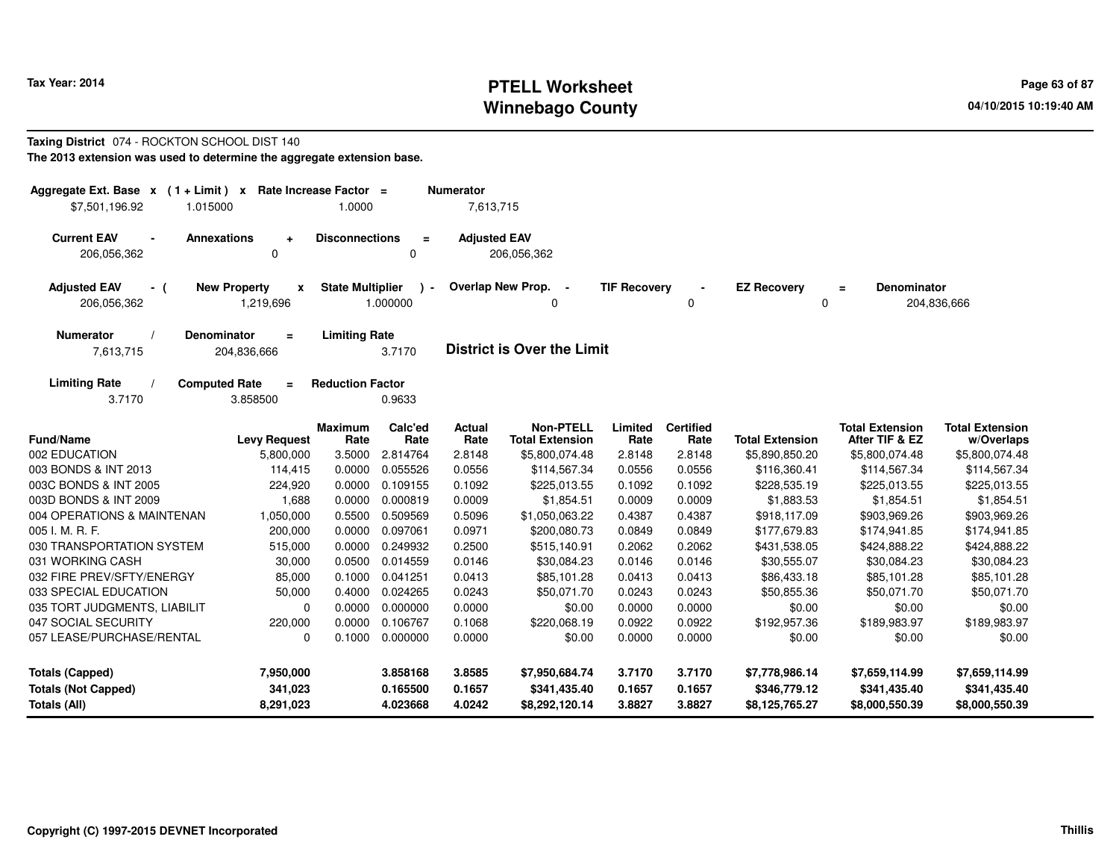# **PTELL Worksheet Tax Year: 2014 Page 63 of 87 Page 63 of 87 Page 63 of 87 Winnebago County**

#### **Taxing District** 074 - ROCKTON SCHOOL DIST 140**The 2013 extension was used to determine the aggregate extension base.**

| Aggregate Ext. Base $x$ (1+Limit) $x$<br>1.015000<br>\$7,501,196.92 | Rate Increase Factor =                                 | 1.0000                  |                            | <b>Numerator</b><br>7,613,715 |                                            |                     |                          |                                |                                          |                                      |
|---------------------------------------------------------------------|--------------------------------------------------------|-------------------------|----------------------------|-------------------------------|--------------------------------------------|---------------------|--------------------------|--------------------------------|------------------------------------------|--------------------------------------|
| <b>Current EAV</b><br>$\blacksquare$<br>206,056,362                 | <b>Annexations</b><br>÷<br>0                           | <b>Disconnections</b>   | $\equiv$<br>0              | <b>Adjusted EAV</b>           | 206,056,362                                |                     |                          |                                |                                          |                                      |
| <b>Adjusted EAV</b><br>- (<br>206,056,362                           | <b>New Property</b><br>$\pmb{\mathsf{x}}$<br>1,219,696 | <b>State Multiplier</b> | $\blacksquare$<br>1.000000 |                               | Overlap New Prop. -                        | <b>TIF Recovery</b> | $\Omega$                 | <b>EZ Recovery</b><br>0        | <b>Denominator</b><br>$\equiv$           | 204,836,666                          |
| <b>Numerator</b><br>7,613,715                                       | <b>Denominator</b><br>$\equiv$<br>204,836,666          | <b>Limiting Rate</b>    | 3.7170                     |                               | <b>District is Over the Limit</b>          |                     |                          |                                |                                          |                                      |
| <b>Limiting Rate</b><br>3.7170                                      | <b>Computed Rate</b><br>Ξ<br>3.858500                  | <b>Reduction Factor</b> | 0.9633                     |                               |                                            |                     |                          |                                |                                          |                                      |
| <b>Fund/Name</b>                                                    | <b>Levy Request</b>                                    | <b>Maximum</b><br>Rate  | Calc'ed<br>Rate            | <b>Actual</b><br>Rate         | <b>Non-PTELL</b><br><b>Total Extension</b> | Limited<br>Rate     | <b>Certified</b><br>Rate | <b>Total Extension</b>         | <b>Total Extension</b><br>After TIF & EZ | <b>Total Extension</b><br>w/Overlaps |
| 002 EDUCATION                                                       | 5,800,000                                              | 3.5000                  | 2.814764                   | 2.8148                        | \$5,800,074.48                             | 2.8148              | 2.8148                   | \$5,890,850.20                 | \$5,800,074.48                           | \$5,800,074.48                       |
| 003 BONDS & INT 2013                                                | 114,415                                                | 0.0000                  | 0.055526                   | 0.0556                        | \$114.567.34                               | 0.0556              | 0.0556                   | \$116,360.41                   | \$114,567.34                             | \$114,567.34                         |
| 003C BONDS & INT 2005                                               | 224,920                                                | 0.0000                  | 0.109155                   | 0.1092                        | \$225,013.55                               | 0.1092              | 0.1092                   | \$228,535.19                   | \$225,013.55                             | \$225,013.55                         |
| 003D BONDS & INT 2009                                               | 1,688                                                  | 0.0000                  | 0.000819                   | 0.0009                        | \$1,854.51                                 | 0.0009              | 0.0009                   | \$1,883.53                     | \$1,854.51                               | \$1,854.51                           |
| 004 OPERATIONS & MAINTENAN                                          | 1,050,000                                              | 0.5500                  | 0.509569                   | 0.5096                        | \$1,050,063.22                             | 0.4387              | 0.4387                   | \$918,117.09                   | \$903,969.26                             | \$903,969.26                         |
| 005 I. M. R. F.                                                     | 200,000                                                | 0.0000                  | 0.097061                   | 0.0971                        | \$200,080.73                               | 0.0849              | 0.0849                   | \$177,679.83                   | \$174,941.85                             | \$174,941.85                         |
| 030 TRANSPORTATION SYSTEM                                           | 515,000                                                | 0.0000                  | 0.249932                   | 0.2500                        | \$515,140.91                               | 0.2062              | 0.2062                   | \$431,538.05                   | \$424,888.22                             | \$424,888.22                         |
| 031 WORKING CASH                                                    | 30,000                                                 | 0.0500                  | 0.014559                   | 0.0146                        | \$30,084.23                                | 0.0146              | 0.0146                   | \$30,555.07                    | \$30,084.23                              | \$30,084.23                          |
| 032 FIRE PREV/SFTY/ENERGY                                           | 85,000                                                 | 0.1000                  | 0.041251                   | 0.0413                        | \$85,101.28                                | 0.0413              | 0.0413                   | \$86,433.18                    | \$85,101.28                              | \$85,101.28                          |
| 033 SPECIAL EDUCATION                                               | 50,000                                                 | 0.4000                  | 0.024265                   | 0.0243                        | \$50,071.70                                | 0.0243              | 0.0243                   | \$50,855.36                    | \$50,071.70                              | \$50,071.70                          |
| 035 TORT JUDGMENTS, LIABILIT                                        | 0                                                      | 0.0000                  | 0.000000                   | 0.0000                        | \$0.00                                     | 0.0000              | 0.0000                   | \$0.00                         | \$0.00                                   | \$0.00                               |
| 047 SOCIAL SECURITY                                                 | 220,000                                                | 0.0000                  | 0.106767                   | 0.1068                        | \$220,068.19                               | 0.0922              | 0.0922                   | \$192,957.36                   | \$189,983.97                             | \$189,983.97                         |
| 057 LEASE/PURCHASE/RENTAL                                           | 0                                                      | 0.1000                  | 0.000000                   | 0.0000                        | \$0.00                                     | 0.0000              | 0.0000                   | \$0.00                         | \$0.00                                   | \$0.00                               |
| <b>Totals (Capped)</b><br><b>Totals (Not Capped)</b>                | 7,950,000<br>341,023                                   |                         | 3.858168<br>0.165500       | 3.8585<br>0.1657              | \$7,950,684.74<br>\$341,435.40             | 3.7170<br>0.1657    | 3.7170<br>0.1657         | \$7,778,986.14<br>\$346,779.12 | \$7,659,114.99<br>\$341,435.40           | \$7,659,114.99<br>\$341,435.40       |
| <b>Totals (All)</b>                                                 | 8,291,023                                              |                         | 4.023668                   | 4.0242                        | \$8,292,120.14                             | 3.8827              | 3.8827                   | \$8,125,765.27                 | \$8,000,550.39                           | \$8,000,550.39                       |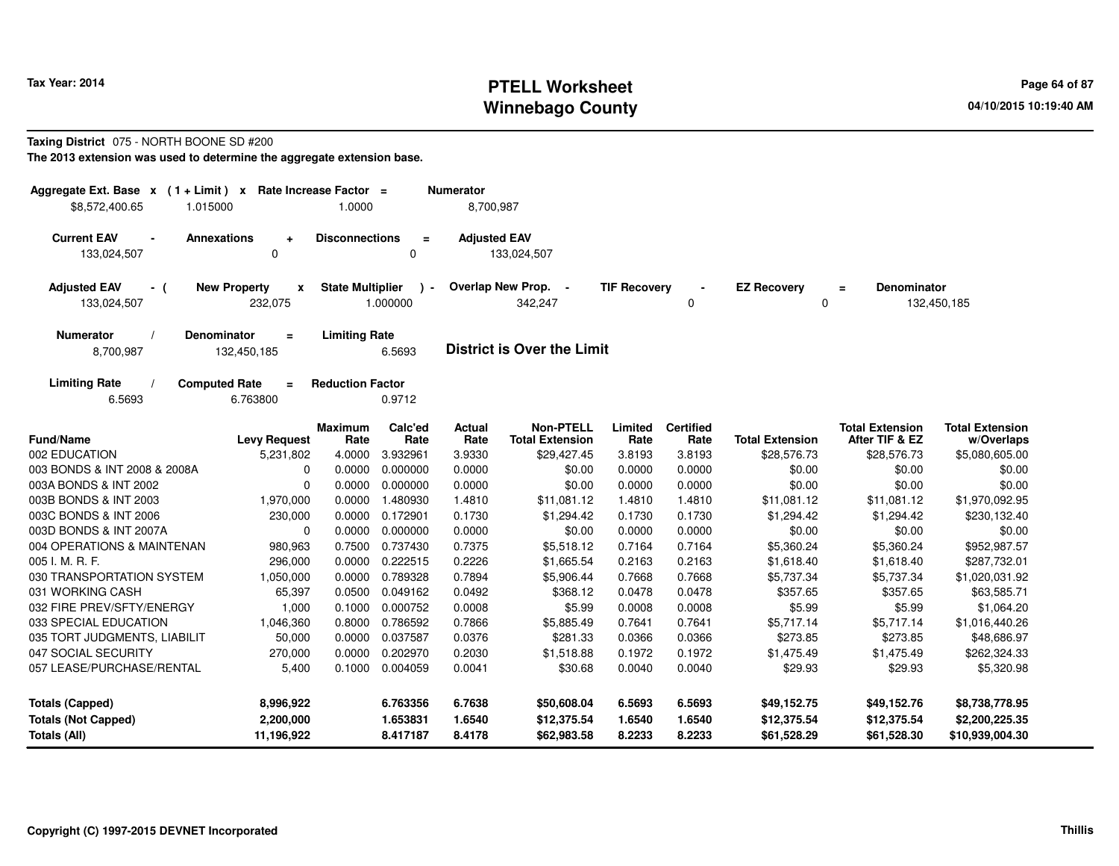# **PTELL Worksheet Tax Year: 2014 Page 64 of 87 Page 64 of 87 Page 64 of 87 Winnebago County**

#### **Taxing District** 075 - NORTH BOONE SD #200**The 2013 extension was used to determine the aggregate extension base.**

| Aggregate Ext. Base x (1+Limit) x<br>\$8,572,400.65<br>1.015000                             | Rate Increase Factor =<br>1.0000 |                          | <b>Numerator</b><br>8,700,987 |                                            |                     |                          |                            |                                          |                                      |
|---------------------------------------------------------------------------------------------|----------------------------------|--------------------------|-------------------------------|--------------------------------------------|---------------------|--------------------------|----------------------------|------------------------------------------|--------------------------------------|
| <b>Current EAV</b><br><b>Annexations</b><br>÷<br>$\mathbf 0$<br>133,024,507                 | <b>Disconnections</b>            | $\equiv$<br>0            | <b>Adjusted EAV</b>           | 133,024,507                                |                     |                          |                            |                                          |                                      |
| <b>New Property</b><br><b>Adjusted EAV</b><br>- (<br>$\mathbf{x}$<br>133,024,507<br>232,075 | <b>State Multiplier</b>          | $\mathbf{r}$<br>1.000000 |                               | Overlap New Prop. -<br>342,247             | <b>TIF Recovery</b> | 0                        | <b>EZ Recovery</b>         | <b>Denominator</b><br>$=$<br>0           | 132,450,185                          |
| <b>Numerator</b><br><b>Denominator</b><br>$\equiv$<br>8,700,987<br>132,450,185              | <b>Limiting Rate</b>             | 6.5693                   |                               | <b>District is Over the Limit</b>          |                     |                          |                            |                                          |                                      |
| <b>Limiting Rate</b><br><b>Computed Rate</b><br>$\equiv$<br>6.5693<br>6.763800              | <b>Reduction Factor</b>          | 0.9712                   |                               |                                            |                     |                          |                            |                                          |                                      |
| <b>Fund/Name</b><br><b>Levy Request</b>                                                     | <b>Maximum</b><br>Rate           | Calc'ed<br>Rate          | <b>Actual</b><br>Rate         | <b>Non-PTELL</b><br><b>Total Extension</b> | Limited<br>Rate     | <b>Certified</b><br>Rate | <b>Total Extension</b>     | <b>Total Extension</b><br>After TIF & EZ | <b>Total Extension</b><br>w/Overlaps |
| 002 EDUCATION<br>5,231,802                                                                  | 4.0000                           | 3.932961                 | 3.9330                        | \$29,427.45                                | 3.8193              | 3.8193                   | \$28,576.73                | \$28,576.73                              | \$5,080,605.00                       |
| 003 BONDS & INT 2008 & 2008A<br>$\Omega$                                                    | 0.0000                           | 0.000000                 | 0.0000                        | \$0.00                                     | 0.0000              | 0.0000                   | \$0.00                     | \$0.00                                   | \$0.00                               |
| 003A BONDS & INT 2002<br>$\Omega$                                                           | 0.0000                           | 0.000000                 | 0.0000                        | \$0.00                                     | 0.0000              | 0.0000                   | \$0.00                     | \$0.00                                   | \$0.00                               |
| 003B BONDS & INT 2003<br>1,970,000                                                          | 0.0000                           | 1.480930                 | 1.4810                        | \$11,081.12                                | 1.4810              | 1.4810                   | \$11,081.12                | \$11,081.12                              | \$1,970,092.95                       |
| 003C BONDS & INT 2006<br>230,000                                                            | 0.0000                           | 0.172901                 | 0.1730                        | \$1,294.42                                 | 0.1730              | 0.1730                   | \$1,294.42                 | \$1,294.42                               | \$230,132.40                         |
| 003D BONDS & INT 2007A<br>0                                                                 | 0.0000                           | 0.000000                 | 0.0000                        | \$0.00                                     | 0.0000              | 0.0000                   | \$0.00                     | \$0.00                                   | \$0.00                               |
| 004 OPERATIONS & MAINTENAN<br>980,963                                                       | 0.7500                           | 0.737430                 | 0.7375                        | \$5,518.12                                 | 0.7164              | 0.7164                   | \$5,360.24                 | \$5,360.24                               | \$952,987.57                         |
| 005 I. M. R. F.<br>296,000                                                                  | 0.0000                           | 0.222515                 | 0.2226                        | \$1,665.54                                 | 0.2163              | 0.2163                   | \$1,618.40                 | \$1,618.40                               | \$287,732.01                         |
| 030 TRANSPORTATION SYSTEM<br>1,050,000                                                      | 0.0000                           | 0.789328                 | 0.7894                        | \$5,906.44                                 | 0.7668              | 0.7668                   | \$5,737.34                 | \$5,737.34                               | \$1,020,031.92                       |
| 031 WORKING CASH<br>65,397                                                                  | 0.0500                           | 0.049162                 | 0.0492                        | \$368.12                                   | 0.0478              | 0.0478                   | \$357.65                   | \$357.65                                 | \$63,585.71                          |
| 032 FIRE PREV/SFTY/ENERGY<br>1,000                                                          | 0.1000                           | 0.000752                 | 0.0008                        | \$5.99                                     | 0.0008              | 0.0008                   | \$5.99                     | \$5.99                                   | \$1,064.20                           |
| 033 SPECIAL EDUCATION<br>1,046,360                                                          | 0.8000                           | 0.786592                 | 0.7866                        | \$5,885.49                                 | 0.7641              | 0.7641                   | \$5,717.14                 | \$5,717.14                               | \$1,016,440.26                       |
| 035 TORT JUDGMENTS, LIABILIT<br>50,000                                                      | 0.0000                           | 0.037587                 | 0.0376                        | \$281.33                                   | 0.0366              | 0.0366                   | \$273.85                   | \$273.85                                 | \$48,686.97                          |
| 047 SOCIAL SECURITY<br>270,000                                                              | 0.0000                           | 0.202970                 | 0.2030                        | \$1,518.88                                 | 0.1972              | 0.1972                   | \$1,475.49                 | \$1,475.49                               | \$262,324.33                         |
| 057 LEASE/PURCHASE/RENTAL<br>5,400                                                          | 0.1000                           | 0.004059                 | 0.0041                        | \$30.68                                    | 0.0040              | 0.0040                   | \$29.93                    | \$29.93                                  | \$5,320.98                           |
| <b>Totals (Capped)</b><br>8,996,922                                                         |                                  | 6.763356                 | 6.7638                        | \$50,608.04                                | 6.5693              | 6.5693                   | \$49,152.75                | \$49,152.76                              | \$8,738,778.95                       |
| <b>Totals (Not Capped)</b><br>2,200,000<br><b>Totals (All)</b><br>11,196,922                |                                  | 1.653831<br>8.417187     | 1.6540<br>8.4178              | \$12,375.54<br>\$62,983.58                 | 1.6540<br>8.2233    | 1.6540<br>8.2233         | \$12,375.54<br>\$61,528.29 | \$12,375.54<br>\$61,528.30               | \$2,200,225.35<br>\$10,939,004.30    |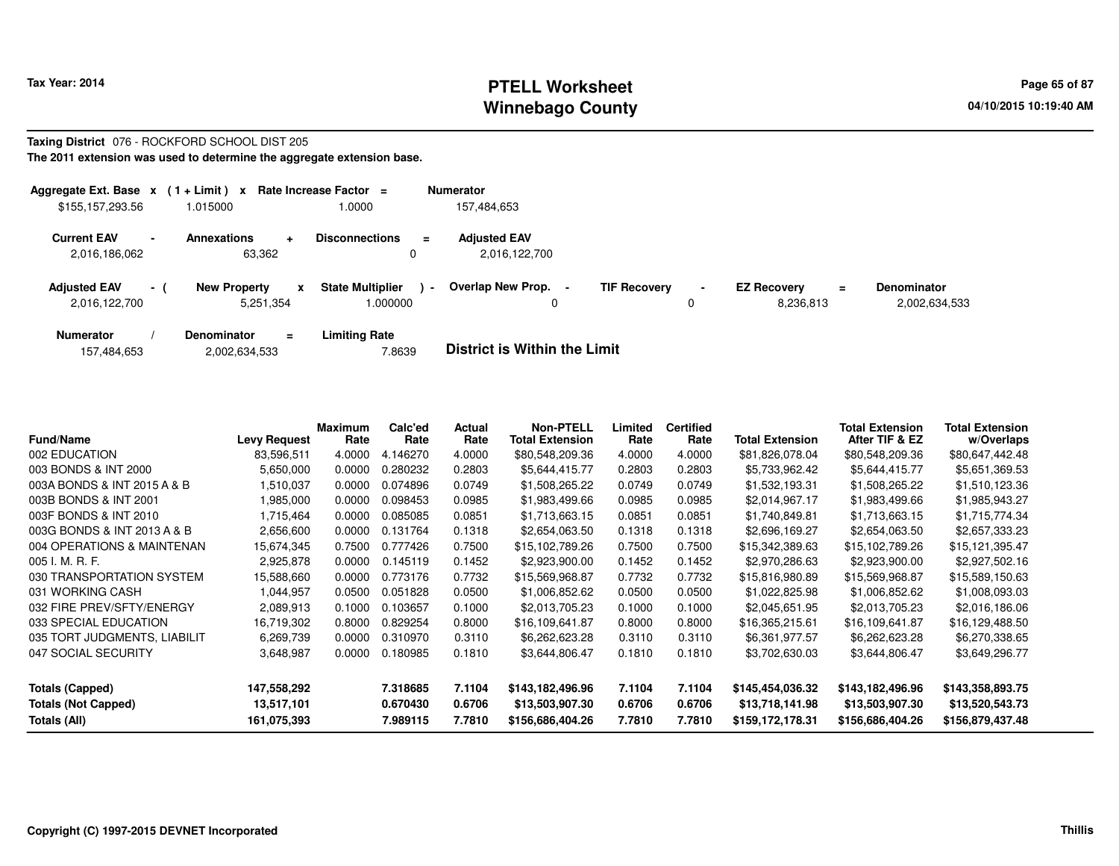# **PTELL Worksheet Tax Year: 2014 Page 65 of 87 Page 65 of 87 Winnebago County**

#### **Taxing District** 076 - ROCKFORD SCHOOL DIST 205**The 2011 extension was used to determine the aggregate extension base.**

| Aggregate Ext. Base $x$ (1 + Limit) $x$               | Rate Increase Factor $=$                             | <b>Numerator</b>                                                               |                     |                           |                    |
|-------------------------------------------------------|------------------------------------------------------|--------------------------------------------------------------------------------|---------------------|---------------------------|--------------------|
| \$155,157,293.56                                      | 1.0000<br>1.015000                                   | 157,484,653                                                                    |                     |                           |                    |
| <b>Current EAV</b><br>$\blacksquare$<br>2,016,186,062 | <b>Annexations</b><br>$\ddot{\phantom{1}}$<br>63,362 | <b>Adjusted EAV</b><br><b>Disconnections</b><br>$\equiv$<br>2,016,122,700<br>0 |                     |                           |                    |
| <b>Adjusted EAV</b><br>$\sim$ 1<br>2,016,122,700      | <b>New Property</b>                                  | Overlap New Prop.<br><b>State Multiplier</b><br>$\sim$<br>1.000000             | <b>TIF Recovery</b> | <b>EZ Recovery</b><br>$=$ | <b>Denominator</b> |
| <b>Numerator</b>                                      | 5,251,354<br><b>Denominator</b><br>$\equiv$          | Limiting Rate                                                                  | 0                   | 8,236,813                 | 2,002,634,533      |

|  | 157,484,653 | 2,002,634,533 | 7.8639 | <b>District is Within the Limit</b> |
|--|-------------|---------------|--------|-------------------------------------|
|--|-------------|---------------|--------|-------------------------------------|

| <b>Fund/Name</b>             | <b>Levy Request</b> | Maximum<br>Rate | Calc'ed<br>Rate | Actual<br>Rate | <b>Non-PTELL</b><br><b>Total Extension</b> | Limited<br>Rate | <b>Certified</b><br>Rate | <b>Total Extension</b> | <b>Total Extension</b><br>After TIF & EZ | Total Extension<br>w/Overlaps |
|------------------------------|---------------------|-----------------|-----------------|----------------|--------------------------------------------|-----------------|--------------------------|------------------------|------------------------------------------|-------------------------------|
| 002 EDUCATION                | 83,596,511          | 4.0000          | .146270<br>4.   | 4.0000         | \$80,548,209.36                            | 4.0000          | 4.0000                   | \$81,826,078.04        | \$80,548,209.36                          | \$80,647,442.48               |
| 003 BONDS & INT 2000         | 5,650,000           | 0.0000          | 0.280232        | 0.2803         | \$5,644,415.77                             | 0.2803          | 0.2803                   | \$5,733,962.42         | \$5,644,415.77                           | \$5,651,369.53                |
| 003A BONDS & INT 2015 A & B  | .510,037            | 0.0000          | 0.074896        | 0.0749         | \$1,508,265.22                             | 0.0749          | 0.0749                   | \$1,532,193.31         | \$1,508,265.22                           | \$1,510,123.36                |
| 003B BONDS & INT 2001        | 1,985,000           | 0.0000          | 0.098453        | 0.0985         | \$1,983,499.66                             | 0.0985          | 0.0985                   | \$2,014,967.17         | \$1,983,499.66                           | \$1,985,943.27                |
| 003F BONDS & INT 2010        | 1,715,464           | 0.0000          | 0.085085        | 0.0851         | \$1,713,663.15                             | 0.0851          | 0.0851                   | \$1,740,849.81         | \$1,713,663.15                           | \$1,715,774.34                |
| 003G BONDS & INT 2013 A & B  | 2,656,600           | 0.0000          | 0.131764        | 0.1318         | \$2,654,063.50                             | 0.1318          | 0.1318                   | \$2,696,169.27         | \$2,654,063.50                           | \$2,657,333.23                |
| 004 OPERATIONS & MAINTENAN   | 15,674,345          | 0.7500          | 0.777426        | 0.7500         | \$15,102,789.26                            | 0.7500          | 0.7500                   | \$15,342,389.63        | \$15,102,789.26                          | \$15,121,395.47               |
| 005 I. M. R. F.              | 2,925,878           | 0.0000          | 0.145119        | 0.1452         | \$2,923,900.00                             | 0.1452          | 0.1452                   | \$2,970,286.63         | \$2,923,900.00                           | \$2,927,502.16                |
| 030 TRANSPORTATION SYSTEM    | 15,588,660          | 0.0000          | 0.773176        | 0.7732         | \$15,569,968.87                            | 0.7732          | 0.7732                   | \$15,816,980.89        | \$15,569,968.87                          | \$15,589,150.63               |
| 031 WORKING CASH             | 1,044,957           | 0.0500          | 0.051828        | 0.0500         | \$1,006,852.62                             | 0.0500          | 0.0500                   | \$1,022,825.98         | \$1,006,852.62                           | \$1,008,093.03                |
| 032 FIRE PREV/SFTY/ENERGY    | 2,089,913           | 0.1000          | 0.103657        | 0.1000         | \$2,013,705.23                             | 0.1000          | 0.1000                   | \$2,045,651.95         | \$2,013,705.23                           | \$2,016,186.06                |
| 033 SPECIAL EDUCATION        | 16,719,302          | 0.8000          | 0.829254        | 0.8000         | \$16,109,641.87                            | 0.8000          | 0.8000                   | \$16,365,215.61        | \$16,109,641.87                          | \$16,129,488.50               |
| 035 TORT JUDGMENTS, LIABILIT | 6,269,739           | 0.0000          | 0.310970        | 0.3110         | \$6,262,623.28                             | 0.3110          | 0.3110                   | \$6,361,977.57         | \$6,262,623.28                           | \$6,270,338.65                |
| 047 SOCIAL SECURITY          | 3,648,987           | 0.0000          | 0.180985        | 0.1810         | \$3,644,806.47                             | 0.1810          | 0.1810                   | \$3,702,630.03         | \$3,644,806.47                           | \$3,649,296.77                |
| <b>Totals (Capped)</b>       | 147,558,292         |                 | 7.318685        | 7.1104         | \$143,182,496.96                           | 7.1104          | 7.1104                   | \$145,454,036.32       | \$143,182,496.96                         | \$143,358,893.75              |
| <b>Totals (Not Capped)</b>   | 13,517,101          |                 | 0.670430        | 0.6706         | \$13,503,907.30                            | 0.6706          | 0.6706                   | \$13,718,141.98        | \$13,503,907.30                          | \$13,520,543.73               |
| Totals (All)                 | 161,075,393         |                 | 7.989115        | 7.7810         | \$156,686,404.26                           | 7.7810          | 7.7810                   | \$159,172,178.31       | \$156,686,404.26                         | \$156,879,437.48              |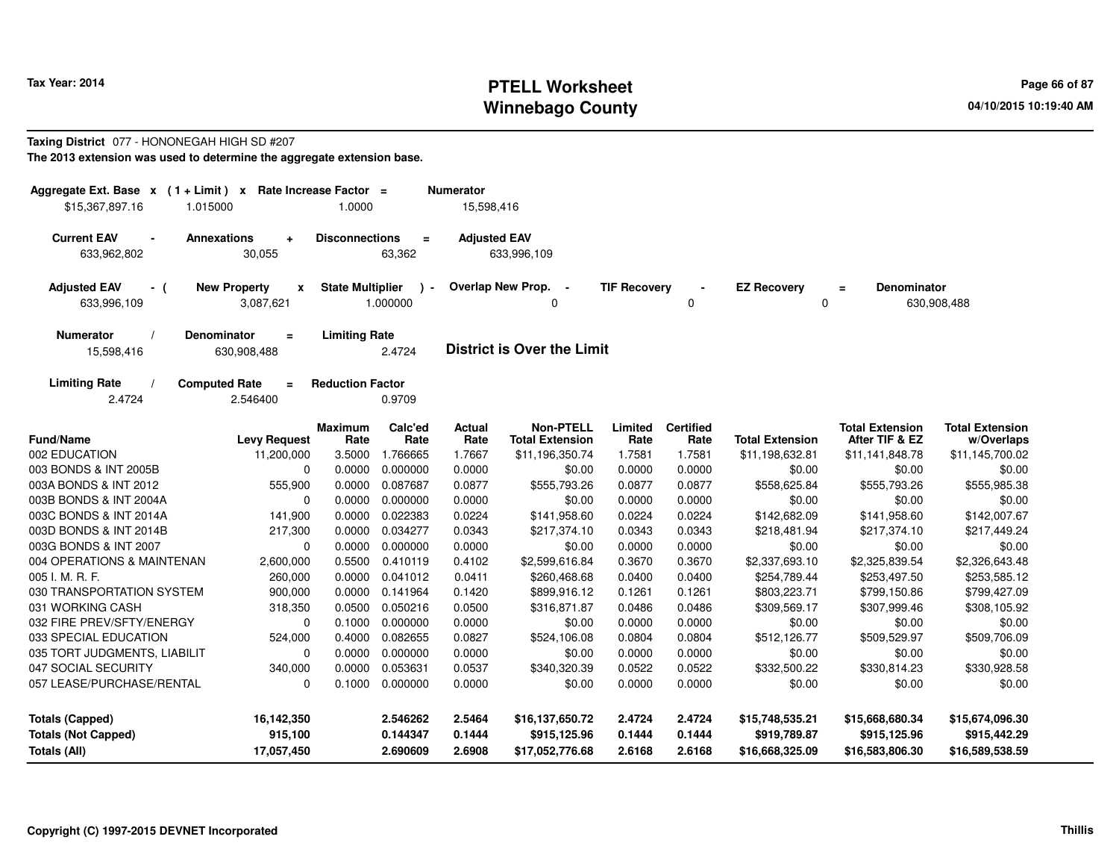# **PTELL Worksheet Tax Year: 2014 Page 66 of 87 Page 66 of 87 Winnebago County**

# **Taxing District** 077 - HONONEGAH HIGH SD #207

**The 2013 extension was used to determine the aggregate extension base.**

| Aggregate Ext. Base $x$ (1 + Limit) $x$ Rate Increase Factor =<br>\$15,367,897.16<br>1.015000 |                                                        | 1.0000                  |                         | <b>Numerator</b><br>15,598,416 |                                            |                     |                          |                                   |                                          |                                      |
|-----------------------------------------------------------------------------------------------|--------------------------------------------------------|-------------------------|-------------------------|--------------------------------|--------------------------------------------|---------------------|--------------------------|-----------------------------------|------------------------------------------|--------------------------------------|
| <b>Current EAV</b><br>$\blacksquare$<br>633,962,802                                           | <b>Annexations</b><br>$\ddot{}$<br>30,055              | <b>Disconnections</b>   | $=$<br>63,362           | <b>Adjusted EAV</b>            | 633,996,109                                |                     |                          |                                   |                                          |                                      |
| <b>Adjusted EAV</b><br>- (<br>633,996,109                                                     | <b>New Property</b><br>$\pmb{\mathsf{x}}$<br>3,087,621 | <b>State Multiplier</b> | $\lambda$ -<br>1.000000 |                                | Overlap New Prop. -<br>0                   | <b>TIF Recovery</b> | 0                        | <b>EZ Recovery</b><br>$\mathbf 0$ | <b>Denominator</b><br>$\equiv$           | 630,908,488                          |
| <b>Numerator</b><br>15,598,416                                                                | <b>Denominator</b><br>$=$<br>630,908,488               | <b>Limiting Rate</b>    | 2.4724                  |                                | <b>District is Over the Limit</b>          |                     |                          |                                   |                                          |                                      |
| <b>Limiting Rate</b><br>2.4724                                                                | <b>Computed Rate</b><br>$\equiv$<br>2.546400           | <b>Reduction Factor</b> | 0.9709                  |                                |                                            |                     |                          |                                   |                                          |                                      |
| Fund/Name                                                                                     | <b>Levy Request</b>                                    | <b>Maximum</b><br>Rate  | Calc'ed<br>Rate         | <b>Actual</b><br>Rate          | <b>Non-PTELL</b><br><b>Total Extension</b> | Limited<br>Rate     | <b>Certified</b><br>Rate | <b>Total Extension</b>            | <b>Total Extension</b><br>After TIF & EZ | <b>Total Extension</b><br>w/Overlaps |
| 002 EDUCATION                                                                                 | 11,200,000                                             | 3.5000                  | 1.766665                | 1.7667                         | \$11,196,350.74                            | 1.7581              | 1.7581                   | \$11,198,632.81                   | \$11,141,848.78                          | \$11,145,700.02                      |
| 003 BONDS & INT 2005B                                                                         | $\mathbf 0$                                            | 0.0000                  | 0.000000                | 0.0000                         | \$0.00                                     | 0.0000              | 0.0000                   | \$0.00                            | \$0.00                                   | \$0.00                               |
| 003A BONDS & INT 2012                                                                         | 555,900                                                | 0.0000                  | 0.087687                | 0.0877                         | \$555,793.26                               | 0.0877              | 0.0877                   | \$558,625.84                      | \$555,793.26                             | \$555,985.38                         |
| 003B BONDS & INT 2004A                                                                        | $\mathbf 0$                                            | 0.0000                  | 0.000000                | 0.0000                         | \$0.00                                     | 0.0000              | 0.0000                   | \$0.00                            | \$0.00                                   | \$0.00                               |
| 003C BONDS & INT 2014A                                                                        | 141,900                                                | 0.0000                  | 0.022383                | 0.0224                         | \$141,958.60                               | 0.0224              | 0.0224                   | \$142,682.09                      | \$141,958.60                             | \$142,007.67                         |
| 003D BONDS & INT 2014B                                                                        | 217,300                                                | 0.0000                  | 0.034277                | 0.0343                         | \$217,374.10                               | 0.0343              | 0.0343                   | \$218,481.94                      | \$217,374.10                             | \$217,449.24                         |
| 003G BONDS & INT 2007                                                                         | $\mathbf 0$                                            | 0.0000                  | 0.000000                | 0.0000                         | \$0.00                                     | 0.0000              | 0.0000                   | \$0.00                            | \$0.00                                   | \$0.00                               |
| 004 OPERATIONS & MAINTENAN                                                                    | 2,600,000                                              | 0.5500                  | 0.410119                | 0.4102                         | \$2,599,616.84                             | 0.3670              | 0.3670                   | \$2,337,693.10                    | \$2,325,839.54                           | \$2,326,643.48                       |
| 005 I. M. R. F.                                                                               | 260,000                                                | 0.0000                  | 0.041012                | 0.0411                         | \$260,468.68                               | 0.0400              | 0.0400                   | \$254,789.44                      | \$253,497.50                             | \$253,585.12                         |
| 030 TRANSPORTATION SYSTEM                                                                     | 900,000                                                | 0.0000                  | 0.141964                | 0.1420                         | \$899,916.12                               | 0.1261              | 0.1261                   | \$803,223.71                      | \$799,150.86                             | \$799,427.09                         |
| 031 WORKING CASH                                                                              | 318,350                                                | 0.0500                  | 0.050216                | 0.0500                         | \$316,871.87                               | 0.0486              | 0.0486                   | \$309,569.17                      | \$307,999.46                             | \$308,105.92                         |
| 032 FIRE PREV/SFTY/ENERGY                                                                     | $\Omega$                                               | 0.1000                  | 0.000000                | 0.0000                         | \$0.00                                     | 0.0000              | 0.0000                   | \$0.00                            | \$0.00                                   | \$0.00                               |
| 033 SPECIAL EDUCATION                                                                         | 524,000                                                | 0.4000                  | 0.082655                | 0.0827                         | \$524,106.08                               | 0.0804              | 0.0804                   | \$512,126.77                      | \$509,529.97                             | \$509,706.09                         |
| 035 TORT JUDGMENTS, LIABILIT                                                                  | $\Omega$                                               | 0.0000                  | 0.000000                | 0.0000                         | \$0.00                                     | 0.0000              | 0.0000                   | \$0.00                            | \$0.00                                   | \$0.00                               |
| 047 SOCIAL SECURITY                                                                           | 340,000                                                | 0.0000                  | 0.053631                | 0.0537                         | \$340,320.39                               | 0.0522              | 0.0522                   | \$332,500.22                      | \$330,814.23                             | \$330,928.58                         |
| 057 LEASE/PURCHASE/RENTAL                                                                     | $\Omega$                                               | 0.1000                  | 0.000000                | 0.0000                         | \$0.00                                     | 0.0000              | 0.0000                   | \$0.00                            | \$0.00                                   | \$0.00                               |
| <b>Totals (Capped)</b>                                                                        | 16,142,350                                             |                         | 2.546262                | 2.5464                         | \$16,137,650.72                            | 2.4724              | 2.4724                   | \$15,748,535.21                   | \$15,668,680.34                          | \$15,674,096.30                      |
| <b>Totals (Not Capped)</b><br>Totals (All)                                                    | 915,100<br>17,057,450                                  |                         | 0.144347<br>2.690609    | 0.1444<br>2.6908               | \$915,125.96<br>\$17,052,776.68            | 0.1444<br>2.6168    | 0.1444<br>2.6168         | \$919,789.87<br>\$16,668,325.09   | \$915,125.96<br>\$16,583,806.30          | \$915,442.29<br>\$16,589,538.59      |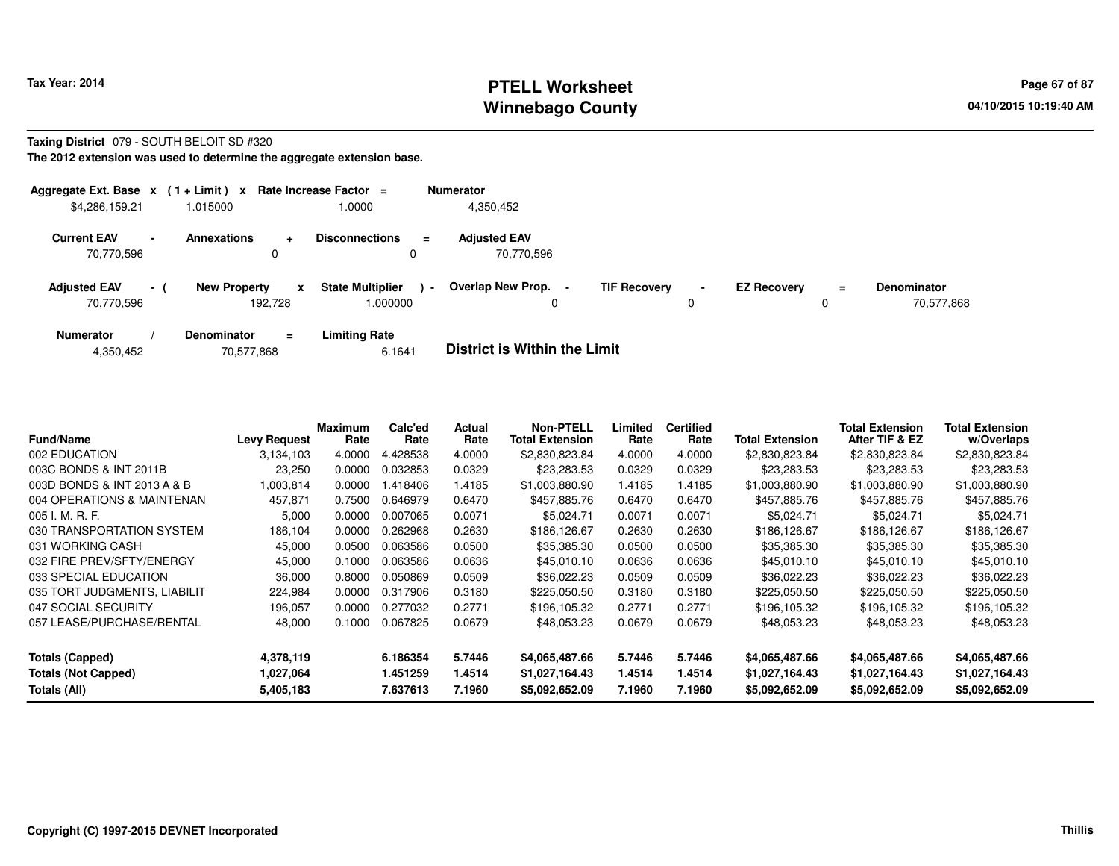# **PTELL Worksheet Tax Year: 2014 Page 67 of 87 Page 67 of 87 Winnebago County**

### **Taxing District** 079 - SOUTH BELOIT SD #320

**The 2012 extension was used to determine the aggregate extension base.**

|                                   |        | Aggregate Ext. Base $x$ (1 + Limit) x Rate Increase Factor = |                                     |                | <b>Numerator</b>                                |                     |                |                    |               |                                  |
|-----------------------------------|--------|--------------------------------------------------------------|-------------------------------------|----------------|-------------------------------------------------|---------------------|----------------|--------------------|---------------|----------------------------------|
| \$4,286,159.21                    |        | 1.015000                                                     | 1.0000                              |                | 4,350,452                                       |                     |                |                    |               |                                  |
| <b>Current EAV</b><br>70.770.596  | $\sim$ | <b>Annexations</b><br>$\ddot{}$<br>0                         | <b>Disconnections</b><br>0          | Ξ.             | <b>Adjusted EAV</b><br>70.770.596               |                     |                |                    |               |                                  |
| <b>Adjusted EAV</b><br>70.770.596 | $-1$   | <b>New Property</b><br>X<br>192.728                          | <b>State Multiplier</b><br>1.000000 | $\blacksquare$ | <b>Overlap New Prop.</b><br>$\blacksquare$<br>0 | <b>TIF Recovery</b> | $\blacksquare$ | <b>EZ Recovery</b> | $\equiv$<br>0 | <b>Denominator</b><br>70.577.868 |
| <b>Numerator</b>                  |        | <b>Denominator</b><br>$\equiv$                               | <b>Limiting Rate</b>                |                | _ _ _ _ _ _ _ _ _ _ _ _ _ _ _ _ _ _             |                     |                |                    |               |                                  |

|  | 4,350,452 | 70,577,868 | 6.1641 | <b>District is Within the Limit</b> |
|--|-----------|------------|--------|-------------------------------------|
|--|-----------|------------|--------|-------------------------------------|

| <b>Fund/Name</b>             | <b>Levy Request</b> | <b>Maximum</b><br>Rate | Calc'ed<br>Rate | Actual<br>Rate | <b>Non-PTELL</b><br><b>Total Extension</b> | Limited<br>Rate | <b>Certified</b><br>Rate | <b>Total Extension</b> | <b>Total Extension</b><br>After TIF & EZ | <b>Total Extension</b><br>w/Overlaps |
|------------------------------|---------------------|------------------------|-----------------|----------------|--------------------------------------------|-----------------|--------------------------|------------------------|------------------------------------------|--------------------------------------|
| 002 EDUCATION                | 3.134.103           | 4.0000                 | 4.428538        | 4.0000         | \$2,830,823.84                             | 4.0000          | 4.0000                   | \$2,830,823.84         | \$2,830,823.84                           | \$2,830,823.84                       |
| 003C BONDS & INT 2011B       | 23,250              | 0.0000                 | 0.032853        | 0.0329         | \$23,283.53                                | 0.0329          | 0.0329                   | \$23,283.53            | \$23,283.53                              | \$23,283.53                          |
| 003D BONDS & INT 2013 A & B  | 1,003,814           | 0.0000                 | .418406         | 1.4185         | \$1,003,880.90                             | 1.4185          | 1.4185                   | \$1,003,880.90         | \$1,003,880.90                           | \$1,003,880.90                       |
| 004 OPERATIONS & MAINTENAN   | 457,871             | 0.7500                 | 0.646979        | 0.6470         | \$457,885.76                               | 0.6470          | 0.6470                   | \$457,885,76           | \$457,885,76                             | \$457,885.76                         |
| $005$ J. M. R. F.            | 5,000               | 0.0000                 | 0.007065        | 0.0071         | \$5.024.71                                 | 0.0071          | 0.0071                   | \$5,024.71             | \$5,024.71                               | \$5,024.71                           |
| 030 TRANSPORTATION SYSTEM    | 186,104             | 0.0000                 | 0.262968        | 0.2630         | \$186,126.67                               | 0.2630          | 0.2630                   | \$186,126.67           | \$186,126.67                             | \$186,126.67                         |
| 031 WORKING CASH             | 45,000              | 0.0500                 | 0.063586        | 0.0500         | \$35,385.30                                | 0.0500          | 0.0500                   | \$35,385.30            | \$35,385.30                              | \$35,385.30                          |
| 032 FIRE PREV/SFTY/ENERGY    | 45,000              | 0.1000                 | 0.063586        | 0.0636         | \$45,010.10                                | 0.0636          | 0.0636                   | \$45,010.10            | \$45,010.10                              | \$45,010.10                          |
| 033 SPECIAL EDUCATION        | 36,000              | 0.8000                 | 0.050869        | 0.0509         | \$36,022.23                                | 0.0509          | 0.0509                   | \$36,022.23            | \$36,022.23                              | \$36,022.23                          |
| 035 TORT JUDGMENTS, LIABILIT | 224,984             | 0.0000                 | 0.317906        | 0.3180         | \$225,050.50                               | 0.3180          | 0.3180                   | \$225,050.50           | \$225,050.50                             | \$225,050.50                         |
| 047 SOCIAL SECURITY          | 196,057             | 0.0000                 | 0.277032        | 0.2771         | \$196.105.32                               | 0.2771          | 0.2771                   | \$196,105.32           | \$196,105.32                             | \$196,105.32                         |
| 057 LEASE/PURCHASE/RENTAL    | 48,000              | 0.1000                 | 0.067825        | 0.0679         | \$48,053.23                                | 0.0679          | 0.0679                   | \$48,053.23            | \$48,053.23                              | \$48,053.23                          |
| <b>Totals (Capped)</b>       | 4,378,119           |                        | 6.186354        | 5.7446         | \$4,065,487.66                             | 5.7446          | 5.7446                   | \$4,065,487.66         | \$4,065,487.66                           | \$4,065,487.66                       |
| <b>Totals (Not Capped)</b>   | 1,027,064           |                        | 1.451259        | 1.4514         | \$1,027,164.43                             | 1.4514          | 1.4514                   | \$1,027,164.43         | \$1,027,164.43                           | \$1,027,164.43                       |
| Totals (All)                 | 5,405,183           |                        | 7.637613        | 7.1960         | \$5,092,652.09                             | 7.1960          | 7.1960                   | \$5,092,652.09         | \$5,092,652.09                           | \$5,092,652.09                       |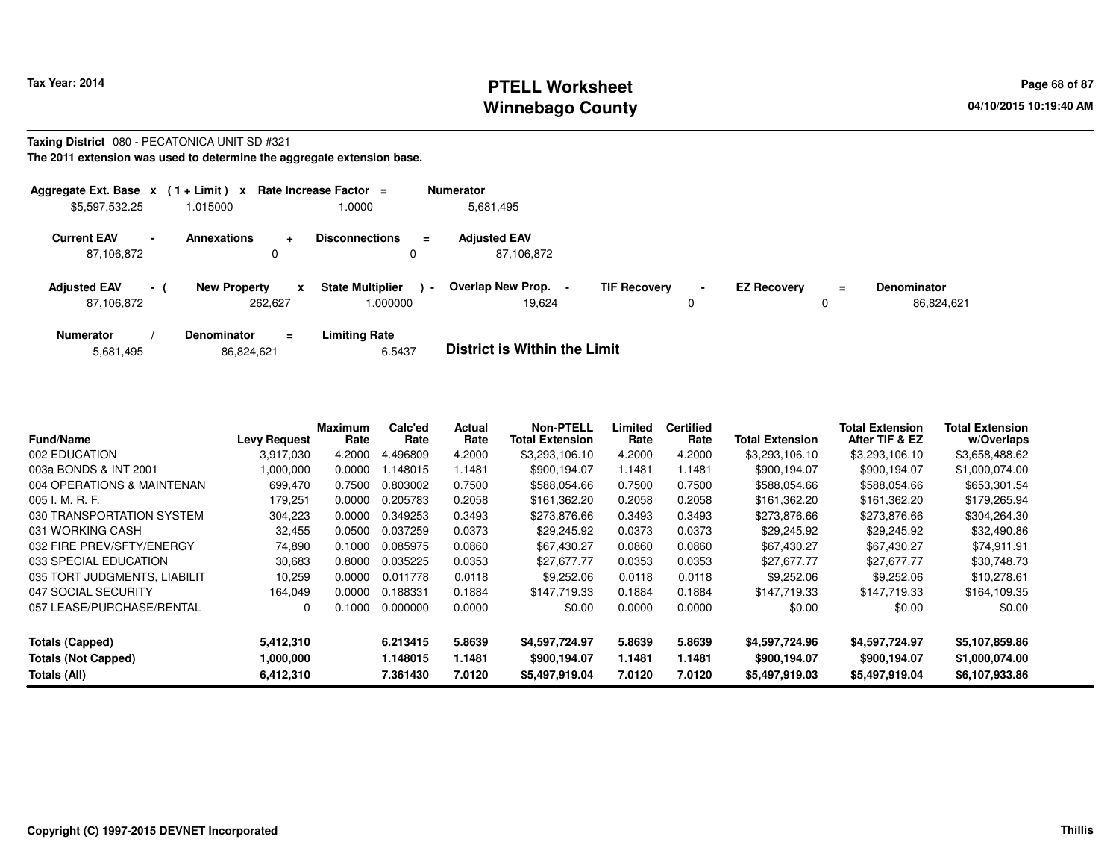# **PTELL Worksheet Tax Year: 2014 Page 68 of 87 Page 68 of 87 Winnebago County**

#### **Taxing District** 080 - PECATONICA UNIT SD #321**The 2011 extension was used to determine the aggregate extension base.**

| Aggregate Ext. Base $x$ (1 + Limit) $x$ |                          |                                     | Rate Increase Factor $=$            |                | <b>Numerator</b>                  |                     |   |                    |          |                                  |
|-----------------------------------------|--------------------------|-------------------------------------|-------------------------------------|----------------|-----------------------------------|---------------------|---|--------------------|----------|----------------------------------|
| \$5,597,532.25                          |                          | 1.015000                            | .0000                               |                | 5,681,495                         |                     |   |                    |          |                                  |
| <b>Current EAV</b><br>87,106,872        | $\overline{\phantom{0}}$ | <b>Annexations</b><br>۰<br>0        | <b>Disconnections</b><br>0          | $\equiv$       | <b>Adjusted EAV</b><br>87.106.872 |                     |   |                    |          |                                  |
| <b>Adjusted EAV</b><br>87,106,872       | $\sim$ 1                 | <b>New Property</b><br>X<br>262,627 | <b>State Multiplier</b><br>1.000000 | $\blacksquare$ | Overlap New Prop.<br>19.624       | <b>TIF Recovery</b> | 0 | <b>EZ Recovery</b> | $=$<br>0 | <b>Denominator</b><br>86,824,621 |
| <b>Numerator</b>                        |                          | Denominator<br>$\equiv$             | <b>Limiting Rate</b>                |                |                                   |                     |   |                    |          |                                  |

| <b>Fund/Name</b>             | <b>Levy Request</b> | Maximum<br>Rate | Calc'ed<br>Rate | Actual<br>Rate | <b>Non-PTELL</b><br><b>Total Extension</b> | Limited<br>Rate | <b>Certified</b><br>Rate | Total Extension | Total Extension<br>After TIF & EZ | <b>Total Extension</b><br>w/Overlaps |
|------------------------------|---------------------|-----------------|-----------------|----------------|--------------------------------------------|-----------------|--------------------------|-----------------|-----------------------------------|--------------------------------------|
| 002 EDUCATION                | 3.917.030           | 4.2000          | .496809         | 4.2000         | \$3,293,106.10                             | 4.2000          | 4.2000                   | \$3,293,106.10  | \$3,293,106.10                    | \$3,658,488.62                       |
| 003a BONDS & INT 2001        | 000,000,1           | 0.0000          | .148015         | l.1481         | \$900,194.07                               | 1.1481          | 1.1481                   | \$900,194.07    | \$900,194.07                      | \$1,000,074.00                       |
| 004 OPERATIONS & MAINTENAN   | 699,470             | 0.7500          | 0.803002        | 0.7500         | \$588.054.66                               | 0.7500          | 0.7500                   | \$588,054.66    | \$588,054.66                      | \$653,301.54                         |
| 005 I. M. R. F.              | 179.251             | 0.0000          | 0.205783        | 0.2058         | \$161.362.20                               | 0.2058          | 0.2058                   | \$161,362.20    | \$161.362.20                      | \$179,265.94                         |
| 030 TRANSPORTATION SYSTEM    | 304,223             | 0.0000          | 0.349253        | 0.3493         | \$273,876.66                               | 0.3493          | 0.3493                   | \$273,876.66    | \$273,876.66                      | \$304,264.30                         |
| 031 WORKING CASH             | 32,455              | 0.0500          | 0.037259        | 0.0373         | \$29,245.92                                | 0.0373          | 0.0373                   | \$29,245.92     | \$29,245.92                       | \$32,490.86                          |
| 032 FIRE PREV/SFTY/ENERGY    | 74,890              | 0.1000          | 0.085975        | 0.0860         | \$67,430.27                                | 0.0860          | 0.0860                   | \$67,430.27     | \$67,430.27                       | \$74,911.91                          |
| 033 SPECIAL EDUCATION        | 30,683              | 0.8000          | 0.035225        | 0.0353         | \$27,677.77                                | 0.0353          | 0.0353                   | \$27,677.77     | \$27,677.77                       | \$30,748.73                          |
| 035 TORT JUDGMENTS, LIABILIT | 10.259              | 0.0000          | 0.011778        | 0.0118         | \$9,252.06                                 | 0.0118          | 0.0118                   | \$9,252.06      | \$9,252.06                        | \$10,278.61                          |
| 047 SOCIAL SECURITY          | 164,049             | 0.0000          | 0.188331        | 0.1884         | \$147,719.33                               | 0.1884          | 0.1884                   | \$147.719.33    | \$147,719.33                      | \$164,109.35                         |
| 057 LEASE/PURCHASE/RENTAL    | 0                   | 0.1000          | 0.000000        | 0.0000         | \$0.00                                     | 0.0000          | 0.0000                   | \$0.00          | \$0.00                            | \$0.00                               |
| Totals (Capped)              | 5,412,310           |                 | 6.213415        | 5.8639         | \$4,597,724.97                             | 5.8639          | 5.8639                   | \$4,597,724.96  | \$4,597,724.97                    | \$5,107,859.86                       |
| <b>Totals (Not Capped)</b>   | 1,000,000           |                 | 1.148015        | 1.1481         | \$900,194.07                               | 1.1481          | 1.1481                   | \$900,194.07    | \$900,194.07                      | \$1,000,074.00                       |
| Totals (All)                 | 6,412,310           |                 | 7.361430        | 7.0120         | \$5,497,919.04                             | 7.0120          | 7.0120                   | \$5,497,919.03  | \$5,497,919.04                    | \$6,107,933.86                       |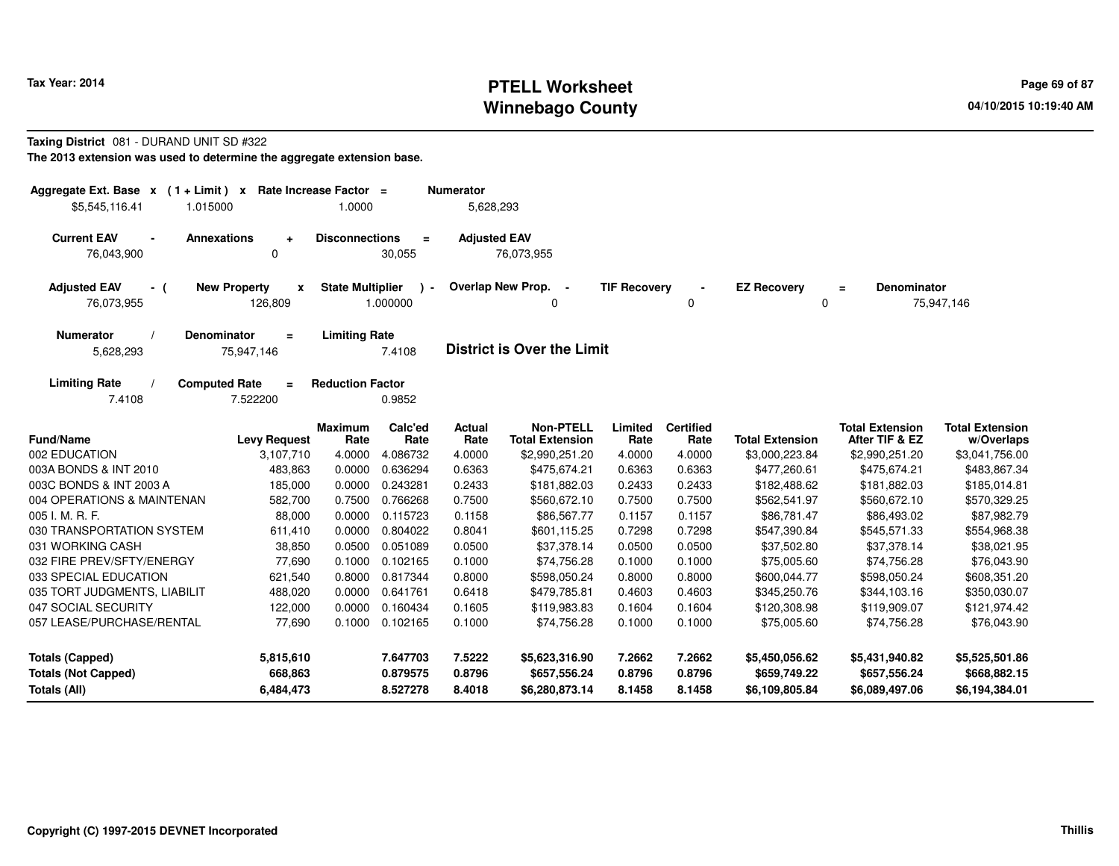# **PTELL Worksheet Tax Year: 2014 Page 69 of 87 Page 69 of 87 Winnebago County**

### **Taxing District** 081 - DURAND UNIT SD #322

**The 2013 extension was used to determine the aggregate extension base.**

| Aggregate Ext. Base $x$ (1 + Limit) x Rate Increase Factor =<br>\$5,545,116.41<br>1.015000                       | 1.0000                  |                                  | <b>Numerator</b><br>5,628,293 |                                                  |                            |                            |                                                  |                                                  |                                                  |
|------------------------------------------------------------------------------------------------------------------|-------------------------|----------------------------------|-------------------------------|--------------------------------------------------|----------------------------|----------------------------|--------------------------------------------------|--------------------------------------------------|--------------------------------------------------|
| <b>Current EAV</b><br>Annexations<br>$\blacksquare$<br>$\ddot{}$<br>$\mathbf 0$<br>76,043,900                    | <b>Disconnections</b>   | $\equiv$<br>30,055               | <b>Adjusted EAV</b>           | 76,073,955                                       |                            |                            |                                                  |                                                  |                                                  |
| <b>New Property</b><br><b>Adjusted EAV</b><br>x<br>- (<br>76,073,955<br>126,809                                  | <b>State Multiplier</b> | $\lambda$ -<br>1.000000          | Overlap New Prop.             | $\sim$<br><sup>0</sup>                           | <b>TIF Recovery</b>        | 0                          | <b>EZ Recovery</b>                               | <b>Denominator</b><br>$\equiv$<br>0              | 75,947,146                                       |
| <b>Denominator</b><br><b>Numerator</b><br>$\equiv$<br>75,947,146<br>5,628,293                                    | <b>Limiting Rate</b>    | 7.4108                           |                               | <b>District is Over the Limit</b>                |                            |                            |                                                  |                                                  |                                                  |
| <b>Limiting Rate</b><br><b>Computed Rate</b><br>$\equiv$<br>7.4108<br>7.522200                                   | <b>Reduction Factor</b> | 0.9852                           |                               |                                                  |                            |                            |                                                  |                                                  |                                                  |
| <b>Fund/Name</b><br><b>Levy Request</b>                                                                          | <b>Maximum</b><br>Rate  | Calc'ed<br>Rate                  | Actual<br>Rate                | <b>Non-PTELL</b><br><b>Total Extension</b>       | Limited<br>Rate            | <b>Certified</b><br>Rate   | <b>Total Extension</b>                           | <b>Total Extension</b><br>After TIF & EZ         | <b>Total Extension</b><br>w/Overlaps             |
| 002 EDUCATION<br>3,107,710                                                                                       | 4.0000                  | 4.086732                         | 4.0000                        | \$2,990,251.20                                   | 4.0000                     | 4.0000                     | \$3,000,223.84                                   | \$2,990,251.20                                   | \$3,041,756.00                                   |
| 003A BONDS & INT 2010<br>483.863                                                                                 | 0.0000                  | 0.636294                         | 0.6363                        | \$475.674.21                                     | 0.6363                     | 0.6363                     | \$477,260.61                                     | \$475.674.21                                     | \$483,867.34                                     |
| 003C BONDS & INT 2003 A<br>185,000                                                                               | 0.0000                  | 0.243281                         | 0.2433                        | \$181,882.03                                     | 0.2433                     | 0.2433                     | \$182,488.62                                     | \$181,882.03                                     | \$185,014.81                                     |
| 004 OPERATIONS & MAINTENAN<br>582,700                                                                            | 0.7500                  | 0.766268                         | 0.7500                        | \$560,672.10                                     | 0.7500                     | 0.7500                     | \$562,541.97                                     | \$560,672.10                                     | \$570,329.25                                     |
| 005 I. M. R. F.<br>88,000                                                                                        | 0.0000                  | 0.115723                         | 0.1158                        | \$86,567.77                                      | 0.1157                     | 0.1157                     | \$86,781.47                                      | \$86,493.02                                      | \$87,982.79                                      |
| 030 TRANSPORTATION SYSTEM<br>611,410                                                                             | 0.0000                  | 0.804022                         | 0.8041                        | \$601,115.25                                     | 0.7298                     | 0.7298                     | \$547,390.84                                     | \$545,571.33                                     | \$554,968.38                                     |
| 031 WORKING CASH<br>38,850                                                                                       | 0.0500                  | 0.051089                         | 0.0500                        | \$37,378.14                                      | 0.0500                     | 0.0500                     | \$37,502.80                                      | \$37,378.14                                      | \$38,021.95                                      |
| 032 FIRE PREV/SFTY/ENERGY<br>77,690                                                                              | 0.1000                  | 0.102165                         | 0.1000                        | \$74,756.28                                      | 0.1000                     | 0.1000                     | \$75,005.60                                      | \$74,756.28                                      | \$76,043.90                                      |
| 033 SPECIAL EDUCATION<br>621,540                                                                                 | 0.8000                  | 0.817344                         | 0.8000                        | \$598,050.24                                     | 0.8000                     | 0.8000                     | \$600,044.77                                     | \$598,050.24                                     | \$608,351.20                                     |
| 035 TORT JUDGMENTS, LIABILIT<br>488,020                                                                          | 0.0000                  | 0.641761                         | 0.6418                        | \$479,785.81                                     | 0.4603                     | 0.4603                     | \$345,250.76                                     | \$344,103.16                                     | \$350,030.07                                     |
| 047 SOCIAL SECURITY<br>122,000                                                                                   | 0.0000                  | 0.160434                         | 0.1605                        | \$119,983.83                                     | 0.1604                     | 0.1604                     | \$120,308.98                                     | \$119,909.07                                     | \$121,974.42                                     |
| 057 LEASE/PURCHASE/RENTAL<br>77,690                                                                              | 0.1000                  | 0.102165                         | 0.1000                        | \$74,756.28                                      | 0.1000                     | 0.1000                     | \$75,005.60                                      | \$74,756.28                                      | \$76,043.90                                      |
| <b>Totals (Capped)</b><br>5,815,610<br><b>Totals (Not Capped)</b><br>668,863<br><b>Totals (All)</b><br>6,484,473 |                         | 7.647703<br>0.879575<br>8.527278 | 7.5222<br>0.8796<br>8.4018    | \$5,623,316.90<br>\$657,556.24<br>\$6,280,873.14 | 7.2662<br>0.8796<br>8.1458 | 7.2662<br>0.8796<br>8.1458 | \$5,450,056.62<br>\$659,749.22<br>\$6,109,805.84 | \$5,431,940.82<br>\$657,556.24<br>\$6,089,497.06 | \$5,525,501.86<br>\$668,882.15<br>\$6,194,384.01 |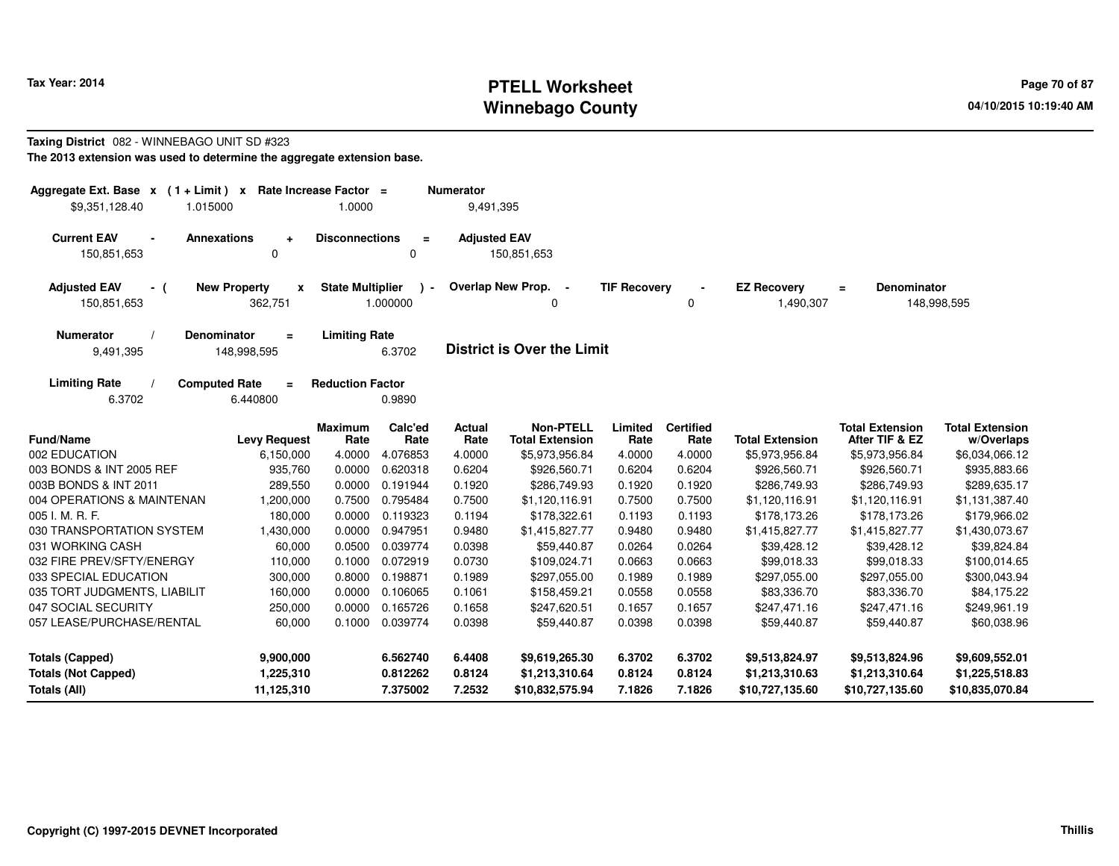# **PTELL Worksheet Tax Year: 2014 Page 70 of 87 Page 70 of 87 Winnebago County**

#### **Taxing District** 082 - WINNEBAGO UNIT SD #323**The 2013 extension was used to determine the aggregate extension base.**

| Aggregate Ext. Base $x$ (1 + Limit) $x$<br>\$9,351,128.40<br>1.015000 |                                                     | Rate Increase Factor =<br>1.0000 |                                  | <b>Numerator</b><br>9,491,395 |                                                     |                            |                            |                                                     |                                                     |                                                     |
|-----------------------------------------------------------------------|-----------------------------------------------------|----------------------------------|----------------------------------|-------------------------------|-----------------------------------------------------|----------------------------|----------------------------|-----------------------------------------------------|-----------------------------------------------------|-----------------------------------------------------|
| <b>Current EAV</b><br>$\blacksquare$<br>150,851,653                   | <b>Annexations</b><br>$\overline{a}$<br>$\mathbf 0$ | <b>Disconnections</b>            | $\equiv$<br>$\mathbf 0$          | <b>Adjusted EAV</b>           | 150,851,653                                         |                            |                            |                                                     |                                                     |                                                     |
| <b>Adjusted EAV</b><br>- (<br>150,851,653                             | <b>New Property</b><br>x<br>362,751                 | <b>State Multiplier</b>          | 1.000000                         | Overlap New Prop.             | $\sim$<br>0                                         | <b>TIF Recovery</b>        | 0                          | <b>EZ Recovery</b><br>1,490,307                     | <b>Denominator</b><br>$=$                           | 148,998,595                                         |
| <b>Numerator</b><br>9,491,395                                         | <b>Denominator</b><br>$\equiv$<br>148,998,595       | <b>Limiting Rate</b>             | 6.3702                           |                               | <b>District is Over the Limit</b>                   |                            |                            |                                                     |                                                     |                                                     |
| <b>Limiting Rate</b><br>6.3702                                        | <b>Computed Rate</b><br>$\equiv$<br>6.440800        | <b>Reduction Factor</b>          | 0.9890                           |                               |                                                     |                            |                            |                                                     |                                                     |                                                     |
| <b>Fund/Name</b>                                                      | <b>Levy Request</b>                                 | <b>Maximum</b><br>Rate           | Calc'ed<br>Rate                  | <b>Actual</b><br>Rate         | <b>Non-PTELL</b><br><b>Total Extension</b>          | Limited<br>Rate            | <b>Certified</b><br>Rate   | <b>Total Extension</b>                              | <b>Total Extension</b><br>After TIF & EZ            | <b>Total Extension</b><br>w/Overlaps                |
| 002 EDUCATION                                                         | 6,150,000                                           | 4.0000                           | 4.076853                         | 4.0000                        | \$5,973,956.84                                      | 4.0000                     | 4.0000                     | \$5,973,956.84                                      | \$5,973,956.84                                      | \$6,034,066.12                                      |
| 003 BONDS & INT 2005 REF                                              | 935.760                                             | 0.0000                           | 0.620318                         | 0.6204                        | \$926,560.71                                        | 0.6204                     | 0.6204                     | \$926,560.71                                        | \$926,560.71                                        | \$935,883.66                                        |
| 003B BONDS & INT 2011                                                 | 289,550                                             | 0.0000                           | 0.191944                         | 0.1920                        | \$286,749.93                                        | 0.1920                     | 0.1920                     | \$286,749.93                                        | \$286,749.93                                        | \$289,635.17                                        |
| 004 OPERATIONS & MAINTENAN                                            | 1,200,000                                           | 0.7500                           | 0.795484                         | 0.7500                        | \$1,120,116.91                                      | 0.7500                     | 0.7500                     | \$1,120,116.91                                      | \$1,120,116.91                                      | \$1,131,387.40                                      |
| 005 I. M. R. F.                                                       | 180,000                                             | 0.0000                           | 0.119323                         | 0.1194                        | \$178,322.61                                        | 0.1193                     | 0.1193                     | \$178,173.26                                        | \$178,173.26                                        | \$179,966.02                                        |
| 030 TRANSPORTATION SYSTEM                                             | 1,430,000                                           | 0.0000                           | 0.947951                         | 0.9480                        | \$1,415,827.77                                      | 0.9480                     | 0.9480                     | \$1,415,827.77                                      | \$1,415,827.77                                      | \$1,430,073.67                                      |
| 031 WORKING CASH                                                      | 60,000                                              | 0.0500                           | 0.039774                         | 0.0398                        | \$59,440.87                                         | 0.0264                     | 0.0264                     | \$39,428.12                                         | \$39,428.12                                         | \$39,824.84                                         |
| 032 FIRE PREV/SFTY/ENERGY                                             | 110,000                                             | 0.1000                           | 0.072919                         | 0.0730                        | \$109,024.71                                        | 0.0663                     | 0.0663                     | \$99,018.33                                         | \$99,018.33                                         | \$100,014.65                                        |
| 033 SPECIAL EDUCATION                                                 | 300,000                                             | 0.8000                           | 0.198871                         | 0.1989                        | \$297,055.00                                        | 0.1989                     | 0.1989                     | \$297,055.00                                        | \$297,055.00                                        | \$300,043.94                                        |
| 035 TORT JUDGMENTS, LIABILIT                                          | 160,000                                             | 0.0000                           | 0.106065                         | 0.1061                        | \$158,459.21                                        | 0.0558                     | 0.0558                     | \$83,336.70                                         | \$83,336.70                                         | \$84,175.22                                         |
| 047 SOCIAL SECURITY                                                   | 250,000                                             | 0.0000                           | 0.165726                         | 0.1658                        | \$247,620.51                                        | 0.1657                     | 0.1657                     | \$247,471.16                                        | \$247,471.16                                        | \$249,961.19                                        |
| 057 LEASE/PURCHASE/RENTAL                                             | 60,000                                              | 0.1000                           | 0.039774                         | 0.0398                        | \$59,440.87                                         | 0.0398                     | 0.0398                     | \$59,440.87                                         | \$59,440.87                                         | \$60,038.96                                         |
| <b>Totals (Capped)</b><br><b>Totals (Not Capped)</b><br>Totals (All)  | 9,900,000<br>1,225,310<br>11,125,310                |                                  | 6.562740<br>0.812262<br>7.375002 | 6.4408<br>0.8124<br>7.2532    | \$9,619,265.30<br>\$1,213,310.64<br>\$10,832,575.94 | 6.3702<br>0.8124<br>7.1826 | 6.3702<br>0.8124<br>7.1826 | \$9,513,824.97<br>\$1,213,310.63<br>\$10,727,135.60 | \$9,513,824.96<br>\$1,213,310.64<br>\$10,727,135.60 | \$9,609,552.01<br>\$1,225,518.83<br>\$10,835,070.84 |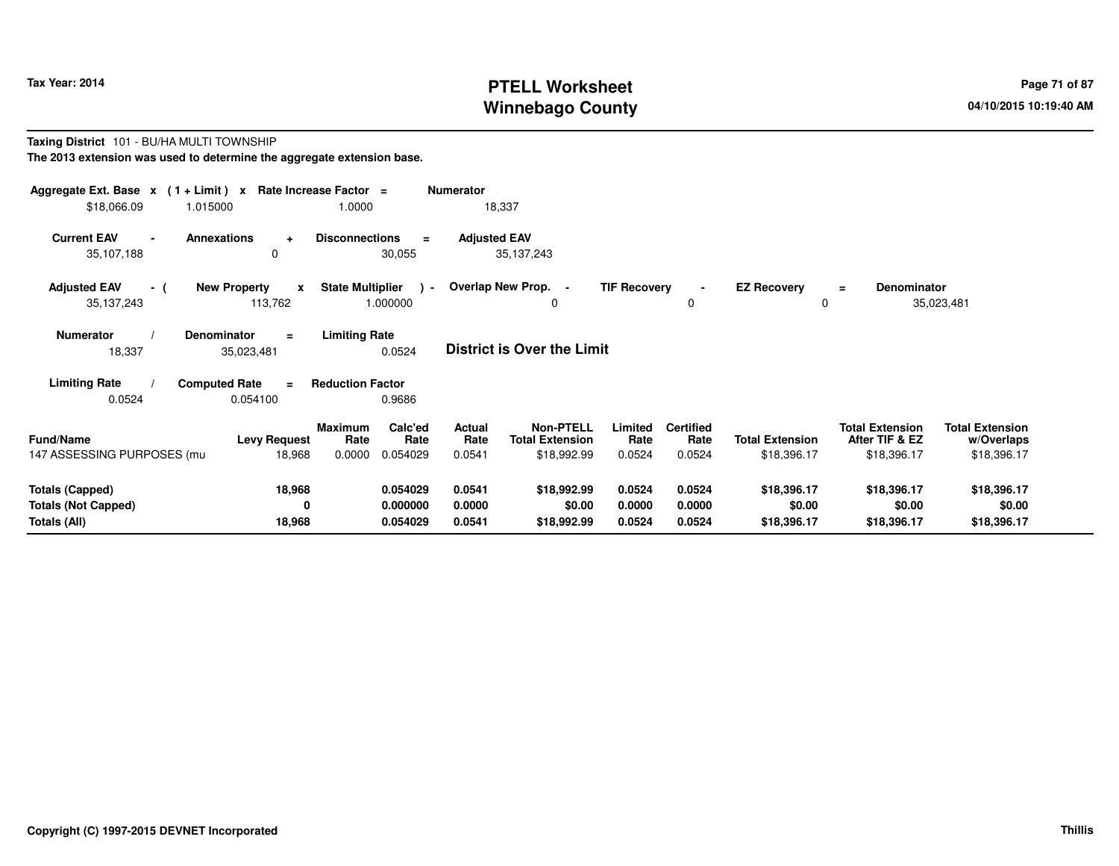# **PTELL Worksheet Tax Year: 2014 Page 71 of 87 Page 71 of 87 Page 71 of 87 Winnebago County**

#### **Taxing District** 101 - BU/HA MULTI TOWNSHIP**The 2013 extension was used to determine the aggregate extension base.**

| Aggregate Ext. Base $x$ (1+Limit) $x$<br>\$18,066.09 | 1.015000                                       | Rate Increase Factor =<br>1.0000                     | <b>Numerator</b><br>18,337 |                                            |                     |                          |                         |                                          |                                      |
|------------------------------------------------------|------------------------------------------------|------------------------------------------------------|----------------------------|--------------------------------------------|---------------------|--------------------------|-------------------------|------------------------------------------|--------------------------------------|
| <b>Current EAV</b><br>35,107,188                     | <b>Annexations</b><br>$\ddot{}$<br>$\Omega$    | <b>Disconnections</b><br>$\equiv$<br>30,055          | <b>Adjusted EAV</b>        | 35, 137, 243                               |                     |                          |                         |                                          |                                      |
| <b>Adjusted EAV</b><br>- (<br>35,137,243             | <b>New Property</b><br>$\mathbf{x}$<br>113,762 | <b>State Multiplier</b><br>$\rightarrow$<br>1.000000 | Overlap New Prop.          | $\sim$<br>0                                | <b>TIF Recovery</b> | $\blacksquare$<br>0      | <b>EZ Recovery</b><br>0 | <b>Denominator</b><br>$=$                | 35,023,481                           |
| <b>Numerator</b><br>18,337                           | Denominator<br>$\equiv$<br>35,023,481          | <b>Limiting Rate</b><br>0.0524                       |                            | <b>District is Over the Limit</b>          |                     |                          |                         |                                          |                                      |
| <b>Limiting Rate</b>                                 | <b>Computed Rate</b><br>$\equiv$               | <b>Reduction Factor</b>                              |                            |                                            |                     |                          |                         |                                          |                                      |
| 0.0524                                               | 0.054100                                       | 0.9686                                               |                            |                                            |                     |                          |                         |                                          |                                      |
| <b>Fund/Name</b>                                     | <b>Levy Request</b>                            | Calc'ed<br><b>Maximum</b><br>Rate<br>Rate            | Actual<br>Rate             | <b>Non-PTELL</b><br><b>Total Extension</b> | Limited<br>Rate     | <b>Certified</b><br>Rate | <b>Total Extension</b>  | <b>Total Extension</b><br>After TIF & EZ | <b>Total Extension</b><br>w/Overlaps |
| 147 ASSESSING PURPOSES (mu                           | 18,968                                         | 0.0000<br>0.054029                                   | 0.0541                     | \$18,992.99                                | 0.0524              | 0.0524                   | \$18,396.17             | \$18,396.17                              | \$18,396.17                          |
| <b>Totals (Capped)</b><br><b>Totals (Not Capped)</b> | 18,968<br>0                                    | 0.054029<br>0.000000                                 | 0.0541<br>0.0000           | \$18,992.99<br>\$0.00                      | 0.0524<br>0.0000    | 0.0524<br>0.0000         | \$18,396.17<br>\$0.00   | \$18,396.17<br>\$0.00                    | \$18,396.17<br>\$0.00                |
| Totals (All)                                         | 18,968                                         | 0.054029                                             | 0.0541                     | \$18,992.99                                | 0.0524              | 0.0524                   | \$18,396.17             | \$18,396.17                              | \$18,396.17                          |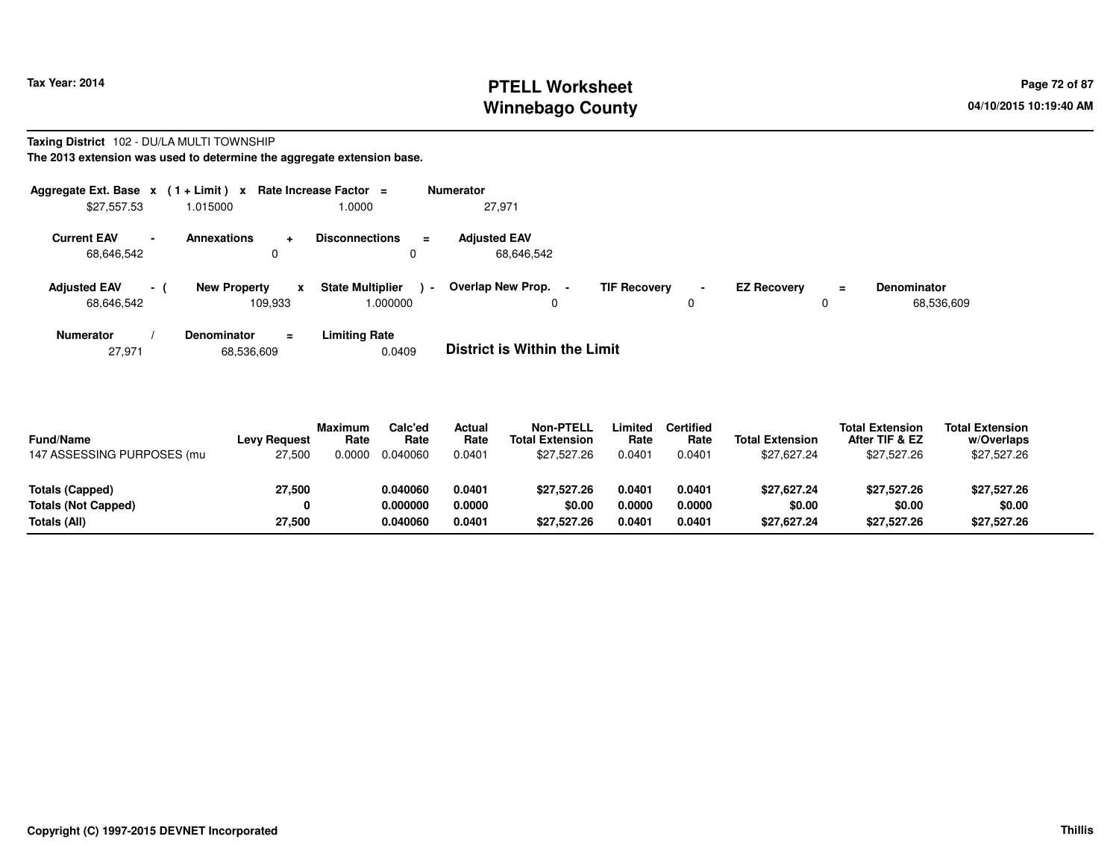# **PTELL Worksheet Tax Year: 2014 Page 72 of 87 Page 72 of 87 Winnebago County**

#### **Taxing District** 102 - DU/LA MULTI TOWNSHIP**The 2013 extension was used to determine the aggregate extension base.**

| Aggregate Ext. Base $x$ (1 + Limit) $x$ |          |                                     | Rate Increase Factor $=$                      | <b>Numerator</b>                  |                     |                     |                    |          |                           |
|-----------------------------------------|----------|-------------------------------------|-----------------------------------------------|-----------------------------------|---------------------|---------------------|--------------------|----------|---------------------------|
| \$27,557.53                             |          | 1.015000                            | 1.0000                                        | 27,971                            |                     |                     |                    |          |                           |
| <b>Current EAV</b><br>68,646,542        | $\sim$   | <b>Annexations</b><br>÷             | <b>Disconnections</b><br>$\equiv$<br>0        | <b>Adiusted EAV</b><br>68.646.542 |                     |                     |                    |          |                           |
| <b>Adjusted EAV</b><br>68,646,542       | $\sim$ 1 | <b>New Property</b><br>x<br>109.933 | <b>State Multiplier</b><br>$\sim$<br>000000.1 | Overlap New Prop.<br>$\sim$<br>0  | <b>TIF Recovery</b> | $\blacksquare$<br>0 | <b>EZ Recoverv</b> | $\equiv$ | Denominator<br>68,536,609 |
| <b>Numerator</b>                        |          | Denominator<br>$\equiv$             | <b>Limiting Rate</b>                          |                                   |                     |                     |                    |          |                           |

| <b>District is Within the Limit</b><br>0.0409<br>68,536,609<br>27.971 |  |
|-----------------------------------------------------------------------|--|
|-----------------------------------------------------------------------|--|

| <b>Fund/Name</b><br>147 ASSESSING PURPOSES (mu | <b>Levy Request</b><br>27,500 | <b>Maximum</b><br>Rate<br>0.0000 | Calc'ed<br>Rate<br>0.040060 | Actual<br>Rate<br>0.0401 | <b>Non-PTELL</b><br><b>Total Extension</b><br>\$27.527.26 | Limited<br>Rate<br>0.0401 | Certified<br>Rate<br>0.0401 | <b>Total Extension</b><br>\$27.627.24 | <b>Total Extension</b><br>After TIF & EZ<br>\$27,527.26 | <b>Total Extension</b><br>w/Overlaps<br>\$27,527.26 |  |
|------------------------------------------------|-------------------------------|----------------------------------|-----------------------------|--------------------------|-----------------------------------------------------------|---------------------------|-----------------------------|---------------------------------------|---------------------------------------------------------|-----------------------------------------------------|--|
| Totals (Capped)<br><b>Totals (Not Capped)</b>  | 27,500<br>0                   |                                  | 0.040060<br>0.000000        | 0.0401<br>0.0000         | \$27.527.26<br>\$0.00                                     | 0.0401<br>0.0000          | 0.0401<br>0.0000            | \$27,627.24<br>\$0.00                 | \$27,527.26<br>\$0.00                                   | \$27,527.26<br>\$0.00                               |  |
| Totals (All)                                   | 27,500                        |                                  | 0.040060                    | 0.0401                   | \$27,527.26                                               | 0.0401                    | 0.0401                      | \$27,627.24                           | \$27,527.26                                             | \$27,527.26                                         |  |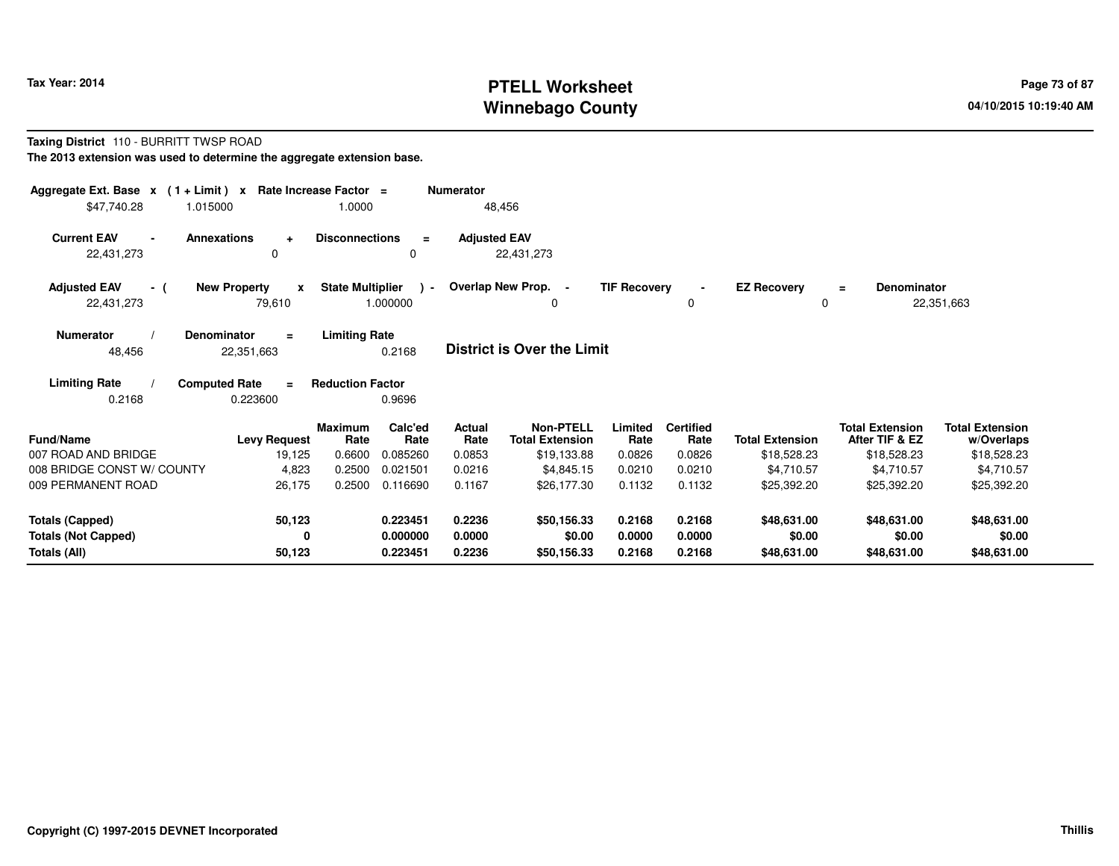### **PTELL Worksheet Tax Year: 2014 Page 73 of 87 Page 73 of 87 Winnebago County**

#### **Taxing District** 110 - BURRITT TWSP ROAD**The 2013 extension was used to determine the aggregate extension base.**

| Aggregate Ext. Base $x$ (1+Limit) $x$<br>\$47,740.28<br>1.015000 | Rate Increase Factor =                        | 1.0000                  |                           | <b>Numerator</b><br>48,456 |                                            |                     |                          |                         |                                          |                                      |
|------------------------------------------------------------------|-----------------------------------------------|-------------------------|---------------------------|----------------------------|--------------------------------------------|---------------------|--------------------------|-------------------------|------------------------------------------|--------------------------------------|
| <b>Current EAV</b><br>22,431,273                                 | <b>Annexations</b><br>$\ddot{}$<br>0          | <b>Disconnections</b>   | $\equiv$<br>0             | <b>Adjusted EAV</b>        | 22,431,273                                 |                     |                          |                         |                                          |                                      |
| <b>Adjusted EAV</b><br>- (<br>22,431,273                         | <b>New Property</b><br>$\mathbf{x}$<br>79,610 | <b>State Multiplier</b> | $\rightarrow$<br>1.000000 |                            | Overlap New Prop. -<br>0                   | <b>TIF Recovery</b> | $\blacksquare$<br>0      | <b>EZ Recovery</b><br>0 | <b>Denominator</b><br>$=$                | 22,351,663                           |
| <b>Numerator</b><br>48,456                                       | <b>Denominator</b><br>$\equiv$<br>22,351,663  | <b>Limiting Rate</b>    | 0.2168                    |                            | District is Over the Limit                 |                     |                          |                         |                                          |                                      |
| <b>Limiting Rate</b><br>0.2168                                   | <b>Computed Rate</b><br>$\equiv$<br>0.223600  | <b>Reduction Factor</b> | 0.9696                    |                            |                                            |                     |                          |                         |                                          |                                      |
| <b>Fund/Name</b>                                                 | <b>Levy Request</b>                           | <b>Maximum</b><br>Rate  | Calc'ed<br>Rate           | <b>Actual</b><br>Rate      | <b>Non-PTELL</b><br><b>Total Extension</b> | Limited<br>Rate     | <b>Certified</b><br>Rate | <b>Total Extension</b>  | <b>Total Extension</b><br>After TIF & EZ | <b>Total Extension</b><br>w/Overlaps |
| 007 ROAD AND BRIDGE                                              | 19,125                                        | 0.6600                  | 0.085260                  | 0.0853                     | \$19,133.88                                | 0.0826              | 0.0826                   | \$18,528.23             | \$18,528.23                              | \$18,528.23                          |
| 008 BRIDGE CONST W/ COUNTY                                       | 4,823                                         | 0.2500                  | 0.021501                  | 0.0216                     | \$4.845.15                                 | 0.0210              | 0.0210                   | \$4.710.57              | \$4,710.57                               | \$4,710.57                           |
| 009 PERMANENT ROAD                                               | 26,175                                        | 0.2500                  | 0.116690                  | 0.1167                     | \$26,177.30                                | 0.1132              | 0.1132                   | \$25,392.20             | \$25,392.20                              | \$25,392.20                          |
| <b>Totals (Capped)</b>                                           | 50,123                                        |                         | 0.223451                  | 0.2236                     | \$50,156.33                                | 0.2168              | 0.2168                   | \$48,631.00             | \$48,631.00                              | \$48,631.00                          |
| <b>Totals (Not Capped)</b><br>Totals (All)                       | 0<br>50,123                                   |                         | 0.000000<br>0.223451      | 0.0000<br>0.2236           | \$0.00<br>\$50,156.33                      | 0.0000<br>0.2168    | 0.0000<br>0.2168         | \$0.00<br>\$48,631.00   | \$0.00<br>\$48,631.00                    | \$0.00<br>\$48,631.00                |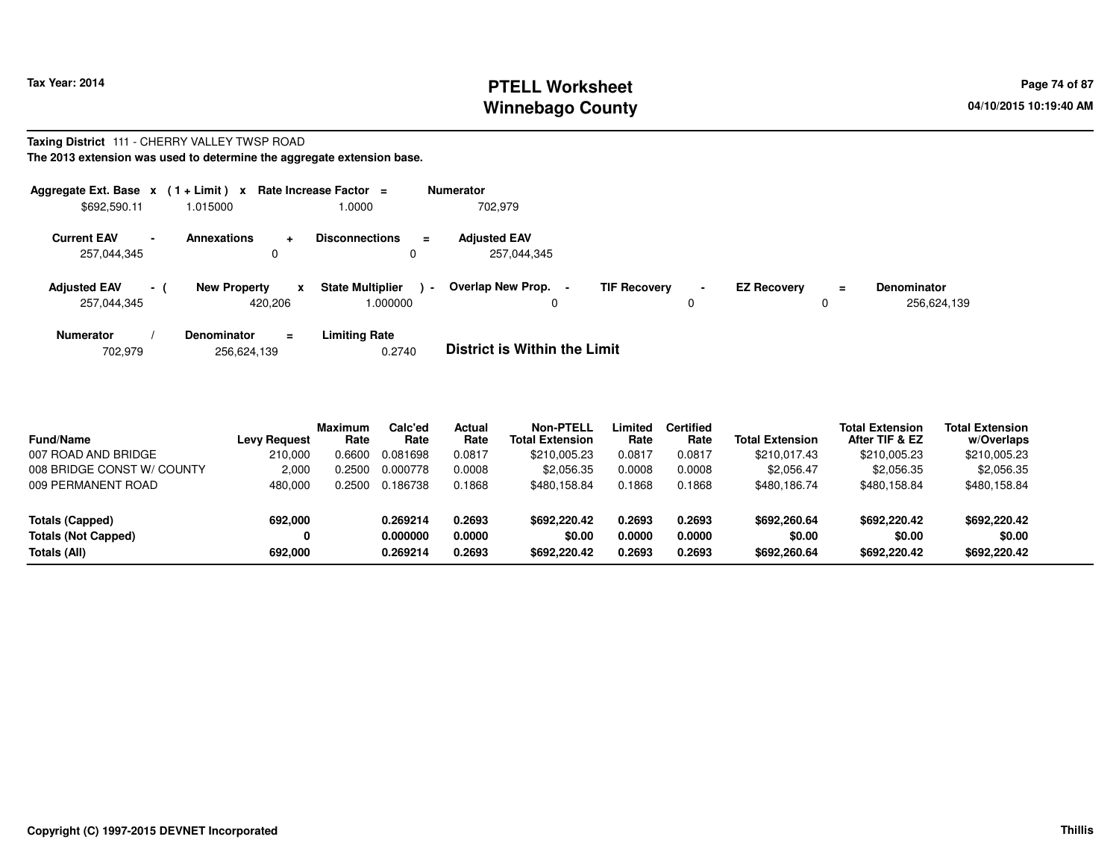# **PTELL Worksheet Tax Year: 2014 Page 74 of 87 Page 74 of 87 Winnebago County**

#### **Taxing District** 111 - CHERRY VALLEY TWSP ROAD**The 2013 extension was used to determine the aggregate extension base.**

| Aggregate Ext. Base x<br>\$692,590.11               |      | $(1 + Limit)$ x<br>1.015000                    | Rate Increase Factor =<br>1.0000             | <b>Numerator</b><br>702.979         |                     |                     |                    |          |                                   |
|-----------------------------------------------------|------|------------------------------------------------|----------------------------------------------|-------------------------------------|---------------------|---------------------|--------------------|----------|-----------------------------------|
| <b>Current EAV</b><br>$\blacksquare$<br>257,044,345 |      | <b>Annexations</b><br>$\ddot{}$<br>0           | <b>Disconnections</b><br>$\equiv$<br>0       | <b>Adjusted EAV</b><br>257,044,345  |                     |                     |                    |          |                                   |
| <b>Adjusted EAV</b><br>257,044,345                  | $-1$ | <b>New Property</b><br>$\mathbf{x}$<br>420.206 | <b>State Multiplier</b><br>$\sim$<br>.000000 | Overlap New Prop. -<br>0            | <b>TIF Recovery</b> | $\blacksquare$<br>0 | <b>EZ Recovery</b> | $\equiv$ | <b>Denominator</b><br>256,624,139 |
| <b>Numerator</b>                                    |      | <b>Denominator</b><br>$\equiv$                 | Limiting Rate                                | _ _ _ _ _ _ _ _ _ _ _ _ _ _ _ _ _ _ |                     |                     |                    |          |                                   |

702,979256,624,139 0.2740 **District is Within the Limit**

| <b>Fund/Name</b><br>007 ROAD AND BRIDGE<br>008 BRIDGE CONST W/ COUNTY<br>009 PERMANENT ROAD | <b>Levy Request</b><br>210.000<br>2.000<br>480.000 | <b>Maximum</b><br>Rate<br>0.6600<br>0.2500<br>0.2500 | Calc'ed<br>Rate<br>0.081698<br>0.000778<br>0.186738 | Actual<br>Rate<br>0.0817<br>0.0008<br>0.1868 | <b>Non-PTELL</b><br><b>Total Extension</b><br>\$210,005.23<br>\$2,056.35<br>\$480.158.84 | Limited<br>Rate<br>0.0817<br>0.0008<br>0.1868 | <b>Certified</b><br>Rate<br>0.0817<br>0.0008<br>0.1868 | <b>Total Extension</b><br>\$210,017.43<br>\$2,056.47<br>\$480.186.74 | <b>Total Extension</b><br>After TIF & EZ<br>\$210,005.23<br>\$2,056.35<br>\$480.158.84 | <b>Total Extension</b><br>w/Overlaps<br>\$210,005.23<br>\$2,056.35<br>\$480,158.84 |  |
|---------------------------------------------------------------------------------------------|----------------------------------------------------|------------------------------------------------------|-----------------------------------------------------|----------------------------------------------|------------------------------------------------------------------------------------------|-----------------------------------------------|--------------------------------------------------------|----------------------------------------------------------------------|----------------------------------------------------------------------------------------|------------------------------------------------------------------------------------|--|
| Totals (Capped)<br><b>Totals (Not Capped)</b><br>Totals (All)                               | 692.000<br>0<br>692,000                            |                                                      | 0.269214<br>0.000000<br>0.269214                    | 0.2693<br>0.0000<br>0.2693                   | \$692,220.42<br>\$0.00<br>\$692.220.42                                                   | 0.2693<br>0.0000<br>0.2693                    | 0.2693<br>0.0000<br>0.2693                             | \$692,260.64<br>\$0.00<br>\$692,260.64                               | \$692,220.42<br>\$0.00<br>\$692,220.42                                                 | \$692,220.42<br>\$0.00<br>\$692,220.42                                             |  |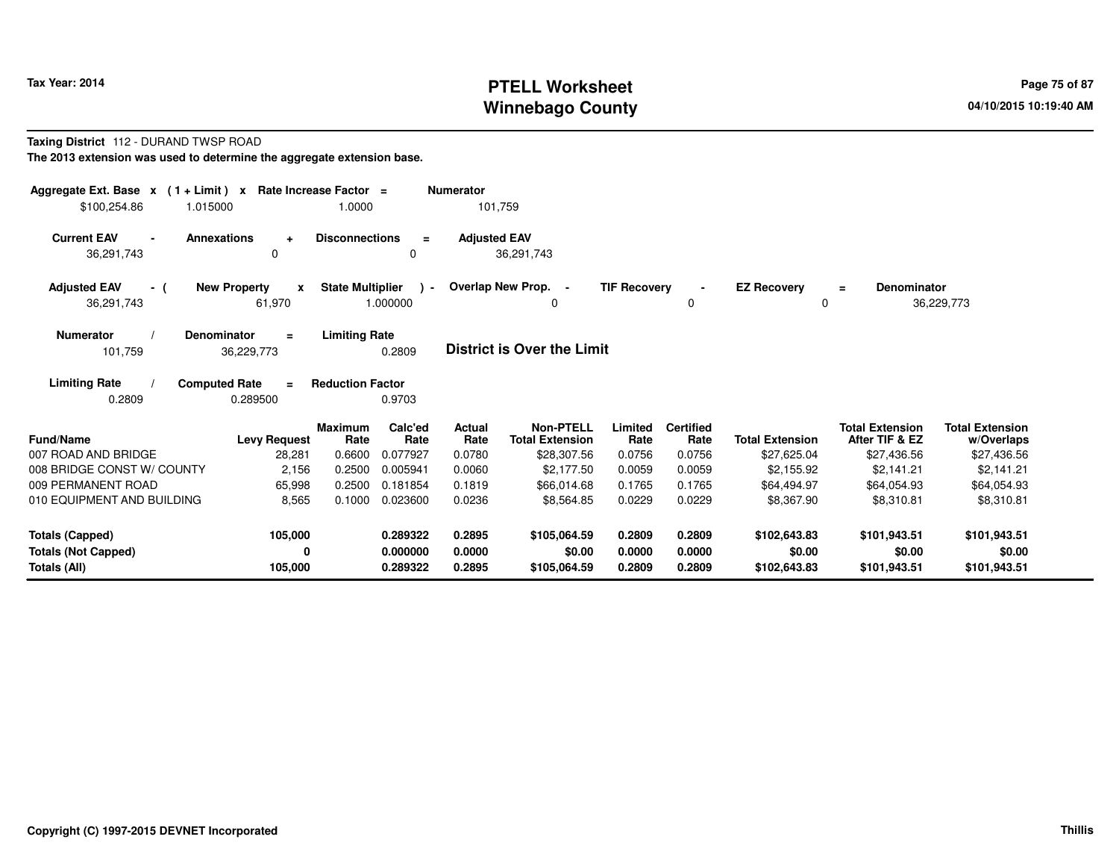### **PTELL Worksheet Tax Year: 2014 Page 75 of 87 Page 75 of 87 Winnebago County**

#### **Taxing District** 112 - DURAND TWSP ROAD**The 2013 extension was used to determine the aggregate extension base.**

| Aggregate Ext. Base $x$ (1 + Limit) $x$<br>\$100,254.86<br>1.015000  |                                                                                  | Rate Increase Factor =<br>1.0000                |                                  | <b>Numerator</b><br>101,759 |                                                           |                            |                                    |                                        |                                                         |                                                     |
|----------------------------------------------------------------------|----------------------------------------------------------------------------------|-------------------------------------------------|----------------------------------|-----------------------------|-----------------------------------------------------------|----------------------------|------------------------------------|----------------------------------------|---------------------------------------------------------|-----------------------------------------------------|
| <b>Current EAV</b><br>$\blacksquare$<br>36,291,743                   | <b>Annexations</b><br>$\ddot{}$<br>0                                             | <b>Disconnections</b>                           | $\equiv$<br>$\Omega$             | <b>Adjusted EAV</b>         | 36,291,743                                                |                            |                                    |                                        |                                                         |                                                     |
| <b>Adjusted EAV</b><br>- (<br>36,291,743                             | <b>New Property</b><br>$\boldsymbol{x}$<br>61,970                                | <b>State Multiplier</b>                         | $\mathbf{r}$<br>1.000000         |                             | Overlap New Prop. -<br>0                                  | <b>TIF Recovery</b>        | $\blacksquare$<br>0                | <b>EZ Recovery</b><br>$\mathbf 0$      | <b>Denominator</b><br>$\equiv$                          | 36,229,773                                          |
| <b>Numerator</b><br>101,759                                          | <b>Denominator</b><br>$\equiv$<br>36,229,773<br><b>Computed Rate</b><br>$\equiv$ | <b>Limiting Rate</b><br><b>Reduction Factor</b> | 0.2809                           |                             | <b>District is Over the Limit</b>                         |                            |                                    |                                        |                                                         |                                                     |
| <b>Limiting Rate</b><br>0.2809                                       | 0.289500                                                                         |                                                 | 0.9703                           |                             |                                                           |                            |                                    |                                        |                                                         |                                                     |
| <b>Fund/Name</b><br>007 ROAD AND BRIDGE                              | <b>Levy Request</b><br>28,281                                                    | <b>Maximum</b><br>Rate<br>0.6600                | Calc'ed<br>Rate<br>0.077927      | Actual<br>Rate<br>0.0780    | <b>Non-PTELL</b><br><b>Total Extension</b><br>\$28,307.56 | Limited<br>Rate<br>0.0756  | <b>Certified</b><br>Rate<br>0.0756 | <b>Total Extension</b><br>\$27,625.04  | <b>Total Extension</b><br>After TIF & EZ<br>\$27,436.56 | <b>Total Extension</b><br>w/Overlaps<br>\$27,436.56 |
| 008 BRIDGE CONST W/ COUNTY<br>009 PERMANENT ROAD                     | 2,156<br>65,998                                                                  | 0.2500<br>0.2500                                | 0.005941<br>0.181854             | 0.0060<br>0.1819            | \$2,177.50<br>\$66,014.68                                 | 0.0059<br>0.1765           | 0.0059<br>0.1765                   | \$2,155.92<br>\$64,494.97              | \$2,141.21<br>\$64,054.93                               | \$2,141.21<br>\$64,054.93                           |
| 010 EQUIPMENT AND BUILDING                                           | 8,565                                                                            | 0.1000                                          | 0.023600                         | 0.0236                      | \$8,564.85                                                | 0.0229                     | 0.0229                             | \$8,367.90                             | \$8,310.81                                              | \$8,310.81                                          |
| <b>Totals (Capped)</b><br><b>Totals (Not Capped)</b><br>Totals (All) | 105,000<br>0<br>105,000                                                          |                                                 | 0.289322<br>0.000000<br>0.289322 | 0.2895<br>0.0000<br>0.2895  | \$105,064.59<br>\$0.00<br>\$105,064.59                    | 0.2809<br>0.0000<br>0.2809 | 0.2809<br>0.0000<br>0.2809         | \$102,643.83<br>\$0.00<br>\$102,643.83 | \$101.943.51<br>\$0.00<br>\$101,943.51                  | \$101,943.51<br>\$0.00<br>\$101,943.51              |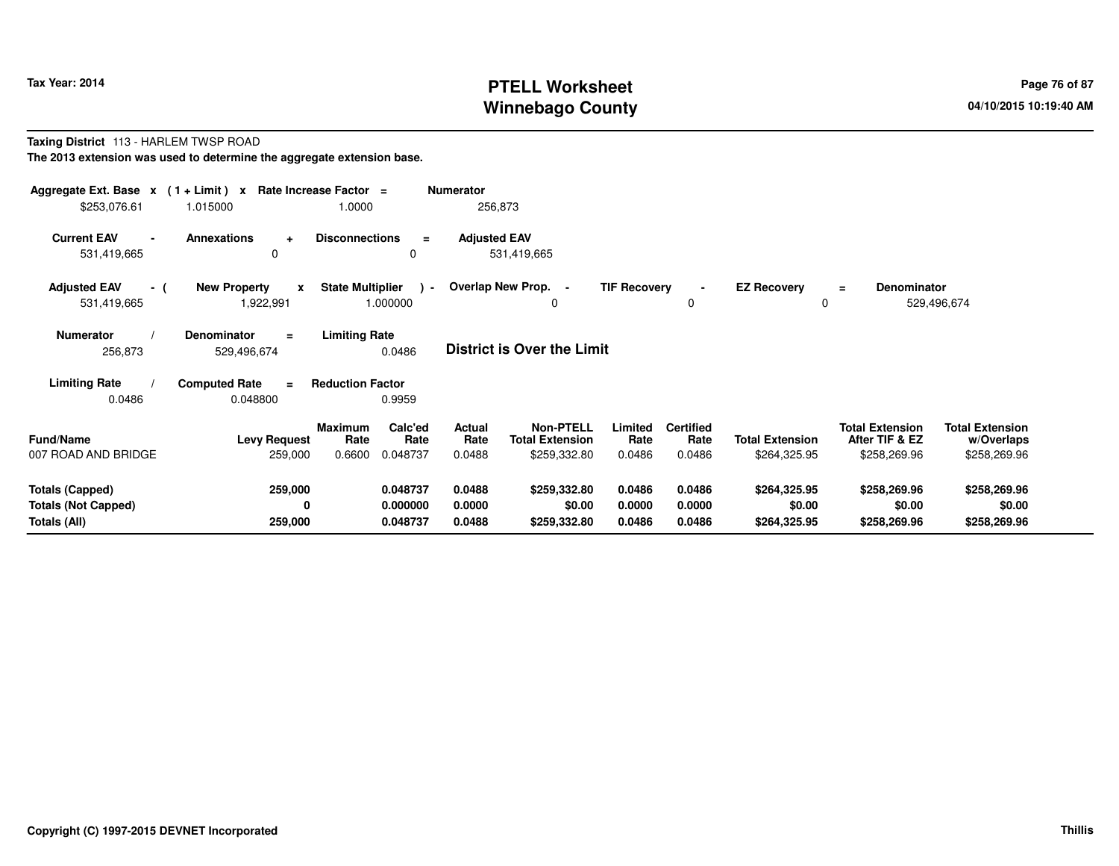# **PTELL Worksheet Tax Year: 2014 Page 76 of 87 Page 76 of 87 Winnebago County**

#### **Taxing District** 113 - HARLEM TWSP ROAD**The 2013 extension was used to determine the aggregate extension base.**

| Aggregate Ext. Base $x$ (1 + Limit) x Rate Increase Factor =<br>\$253,076.61 | 1.015000                                         | 1.0000                              |                                  | <b>Numerator</b><br>256,873 |                                                            |                            |                                    |                                        |                                                          |                                                      |
|------------------------------------------------------------------------------|--------------------------------------------------|-------------------------------------|----------------------------------|-----------------------------|------------------------------------------------------------|----------------------------|------------------------------------|----------------------------------------|----------------------------------------------------------|------------------------------------------------------|
| <b>Current EAV</b><br>531,419,665                                            | <b>Annexations</b><br>$\ddot{}$<br>0             | <b>Disconnections</b>               | $\equiv$<br>0                    | <b>Adjusted EAV</b>         | 531,419,665                                                |                            |                                    |                                        |                                                          |                                                      |
| <b>Adjusted EAV</b><br>- (<br>531,419,665                                    | <b>New Property</b><br>$\mathbf{x}$<br>1,922,991 | <b>State Multiplier</b><br>1.000000 | $\sim$                           |                             | Overlap New Prop. -<br>0                                   | <b>TIF Recovery</b>        | $\blacksquare$<br>0                | <b>EZ Recovery</b><br>0                | Denominator<br>$\equiv$                                  | 529,496,674                                          |
| <b>Numerator</b><br>256,873                                                  | <b>Denominator</b><br>$\equiv$<br>529,496,674    | <b>Limiting Rate</b>                | 0.0486                           |                             | District is Over the Limit                                 |                            |                                    |                                        |                                                          |                                                      |
| <b>Limiting Rate</b><br>0.0486                                               | <b>Computed Rate</b><br>$=$<br>0.048800          | <b>Reduction Factor</b>             | 0.9959                           |                             |                                                            |                            |                                    |                                        |                                                          |                                                      |
| <b>Fund/Name</b><br>007 ROAD AND BRIDGE                                      | <b>Levy Request</b><br>259,000                   | <b>Maximum</b><br>Rate<br>0.6600    | Calc'ed<br>Rate<br>0.048737      | Actual<br>Rate<br>0.0488    | <b>Non-PTELL</b><br><b>Total Extension</b><br>\$259,332.80 | Limited<br>Rate<br>0.0486  | <b>Certified</b><br>Rate<br>0.0486 | <b>Total Extension</b><br>\$264,325.95 | <b>Total Extension</b><br>After TIF & EZ<br>\$258,269.96 | <b>Total Extension</b><br>w/Overlaps<br>\$258,269.96 |
| <b>Totals (Capped)</b><br><b>Totals (Not Capped)</b><br>Totals (All)         | 259,000<br>0<br>259,000                          |                                     | 0.048737<br>0.000000<br>0.048737 | 0.0488<br>0.0000<br>0.0488  | \$259,332.80<br>\$0.00<br>\$259,332.80                     | 0.0486<br>0.0000<br>0.0486 | 0.0486<br>0.0000<br>0.0486         | \$264,325.95<br>\$0.00<br>\$264,325.95 | \$258,269.96<br>\$0.00<br>\$258,269.96                   | \$258,269.96<br>\$0.00<br>\$258,269.96               |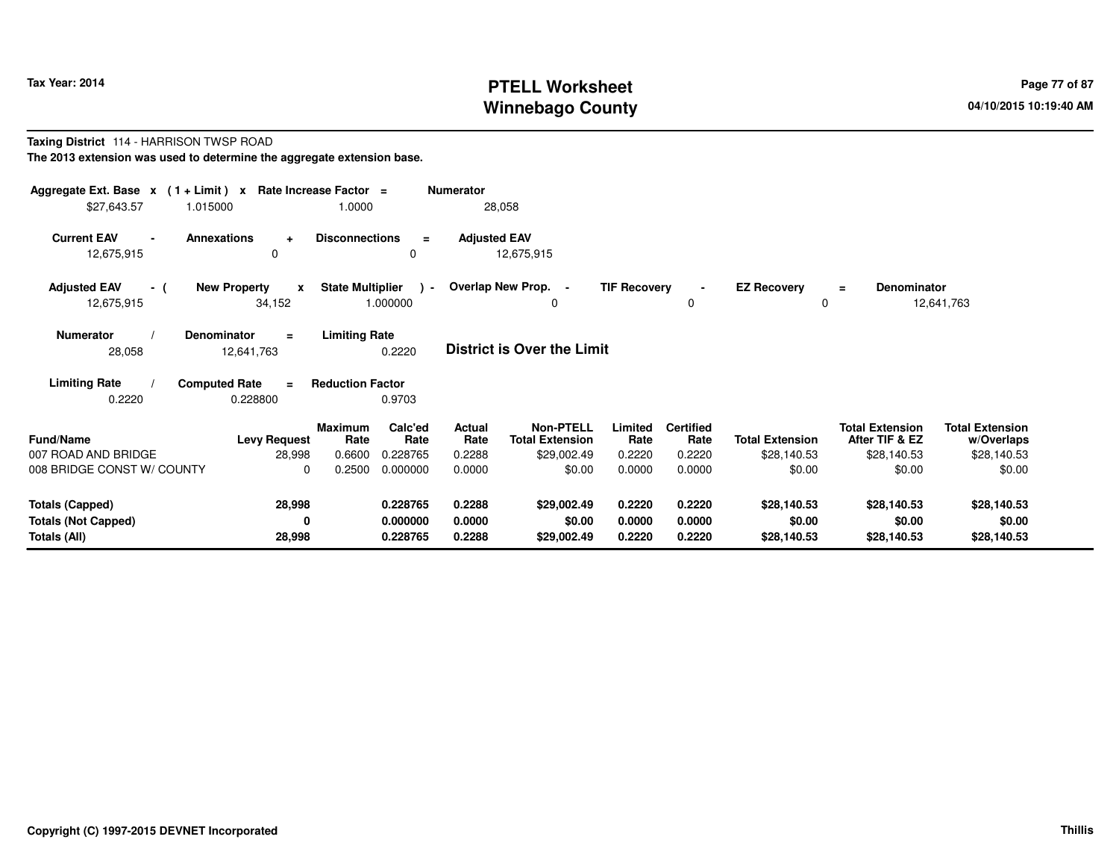# **PTELL Worksheet Tax Year: 2014 Page 77 of 87 Page 77 of 87 Winnebago County**

#### **Taxing District** 114 - HARRISON TWSP ROAD**The 2013 extension was used to determine the aggregate extension base.**

| Aggregate Ext. Base $x$ (1 + Limit) $x$ Rate Increase Factor =<br>\$27,643.57<br>1.015000 |                                               | 1.0000                                       | <b>Numerator</b>                                   | 28,058                                                    |                            |                                    |                                       |                                                         |                                                     |
|-------------------------------------------------------------------------------------------|-----------------------------------------------|----------------------------------------------|----------------------------------------------------|-----------------------------------------------------------|----------------------------|------------------------------------|---------------------------------------|---------------------------------------------------------|-----------------------------------------------------|
| <b>Current EAV</b><br><b>Annexations</b><br>$\blacksquare$<br>12,675,915                  | $\ddot{}$<br>$\Omega$                         | <b>Disconnections</b>                        | <b>Adjusted EAV</b><br>$\equiv$<br>0               | 12,675,915                                                |                            |                                    |                                       |                                                         |                                                     |
| <b>Adjusted EAV</b><br>- (<br>12,675,915                                                  | <b>New Property</b><br>$\mathbf{x}$<br>34,152 | <b>State Multiplier</b><br>1.000000          | $\rightarrow$                                      | Overlap New Prop. -<br>$\Omega$                           | <b>TIF Recovery</b>        | 0                                  | <b>EZ Recovery</b><br>$\Omega$        | Denominator<br>Ξ                                        | 12,641,763                                          |
| <b>Numerator</b><br><b>Denominator</b><br>28,058                                          | $\equiv$<br>12,641,763                        | <b>Limiting Rate</b><br>0.2220               |                                                    | <b>District is Over the Limit</b>                         |                            |                                    |                                       |                                                         |                                                     |
| <b>Limiting Rate</b><br><b>Computed Rate</b><br>0.2220                                    | $\equiv$<br>0.228800                          | <b>Reduction Factor</b><br>0.9703            |                                                    |                                                           |                            |                                    |                                       |                                                         |                                                     |
| <b>Fund/Name</b><br>007 ROAD AND BRIDGE                                                   | <b>Levy Request</b><br>28,998                 | <b>Maximum</b><br>Rate<br>0.6600<br>0.228765 | Calc'ed<br><b>Actual</b><br>Rate<br>Rate<br>0.2288 | <b>Non-PTELL</b><br><b>Total Extension</b><br>\$29,002.49 | Limited<br>Rate<br>0.2220  | <b>Certified</b><br>Rate<br>0.2220 | <b>Total Extension</b><br>\$28,140.53 | <b>Total Extension</b><br>After TIF & EZ<br>\$28,140.53 | <b>Total Extension</b><br>w/Overlaps<br>\$28,140.53 |
| 008 BRIDGE CONST W/ COUNTY                                                                | $\Omega$                                      | 0.2500<br>0.000000                           | 0.0000                                             | \$0.00                                                    | 0.0000                     | 0.0000                             | \$0.00                                | \$0.00                                                  | \$0.00                                              |
| <b>Totals (Capped)</b><br><b>Totals (Not Capped)</b><br>Totals (All)                      | 28,998<br>0<br>28,998                         | 0.228765<br>0.000000<br>0.228765             | 0.2288<br>0.0000<br>0.2288                         | \$29,002.49<br>\$0.00<br>\$29,002.49                      | 0.2220<br>0.0000<br>0.2220 | 0.2220<br>0.0000<br>0.2220         | \$28,140.53<br>\$0.00<br>\$28,140.53  | \$28,140.53<br>\$0.00<br>\$28,140.53                    | \$28,140.53<br>\$0.00<br>\$28,140.53                |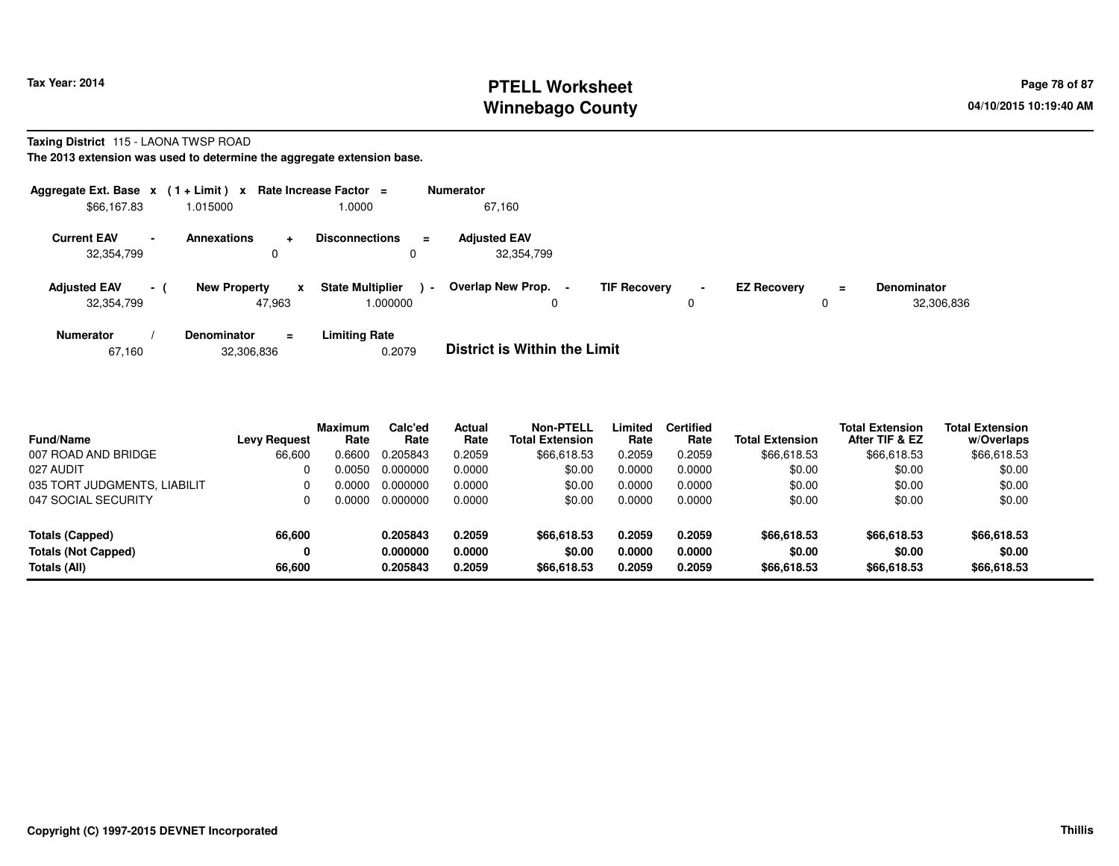### **PTELL Worksheet Tax Year: 2014 Page 78 of 87 Page 78 of 87 Page 78 of 87 Winnebago County**

#### **Taxing District** 115 - LAONA TWSP ROAD

**The 2013 extension was used to determine the aggregate extension base.**

| Aggregate Ext. Base $x$ (1 + Limit) x Rate Increase Factor = |                          |                     |                |                                     | <b>Numerator</b> |                                     |                     |                     |                    |         |                                  |
|--------------------------------------------------------------|--------------------------|---------------------|----------------|-------------------------------------|------------------|-------------------------------------|---------------------|---------------------|--------------------|---------|----------------------------------|
| \$66,167.83                                                  |                          | 1.015000            |                | 1.0000                              |                  | 67,160                              |                     |                     |                    |         |                                  |
| <b>Current EAV</b><br>32,354,799                             | $\overline{\phantom{a}}$ | <b>Annexations</b>  | $\ddot{}$<br>0 | <b>Disconnections</b><br>0          | $\equiv$         | <b>Adjusted EAV</b><br>32,354,799   |                     |                     |                    |         |                                  |
| <b>Adjusted EAV</b><br>32,354,799                            | $\sim$                   | <b>New Property</b> | x<br>47.963    | <b>State Multiplier</b><br>000000.1 | $\blacksquare$   | Overlap New Prop.                   | <b>TIF Recovery</b> | $\blacksquare$<br>0 | <b>EZ Recovery</b> | Ξ.<br>0 | <b>Denominator</b><br>32,306,836 |
| <b>Numerator</b>                                             |                          | <b>Denominator</b>  | $\equiv$       | <b>Limiting Rate</b>                |                  | _ _ _ _ _ _ _ _ _ _ _ _ _ _ _ _ _ _ |                     |                     |                    |         |                                  |

| 67.160 | 32,306,836 | 0.2079 | <b>District is Within the Limit</b> |
|--------|------------|--------|-------------------------------------|
|--------|------------|--------|-------------------------------------|

| <b>Fund/Name</b>             | <b>Levy Request</b> | <b>Maximum</b><br>Rate | Calc'ed<br>Rate | Actual<br>Rate | <b>Non-PTELL</b><br><b>Total Extension</b> | Limited<br>Rate | <b>Certified</b><br>Rate | <b>Total Extension</b> | <b>Total Extension</b><br>After TIF & EZ | <b>Total Extension</b><br>w/Overlaps |
|------------------------------|---------------------|------------------------|-----------------|----------------|--------------------------------------------|-----------------|--------------------------|------------------------|------------------------------------------|--------------------------------------|
| 007 ROAD AND BRIDGE          | 66,600              | 0.6600                 | 0.205843        | 0.2059         | \$66,618.53                                | 0.2059          | 0.2059                   | \$66,618.53            | \$66,618.53                              | \$66,618.53                          |
| 027 AUDIT                    |                     | 0.0050                 | 0.000000        | 0.0000         | \$0.00                                     | 0.0000          | 0.0000                   | \$0.00                 | \$0.00                                   | \$0.00                               |
| 035 TORT JUDGMENTS, LIABILIT | 0                   | 0.0000                 | 0.000000        | 0.0000         | \$0.00                                     | 0.0000          | 0.0000                   | \$0.00                 | \$0.00                                   | \$0.00                               |
| 047 SOCIAL SECURITY          | 0                   | 0.0000                 | 0.000000        | 0.0000         | \$0.00                                     | 0.0000          | 0.0000                   | \$0.00                 | \$0.00                                   | \$0.00                               |
| Totals (Capped)              | 66,600              |                        | 0.205843        | 0.2059         | \$66,618.53                                | 0.2059          | 0.2059                   | \$66,618.53            | \$66,618.53                              | \$66,618.53                          |
| <b>Totals (Not Capped)</b>   | 0                   |                        | 0.000000        | 0.0000         | \$0.00                                     | 0.0000          | 0.0000                   | \$0.00                 | \$0.00                                   | \$0.00                               |
| Totals (All)                 | 66,600              |                        | 0.205843        | 0.2059         | \$66,618.53                                | 0.2059          | 0.2059                   | \$66,618.53            | \$66,618.53                              | \$66,618.53                          |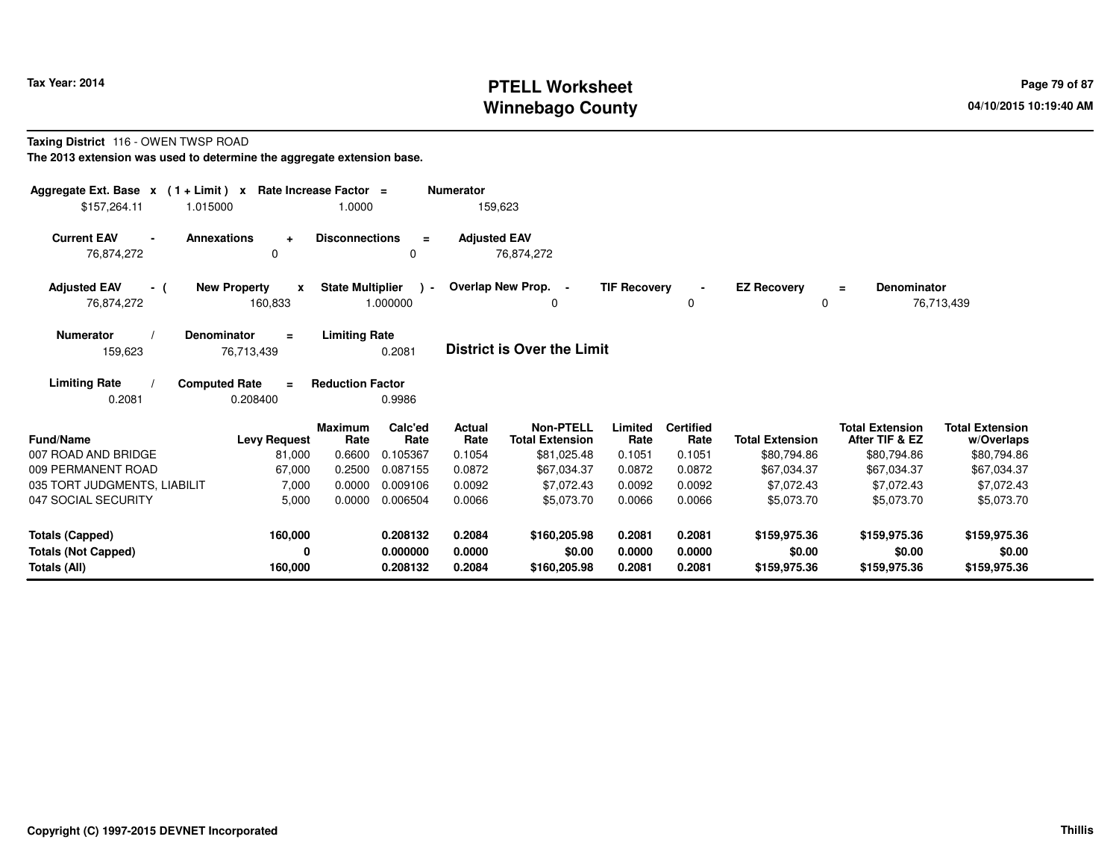# **PTELL Worksheet Tax Year: 2014 Page 79 of 87 Page 79 of 87 Winnebago County**

#### **Taxing District** 116 - OWEN TWSP ROAD

**The 2013 extension was used to determine the aggregate extension base.**

| Aggregate Ext. Base $x$ (1+Limit) $x$<br>\$157.264.11                | 1.015000                                        | Rate Increase Factor =<br>1.0000 |                                  | <b>Numerator</b><br>159,623 |                                            |                            |                            |                                        |                                          |                                        |
|----------------------------------------------------------------------|-------------------------------------------------|----------------------------------|----------------------------------|-----------------------------|--------------------------------------------|----------------------------|----------------------------|----------------------------------------|------------------------------------------|----------------------------------------|
| <b>Current EAV</b><br>76,874,272                                     | <b>Annexations</b><br>$\ddot{\phantom{1}}$<br>0 | <b>Disconnections</b>            | $\equiv$<br>0                    | <b>Adjusted EAV</b>         | 76,874,272                                 |                            |                            |                                        |                                          |                                        |
| <b>Adjusted EAV</b><br>- (<br>76,874,272                             | <b>New Property</b><br>X<br>160,833             | <b>State Multiplier</b>          | $\rightarrow$<br>1.000000        |                             | Overlap New Prop. -<br>0                   | <b>TIF Recovery</b>        | 0                          | <b>EZ Recovery</b><br>0                | Denominator<br>$=$                       | 76,713,439                             |
| <b>Numerator</b><br>159,623                                          | <b>Denominator</b><br>$\equiv$<br>76,713,439    | <b>Limiting Rate</b>             | 0.2081                           |                             | <b>District is Over the Limit</b>          |                            |                            |                                        |                                          |                                        |
| <b>Limiting Rate</b><br>0.2081                                       | <b>Computed Rate</b><br>$\equiv$<br>0.208400    | <b>Reduction Factor</b>          | 0.9986                           |                             |                                            |                            |                            |                                        |                                          |                                        |
| <b>Fund/Name</b>                                                     | <b>Levy Request</b>                             | <b>Maximum</b><br>Rate           | Calc'ed<br>Rate                  | Actual<br>Rate              | <b>Non-PTELL</b><br><b>Total Extension</b> | Limited<br>Rate            | <b>Certified</b><br>Rate   | <b>Total Extension</b>                 | <b>Total Extension</b><br>After TIF & EZ | <b>Total Extension</b><br>w/Overlaps   |
| 007 ROAD AND BRIDGE                                                  | 81,000                                          | 0.6600                           | 0.105367                         | 0.1054                      | \$81,025.48                                | 0.1051                     | 0.1051                     | \$80,794.86                            | \$80.794.86                              | \$80,794.86                            |
| 009 PERMANENT ROAD                                                   | 67,000                                          | 0.2500                           | 0.087155                         | 0.0872                      | \$67,034.37                                | 0.0872                     | 0.0872                     | \$67,034.37                            | \$67,034.37                              | \$67,034.37                            |
| 035 TORT JUDGMENTS, LIABILIT                                         | 7,000                                           | 0.0000                           | 0.009106                         | 0.0092                      | \$7,072.43                                 | 0.0092                     | 0.0092                     | \$7,072.43                             | \$7,072.43                               | \$7,072.43                             |
| 047 SOCIAL SECURITY                                                  | 5,000                                           | 0.0000                           | 0.006504                         | 0.0066                      | \$5,073.70                                 | 0.0066                     | 0.0066                     | \$5,073.70                             | \$5,073.70                               | \$5,073.70                             |
| <b>Totals (Capped)</b><br><b>Totals (Not Capped)</b><br>Totals (All) | 160,000<br>0<br>160,000                         |                                  | 0.208132<br>0.000000<br>0.208132 | 0.2084<br>0.0000<br>0.2084  | \$160,205.98<br>\$0.00<br>\$160,205.98     | 0.2081<br>0.0000<br>0.2081 | 0.2081<br>0.0000<br>0.2081 | \$159,975.36<br>\$0.00<br>\$159,975.36 | \$159,975.36<br>\$0.00<br>\$159,975.36   | \$159,975.36<br>\$0.00<br>\$159,975.36 |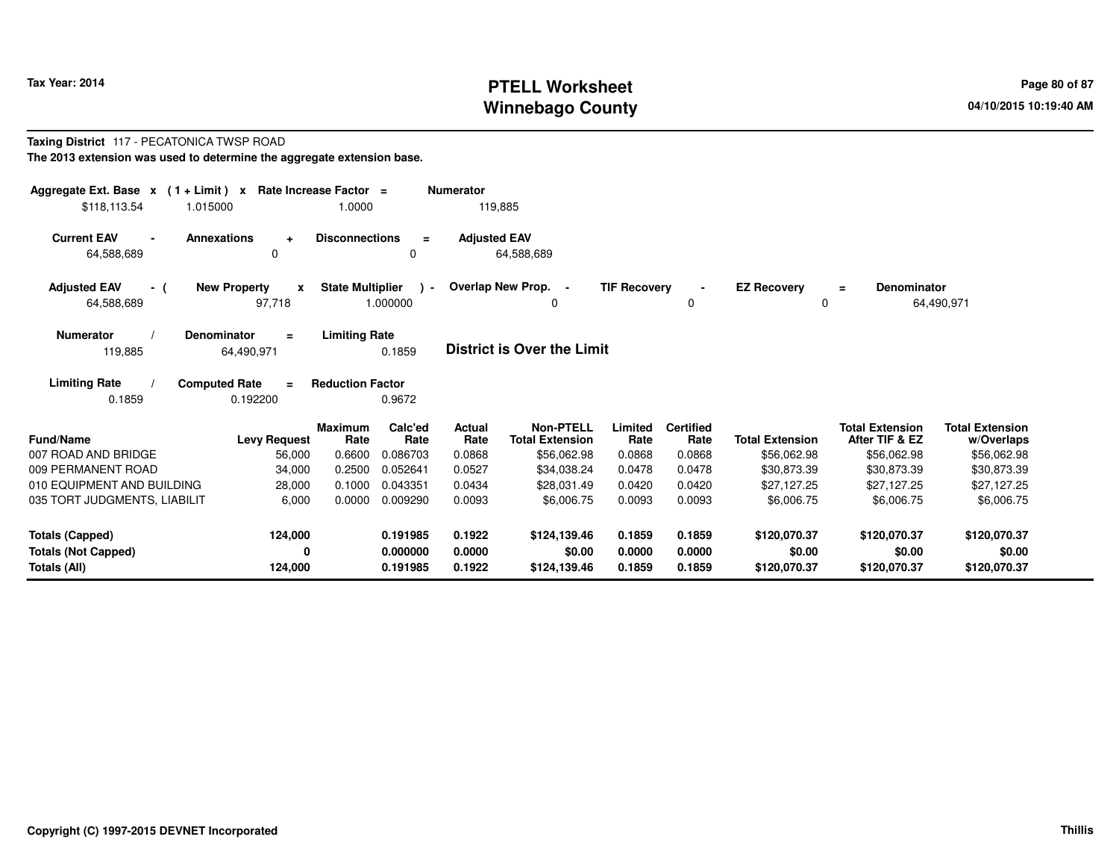# **PTELL Worksheet Tax Year: 2014 Page 80 of 87 Page 80 of 87 Winnebago County**

#### **Taxing District** 117 - PECATONICA TWSP ROAD**The 2013 extension was used to determine the aggregate extension base.**

| Aggregate Ext. Base $x$ (1 + Limit) $x$<br>\$118.113.54              | 1.015000                                          | Rate Increase Factor =<br>1.0000 |                                  | <b>Numerator</b><br>119,885 |                                            |                            |                            |                                        |                                          |                                        |
|----------------------------------------------------------------------|---------------------------------------------------|----------------------------------|----------------------------------|-----------------------------|--------------------------------------------|----------------------------|----------------------------|----------------------------------------|------------------------------------------|----------------------------------------|
| <b>Current EAV</b><br>64,588,689                                     | <b>Annexations</b><br>$\ddot{}$<br>$\Omega$       | <b>Disconnections</b>            | $\equiv$<br>0                    | <b>Adjusted EAV</b>         | 64,588,689                                 |                            |                            |                                        |                                          |                                        |
| <b>Adjusted EAV</b><br>- (<br>64,588,689                             | <b>New Property</b><br>$\boldsymbol{x}$<br>97,718 | <b>State Multiplier</b>          | ۔ ۱<br>1.000000                  |                             | Overlap New Prop.<br>$\sim$<br>0           | <b>TIF Recovery</b>        | $\blacksquare$<br>0        | <b>EZ Recovery</b><br>0                | <b>Denominator</b><br>$=$                | 64,490,971                             |
| <b>Numerator</b><br>119,885                                          | Denominator<br>$\equiv$<br>64,490,971             | <b>Limiting Rate</b>             | 0.1859                           |                             | District is Over the Limit                 |                            |                            |                                        |                                          |                                        |
| <b>Limiting Rate</b><br>0.1859                                       | <b>Computed Rate</b><br>$\equiv$<br>0.192200      | <b>Reduction Factor</b>          | 0.9672                           |                             |                                            |                            |                            |                                        |                                          |                                        |
| <b>Fund/Name</b>                                                     | <b>Levy Request</b>                               | <b>Maximum</b><br>Rate           | Calc'ed<br>Rate                  | <b>Actual</b><br>Rate       | <b>Non-PTELL</b><br><b>Total Extension</b> | Limited<br>Rate            | <b>Certified</b><br>Rate   | <b>Total Extension</b>                 | <b>Total Extension</b><br>After TIF & EZ | <b>Total Extension</b><br>w/Overlaps   |
| 007 ROAD AND BRIDGE                                                  | 56,000                                            | 0.6600                           | 0.086703                         | 0.0868                      | \$56,062.98                                | 0.0868                     | 0.0868                     | \$56,062.98                            | \$56,062.98                              | \$56,062.98                            |
| 009 PERMANENT ROAD                                                   | 34,000                                            | 0.2500                           | 0.052641                         | 0.0527                      | \$34,038.24                                | 0.0478                     | 0.0478                     | \$30,873.39                            | \$30,873.39                              | \$30,873.39                            |
| 010 EQUIPMENT AND BUILDING                                           | 28,000                                            | 0.1000                           | 0.043351                         | 0.0434                      | \$28,031.49                                | 0.0420                     | 0.0420                     | \$27,127.25                            | \$27,127.25                              | \$27,127.25                            |
| 035 TORT JUDGMENTS, LIABILIT                                         | 6,000                                             | 0.0000                           | 0.009290                         | 0.0093                      | \$6,006.75                                 | 0.0093                     | 0.0093                     | \$6,006.75                             | \$6,006.75                               | \$6,006.75                             |
| <b>Totals (Capped)</b><br><b>Totals (Not Capped)</b><br>Totals (All) | 124,000<br>0<br>124,000                           |                                  | 0.191985<br>0.000000<br>0.191985 | 0.1922<br>0.0000<br>0.1922  | \$124,139.46<br>\$0.00<br>\$124,139.46     | 0.1859<br>0.0000<br>0.1859 | 0.1859<br>0.0000<br>0.1859 | \$120,070.37<br>\$0.00<br>\$120,070.37 | \$120,070.37<br>\$0.00<br>\$120,070.37   | \$120,070.37<br>\$0.00<br>\$120,070.37 |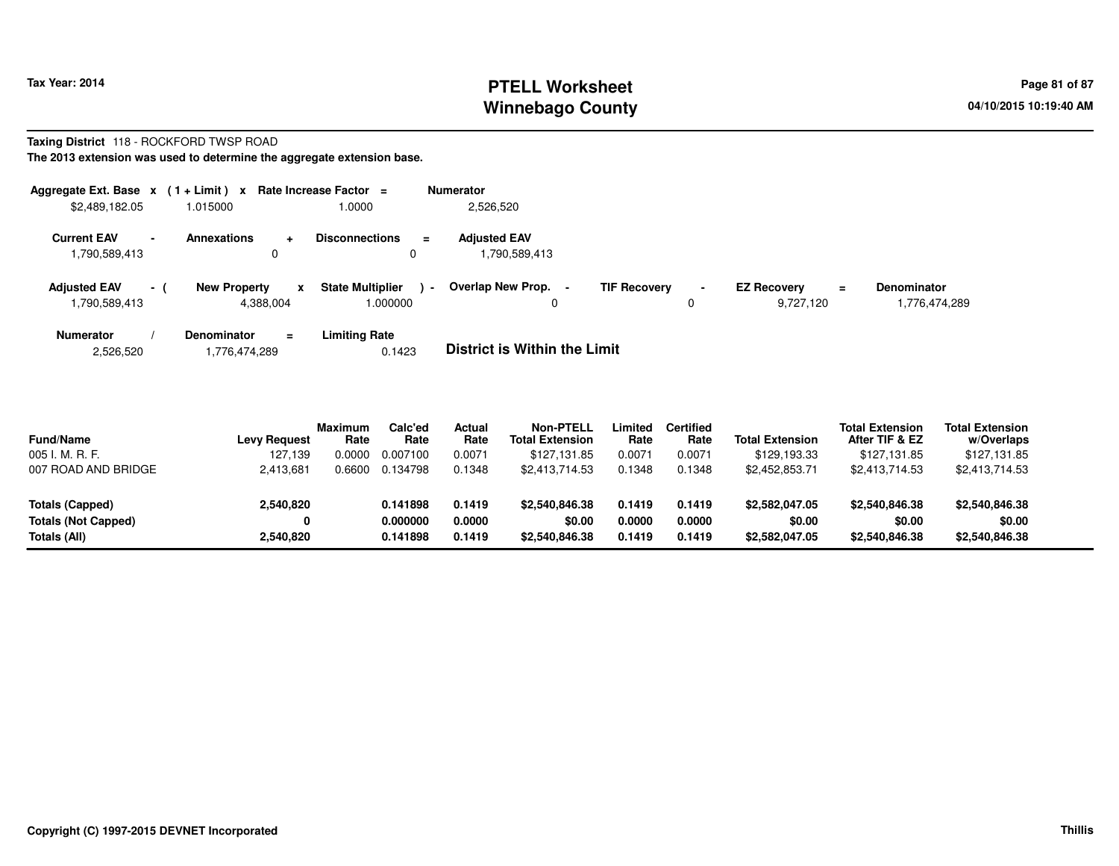# **PTELL Worksheet Tax Year: 2014 Page 81 of 87 PAGE 12 At 2014 Page 81 of 87 Winnebago County**

#### **Taxing District** 118 - ROCKFORD TWSP ROAD**The 2013 extension was used to determine the aggregate extension base.**

| Aggregate Ext. Base x<br>\$2,489,182.05                         | $(1 + Limit) x$<br>1.015000                          | Rate Increase Factor $=$<br>1.0000            | <b>Numerator</b><br>2,526,520       |                          |                                             |                              |
|-----------------------------------------------------------------|------------------------------------------------------|-----------------------------------------------|-------------------------------------|--------------------------|---------------------------------------------|------------------------------|
| <b>Current EAV</b><br>$\overline{\phantom{0}}$<br>1,790,589,413 | <b>Annexations</b>                                   | <b>Disconnections</b><br>$\equiv$<br>0        | <b>Adjusted EAV</b><br>,790,589,413 |                          |                                             |                              |
| <b>Adjusted EAV</b><br>$-1$<br>1,790,589,413                    | <b>New Property</b><br>$\boldsymbol{x}$<br>4.388.004 | <b>State Multiplier</b><br>$\sim$<br>1.000000 | Overlap New Prop.<br>0              | <b>TIF Recovery</b><br>0 | <b>EZ Recovery</b><br>$\equiv$<br>9.727.120 | Denominator<br>1,776,474,289 |
| <b>Numerator</b>                                                | <b>Denominator</b>                                   | Limitina Rate                                 |                                     |                          |                                             |                              |

**Limiting Rate**<br>0.1423 2,526,5201,776,474,289 0.1423 **District is Within the Limit**

| <b>Fund/Name</b>           | Levy Request | <b>Maximum</b><br>Rate | Calc'ed<br>Rate | Actual<br>Rate | Non-PTELL<br><b>Total Extension</b> | Limited<br>Rate | <b>Certified</b><br>Rate | <b>Total Extension</b> | <b>Total Extension</b><br>After TIF & EZ | <b>Total Extension</b><br>w/Overlaps |  |
|----------------------------|--------------|------------------------|-----------------|----------------|-------------------------------------|-----------------|--------------------------|------------------------|------------------------------------------|--------------------------------------|--|
| 005 I. M. R. F.            | 127.139      | .0000                  | 0.007100        | 0.0071         | \$127.131.85                        | 0.0071          | 0.0071                   | \$129.193.33           | \$127.131.85                             | \$127,131.85                         |  |
| 007 ROAD AND BRIDGE        | 2,413,681    | .6600                  | 0.134798        | 0.1348         | \$2,413,714.53                      | 0.1348          | 0.1348                   | \$2,452,853.71         | \$2,413,714.53                           | \$2,413,714.53                       |  |
| Totals (Capped)            | 2,540,820    |                        | 0.141898        | 0.1419         | \$2,540,846,38                      | 0.1419          | 0.1419                   | \$2,582,047.05         | \$2,540,846.38                           | \$2,540,846.38                       |  |
| <b>Totals (Not Capped)</b> | 0            |                        | 0.000000        | 0.0000         | \$0.00                              | 0.0000          | 0.0000                   | \$0.00                 | \$0.00                                   | \$0.00                               |  |
| Totals (All)               | 2,540,820    |                        | 0.141898        | 0.1419         | \$2,540,846,38                      | 0.1419          | 0.1419                   | \$2,582,047.05         | \$2,540,846,38                           | \$2,540,846.38                       |  |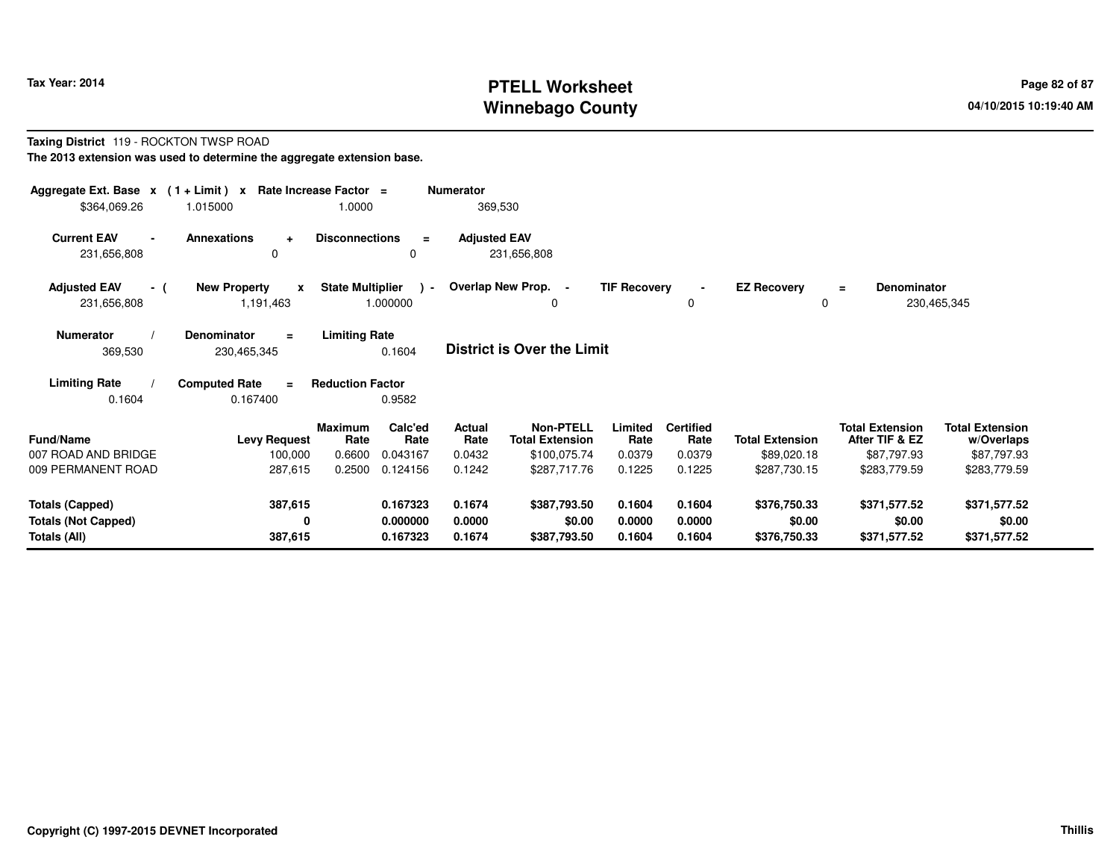# **PTELL Worksheet Tax Year: 2014 Page 82 of 87 Page 82 of 87 Winnebago County**

#### **Taxing District** 119 - ROCKTON TWSP ROAD**The 2013 extension was used to determine the aggregate extension base.**

| Aggregate Ext. Base $x$ (1 + Limit) $x$<br>\$364,069.26 | 1.015000                                         | Rate Increase Factor =<br>1.0000 |                           | Numerator<br>369,530 |                                            |                     |                            |                                |                                          |                                      |  |
|---------------------------------------------------------|--------------------------------------------------|----------------------------------|---------------------------|----------------------|--------------------------------------------|---------------------|----------------------------|--------------------------------|------------------------------------------|--------------------------------------|--|
| <b>Current EAV</b><br>$\blacksquare$<br>231,656,808     | <b>Annexations</b><br>$\ddot{}$<br>0             | <b>Disconnections</b>            | $\equiv$<br>0             | <b>Adjusted EAV</b>  | 231,656,808                                |                     |                            |                                |                                          |                                      |  |
| <b>Adjusted EAV</b><br>- (<br>231,656,808               | <b>New Property</b><br>$\mathbf{x}$<br>1,191,463 | <b>State Multiplier</b>          | $\rightarrow$<br>1.000000 |                      | Overlap New Prop. -<br><sup>0</sup>        | <b>TIF Recovery</b> | $\blacksquare$<br>$\Omega$ | <b>EZ Recovery</b><br>$\Omega$ | <b>Denominator</b><br>$\equiv$           | 230,465,345                          |  |
| <b>Numerator</b><br>369,530                             | Denominator<br>$\blacksquare$<br>230,465,345     | <b>Limiting Rate</b>             | 0.1604                    |                      | <b>District is Over the Limit</b>          |                     |                            |                                |                                          |                                      |  |
| <b>Limiting Rate</b><br>0.1604                          | <b>Computed Rate</b><br>0.167400                 | <b>Reduction Factor</b>          | 0.9582                    |                      |                                            |                     |                            |                                |                                          |                                      |  |
| Fund/Name                                               | <b>Levy Request</b>                              | <b>Maximum</b><br>Rate           | Calc'ed<br>Rate           | Actual<br>Rate       | <b>Non-PTELL</b><br><b>Total Extension</b> | Limited<br>Rate     | <b>Certified</b><br>Rate   | <b>Total Extension</b>         | <b>Total Extension</b><br>After TIF & EZ | <b>Total Extension</b><br>w/Overlaps |  |
| 007 ROAD AND BRIDGE                                     | 100,000                                          | 0.6600                           | 0.043167                  | 0.0432               | \$100,075.74                               | 0.0379              | 0.0379                     | \$89,020.18                    | \$87,797.93                              | \$87,797.93                          |  |
| 009 PERMANENT ROAD                                      | 287,615                                          | 0.2500                           | 0.124156                  | 0.1242               | \$287,717.76                               | 0.1225              | 0.1225                     | \$287,730.15                   | \$283,779.59                             | \$283,779.59                         |  |
| <b>Totals (Capped)</b>                                  | 387,615                                          |                                  | 0.167323                  | 0.1674               | \$387,793.50                               | 0.1604              | 0.1604                     | \$376,750.33                   | \$371,577.52                             | \$371,577.52                         |  |
| <b>Totals (Not Capped)</b>                              | 0                                                |                                  | 0.000000                  | 0.0000               | \$0.00                                     | 0.0000              | 0.0000                     | \$0.00                         | \$0.00                                   | \$0.00                               |  |
| Totals (All)                                            | 387,615                                          |                                  | 0.167323                  | 0.1674               | \$387,793.50                               | 0.1604              | 0.1604                     | \$376,750.33                   | \$371,577.52                             | \$371,577.52                         |  |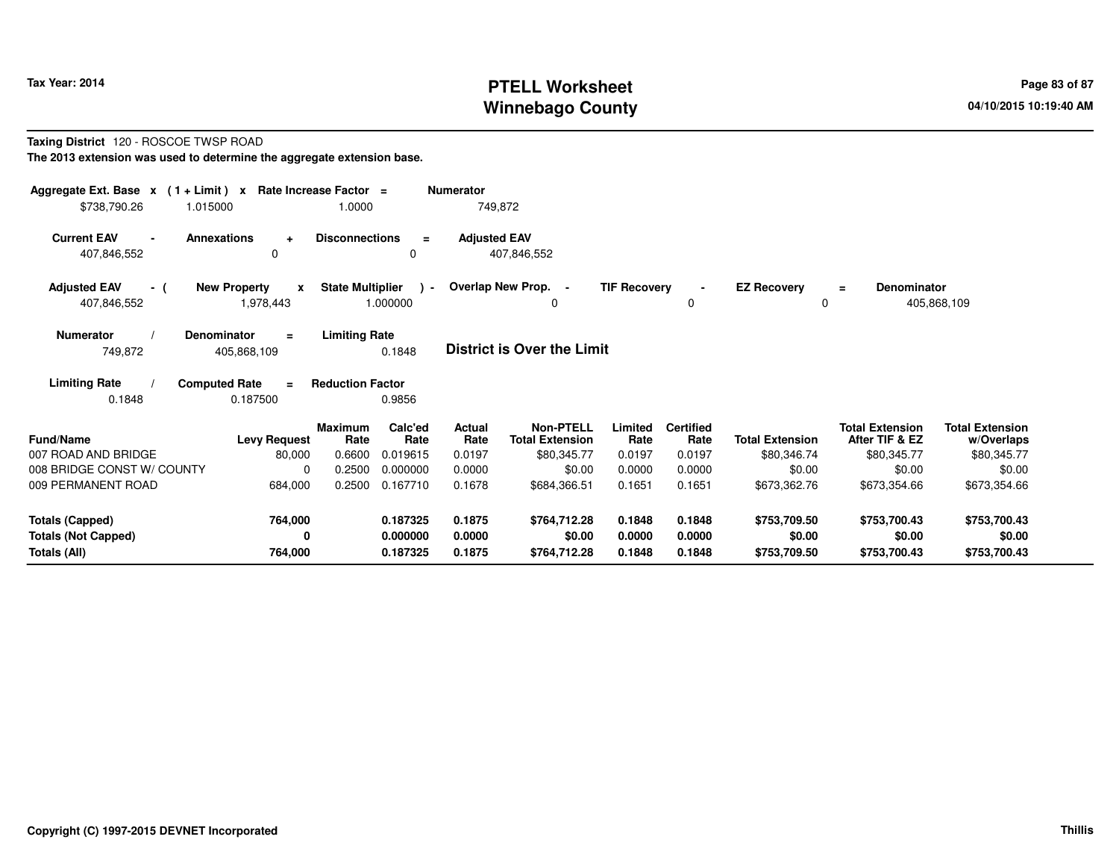# **PTELL Worksheet Tax Year: 2014 Page 83 of 87 Page 83 of 87 Winnebago County**

#### **Taxing District** 120 - ROSCOE TWSP ROAD**The 2013 extension was used to determine the aggregate extension base.**

| Aggregate Ext. Base $x$ (1+Limit) $x$<br>\$738,790.26<br>1.015000    | Rate Increase Factor =                           | 1.0000                           |                                  | <b>Numerator</b><br>749,872 |                                                           |                            |                                    |                                        |                                                         |                                                     |
|----------------------------------------------------------------------|--------------------------------------------------|----------------------------------|----------------------------------|-----------------------------|-----------------------------------------------------------|----------------------------|------------------------------------|----------------------------------------|---------------------------------------------------------|-----------------------------------------------------|
| <b>Current EAV</b><br>407,846,552                                    | <b>Annexations</b><br>$\ddot{}$<br>0             | <b>Disconnections</b>            | $\equiv$<br>0                    | <b>Adjusted EAV</b>         | 407,846,552                                               |                            |                                    |                                        |                                                         |                                                     |
| <b>Adjusted EAV</b><br>- (<br>407,846,552                            | <b>New Property</b><br>$\mathbf{x}$<br>1,978,443 | <b>State Multiplier</b>          | $\sim$<br>1.000000               |                             | Overlap New Prop. -<br>0                                  | <b>TIF Recovery</b>        | $\blacksquare$<br>0                | <b>EZ Recovery</b><br>$\Omega$         | <b>Denominator</b><br>$\equiv$                          | 405,868,109                                         |
| <b>Numerator</b><br>749,872                                          | Denominator<br>$\equiv$<br>405,868,109           | <b>Limiting Rate</b>             | 0.1848                           |                             | <b>District is Over the Limit</b>                         |                            |                                    |                                        |                                                         |                                                     |
| <b>Limiting Rate</b><br>0.1848                                       | <b>Computed Rate</b><br>$=$<br>0.187500          | <b>Reduction Factor</b>          | 0.9856                           |                             |                                                           |                            |                                    |                                        |                                                         |                                                     |
| <b>Fund/Name</b><br>007 ROAD AND BRIDGE                              | <b>Levy Request</b><br>80,000                    | <b>Maximum</b><br>Rate<br>0.6600 | Calc'ed<br>Rate<br>0.019615      | Actual<br>Rate<br>0.0197    | <b>Non-PTELL</b><br><b>Total Extension</b><br>\$80,345.77 | Limited<br>Rate<br>0.0197  | <b>Certified</b><br>Rate<br>0.0197 | <b>Total Extension</b><br>\$80,346.74  | <b>Total Extension</b><br>After TIF & EZ<br>\$80,345.77 | <b>Total Extension</b><br>w/Overlaps<br>\$80,345.77 |
| 008 BRIDGE CONST W/ COUNTY<br>009 PERMANENT ROAD                     | 0<br>684,000                                     | 0.2500<br>0.2500                 | 0.000000<br>0.167710             | 0.0000<br>0.1678            | \$0.00<br>\$684,366.51                                    | 0.0000<br>0.1651           | 0.0000<br>0.1651                   | \$0.00<br>\$673,362.76                 | \$0.00<br>\$673,354.66                                  | \$0.00<br>\$673,354.66                              |
| <b>Totals (Capped)</b><br><b>Totals (Not Capped)</b><br>Totals (All) | 764,000<br>0<br>764,000                          |                                  | 0.187325<br>0.000000<br>0.187325 | 0.1875<br>0.0000<br>0.1875  | \$764,712.28<br>\$0.00<br>\$764,712.28                    | 0.1848<br>0.0000<br>0.1848 | 0.1848<br>0.0000<br>0.1848         | \$753,709.50<br>\$0.00<br>\$753,709.50 | \$753,700.43<br>\$0.00<br>\$753,700.43                  | \$753,700.43<br>\$0.00<br>\$753,700.43              |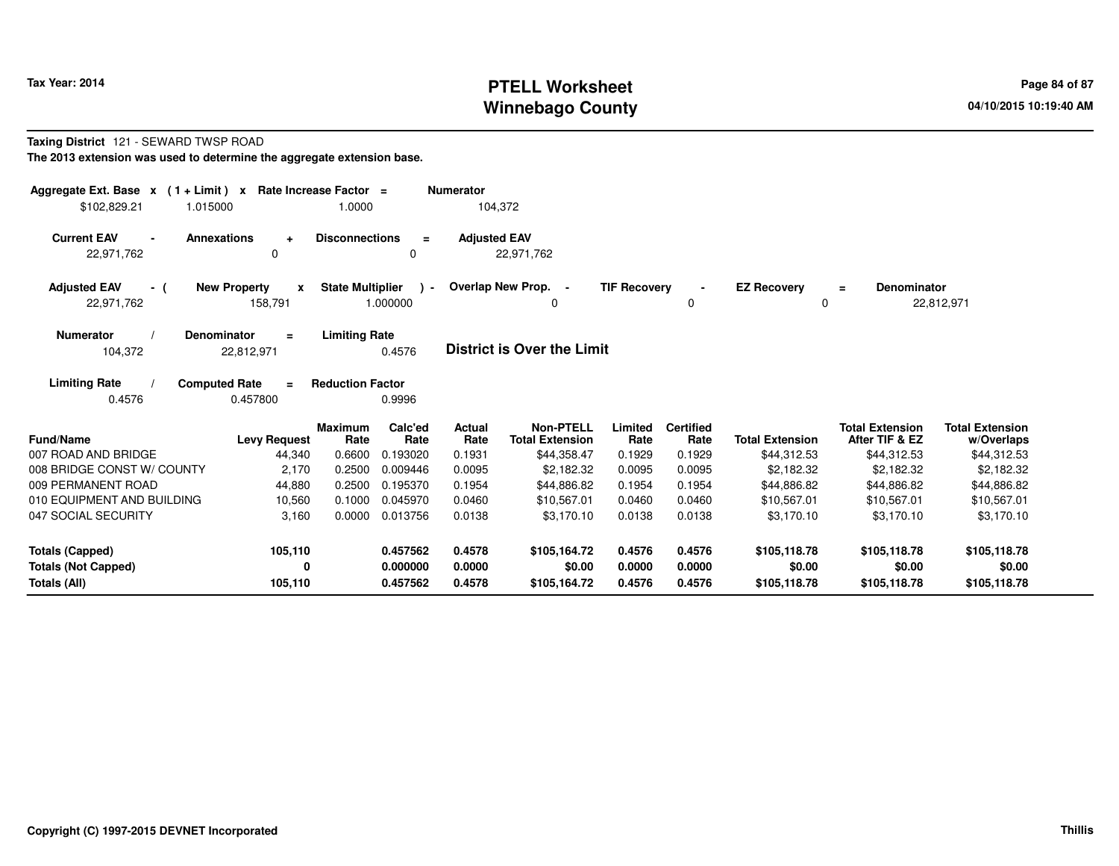# **PTELL Worksheet Tax Year: 2014 Page 84 of 87 Page 84 of 87 Page 84 of 87 Winnebago County**

#### **Taxing District** 121 - SEWARD TWSP ROAD**The 2013 extension was used to determine the aggregate extension base.**

| Aggregate Ext. Base $x$ (1 + Limit) x Rate Increase Factor =<br>\$102,829.21<br>1.015000 | 1.0000                                          |                                                      | <b>Numerator</b><br>104,372 |                                            |                     |                          |                         |                                          |                                      |
|------------------------------------------------------------------------------------------|-------------------------------------------------|------------------------------------------------------|-----------------------------|--------------------------------------------|---------------------|--------------------------|-------------------------|------------------------------------------|--------------------------------------|
| <b>Current EAV</b><br><b>Annexations</b><br>22.971.762                                   | <b>Disconnections</b><br>$\ddot{}$<br>0         | $\equiv$<br>0                                        | <b>Adjusted EAV</b>         | 22,971,762                                 |                     |                          |                         |                                          |                                      |
| <b>Adjusted EAV</b><br>- (<br>22,971,762                                                 | <b>New Property</b><br>$\mathbf{x}$<br>158,791  | <b>State Multiplier</b><br>$\mathcal{L}$<br>1.000000 |                             | Overlap New Prop. -<br><sup>0</sup>        | <b>TIF Recovery</b> | O                        | <b>EZ Recovery</b><br>0 | <b>Denominator</b><br>$\equiv$           | 22,812,971                           |
| <b>Denominator</b><br><b>Numerator</b><br>104,372                                        | <b>Limiting Rate</b><br>$\equiv$<br>22,812,971  | 0.4576                                               |                             | <b>District is Over the Limit</b>          |                     |                          |                         |                                          |                                      |
| <b>Limiting Rate</b><br><b>Computed Rate</b><br>0.4576                                   | <b>Reduction Factor</b><br>$\equiv$<br>0.457800 | 0.9996                                               |                             |                                            |                     |                          |                         |                                          |                                      |
| Fund/Name                                                                                | Maximum<br><b>Levy Request</b><br>Rate          | Calc'ed<br>Rate                                      | Actual<br>Rate              | <b>Non-PTELL</b><br><b>Total Extension</b> | Limited<br>Rate     | <b>Certified</b><br>Rate | <b>Total Extension</b>  | <b>Total Extension</b><br>After TIF & EZ | <b>Total Extension</b><br>w/Overlaps |
| 007 ROAD AND BRIDGE                                                                      | 0.6600<br>44,340                                | 0.193020                                             | 0.1931                      | \$44,358.47                                | 0.1929              | 0.1929                   | \$44,312.53             | \$44,312.53                              | \$44,312.53                          |
| 008 BRIDGE CONST W/ COUNTY                                                               | 0.2500<br>2,170                                 | 0.009446                                             | 0.0095                      | \$2,182.32                                 | 0.0095              | 0.0095                   | \$2,182.32              | \$2,182.32                               | \$2,182.32                           |
| 009 PERMANENT ROAD                                                                       | 0.2500<br>44,880                                | 0.195370                                             | 0.1954                      | \$44,886.82                                | 0.1954              | 0.1954                   | \$44,886.82             | \$44,886.82                              | \$44,886.82                          |
| 010 EQUIPMENT AND BUILDING                                                               | 0.1000<br>10,560                                | 0.045970                                             | 0.0460                      | \$10,567.01                                | 0.0460              | 0.0460                   | \$10,567.01             | \$10,567.01                              | \$10,567.01                          |
| 047 SOCIAL SECURITY                                                                      | 3,160<br>0.0000                                 | 0.013756                                             | 0.0138                      | \$3.170.10                                 | 0.0138              | 0.0138                   | \$3.170.10              | \$3,170.10                               | \$3,170.10                           |
| <b>Totals (Capped)</b>                                                                   | 105,110                                         | 0.457562                                             | 0.4578                      | \$105,164.72                               | 0.4576              | 0.4576                   | \$105,118.78            | \$105,118.78                             | \$105,118.78                         |
| <b>Totals (Not Capped)</b>                                                               | 0                                               | 0.000000                                             | 0.0000                      | \$0.00                                     | 0.0000              | 0.0000                   | \$0.00                  | \$0.00                                   | \$0.00                               |
| Totals (All)                                                                             | 105,110                                         | 0.457562                                             | 0.4578                      | \$105,164.72                               | 0.4576              | 0.4576                   | \$105,118.78            | \$105,118.78                             | \$105,118.78                         |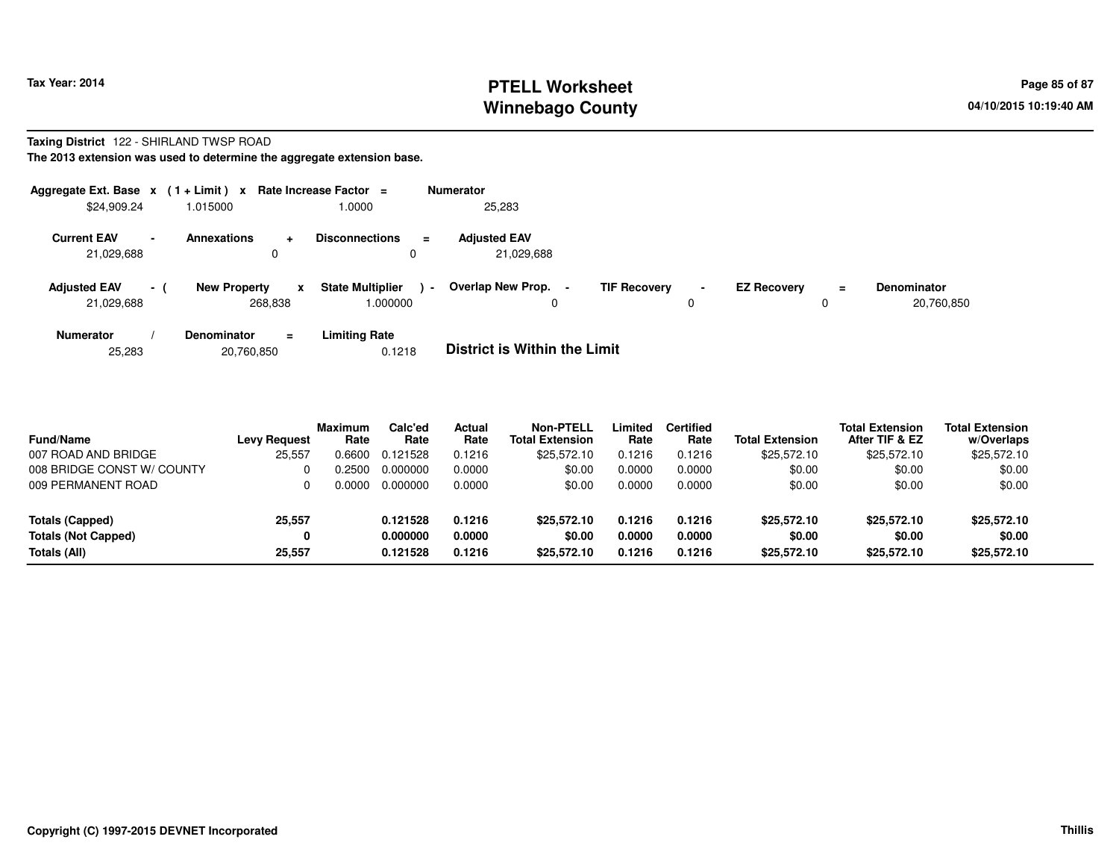# **PTELL Worksheet Tax Year: 2014 Page 85 of 87 Page 85 of 87 Winnebago County**

# **Taxing District** 122 - SHIRLAND TWSP ROAD

**The 2013 extension was used to determine the aggregate extension base.**

| Aggregate Ext. Base $x$ (1+Limit) $x$ |                          |                                |          | Rate Increase Factor =                 |        | <b>Numerator</b>                  |                     |                |                    |          |                                  |
|---------------------------------------|--------------------------|--------------------------------|----------|----------------------------------------|--------|-----------------------------------|---------------------|----------------|--------------------|----------|----------------------------------|
| \$24,909.24                           |                          | 1.015000                       |          | 1.0000                                 |        | 25,283                            |                     |                |                    |          |                                  |
| <b>Current EAV</b><br>21,029,688      | $\overline{\phantom{a}}$ | <b>Annexations</b>             | $\pm$    | <b>Disconnections</b><br>$\equiv$<br>0 |        | <b>Adiusted EAV</b><br>21,029,688 |                     |                |                    |          |                                  |
| <b>Adjusted EAV</b><br>21,029,688     | $\sim$ 1                 | <b>New Property</b><br>268,838 |          | <b>State Multiplier</b><br>.000000     | $\sim$ | Overlap New Prop. -<br>0          | <b>TIF Recovery</b> | $\blacksquare$ | <b>EZ Recovery</b> | $\equiv$ | <b>Denominator</b><br>20,760,850 |
| <b>Numerator</b>                      |                          | <b>Denominator</b>             | $\equiv$ | <b>Limiting Rate</b>                   |        | _ _ _ _ _ _ _ _ _ _ _ _ _ _ _ _ _ |                     |                |                    |          |                                  |

| <b>District is Within the Limit</b><br>0.1218<br>20,760,850<br>25.283 |
|-----------------------------------------------------------------------|
|-----------------------------------------------------------------------|

| <b>Fund/Name</b>           | Levy Request | <b>Maximum</b><br>Rate | Calc'ed<br>Rate | <b>Actual</b><br>Rate | Non-PTELL<br><b>Total Extension</b> | Limited<br>Rate | <b>Certified</b><br>Rate | <b>Total Extension</b> | <b>Total Extension</b><br>After TIF & EZ | <b>Total Extension</b><br>w/Overlaps |
|----------------------------|--------------|------------------------|-----------------|-----------------------|-------------------------------------|-----------------|--------------------------|------------------------|------------------------------------------|--------------------------------------|
| 007 ROAD AND BRIDGE        | 25,557       | 0.6600                 | 0.121528        | 0.1216                | \$25,572.10                         | 0.1216          | 0.1216                   | \$25.572.10            | \$25,572.10                              | \$25,572.10                          |
| 008 BRIDGE CONST W/ COUNTY |              | N 2500                 | 0.000000        | 0.0000                | \$0.00                              | 0.0000          | 0.0000                   | \$0.00                 | \$0.00                                   | \$0.00                               |
| 009 PERMANENT ROAD         |              |                        | 0.000000        | 0.0000                | \$0.00                              | 0.0000          | 0.0000                   | \$0.00                 | \$0.00                                   | \$0.00                               |
| Totals (Capped)            | 25,557       |                        | 0.121528        | 0.1216                | \$25,572.10                         | 0.1216          | 0.1216                   | \$25,572.10            | \$25,572.10                              | \$25,572.10                          |
| <b>Totals (Not Capped)</b> |              |                        | 0.000000        | 0.0000                | \$0.00                              | 0.0000          | 0.0000                   | \$0.00                 | \$0.00                                   | \$0.00                               |
| Totals (All)               | 25,557       |                        | 0.121528        | 0.1216                | \$25,572.10                         | 0.1216          | 0.1216                   | \$25,572.10            | \$25,572.10                              | \$25,572.10                          |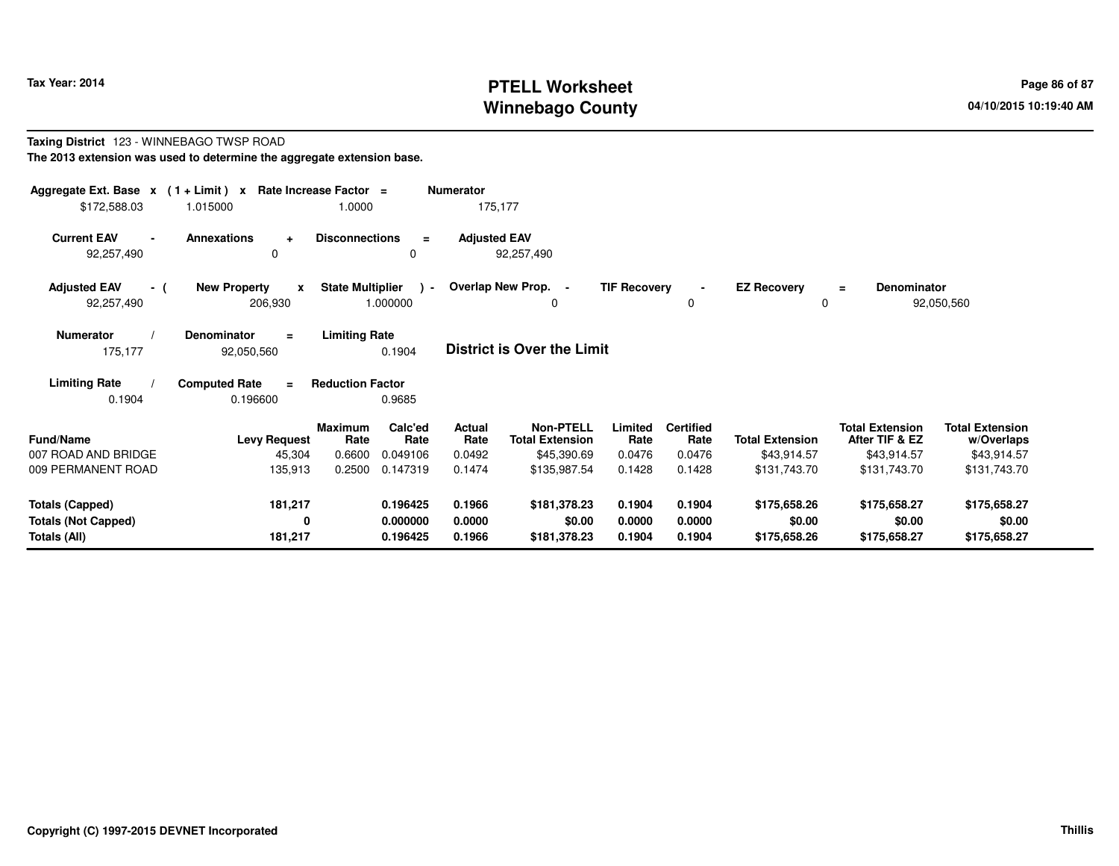# **PTELL Worksheet Tax Year: 2014 Page 86 of 87 Page 86 of 87 Winnebago County**

#### **Taxing District** 123 - WINNEBAGO TWSP ROAD**The 2013 extension was used to determine the aggregate extension base.**

| Aggregate Ext. Base $x$ (1 + Limit) $x$<br>\$172,588.03 | 1.015000                                       | Rate Increase Factor =<br>1.0000                                | <b>Numerator</b><br>175,177 |                                                           |                           |                                    |                                       |                                                         |                                                     |  |
|---------------------------------------------------------|------------------------------------------------|-----------------------------------------------------------------|-----------------------------|-----------------------------------------------------------|---------------------------|------------------------------------|---------------------------------------|---------------------------------------------------------|-----------------------------------------------------|--|
| <b>Current EAV</b><br>$\blacksquare$<br>92,257,490      | Annexations<br>$\ddot{}$<br>0                  | <b>Disconnections</b><br>$\equiv$<br>0                          | <b>Adjusted EAV</b>         | 92,257,490                                                |                           |                                    |                                       |                                                         |                                                     |  |
| <b>Adjusted EAV</b><br>- (<br>92,257,490                | <b>New Property</b><br>$\mathbf{x}$<br>206,930 | <b>State Multiplier</b><br>$\rightarrow$<br>1.000000            |                             | Overlap New Prop. -<br>$\Omega$                           | <b>TIF Recovery</b>       | $\blacksquare$<br>0                | <b>EZ Recovery</b><br>$\Omega$        | <b>Denominator</b><br>$\equiv$                          | 92,050,560                                          |  |
| <b>Numerator</b><br>175,177                             | <b>Denominator</b><br>$\equiv$<br>92,050,560   | <b>Limiting Rate</b><br>0.1904                                  |                             | <b>District is Over the Limit</b>                         |                           |                                    |                                       |                                                         |                                                     |  |
| <b>Limiting Rate</b><br>0.1904                          | <b>Computed Rate</b><br>0.196600               | <b>Reduction Factor</b><br>0.9685                               |                             |                                                           |                           |                                    |                                       |                                                         |                                                     |  |
| <b>Fund/Name</b><br>007 ROAD AND BRIDGE                 | <b>Levy Request</b><br>45,304                  | Calc'ed<br><b>Maximum</b><br>Rate<br>Rate<br>0.6600<br>0.049106 | Actual<br>Rate<br>0.0492    | <b>Non-PTELL</b><br><b>Total Extension</b><br>\$45,390.69 | Limited<br>Rate<br>0.0476 | <b>Certified</b><br>Rate<br>0.0476 | <b>Total Extension</b><br>\$43,914.57 | <b>Total Extension</b><br>After TIF & EZ<br>\$43,914.57 | <b>Total Extension</b><br>w/Overlaps<br>\$43,914.57 |  |
| 009 PERMANENT ROAD                                      | 135,913                                        | 0.147319<br>0.2500                                              | 0.1474                      | \$135,987.54                                              | 0.1428                    | 0.1428                             | \$131,743.70                          | \$131,743.70                                            | \$131,743.70                                        |  |
| <b>Totals (Capped)</b><br><b>Totals (Not Capped)</b>    | 181,217<br>0                                   | 0.196425<br>0.000000                                            | 0.1966<br>0.0000            | \$181,378.23<br>\$0.00                                    | 0.1904<br>0.0000          | 0.1904<br>0.0000                   | \$175,658.26<br>\$0.00                | \$175,658.27<br>\$0.00                                  | \$175,658.27<br>\$0.00                              |  |